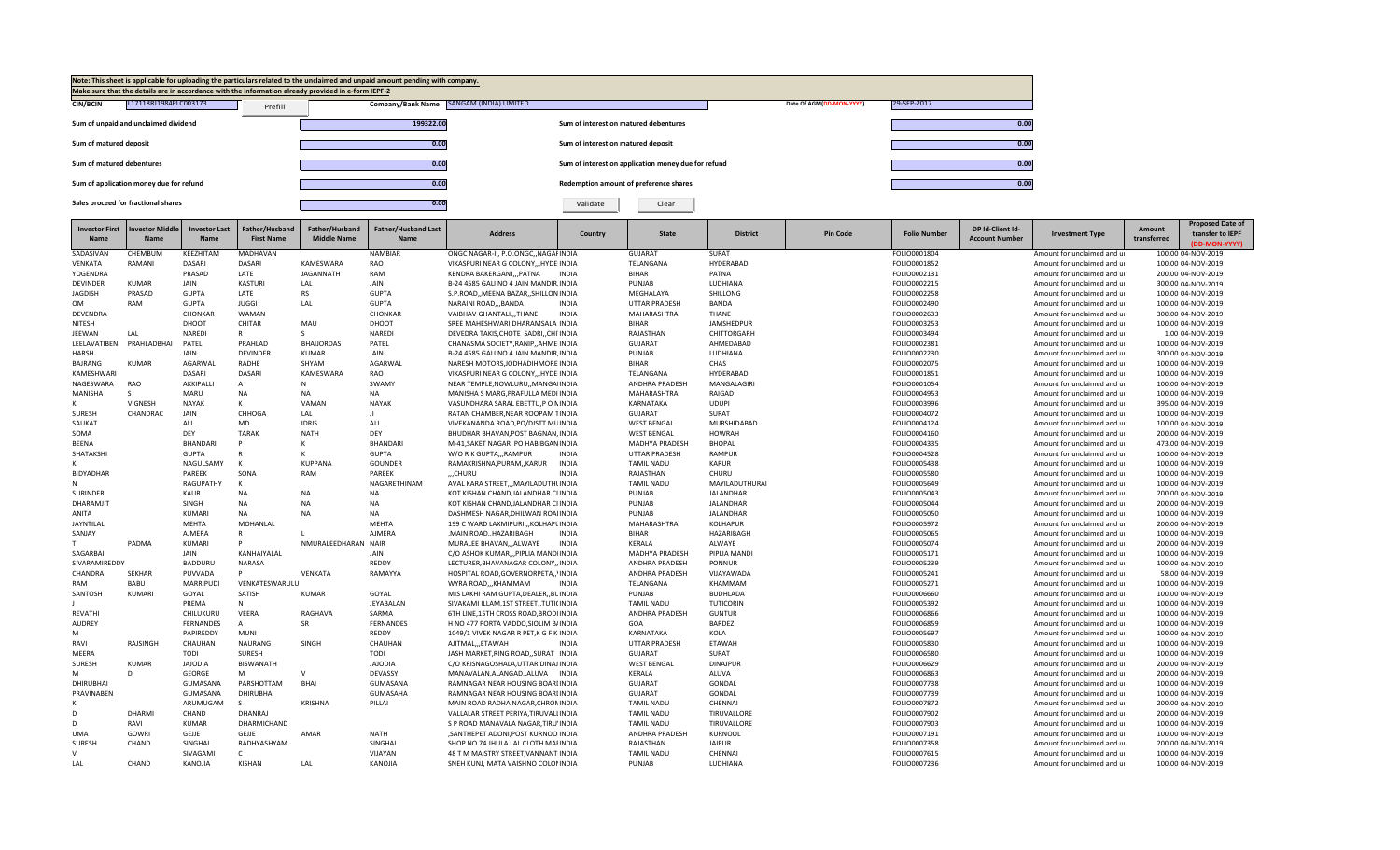

| <b>Investor First</b><br>Name | nvestor Middle<br><b>Name</b> | <b>Investor Last</b><br><b>Name</b> | Father/Husband<br><b>First Name</b> | Father/Husband<br><b>Middle Name</b> | <b>Father/Husband Last</b><br>Name | <b>Address</b>                         | Country      | <b>State</b>         | <b>District</b>  | <b>Pin Code</b> | <b>Folio Number</b> | DP Id-Client Id-<br><b>Account Number</b> | <b>Investment Type</b>      | Amount<br>transferred | <b>Proposed Date of</b><br>transfer to IEPF<br>(DD-MON-YYYY) |
|-------------------------------|-------------------------------|-------------------------------------|-------------------------------------|--------------------------------------|------------------------------------|----------------------------------------|--------------|----------------------|------------------|-----------------|---------------------|-------------------------------------------|-----------------------------|-----------------------|--------------------------------------------------------------|
| SADASIVAN                     | CHEMBUM                       | KEEZHITAM                           | <b>MADHAVAN</b>                     |                                      | <b>NAMBIAR</b>                     | ONGC NAGAR-II, P.O.ONGC, NAGAFINDIA    |              | <b>GUJARAT</b>       | <b>SURAT</b>     |                 | FOLIO0001804        |                                           | Amount for unclaimed and ur |                       | 100.00 04-NOV-2019                                           |
| <b>VENKATA</b>                | RAMANI                        | <b>DASARI</b>                       | <b>DASARI</b>                       | KAMESWARA                            | RAO                                | VIKASPURI NEAR G COLONYHYDEIINDIA      |              | TELANGANA            | HYDERABAD        |                 | FOLIO0001852        |                                           | Amount for unclaimed and ur |                       | 100.00 04-NOV-2019                                           |
| YOGENDRA                      |                               | PRASAD                              | LATE                                | <b>JAGANNATH</b>                     | RAM                                | KENDRA BAKERGANJPATNA                  | <b>INDIA</b> | <b>BIHAR</b>         | PATNA            |                 | FOLIO0002131        |                                           | Amount for unclaimed and ur |                       | 200.00 04-NOV-2019                                           |
| <b>DEVINDER</b>               | <b>KUMAR</b>                  | JAIN                                | <b>KASTURI</b>                      | LAL                                  | JAIN                               | B-24 4585 GALI NO 4 JAIN MANDIR INDIA  |              | PUNJAB               | LUDHIANA         |                 | FOLIO0002215        |                                           | Amount for unclaimed and ur |                       | 300.00 04-NOV-2019                                           |
| <b>JAGDISH</b>                | PRASAD                        | <b>GUPTA</b>                        | LATE                                | <b>RS</b>                            | <b>GUPTA</b>                       | S.P.ROAD, MEENA BAZAR, SHILLON INDIA   |              | MEGHALAYA            | SHILLONG         |                 | FOLIO0002258        |                                           | Amount for unclaimed and ur |                       | 100.00 04-NOV-2019                                           |
| OM                            | RAM                           | <b>GUPTA</b>                        | <b>JUGGI</b>                        | LAL                                  | <b>GUPTA</b>                       | NARAINI ROADBANDA                      | <b>INDIA</b> | <b>UTTAR PRADESH</b> | <b>BANDA</b>     |                 | FOLIO0002490        |                                           | Amount for unclaimed and ur |                       | 100.00 04-NOV-2019                                           |
| DEVENDRA                      |                               | CHONKAR                             | WAMAN                               |                                      | CHONKAR                            | VAIBHAV GHANTALI,,,THANE               | <b>INDIA</b> | MAHARASHTRA          | <b>THANE</b>     |                 | FOLIO0002633        |                                           | Amount for unclaimed and ur |                       | 300.00 04-NOV-2019                                           |
| NITESH                        |                               | DHOOT                               | CHITAR                              | MAU                                  | DHOOT                              | SREE MAHESHWARI, DHARAMSALA INDIA      |              | <b>BIHAR</b>         | JAMSHEDPUR       |                 | FOLIO0003253        |                                           | Amount for unclaimed and ur |                       | 100.00 04-NOV-2019                                           |
| JEEWAN                        | LAL                           | <b>NAREDI</b>                       | $\mathsf{R}$                        | S                                    | <b>NAREDI</b>                      | DEVEDRA TAKIS.CHOTE SADRICHI INDIA     |              | RAJASTHAN            | CHITTORGARH      |                 | FOLIO0003494        |                                           | Amount for unclaimed and ur |                       | 1.00 04-NOV-2019                                             |
| LEELAVATIBEN                  | PRAHLADBHAI                   | PATEL                               | PRAHLAD                             | <b>BHAIJORDAS</b>                    | PATEL                              | CHANASMA SOCIETY, RANIP, , AHME INDIA  |              | <b>GUJARAT</b>       | AHMEDABAD        |                 | FOLIO0002381        |                                           | Amount for unclaimed and ur |                       | 100.00 04-NOV-2019                                           |
| <b>HARSH</b>                  |                               | JAIN                                | <b>DEVINDER</b>                     | <b>KUMAR</b>                         | JAIN                               | B-24 4585 GALI NO 4 JAIN MANDIR, INDIA |              | PUNJAB               | LUDHIANA         |                 | FOLIO0002230        |                                           | Amount for unclaimed and ur |                       | 300.00 04-NOV-2019                                           |
| BAJRANG                       | <b>KUMAR</b>                  | AGARWAL                             | RADHE                               | SHYAM                                | AGARWAL                            | NARESH MOTORS, JODHADIHMORE INDIA      |              | <b>BIHAR</b>         | CHAS             |                 | FOLIO0002075        |                                           | Amount for unclaimed and ur |                       | 100.00 04-NOV-2019                                           |
| KAMESHWARI                    |                               | <b>DASARI</b>                       | <b>DASARI</b>                       | KAMESWARA                            | RAO                                | VIKASPURI NEAR G COLONY,,,HYDEIINDIA   |              | TELANGANA            | HYDERABAD        |                 | FOLIO0001851        |                                           | Amount for unclaimed and ur |                       | 100.00 04-NOV-2019                                           |
| NAGESWARA                     | <b>RAO</b>                    | AKKIPALLI                           | $\mathsf{A}$                        | N                                    | SWAMY                              | NEAR TEMPLE, NOWLURU, , MANGAIINDIA    |              | ANDHRA PRADESH       | MANGALAGIRI      |                 | FOLIO0001054        |                                           | Amount for unclaimed and ur |                       | 100.00 04-NOV-2019                                           |
| MANISHA                       |                               | MARU                                | NA                                  | <b>NA</b>                            | NA                                 | MANISHA S MARG, PRAFULLA MEDI INDIA    |              | MAHARASHTRA          | RAIGAD           |                 | FOLIO0004953        |                                           | Amount for unclaimed and ur |                       | 100.00 04-NOV-2019                                           |
|                               | <b>VIGNESH</b>                | <b>NAYAK</b>                        | к                                   | VAMAN                                | <b>NAYAK</b>                       | VASUNDHARA SARAL EBETTU, PO NINDIA     |              | KARNATAKA            | <b>UDUPI</b>     |                 | FOLIO0003996        |                                           | Amount for unclaimed and ur |                       | 395.00 04-NOV-2019                                           |
| SURESH                        | CHANDRAC                      | JAIN                                | CHHOGA                              | LAL                                  | $\mathbf{H}$                       | RATAN CHAMBER, NEAR ROOPAM TINDIA      |              | <b>GUJARAT</b>       | SURAT            |                 | FOLIO0004072        |                                           | Amount for unclaimed and ur |                       | 100.00 04-NOV-2019                                           |
| SAUKAT                        |                               | ALI                                 | MD                                  | <b>IDRIS</b>                         | ALI                                | VIVEKANANDA ROAD.PO/DISTT MUINDIA      |              | <b>WEST BENGAL</b>   | MURSHIDABAD      |                 | FOLIO0004124        |                                           | Amount for unclaimed and ur |                       | 100.00 04-NOV-2019                                           |
| SOMA                          |                               | DEY                                 | <b>TARAK</b>                        | <b>NATH</b>                          | DEY                                | BHUDHAR BHAVAN, POST BAGNAN, INDIA     |              | <b>WEST BENGAL</b>   | <b>HOWRAH</b>    |                 | FOLIO0004160        |                                           | Amount for unclaimed and ur |                       | 200.00 04-NOV-2019                                           |
| <b>BEENA</b>                  |                               | BHANDARI                            |                                     |                                      | <b>BHANDARI</b>                    | M-41, SAKET NAGAR PO HABIBGAN INDIA    |              | MADHYA PRADESH       | <b>BHOPAL</b>    |                 | FOLIO0004335        |                                           | Amount for unclaimed and ur |                       | 473.00 04-NOV-2019                                           |
| SHATAKSHI                     |                               | <b>GUPTA</b>                        |                                     |                                      | <b>GUPTA</b>                       | W/O R K GUPTA, , RAMPUR                | <b>INDIA</b> | <b>UTTAR PRADESH</b> | RAMPUR           |                 | FOLIO0004528        |                                           | Amount for unclaimed and ur |                       | 100.00 04-NOV-2019                                           |
|                               |                               | NAGULSAMY                           | K                                   | <b>KUPPANA</b>                       | <b>GOUNDER</b>                     | RAMAKRISHNA, PURAM, , KARUR            | <b>INDIA</b> | <b>TAMIL NADU</b>    | <b>KARUR</b>     |                 | FOLIO0005438        |                                           | Amount for unclaimed and ur |                       | 100.00 04-NOV-2019                                           |
| <b>BIDYADHAR</b>              |                               | PAREEK                              | SONA                                | RAM                                  | PAREEK                             | "CHURU                                 | <b>INDIA</b> | RAJASTHAN            | CHURU            |                 | FOLIO0005580        |                                           | Amount for unclaimed and ur |                       | 100.00 04-NOV-2019                                           |
|                               |                               | RAGUPATHY                           | K                                   |                                      | NAGARETHINAM                       | AVAL KARA STREET,,, MAYILADUTHUNDIA    |              | <b>TAMIL NADU</b>    | MAYILADUTHURAI   |                 | FOLIO0005649        |                                           | Amount for unclaimed and ur |                       | 100.00 04-NOV-2019                                           |
| <b>SURINDER</b>               |                               | <b>KAUR</b>                         | <b>NA</b>                           | <b>NA</b>                            | <b>NA</b>                          | KOT KISHAN CHAND.JALANDHAR CI INDIA    |              | PUNJAB               | <b>JALANDHAR</b> |                 | FOLIO0005043        |                                           | Amount for unclaimed and ur |                       | 200.00 04-NOV-2019                                           |
| DHARAMJIT                     |                               | SINGH                               | <b>NA</b>                           | <b>NA</b>                            | <b>NA</b>                          | KOT KISHAN CHAND, JALANDHAR CI INDIA   |              | PUNJAB               | JALANDHAR        |                 | FOLIO0005044        |                                           | Amount for unclaimed and ur |                       | 200.00 04-NOV-2019                                           |
| ANITA                         |                               | KUMARI                              | <b>NA</b>                           | <b>NA</b>                            | <b>NA</b>                          | DASHMESH NAGAR.DHILWAN ROAIINDIA       |              | PUNJAB               | <b>JALANDHAR</b> |                 | FOLIO0005050        |                                           | Amount for unclaimed and ur |                       | 100.00 04-NOV-2019                                           |
| JAYNTILAL                     |                               | MEHTA                               | MOHANLAL                            |                                      | <b>MEHTA</b>                       | 199 C WARD LAXMIPURIKOLHAPLINDIA       |              | MAHARASHTRA          | KOLHAPUR         |                 | FOLIO0005972        |                                           | Amount for unclaimed and ur |                       | 200.00 04-NOV-2019                                           |
| SANJAY                        |                               | AJMERA                              |                                     |                                      | <b>AJMERA</b>                      | , MAIN ROAD, HAZARIBAGH                | <b>INDIA</b> | <b>BIHAR</b>         | HAZARIBAGH       |                 | FOLIO0005065        |                                           | Amount for unclaimed and ur |                       | 100.00 04-NOV-2019                                           |
|                               | PADMA                         | <b>KUMARI</b>                       |                                     | NMURALEEDHARAN NAIR                  |                                    | MURALEE BHAVAN,,,ALWAYE                | <b>INDIA</b> | KERALA               | ALWAYE           |                 | FOLIO0005074        |                                           | Amount for unclaimed and ur |                       | 200.00 04-NOV-2019                                           |
| SAGARBAI                      |                               | JAIN                                | KANHAIYALAL                         |                                      | JAIN                               | C/O ASHOK KUMAR,,,PIPLIA MANDIINDIA    |              | MADHYA PRADESH       | PIPLIA MANDI     |                 | FOLIO0005171        |                                           | Amount for unclaimed and ur |                       | 100.00 04-NOV-2019                                           |
| SIVARAMIREDDY                 |                               | BADDURU                             | NARASA                              |                                      | REDDY                              | LECTURER, BHAVANAGAR COLONY,, INDIA    |              | ANDHRA PRADESH       | PONNUR           |                 | FOLIO0005239        |                                           | Amount for unclaimed and ur |                       | 100.00 04-NOV-2019                                           |
| CHANDRA                       | SEKHAR                        | PUVVADA                             | P                                   | VENKATA                              | RAMAYYA                            | HOSPITAL ROAD, GOVERNORPETA, , INDIA   |              | ANDHRA PRADESH       | VIJAYAWADA       |                 | FOLIO0005241        |                                           | Amount for unclaimed and ur |                       | 58.00 04-NOV-2019                                            |
| RAM                           | BABU                          | <b>MARRIPUDI</b>                    | VENKATESWARULL                      |                                      |                                    | WYRA ROAD,,,KHAMMAM                    | <b>INDIA</b> | TELANGANA            | KHAMMAM          |                 | FOLIO0005271        |                                           | Amount for unclaimed and ur |                       | 100.00 04-NOV-2019                                           |
| SANTOSH                       | <b>KUMARI</b>                 | GOYAL                               | SATISH                              | <b>KUMAR</b>                         | GOYAL                              | MIS LAKHI RAM GUPTA, DEALER, BUINDIA   |              | PUNJAB               | <b>BUDHLADA</b>  |                 | FOLIO0006660        |                                           | Amount for unclaimed and ur |                       | 100.00 04-NOV-2019                                           |
|                               |                               | PREMA                               | N                                   |                                      | JEYABALAN                          | SIVAKAMI ILLAM, 1ST STREET, TUTI(INDIA |              | <b>TAMIL NADU</b>    | TUTICORIN        |                 | FOLIO0005392        |                                           | Amount for unclaimed and ur |                       | 100.00 04-NOV-2019                                           |
| REVATHI                       |                               | CHILUKURU                           | VEERA                               | RAGHAVA                              | SARMA                              | 6TH LINE, 15TH CROSS ROAD, BRODI INDIA |              | ANDHRA PRADESH       | <b>GUNTUR</b>    |                 | FOLIO0006866        |                                           | Amount for unclaimed and ur |                       | 100.00 04-NOV-2019                                           |
| AUDREY                        |                               | <b>FERNANDES</b>                    | $\overline{A}$                      | <b>SR</b>                            | <b>FERNANDES</b>                   | H NO 477 PORTA VADDO, SIOLIM B/INDIA   |              | GOA                  | <b>BARDEZ</b>    |                 | FOLIO0006859        |                                           | Amount for unclaimed and ur |                       | 100.00 04-NOV-2019                                           |
| м                             |                               | PAPIREDDY                           | <b>MUNI</b>                         |                                      | REDDY                              | 1049/1 VIVEK NAGAR R PET, K G F KINDIA |              | <b>KARNATAKA</b>     | KOLA             |                 | FOLIO0005697        |                                           | Amount for unclaimed and ur |                       | 100.00 04-NOV-2019                                           |
| RAVI                          | <b>RAJSINGH</b>               | CHAUHAN                             | <b>NAURANG</b>                      | SINGH                                | CHAUHAN                            | AJITMAL,,,ETAWAH                       | <b>INDIA</b> | <b>UTTAR PRADESH</b> | ETAWAH           |                 | FOLIO0005830        |                                           | Amount for unclaimed and ur |                       | 100.00 04-NOV-2019                                           |
| MEERA                         |                               | <b>TODI</b>                         | SURESH                              |                                      | <b>TODI</b>                        | JASH MARKET, RING ROAD, , SURAT INDIA  |              | <b>GUJARAT</b>       | SURAT            |                 | FOLIO0006580        |                                           | Amount for unclaimed and ur |                       | 100.00 04-NOV-2019                                           |
| SURESH                        | <b>KUMAR</b>                  | <b>JAJODIA</b>                      | <b>BISWANATH</b>                    |                                      | <b>JAJODIA</b>                     | C/O KRISNAGOSHALA, UTTAR DINAJ INDIA   |              | <b>WEST BENGAL</b>   | <b>DINAJPUR</b>  |                 | FOLIO0006629        |                                           | Amount for unclaimed and ur |                       | 200.00 04-NOV-2019                                           |
| M                             |                               | <b>GEORGE</b>                       | M                                   | $\mathsf{V}$                         | DEVASSY                            | MANAVALAN, ALANGAD, , ALUVA            | INDIA        | KERALA               | ALUVA            |                 | FOLIO0006863        |                                           | Amount for unclaimed and ur |                       | 200.00 04-NOV-2019                                           |
| <b>DHIRUBHAI</b>              |                               | GUMASANA                            | PARSHOTTAM                          | <b>BHAI</b>                          | GUMASANA                           | RAMNAGAR NEAR HOUSING BOARLINDIA       |              | <b>GUJARAT</b>       | GONDAL           |                 | FOLIO0007738        |                                           | Amount for unclaimed and ur |                       | 100.00 04-NOV-2019                                           |
| PRAVINABEN                    |                               | GUMASANA                            | DHIRUBHAI                           |                                      | GUMASAHA                           | RAMNAGAR NEAR HOUSING BOARLINDIA       |              | <b>GUJARAT</b>       | GONDAL           |                 | FOLIO0007739        |                                           | Amount for unclaimed and ur |                       | 100.00 04-NOV-2019                                           |
|                               |                               | ARUMUGAM                            | -S                                  | <b>KRISHNA</b>                       | PILLAI                             | MAIN ROAD RADHA NAGAR, CHRONINDIA      |              | <b>TAMIL NADU</b>    | CHENNAI          |                 | FOLIO0007872        |                                           | Amount for unclaimed and ur |                       | 200.00 04-NOV-2019                                           |
| D                             | <b>DHARMI</b>                 | CHAND                               | DHANRAJ                             |                                      |                                    | VALLALAR STREET PERIYA.TIRUVALLINDIA   |              | <b>TAMIL NADU</b>    | TIRUVALLORE      |                 | FOLIO0007902        |                                           | Amount for unclaimed and ur |                       | 200.00 04-NOV-2019                                           |
| D.                            | RAVI                          | <b>KUMAR</b>                        | DHARMICHAND                         |                                      |                                    | S P ROAD MANAVALA NAGAR, TIRU'INDIA    |              | <b>TAMIL NADU</b>    | TIRUVALLORE      |                 | FOLIO0007903        |                                           | Amount for unclaimed and ur |                       | 100.00 04-NOV-2019                                           |
| <b>UMA</b>                    | <b>GOWRI</b>                  | GEJJE                               | GEJJE                               | AMAR                                 | <b>NATH</b>                        | , SANTHEPET ADONI, POST KURNOOIINDIA   |              | ANDHRA PRADESH       | <b>KURNOOL</b>   |                 | FOLIO0007191        |                                           | Amount for unclaimed and ur |                       | 100.00 04-NOV-2019                                           |
| SURESH                        | CHAND                         | SINGHAL                             | RADHYASHYAM                         |                                      | SINGHAL                            | SHOP NO 74 JHULA LAL CLOTH MAFINDIA    |              | RAJASTHAN            | <b>JAIPUR</b>    |                 | FOLIO0007358        |                                           | Amount for unclaimed and ur |                       | 200.00 04-NOV-2019                                           |
|                               |                               | SIVAGAMI                            | $\mathsf{C}$                        |                                      | VIJAYAN                            | 48 T M MAISTRY STREET, VANNANT INDIA   |              | <b>TAMIL NADU</b>    | CHENNAI          |                 | FOLIO0007615        |                                           | Amount for unclaimed and ur |                       | 100.00 04-NOV-2019                                           |
| LAL                           | CHAND                         | KANOJIA                             | <b>KISHAN</b>                       | LAL                                  | KANOJIA                            | SNEH KUNJ, MATA VAISHNO COLONINDIA     |              | PUNJAB               | LUDHIANA         |                 | FOLIO0007236        |                                           | Amount for unclaimed and ur |                       | 100.00 04-NOV-2019                                           |
|                               |                               |                                     |                                     |                                      |                                    |                                        |              |                      |                  |                 |                     |                                           |                             |                       |                                                              |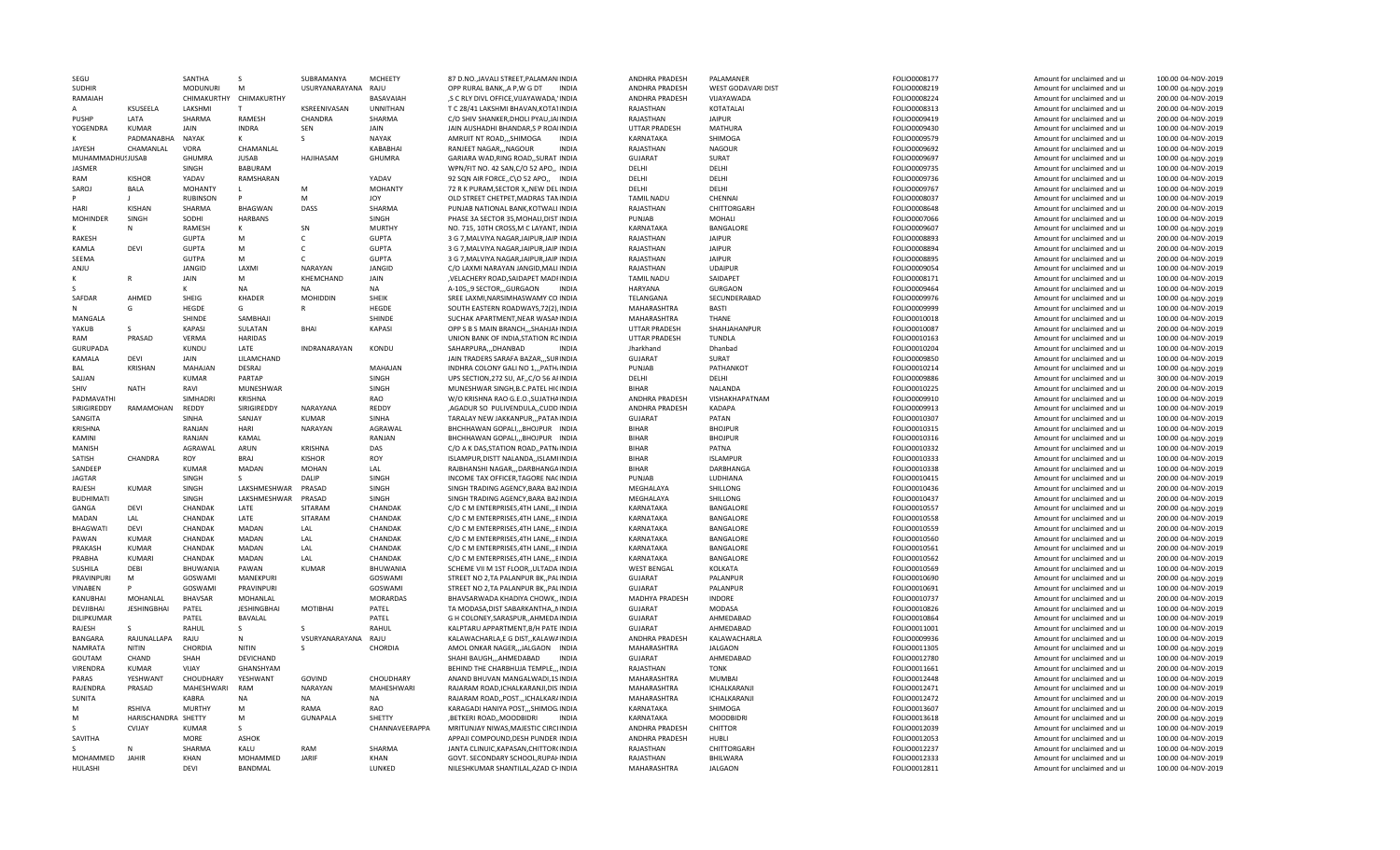| SEGU                       |                     | SANTHA          | <sub>S</sub>        | SUBRAMANYA          | <b>MCHEETY</b>    | 87 D.NO., JAVALI STREET, PALAMANIINDIA                                          | ANDHRA PRADESH                       | PALAMANFR                         | FOLIO0008177                 | Amount for unclaimed and ur                                | 100.00 04-NOV-2019                       |
|----------------------------|---------------------|-----------------|---------------------|---------------------|-------------------|---------------------------------------------------------------------------------|--------------------------------------|-----------------------------------|------------------------------|------------------------------------------------------------|------------------------------------------|
| <b>SUDHIR</b>              |                     | <b>MODUNURI</b> | M                   | USURYANARAYANA RAJU |                   | OPP RURAL BANK, A P, W G DT<br>INDIA                                            | ANDHRA PRADESH                       | WEST GODAVARI DIST                | FOLIO0008219                 | Amount for unclaimed and ur                                | 100.00 04-NOV-2019                       |
| RAMAIAH                    |                     | CHIMAKURTHY     | CHIMAKURTHY         |                     | BASAVAIAH         | ,S C RLY DIVL OFFICE, VIJAYAWADA, 'INDIA                                        | ANDHRA PRADESH                       | VIJAYAWADA                        | FOLIO0008224                 | Amount for unclaimed and ur                                | 200.00 04-NOV-2019                       |
|                            | KSUSEELA            | LAKSHMI         | T                   | KSREENIVASAN        | <b>UNNITHAN</b>   | T C 28/41 LAKSHMI BHAVAN, KOTA1INDIA                                            | RAJASTHAN                            | KOTATALAI                         | FOLIO0008313                 | Amount for unclaimed and ur                                | 200.00 04-NOV-2019                       |
| PUSHP                      | LATA                | SHARMA          | <b>RAMESH</b>       | CHANDRA             | SHARMA            | C/O SHIV SHANKER, DHOLI PYAU, JAIINDIA                                          | RAJASTHAN                            | <b>JAIPUR</b>                     | FOLIO0009419                 | Amount for unclaimed and ur                                | 200.00 04-NOV-2019                       |
| YOGENDRA                   | <b>KUMAR</b>        | JAIN            | <b>INDRA</b>        | SEN                 | JAIN              | JAIN AUSHADHI BHANDAR, S P ROAIINDIA                                            | <b>UTTAR PRADESH</b>                 | MATHURA                           | FOLIO0009430                 | Amount for unclaimed and ur                                | 100.00 04-NOV-2019                       |
|                            | PADMANABHA          | <b>NAYAK</b>    |                     | S                   | <b>NAYAK</b>      | AMRUIT NT ROAD,,,SHIMOGA<br><b>INDIA</b>                                        | KARNATAKA                            | SHIMOGA                           | FOLIO0009579                 | Amount for unclaimed and ur                                | 100.00 04-NOV-2019                       |
| <b>JAYESH</b>              | CHAMANLAL           | VORA            | CHAMANLAL           |                     | KABABHAI          | RANJEET NAGAR,,,NAGOUR<br><b>INDIA</b>                                          | RAJASTHAN                            | <b>NAGOUR</b>                     | FOLIO0009692                 | Amount for unclaimed and ur                                | 100.00 04-NOV-2019                       |
| MUHAMMADHU!JUSAB           |                     | GHUMRA          | <b>JUSAB</b>        | HAJIHASAM           | <b>GHUMRA</b>     | GARIARA WAD, RING ROAD, , SURAT INDIA                                           | GUJARAT                              | SURAT                             | FOLIO0009697                 | Amount for unclaimed and ur                                | 100.00 04-NOV-2019                       |
| JASMER                     |                     | SINGH           | <b>BABURAM</b>      |                     |                   | WPN/FIT NO. 42 SAN, C/O 52 APO,, INDIA                                          | DELHI                                | DELHI                             | FOLIO0009735                 | Amount for unclaimed and ur                                | 100.00 04-NOV-2019                       |
| RAM                        | <b>KISHOR</b>       | YADAV           | RAMSHARAN           |                     | YADAV             | 92 SQN AIR FORCE, C\O 52 APO,, INDIA                                            | DELHI                                | DELHI                             | FOLIO0009736                 | Amount for unclaimed and ur                                | 100.00 04-NOV-2019                       |
|                            |                     |                 |                     | M                   |                   |                                                                                 |                                      |                                   |                              |                                                            |                                          |
| SAROJ                      | <b>BALA</b>         | <b>MOHANTY</b>  | $\mathbf{L}$        |                     | <b>MOHANTY</b>    | 72 R K PURAM, SECTOR X, NEW DELINDIA                                            | DFLHI                                | DELHI                             | FOLIO0009767                 | Amount for unclaimed and ur                                | 100.00 04-NOV-2019                       |
|                            |                     | <b>RUBINSON</b> | P                   | M                   | JOY               | OLD STREET CHETPET, MADRAS TANINDIA                                             | <b>TAMIL NADU</b>                    | CHENNAI                           | FOLIO0008037                 | Amount for unclaimed and ur                                | 100.00 04-NOV-2019                       |
| HARI                       | KISHAN              | SHARMA          | <b>BHAGWAN</b>      | DASS                | SHARMA            | PUNJAB NATIONAL BANK, KOTWALI INDIA                                             | RAJASTHAN                            | CHITTORGARH                       | FOLIO0008648                 | Amount for unclaimed and ur                                | 200.00 04-NOV-2019                       |
| <b>MOHINDER</b>            | SINGH               | SODHI           | <b>HARBANS</b>      |                     | SINGH             | PHASE 3A SECTOR 35, MOHALI, DIST INDIA                                          | PUNJAB                               | MOHALI                            | FOLIO0007066                 | Amount for unclaimed and ur                                | 100.00 04-NOV-2019                       |
|                            | N                   | RAMESH          | к                   | SN                  | <b>MURTHY</b>     | NO. 715, 10TH CROSS, M C LAYANT, INDIA                                          | KARNATAKA                            | BANGALORE                         | FOLIO0009607                 | Amount for unclaimed and ur                                | 100.00 04-NOV-2019                       |
| RAKESH                     |                     | <b>GUPTA</b>    | м                   | C.                  | <b>GUPTA</b>      | 3 G 7, MALVIYA NAGAR, JAIPUR, JAIP INDIA                                        | RAJASTHAN                            | <b>JAIPUR</b>                     | FOLIO0008893                 | Amount for unclaimed and ur                                | 200.00 04-NOV-2019                       |
| KAMLA                      | DEVI                | <b>GUPTA</b>    | м                   | C.                  | <b>GUPTA</b>      | 3 G 7, MALVIYA NAGAR, JAIPUR, JAIP INDIA                                        | RAJASTHAN                            | <b>JAIPUR</b>                     | FOLIO0008894                 | Amount for unclaimed and ur                                | 200.00 04-NOV-2019                       |
| SEEMA                      |                     | <b>GUTPA</b>    | M                   | C.                  | <b>GUPTA</b>      | 3 G 7. MALVIYA NAGAR JAIPUR JAIP INDIA                                          | RAJASTHAN                            | <b>JAIPUR</b>                     | FOLIO0008895                 | Amount for unclaimed and ur                                | 200.00 04-NOV-2019                       |
| ANJU                       |                     | JANGID          | LAXMI               | <b>NARAYAN</b>      | JANGID            | C/O LAXMI NARAYAN JANGID MALLINDIA                                              | RAJASTHAN                            | <b>UDAIPUR</b>                    | FOLIO0009054                 | Amount for unclaimed and ur                                | 100.00 04-NOV-2019                       |
|                            |                     | JAIN            | M                   | KHEMCHAND           | JAIN              | , VELACHERY ROAD, SAIDAPET MADFINDIA                                            | <b>TAMIL NADU</b>                    | SAIDAPET                          | FOLIO0008171                 | Amount for unclaimed and ur                                | 100.00 04-NOV-2019                       |
|                            |                     |                 | <b>NA</b>           | <b>NA</b>           | <b>NA</b>         | A-105, 9 SECTOR, GURGAON<br><b>INDIA</b>                                        | HARYANA                              | <b>GURGAON</b>                    | FOLIO0009464                 | Amount for unclaimed and ur                                | 100.00 04-NOV-2019                       |
| SAFDAR                     | AHMED               | SHEIG           | KHADER              | <b>MOHIDDIN</b>     | SHEIK             | SREE LAXMI, NARSIMHASWAMY CO INDIA                                              | TELANGANA                            | SECUNDERABAD                      | FOLIO0009976                 | Amount for unclaimed and ur                                | 100.00 04-NOV-2019                       |
|                            | G                   | <b>HEGDE</b>    | G                   | R                   | <b>HEGDE</b>      |                                                                                 | MAHARASHTRA                          |                                   |                              |                                                            |                                          |
|                            |                     |                 |                     |                     |                   | SOUTH EASTERN ROADWAYS, 72(2), INDIA                                            |                                      | BASTI                             | FOLIO0009999                 | Amount for unclaimed and ur                                | 100.00 04-NOV-2019                       |
| MANGALA                    |                     | SHINDE          | SAMBHAJI            |                     | SHINDE            | SUCHAK APARTMENT, NEAR WASANINDIA                                               | MAHARASHTRA                          | <b>THANE</b>                      | FOLIO0010018                 | Amount for unclaimed and ur                                | 100.00 04-NOV-2019                       |
| YAKUB                      | s                   | KAPASI          | SULATAN             | <b>BHAI</b>         | <b>KAPASI</b>     | OPP S B S MAIN BRANCH, , SHAHJAI INDIA                                          | UTTAR PRADESH                        | SHAHJAHANPUR                      | FOLIO0010087                 | Amount for unclaimed and ur                                | 200.00 04-NOV-2019                       |
| RAM                        | PRASAD              | VERMA           | <b>HARIDAS</b>      |                     |                   | UNION BANK OF INDIA, STATION RCINDIA                                            | <b>UTTAR PRADESH</b>                 | TUNDLA                            | FOLIO0010163                 | Amount for unclaimed and ur                                | 100.00 04-NOV-2019                       |
| <b>GURUPADA</b>            |                     | <b>KUNDU</b>    | LATE                | INDRANARAYAN        | KONDU             | SAHARPURA,,,DHANBAD<br><b>INDIA</b>                                             | Jharkhand                            | Dhanbad                           | FOLIO0010204                 | Amount for unclaimed and ur                                | 100.00 04-NOV-2019                       |
| KAMALA                     | DFVI                | <b>JAIN</b>     | LILAMCHAND          |                     |                   | JAIN TRADERS SARAFA BAZAR,,,SURINDIA                                            | <b>GUJARAT</b>                       | SURAT                             | FOLIO0009850                 | Amount for unclaimed and ur                                | 100.00 04-NOV-2019                       |
| <b>BAL</b>                 | <b>KRISHAN</b>      | MAHAJAN         | DESRAJ              |                     | <b>MAHAJAN</b>    | INDHRA COLONY GALI NO 1,,,PATH, INDIA                                           | PUNJAB                               | PATHANKOT                         | FOLIO0010214                 | Amount for unclaimed and ur                                | 100.00 04-NOV-2019                       |
| SAJJAN                     |                     | <b>KUMAR</b>    | PARTAP              |                     | SINGH             | UPS SECTION, 272 SU, AF,, C/O 56 AFINDIA                                        | DELHI                                | DELHI                             | FOLIO0009886                 | Amount for unclaimed and ur                                | 300.00 04-NOV-2019                       |
| <b>SHIV</b>                | <b>NATH</b>         | RAVI            | MUNESHWAR           |                     | SINGH             | MUNESHWAR SINGH, B.C. PATEL HICINDIA                                            | <b>BIHAR</b>                         | <b>NALANDA</b>                    | FOLIO0010225                 | Amount for unclaimed and ur                                | 200.00 04-NOV-2019                       |
| PADMAVATHI                 |                     | <b>SIMHADRI</b> | <b>KRISHNA</b>      |                     | RAO               | W/O KRISHNA RAO G.E.O. SUJATHAINDIA                                             | ANDHRA PRADESH                       | VISHAKHAPATNAM                    | FOLIO0009910                 | Amount for unclaimed and ur                                | 100.00 04-NOV-2019                       |
| SIRIGIREDDY                | RAMAMOHAN           | REDDY           | SIRIGIREDDY         | NARAYANA            | REDDY             | ,AGADUR SO PULIVENDULA,,CUDD.INDIA                                              | ANDHRA PRADESH                       | <b>KADAPA</b>                     | FOLIO0009913                 | Amount for unclaimed and ur                                | 100.00 04-NOV-2019                       |
| SANGITA                    |                     | SINHA           | SANJAY              | KUMAR               | SINHA             | TARALAY NEW JAKKANPUR,,, PATANINDIA                                             | <b>GUJARAT</b>                       | PATAN                             | FOLIO0010307                 | Amount for unclaimed and ur                                | 100.00 04-NOV-2019                       |
| <b>KRISHNA</b>             |                     | RANJAN          | HARI                | NARAYAN             | AGRAWAL           | BHCHHAWAN GOPALI,,, BHOJPUR INDIA                                               | <b>BIHAR</b>                         | <b>BHOJPUR</b>                    | FOLIO0010315                 | Amount for unclaimed and ur                                | 100.00 04-NOV-2019                       |
| KAMINI                     |                     |                 | KAMAL               |                     |                   |                                                                                 |                                      |                                   |                              |                                                            |                                          |
|                            |                     | RANJAN          |                     |                     | RANJAN            | BHCHHAWAN GOPALI, BHOJPUR INDIA                                                 | <b>BIHAR</b>                         | <b>BHOJPUR</b>                    | FOLIO0010316                 | Amount for unclaimed and ur                                | 100.00 04-NOV-2019                       |
| <b>MANISH</b>              |                     | AGRAWAL         | ARUN                | <b>KRISHNA</b>      | DAS               | C/O A K DAS, STATION ROAD, , PATN/INDIA                                         | <b>BIHAR</b>                         | PATNA                             | FOLIO0010332                 | Amount for unclaimed and ur                                | 100.00 04-NOV-2019                       |
| SATISH                     | CHANDRA             | ROY             | BRAJ                | <b>KISHOR</b>       | ROY               | ISLAMPUR, DISTT NALANDA, ISLAMIINDIA                                            | <b>BIHAR</b>                         | <b>ISLAMPUR</b>                   | FOLIO0010333                 | Amount for unclaimed and ur                                | 100.00 04-NOV-2019                       |
| SANDEEP                    |                     | <b>KUMAR</b>    | MADAN               | <b>MOHAN</b>        | LAL               | RAJBHANSHI NAGAR,,,DARBHANGAINDIA                                               | <b>BIHAR</b>                         | DARBHANGA                         | FOLIO0010338                 | Amount for unclaimed and ur                                | 100.00 04-NOV-2019                       |
| <b>JAGTAR</b>              |                     | SINGH           | -S                  | DALIP               | SINGH             | INCOME TAX OFFICER, TAGORE NACINDIA                                             | PUNJAB                               | LUDHIANA                          | FOLIO0010415                 | Amount for unclaimed and ur                                | 200.00 04-NOV-2019                       |
| RAJESH                     | KUMAR               | SINGH           | LAKSHMESHWAR        | PRASAD              | SINGH             | SINGH TRADING AGENCY, BARA BAZINDIA                                             | MEGHALAYA                            | SHILLONG                          | FOLIO0010436                 | Amount for unclaimed and ur                                | 200.00 04-NOV-2019                       |
| <b>BUDHIMATI</b>           |                     | SINGH           | LAKSHMESHWAR        | PRASAD              | SINGH             | SINGH TRADING AGENCY, BARA BAZINDIA                                             | MEGHALAYA                            | SHILLONG                          | FOLIO0010437                 | Amount for unclaimed and ur                                | 200.00 04-NOV-2019                       |
| GANGA                      | <b>DFVI</b>         | CHANDAK         | LATE                | SITARAM             | CHANDAK           | C/O C M ENTERPRISES, 4TH LANE, ,, EINDIA                                        | KARNATAKA                            | <b>BANGALORE</b>                  | FOLIO0010557                 | Amount for unclaimed and ur                                | 200.00 04-NOV-2019                       |
| MADAN                      | LAL                 | CHANDAK         | LATE                | SITARAM             | CHANDAK           | C/O C M ENTERPRISES, 4TH LANE, ,, EINDIA                                        | KARNATAKA                            | BANGALORE                         | FOLIO0010558                 | Amount for unclaimed and ur                                | 200.00 04-NOV-2019                       |
| <b>BHAGWAT</b>             | DEVI                | CHANDAK         | MADAN               | LAL                 | CHANDAK           | C/O C M ENTERPRISES, 4TH LANE, ,, EINDIA                                        | KARNATAKA                            | BANGALORE                         | FOLIO0010559                 | Amount for unclaimed and ur                                | 200.00 04-NOV-2019                       |
| PAWAN                      | <b>KUMAR</b>        | CHANDAK         | <b>MADAN</b>        | LAL                 | CHANDAK           | C/O C M ENTERPRISES.4TH LANEEINDIA                                              | KARNATAKA                            | <b>BANGALORE</b>                  | FOLIO0010560                 | Amount for unclaimed and ur                                | 200.00 04-NOV-2019                       |
| PRAKASH                    | <b>KUMAR</b>        | CHANDAK         | <b>MADAN</b>        | LAL                 | CHANDAK           | C/O C M ENTERPRISES, 4TH LANE, ,, EINDIA                                        | KARNATAKA                            | BANGALORE                         | FOLIO0010561                 | Amount for unclaimed and ur                                | 200.00 04-NOV-2019                       |
| PRABHA                     | KUMARI              | CHANDAK         | MADAN               | LAL                 | CHANDAK           | C/O C M ENTERPRISES, 4TH LANE, ,, EINDIA                                        | KARNATAKA                            | BANGALORE                         | FOLIO0010562                 | Amount for unclaimed and ur                                | 200.00 04-NOV-2019                       |
| SUSHILA                    | DEBI                | BHUWANIA        | PAWAN               | <b>KUMAR</b>        | BHUWANIA          | SCHEME VII M 1ST FLOOR,, ULTADA INDIA                                           |                                      |                                   | FOLIO0010569                 |                                                            |                                          |
| PRAVINPURI                 | M                   | GOSWAMI         | MANEKPURI           |                     | GOSWAMI           | STREET NO 2, TA PALANPUR BK,, PALINDIA                                          | <b>WEST BENGAL</b><br><b>GUJARAT</b> | KOLKATA<br>PALANPUR               |                              | Amount for unclaimed and ur                                | 100.00 04-NOV-2019                       |
|                            |                     |                 |                     |                     |                   |                                                                                 |                                      |                                   | FOLIO0010690                 | Amount for unclaimed and ur                                | 200.00 04-NOV-2019                       |
| VINABEN                    |                     | GOSWAMI         | PRAVINPURI          |                     | GOSWAMI           | STREET NO 2, TA PALANPUR BK,, PALINDIA                                          | GUJARAT                              | PALANPUR                          | FOLIO0010691                 | Amount for unclaimed and ur                                | 100.00 04-NOV-2019                       |
| KANUBHAI                   | MOHANLAL            | <b>BHAVSAR</b>  | MOHANLAL            |                     | <b>MORARDAS</b>   | BHAVSARWADA KHADIYA CHOWK,, INDIA                                               | MADHYA PRADESH                       | <b>INDORE</b>                     | FOLIO0010737                 | Amount for unclaimed and ur                                | 200.00 04-NOV-2019                       |
| DEVJIBHAI                  | <b>JESHINGBHAI</b>  | PATEL           | <b>JESHINGBHAI</b>  | <b>MOTIBHAI</b>     | PATEL             | TA MODASA, DIST SABARKANTHA,, NINDIA                                            | <b>GUJARAT</b>                       | <b>MODASA</b>                     | FOLIO0010826                 | Amount for unclaimed and ur                                | 100.00 04-NOV-2019                       |
| DILIPKUMAR                 |                     | PATEL           | BAVALAL             |                     | PATEL             | G H COLONEY, SARASPUR, , AHMEDAINDIA                                            | GUJARAT                              | AHMEDABAD                         | FOLIO0010864                 | Amount for unclaimed and ur                                | 100.00 04-NOV-2019                       |
| RAJESH                     | S                   | RAHUL           | S                   | -S                  | RAHUL             | KALPTARU APPARTMENT, B/H PATE INDIA                                             | <b>GUJARAT</b>                       | AHMEDABAD                         | FOLIO0011001                 | Amount for unclaimed and ur                                | 100.00 04-NOV-2019                       |
| <b>BANGARA</b>             | RAJUNALLAPA         | RAJU            | N                   | VSURYANARAYANA RAJU |                   | KALAWACHARLA,E G DIST,, KALAWAINDIA                                             | ANDHRA PRADESH                       | KALAWACHARLA                      | FOLIO0009936                 | Amount for unclaimed and ur                                | 100.00 04-NOV-2019                       |
| <b>NAMRATA</b>             | <b>NITIN</b>        | CHORDIA         | <b>NITIN</b>        | S.                  | CHORDIA           | AMOL ONKAR NAGER,,,JALGAON INDIA                                                | MAHARASHTRA                          | <b>JALGAON</b>                    | FOLIO0011305                 | Amount for unclaimed and ur                                | 100.00 04-NOV-2019                       |
| GOUTAM                     | CHAND               | SHAH            | DEVICHAND           |                     |                   | SHAHI BAUGH,,,AHMEDABAD<br><b>INDIA</b>                                         | <b>GUJARAT</b>                       | AHMEDABAD                         | FOLIO0012780                 | Amount for unclaimed and ur                                | 100.00 04-NOV-2019                       |
| VIRENDRA                   | <b>KUMAR</b>        | VIJAY           | GHANSHYAM           |                     |                   | BEHIND THE CHARBHUJA TEMPLE,,, INDIA                                            | RAJASTHAN                            | <b>TONK</b>                       | FOLIO0011661                 | Amount for unclaimed and ur                                | 200.00 04-NOV-2019                       |
| PARAS                      | YESHWANT            | CHOUDHARY       | YESHWANT            | GOVIND              | CHOUDHARY         | ANAND BHUVAN MANGALWADI, 1S INDIA                                               | MAHARASHTRA                          | MUMBAI                            | FOLIO0012448                 | Amount for unclaimed and ur                                | 100.00 04-NOV-2019                       |
| RAIFNDRA                   | PRASAD              | MAHESHWARI      | RAM                 | NARAYAN             | <b>MAHESHWARI</b> | RAJARAM ROAD.ICHALKARANJI.DIS INDIA                                             | MAHARASHTRA                          | <b>ICHALKARANJI</b>               | FOLIO0012471                 | Amount for unclaimed and ur                                | 100.00 04-NOV-2019                       |
| SUNITA                     |                     | <b>KABRA</b>    | NA                  | <b>NA</b>           | <b>NA</b>         | RAJARAM ROAD,, POST.,, ICHALKAR/INDIA                                           | MAHARASHTRA                          | ICHALKARANJI                      | FOLIO0012472                 | Amount for unclaimed and ur                                | 200.00 04-NOV-2019                       |
| м                          | <b>RSHIVA</b>       | <b>MURTHY</b>   | M                   | RAMA                | RAO               |                                                                                 | KARNATAKA                            | SHIMOGA                           | FOLIO0013607                 |                                                            |                                          |
| M                          | HARISCHANDRA SHETTY |                 | M                   | <b>GUNAPALA</b>     | SHETTY            | KARAGADI HANIYA POST,,,SHIMOG.INDIA<br>,BETKERI ROAD,,MOODBIDRI<br><b>INDIA</b> | KARNATAKA                            | <b>MOODBIDRI</b>                  |                              | Amount for unclaimed and ur<br>Amount for unclaimed and ur | 200.00 04-NOV-2019<br>200.00 04-NOV-2019 |
|                            |                     |                 |                     |                     |                   |                                                                                 |                                      |                                   | FOLIO0013618                 |                                                            |                                          |
|                            | CVIJAY              | <b>KUMAR</b>    | S                   |                     | CHANNAVEERAPPA    | MRITUNJAY NIWAS, MAJESTIC CIRCLINDIA                                            | ANDHRA PRADESH                       | <b>CHITTOR</b>                    | FOLIO0012039                 | Amount for unclaimed and ur                                | 100.00 04-NOV-2019                       |
| SAVITHA                    |                     | MORE            | ASHOK               |                     |                   | APPAJI COMPOUND, DESH PUNDER INDIA                                              | ANDHRA PRADESH                       | HUBLI                             | FOLIO0012053                 | Amount for unclaimed and ur                                | 100.00 04-NOV-2019                       |
|                            |                     |                 |                     |                     |                   |                                                                                 |                                      |                                   |                              |                                                            |                                          |
|                            |                     | SHARMA          | KALU                | RAM                 | SHARMA            | JANTA CLINUIC, KAPASAN, CHITTOR(INDIA                                           | RAJASTHAN                            | CHITTORGARH                       | FOLIO0012237                 | Amount for unclaimed and ur                                | 100.00 04-NOV-2019                       |
| <b>MOHAMMED</b><br>HULASHI | <b>JAHIR</b>        | KHAN<br>DEVI    | MOHAMMED<br>BANDMAL | JARIF               | KHAN<br>LUNKFD    | GOVT. SECONDARY SCHOOL, RUPAI- INDIA<br>NILESHKUMAR SHANTILAL, AZAD CHINDIA     | RAJASTHAN<br>MAHARASHTRA             | <b>BHILWARA</b><br><b>JALGAON</b> | FOLIO0012333<br>FOLIO0012811 | Amount for unclaimed and ur<br>Amount for unclaimed and ur | 100.00 04-NOV-2019<br>100.00 04-NOV-2019 |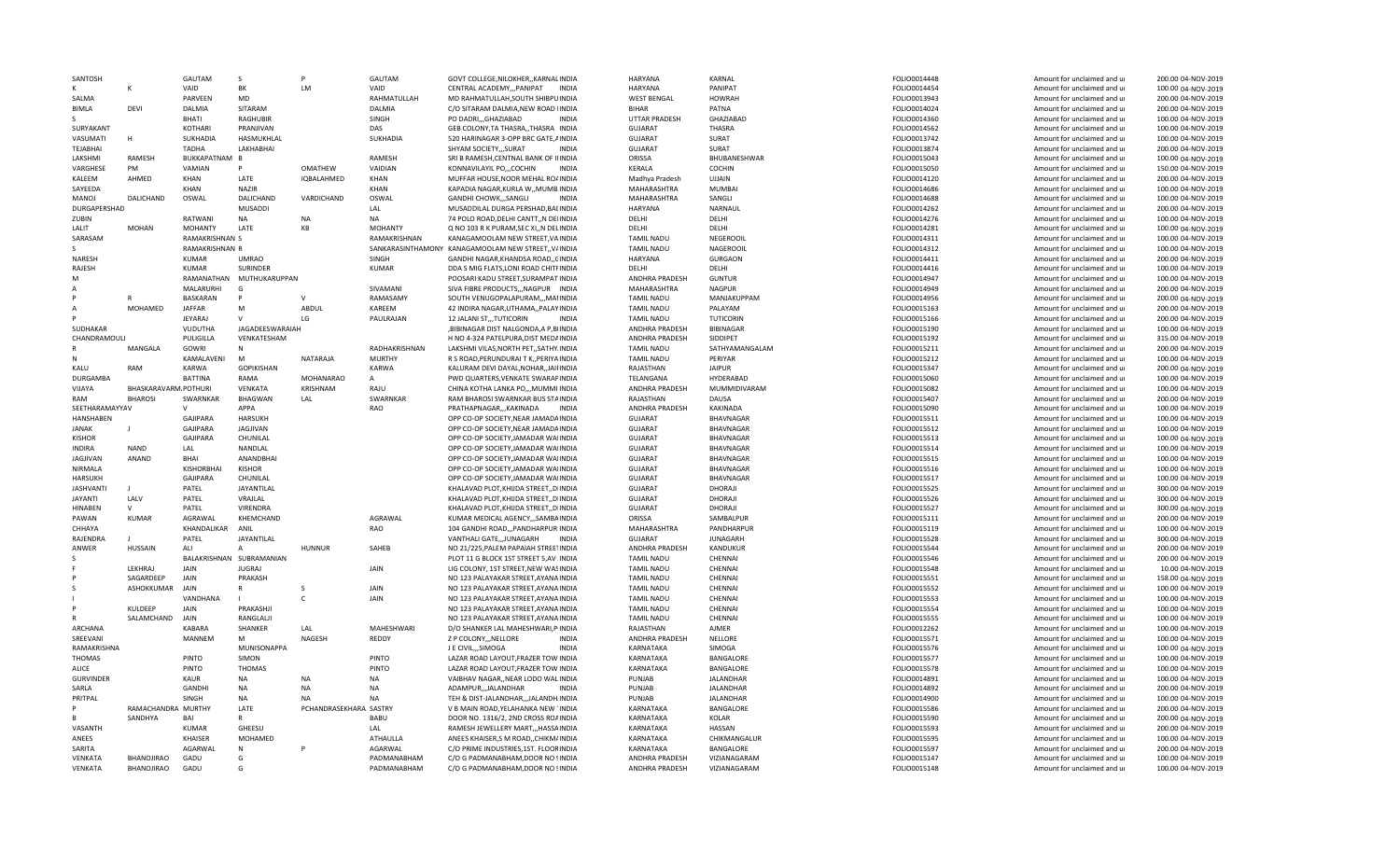| SANTOSH          |                       | GAUTAM            | <sub>S</sub>                              |                        | GAUTAM           | GOVT COLLEGE, NILOKHER, , KARNAL INDIA                                       | HARYANA                                | KARNAL             | FOLIO0014448                 | Amount for unclaimed and ur                                | 200.00 04-NOV-2019                       |
|------------------|-----------------------|-------------------|-------------------------------------------|------------------------|------------------|------------------------------------------------------------------------------|----------------------------------------|--------------------|------------------------------|------------------------------------------------------------|------------------------------------------|
|                  | K                     | VAID              | BK                                        | LM                     | VAID             | CENTRAL ACADEMY,,,PANIPAT<br><b>INDIA</b>                                    | HARYANA                                | PANIPAT            | FOLIO0014454                 | Amount for unclaimed and ur                                | 100.00 04-NOV-2019                       |
| SALMA            |                       | PARVEEN           | <b>MD</b>                                 |                        | RAHMATULLAH      | MD RAHMATULLAH, SOUTH SHIBPUINDIA                                            | <b>WEST BENGAL</b>                     | <b>HOWRAH</b>      | FOLIO0013943                 | Amount for unclaimed and ur                                | 200.00 04-NOV-2019                       |
| BIMLA            | DEVI                  | DALMIA            | SITARAM                                   |                        | DALMIA           | C/O SITARAM DALMIA.NEW ROAD IINDIA                                           | <b>BIHAR</b>                           | PATNA              | FOLIO0014024                 | Amount for unclaimed and ur                                | 200.00 04-NOV-2019                       |
|                  |                       | BHATI             | <b>RAGHUBIR</b>                           |                        | SINGH            | PO DADRI,,,GHAZIABAD<br><b>INDIA</b>                                         | <b>UTTAR PRADESH</b>                   | GHAZIABAD          | FOLIO0014360                 | Amount for unclaimed and ur                                | 100.00 04-NOV-2019                       |
| SURYAKANT        |                       | KOTHARI           | PRANJIVAN                                 |                        | DAS              | GEB COLONY, TA THASRA, THASRA INDIA                                          | <b>GUJARAT</b>                         | <b>THASRA</b>      | FOLIO0014562                 | Amount for unclaimed and ur                                | 100.00 04-NOV-2019                       |
| VASUMATI         | н                     | <b>SUKHADIA</b>   | HASMUKHLAL                                |                        | SUKHADIA         | 520 HARINAGAR 3-OPP BRC GATE, AINDIA                                         | <b>GUJARAT</b>                         | <b>SURAT</b>       | FOLIO0013742                 | Amount for unclaimed and ur                                | 100.00 04-NOV-2019                       |
| TEJABHAI         |                       | TADHA             | LAKHABHAI                                 |                        |                  | SHYAM SOCIETY,,,SURAT<br><b>INDIA</b>                                        | <b>GUJARAT</b>                         | SURAT              | FOLIO0013874                 | Amount for unclaimed and ur                                | 200.00 04-NOV-2019                       |
| LAKSHMI          | <b>RAMESH</b>         | BUKKAPATNAM B     |                                           |                        | RAMESH           | SRI B RAMESH, CENTNAL BANK OF IIINDIA                                        | ORISSA                                 | BHUBANESHWAR       | FOLIO0015043                 | Amount for unclaimed and ur                                | 100.00 04-NOV-2019                       |
| VARGHESE         | PM                    | VAMIAN            | P                                         | <b>OMATHEW</b>         | VAIDIAN          | KONNAVILAYIL PO,,,COCHIN<br><b>INDIA</b>                                     | KERALA                                 | COCHIN             | FOLIO0015050                 | Amount for unclaimed and ur                                | 150.00 04-NOV-2019                       |
| KALEEM           | AHMED                 | KHAN              | LATE                                      | IQBALAHMED             | KHAN             | MUFFAR HOUSE, NOOR MEHAL ROAINDIA                                            | Madhya Pradesh                         | UJJAIN             | FOLIO0014120                 | Amount for unclaimed and ur                                | 200.00 04-NOV-2019                       |
| SAYEEDA          |                       | KHAN              | <b>NAZIR</b>                              |                        | KHAN             | KAPADIA NAGAR, KURLA W,, MUMB. INDIA                                         | MAHARASHTRA                            | <b>MUMBAI</b>      | FOLIO0014686                 | Amount for unclaimed and ur                                | 100.00 04-NOV-2019                       |
| MANOJ            | DALICHAND             | OSWAL             | DALICHAND                                 | VARDICHAND             | OSWAL            | GANDHI CHOWK,,,SANGLI<br><b>INDIA</b>                                        | MAHARASHTRA                            | SANGLI<br>NARNAUL  | FOLIO0014688                 | Amount for unclaimed and ur                                | 100.00 04-NOV-2019                       |
| DURGAPERSHAD     |                       | RATWANI           | MUSADDI<br>NA                             | <b>NA</b>              | LAL<br><b>NA</b> | MUSADDILAL DURGA PERSHAD, BALINDIA                                           | <b>HARYANA</b><br>DELHI                | DELHI              | FOLIO0014262                 | Amount for unclaimed and ur                                | 200.00 04-NOV-2019                       |
| ZUBIN<br>LALIT   | <b>MOHAN</b>          | <b>MOHANTY</b>    | LATE                                      | KB                     | <b>MOHANTY</b>   | 74 POLO ROAD, DELHI CANTT,, N DEIINDIA                                       | DELHI                                  | DELHI              | FOLIO0014276<br>FOLIO0014281 | Amount for unclaimed and ur<br>Amount for unclaimed and ur | 100.00 04-NOV-2019                       |
| SARASAM          |                       | RAMAKRISHNAN S    |                                           |                        | RAMAKRISHNAN     | Q NO 103 R K PURAM, SEC XI,, N DELINDIA<br>KANAGAMOOLAM NEW STREET, VAINDIA  | <b>TAMIL NADU</b>                      | NEGEROOIL          | FOLIO0014311                 | Amount for unclaimed and ur                                | 100.00 04-NOV-2019<br>100.00 04-NOV-2019 |
| ς.               |                       | RAMAKRISHNAN R    |                                           |                        |                  | SANKARASINTHAMONY KANAGAMOOLAM NEW STREET, V/INDIA                           | <b>TAMIL NADU</b>                      | NAGEROOIL          | FOLIO0014312                 | Amount for unclaimed and ur                                | 100.00 04-NOV-2019                       |
| NARESH           |                       | <b>KUMAR</b>      | <b>UMRAO</b>                              |                        | SINGH            | GANDHI NAGAR, KHANDSA ROAD,, CINDIA                                          | <b>HARYANA</b>                         | <b>GURGAON</b>     | FOLIO0014411                 | Amount for unclaimed and ur                                | 200.00 04-NOV-2019                       |
| RAJESH           |                       | <b>KUMAR</b>      | <b>SURINDER</b>                           |                        | <b>KUMAR</b>     | DDA S MIG FLATS, LONI ROAD CHITFINDIA                                        | DELHI                                  | DELHI              | FOLIO0014416                 | Amount for unclaimed and ur                                | 100.00 04-NOV-2019                       |
| M                |                       |                   | RAMANATHAN MUTHUKARUPPAN                  |                        |                  | POOSARI KADU STREET, SURAMPAT INDIA                                          | ANDHRA PRADESH                         | <b>GUNTUR</b>      | FOLIO0014947                 | Amount for unclaimed and ur                                | 100.00 04-NOV-2019                       |
|                  |                       | MALARURHI         | G                                         |                        | SIVAMANI         | SIVA FIBRE PRODUCTS,,,NAGPUR INDIA                                           | MAHARASHTRA                            | <b>NAGPUR</b>      | FOLIO0014949                 | Amount for unclaimed and ur                                | 200.00 04-NOV-2019                       |
|                  |                       | BASKARAN          | P                                         | $\vee$                 | RAMASAMY         | SOUTH VENUGOPALAPURAM,,,MANNDIA                                              | <b>TAMIL NADU</b>                      | MANJAKUPPAM        | FOLIO0014956                 | Amount for unclaimed and ur                                | 200.00 04-NOV-2019                       |
| A                | MOHAMED               | <b>JAFFAR</b>     | M                                         | <b>ABDUL</b>           | KAREEM           | 42 INDIRA NAGAR, UTHAMA,, PALAYINDIA                                         | <b>TAMIL NADU</b>                      | PALAYAM            | FOLIO0015163                 | Amount for unclaimed and ur                                | 200.00 04-NOV-2019                       |
|                  |                       | <b>JEYARAJ</b>    | $\mathsf{V}$                              | LG                     | PAULRAJAN        | 12 JALANI STTUTICORIN<br><b>INDIA</b>                                        | <b>TAMIL NADU</b>                      | <b>TUTICORIN</b>   | FOLIO0015166                 | Amount for unclaimed and ur                                | 200.00 04-NOV-2019                       |
| SUDHAKAR         |                       | VUDUTHA           | JAGADEESWARAIAH                           |                        |                  | , BIBINAGAR DIST NALGONDA, A P, BIINDIA                                      | ANDHRA PRADESH                         | BIBINAGAR          | FOLIO0015190                 | Amount for unclaimed and ur                                | 100.00 04-NOV-2019                       |
| CHANDRAMOULI     |                       | PULIGILLA         | VENKATESHAM                               |                        |                  | H NO 4-324 PATELPURA, DIST MEDAINDIA                                         | ANDHRA PRADESH                         | SIDDIPET           | FOLIO0015192                 | Amount for unclaimed and ur                                | 315.00 04-NOV-2019                       |
| $\mathsf{R}$     | MANGALA               | <b>GOWRI</b>      | N                                         |                        | RADHAKRISHNAN    | LAKSHMI VILAS, NORTH PET, , SATHY INDIA                                      | <b>TAMIL NADU</b>                      | SATHYAMANGALAM     | FOLIO0015211                 | Amount for unclaimed and ur                                | 200.00 04-NOV-2019                       |
| N                |                       | KAMALAVENI        | M                                         | <b>NATARAJA</b>        | <b>MURTHY</b>    | R S ROAD, PERUNDURAI T K,, PERIYA INDIA                                      | <b>TAMIL NADU</b>                      | PERIYAR            | FOLIO0015212                 | Amount for unclaimed and ur                                | 100.00 04-NOV-2019                       |
| KALU             | RAM                   | <b>KARWA</b>      | <b>GOPIKISHAN</b>                         |                        | <b>KARWA</b>     | KALURAM DEVI DAYAL, NOHAR, , JAII INDIA                                      | RAJASTHAN                              | <b>JAIPUR</b>      | FOLIO0015347                 | Amount for unclaimed and ur                                | 200.00 04-NOV-2019                       |
| DURGAMBA         |                       | <b>BATTINA</b>    | RAMA                                      | <b>MOHANARAO</b>       | $\mathsf{A}$     | PWD QUARTERS, VENKATE SWARAPINDIA                                            | TELANGANA                              | HYDERABAD          | FOLIO0015060                 | Amount for unclaimed and ur                                | 100.00 04-NOV-2019                       |
| VIJAYA           | BHASKARAVARM, POTHURI |                   | <b>VENKATA</b>                            | <b>KRISHNAM</b>        | RAJU             | CHINA KOTHA LANKA PO MUMMI INDIA                                             | ANDHRA PRADESH                         | MUMMIDIVARAM       | FOLIO0015082                 | Amount for unclaimed and ur                                | 100.00 04-NOV-2019                       |
| RAM              | <b>BHAROS</b>         | SWARNKAR          | <b>BHAGWAN</b>                            | LAL                    | SWARNKAR         | RAM BHAROSI SWARNKAR BUS STAINDIA                                            | RAJASTHAN                              | DAUSA              | FOLIO0015407                 | Amount for unclaimed and ur                                | 200.00 04-NOV-2019                       |
| SEETHARAMAYYAV   |                       | $\mathsf{V}$      | APPA                                      |                        | RAO              | PRATHAPNAGAR,,,KAKINADA<br><b>INDIA</b>                                      | ANDHRA PRADESH                         | KAKINADA           | FOLIO0015090                 | Amount for unclaimed and ur                                | 100.00 04-NOV-2019                       |
| <b>HANSHABEN</b> |                       | GAJIPARA          | <b>HARSUKH</b>                            |                        |                  | OPP CO-OP SOCIETY, NEAR JAMADAINDIA                                          | <b>GUJARAT</b>                         | BHAVNAGAR          | FOLIO0015511                 | Amount for unclaimed and ur                                | 100.00 04-NOV-2019                       |
| <b>JANAK</b>     |                       | GAJIPARA          | JAGJIVAN                                  |                        |                  | OPP CO-OP SOCIETY, NEAR JAMADAINDIA                                          | <b>GUJARAT</b>                         | BHAVNAGAR          | FOLIO0015512                 | Amount for unclaimed and ur                                | 100.00 04-NOV-2019                       |
| <b>KISHOR</b>    |                       | GAJIPARA          | CHUNILAL                                  |                        |                  | OPP CO-OP SOCIETY, JAMADAR WAIINDIA                                          | GUJARAT                                | BHAVNAGAR          | FOLIO0015513                 | Amount for unclaimed and ur                                | 100.00 04-NOV-2019                       |
| <b>INDIRA</b>    | <b>NAND</b>           | LAL               | NANDLAL                                   |                        |                  | OPP CO-OP SOCIETY, JAMADAR WAIINDIA                                          | <b>GUJARAT</b>                         | BHAVNAGAR          | FOLIO0015514                 | Amount for unclaimed and ur                                | 100.00 04-NOV-2019                       |
| <b>JAGJIVAN</b>  | ANAND                 | <b>BHAI</b>       | ANANDBHAI                                 |                        |                  | OPP CO-OP SOCIETY, JAMADAR WAIINDIA                                          | <b>GUJARAT</b>                         | BHAVNAGAR          | FOLIO0015515                 | Amount for unclaimed and ur                                | 100.00 04-NOV-2019                       |
| <b>NIRMALA</b>   |                       | <b>KISHORBHAI</b> | <b>KISHOR</b>                             |                        |                  | OPP CO-OP SOCIETY JAMADAR WAIINDIA                                           | <b>GUJARAT</b>                         | BHAVNAGAR          | FOLIO0015516                 | Amount for unclaimed and u                                 | 100.00 04-NOV-2019                       |
| <b>HARSUKH</b>   |                       | <b>GAJIPARA</b>   | CHUNILAL                                  |                        |                  | OPP CO-OP SOCIETY, JAMADAR WAIINDIA                                          | <b>GUJARAT</b>                         | BHAVNAGAR          | FOLIO0015517                 | Amount for unclaimed and ur                                | 100.00 04-NOV-2019                       |
| <b>JASHVANT</b>  |                       | PATEL             | JAYANTILAL                                |                        |                  | KHALAVAD PLOT, KHIJDA STREET, , DIINDIA                                      | GUJARAT                                | DHORAJI            | FOLIO0015525                 | Amount for unclaimed and ur                                | 300.00 04-NOV-2019                       |
| <b>JAYANTI</b>   | LALV                  | PATEL             | VRAJLAL                                   |                        |                  | KHALAVAD PLOT, KHIJDA STREET, , DIINDIA                                      | <b>GUJARAT</b>                         | DHORAJI            | FOLIO0015526                 | Amount for unclaimed and ur                                | 300.00 04-NOV-2019                       |
| <b>HINABEN</b>   | $\mathsf{V}$          | PATEL             | VIRENDRA                                  |                        |                  | KHALAVAD PLOT, KHIJDA STREET, , DIINDIA                                      | <b>GUJARAT</b>                         | DHORAJI            | FOLIO0015527                 | Amount for unclaimed and ur                                | 300.00 04-NOV-2019                       |
| PAWAN            | <b>KUMAR</b>          | AGRAWAL           | KHEMCHAND                                 |                        | AGRAWAL          | KUMAR MEDICAL AGENCY,,,SAMBAINDIA                                            | ORISSA                                 | SAMBALPUR          | FOLIO0015111                 | Amount for unclaimed and ur                                | 200.00 04-NOV-2019                       |
| CHHAYA           |                       | KHANDALIKAR       | ANIL                                      |                        | <b>RAO</b>       | 104 GANDHI ROAD,,,PANDHARPUR INDIA                                           | MAHARASHTRA                            | PANDHARPUR         | FOLIO0015119                 | Amount for unclaimed and ur                                | 100.00 04-NOV-2019                       |
| RAJENDRA         |                       | PATEL             | JAYANTILAL                                |                        |                  | VANTHALI GATEJUNAGARH<br><b>INDIA</b>                                        | <b>GUJARAT</b>                         | <b>JUNAGARH</b>    | FOLIO0015528                 | Amount for unclaimed and ur                                | 300.00 04-NOV-2019                       |
| ANWER            | <b>HUSSAIN</b>        | ALI               | A                                         | <b>HUNNUR</b>          | SAHEB            | NO 21/225, PALEM PAPAIAH STREETINDIA                                         | ANDHRA PRADESH                         | KANDUKUR           | FOLIO0015544                 | Amount for unclaimed and ur                                | 200.00 04-NOV-2019                       |
|                  | LEKHRAJ               | <b>JAIN</b>       | BALAKRISHNAN SUBRAMANIAN<br><b>JUGRAI</b> |                        | <b>JAIN</b>      | PLOT 11 G BLOCK 1ST STREET 5,AV INDIA                                        | <b>TAMIL NADU</b>                      | CHENNAI            | FOLIO0015546                 | Amount for unclaimed and ur                                | 200.00 04-NOV-2019                       |
|                  | SAGARDEEP             | JAIN              | PRAKASH                                   |                        |                  | LIG COLONY, 1ST STREET, NEW WASINDIA<br>NO 123 PALAYAKAR STREET, AYANA INDIA | <b>TAMIL NADU</b><br><b>TAMIL NADU</b> | CHENNAI<br>CHENNAI | FOLIO0015548<br>FOLIO0015551 | Amount for unclaimed and ur<br>Amount for unclaimed and ur | 10.00 04-NOV-2019<br>158.00 04-NOV-2019  |
| S                | ASHOKKUMAR            | JAIN              | R                                         | S                      | JAIN             | NO 123 PALAYAKAR STREET, AYANA INDIA                                         |                                        |                    |                              |                                                            |                                          |
|                  |                       | VANDHANA          |                                           | C                      | JAIN             | NO 123 PALAYAKAR STREET, AYANA INDIA                                         | <b>TAMIL NADU</b><br><b>TAMIL NADU</b> | CHENNAI<br>CHENNAI | FOLIO0015552<br>FOLIO0015553 | Amount for unclaimed and ur<br>Amount for unclaimed and ur | 100.00 04-NOV-2019<br>100.00 04-NOV-2019 |
|                  | <b>KULDEEP</b>        | JAIN              | PRAKASHJI                                 |                        |                  | NO 123 PALAYAKAR STREET, AYANA INDIA                                         | <b>TAMIL NADU</b>                      | CHENNAI            | FOLIO0015554                 | Amount for unclaimed and ur                                | 100.00 04-NOV-2019                       |
|                  | SALAMCHAND            | JAIN              | RANGLALJI                                 |                        |                  | NO 123 PALAYAKAR STREET, AYANA INDIA                                         | <b>TAMIL NADU</b>                      | CHENNAI            | FOLIO0015555                 | Amount for unclaimed and ur                                | 100.00 04-NOV-2019                       |
| <b>ARCHANA</b>   |                       | KABARA            | SHANKER                                   | LAL                    | MAHESHWARI       | D/O SHANKER LAL MAHESHWARI, PINDIA                                           | RAJASTHAN                              | AJMER              | FOLIO0012262                 | Amount for unclaimed and ur                                | 100.00 04-NOV-2019                       |
| SREEVANI         |                       | MANNEM            | M                                         | NAGESH                 | REDDY            | Z P COLONY, , NELLORE<br><b>INDIA</b>                                        | ANDHRA PRADESH                         | NELLORE            | FOLIO0015571                 | Amount for unclaimed and ur                                | 100.00 04-NOV-2019                       |
| RAMAKRISHNA      |                       |                   | MUNISONAPPA                               |                        |                  | <b>J F CIVILSIMOGA</b><br><b>INDIA</b>                                       | KARNATAKA                              | SIMOGA             | FOLIO0015576                 | Amount for unclaimed and ur                                | 100.00 04-NOV-2019                       |
| THOMAS           |                       | PINTO             | SIMON                                     |                        | PINTO            | LAZAR ROAD LAYOUT, FRAZER TOW INDIA                                          | KARNATAKA                              | BANGALORE          | FOLIO0015577                 | Amount for unclaimed and ur                                | 100.00 04-NOV-2019                       |
| ALICE            |                       | PINTO             | <b>THOMAS</b>                             |                        | PINTO            | LAZAR ROAD LAYOUT, FRAZER TOW INDIA                                          | KARNATAKA                              | BANGALORE          | FOLIO0015578                 | Amount for unclaimed and ur                                | 100.00 04-NOV-2019                       |
| <b>GURVINDER</b> |                       | KAUR              | <b>NA</b>                                 | <b>NA</b>              | <b>NA</b>        | VAIBHAV NAGAR, NEAR LODO WALINDIA                                            | PUNJAB                                 | <b>JALANDHAR</b>   | FOLIO0014891                 | Amount for unclaimed and ur                                | 100.00 04-NOV-2019                       |
| SARLA            |                       | <b>GANDHI</b>     | NA                                        | NA                     | <b>NA</b>        | ADAMPUR JALANDHAR<br><b>INDIA</b>                                            | PUNJAB                                 | JALANDHAR          | FOLIO0014892                 | Amount for unclaimed and ur                                | 200.00 04-NOV-2019                       |
| PRITPAL          |                       | SINGH             | NA                                        | <b>NA</b>              | <b>NA</b>        | TEH & DIST-JALANDHARJALANDH.INDIA                                            | <b>PUNJAB</b>                          | <b>JALANDHAR</b>   | FOLIO0014900                 | Amount for unclaimed and ur                                | 100.00 04-NOV-2019                       |
| P                | RAMACHANDRA MURTHY    |                   | LATE                                      | PCHANDRASEKHARA SASTRY |                  | V B MAIN ROAD, YELAHANKA NEW 1INDIA                                          | KARNATAKA                              | BANGALORE          | FOLIO0015586                 | Amount for unclaimed and ur                                | 200.00 04-NOV-2019                       |
| B.               | SANDHYA               | <b>BAI</b>        | $\mathsf{R}$                              |                        | BABU             | DOOR NO. 1316/2, 2ND CROSS ROAINDIA                                          | KARNATAKA                              | KOLAR              | FOLIO0015590                 | Amount for unclaimed and ur                                | 200.00 04-NOV-2019                       |
| VASANTH          |                       | <b>KUMAR</b>      | GHEESU                                    |                        | LAL              | RAMESH JEWELLERY MART,,,HASSAINDIA                                           | KARNATAKA                              | HASSAN             | FOLIO0015593                 | Amount for unclaimed and ur                                | 200.00 04-NOV-2019                       |
| ANEES            |                       | <b>KHAISER</b>    | <b>MOHAMFD</b>                            |                        | ATHAULLA         | ANEES KHAISER, S M ROAD,, CHIKM/INDIA                                        | KARNATAKA                              | CHIKMANGALUR       | FOLIO0015595                 | Amount for unclaimed and ur                                | 100.00 04-NOV-2019                       |
| SARITA           |                       | AGARWAL           | N                                         |                        | AGARWAL          | C/O PRIME INDUSTRIES, 1ST. FLOORINDIA                                        | KARNATAKA                              | <b>BANGALORE</b>   | FOLIO0015597                 | Amount for unclaimed and ur                                | 200.00 04-NOV-2019                       |
| VENKATA          | BHANOJIRAO            | GADU              | G                                         |                        | PADMANABHAM      | C/O G PADMANABHAM, DOOR NO SINDIA                                            | ANDHRA PRADESH                         | VIZIANAGARAM       | FOLIO0015147                 | Amount for unclaimed and ur                                | 100.00 04-NOV-2019                       |
| <b>VFNKATA</b>   | BHANOJIRAO            | GADU              | G.                                        |                        | PADMANABHAM      | C/O G PADMANABHAM, DOOR NO SINDIA                                            | ANDHRA PRADESH                         | VIZIANAGARAM       | FOLIO0015148                 | Amount for unclaimed and ur                                | 100.00 04-NOV-2019                       |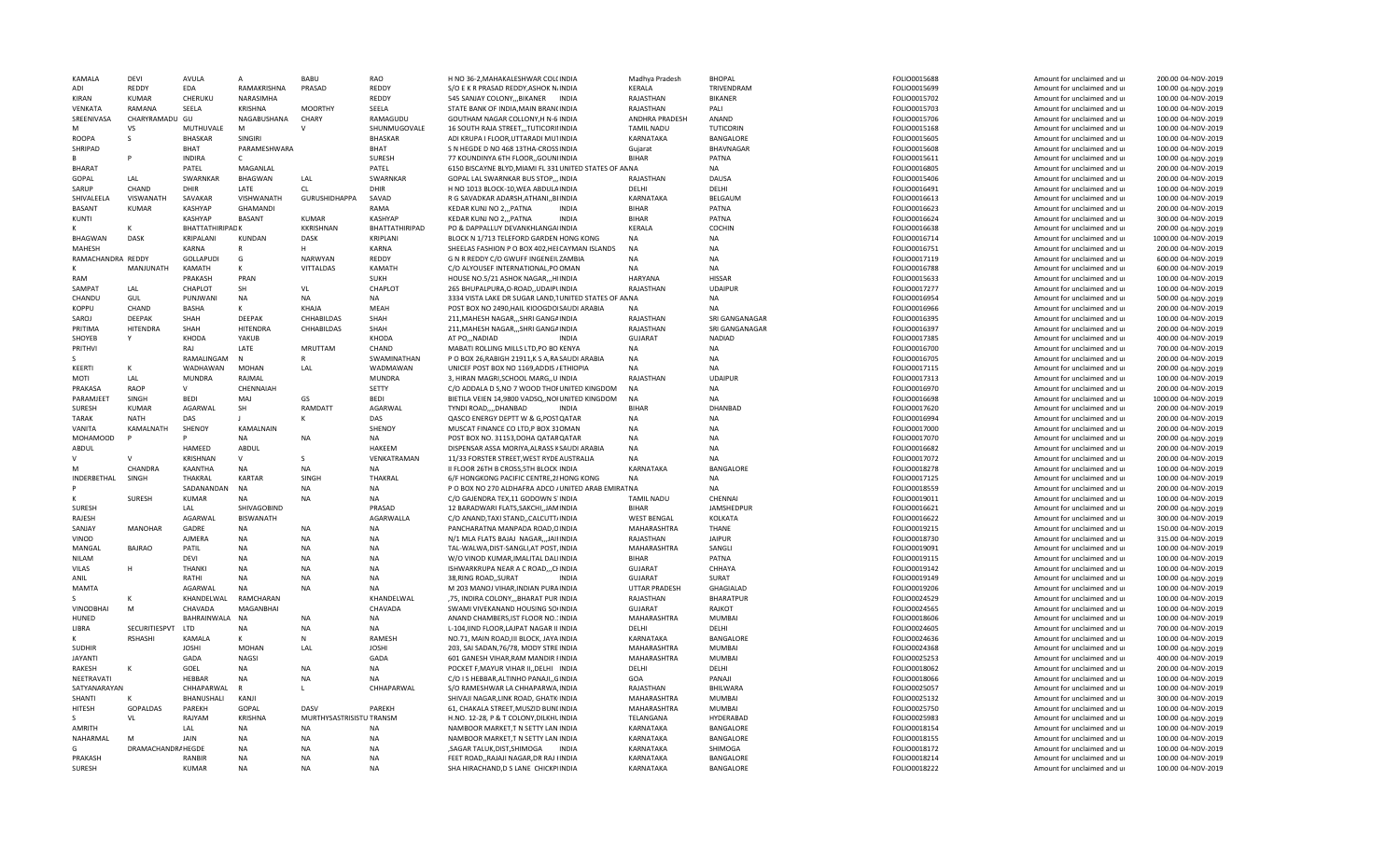| KAMALA            | DEVI               | AVULA                  |                        | BABU                     | RAO                    | H NO 36-2, MAHAKALESHWAR COLCINDIA                                            | Madhya Pradesh         | <b>BHOPAL</b>          | FOLIO0015688                 | Amount for unclaimed and ur                                | 200.00 04-NOV-2019                       |
|-------------------|--------------------|------------------------|------------------------|--------------------------|------------------------|-------------------------------------------------------------------------------|------------------------|------------------------|------------------------------|------------------------------------------------------------|------------------------------------------|
| ADI               | REDDY              | EDA                    | RAMAKRISHNA            | PRASAD                   | REDDY                  | S/O E K R PRASAD REDDY, ASHOK N/INDIA                                         | KERALA                 | TRIVENDRAM             | FOLIO0015699                 | Amount for unclaimed and ur                                | 100.00 04-NOV-2019                       |
| KIRAN             | KUMAR              | CHERUKU                | NARASIMHA              |                          | REDDY                  | 545 SANJAY COLONY,,,BIKANER INDIA                                             | RAJASTHAN              | <b>BIKANER</b>         | FOLIO0015702                 | Amount for unclaimed and ur                                | 100.00 04-NOV-2019                       |
| <b>VENKATA</b>    | RAMANA             | SEELA                  | KRISHNA                | <b>MOORTHY</b>           | SEELA                  | STATE BANK OF INDIA.MAIN BRANCINDIA                                           | RAJASTHAN              | PALI                   | FOLIO0015703                 | Amount for unclaimed and ur                                | 100.00 04-NOV-2019                       |
| SREENIVASA        | CHARYRAMADU GU     |                        | NAGABUSHANA            | CHARY                    | RAMAGUDU               | GOUTHAM NAGAR COLLONY, H N-6 INDIA                                            | ANDHRA PRADESH         | ANAND                  | FOLIO0015706                 | Amount for unclaimed and ur                                | 100.00 04-NOV-2019                       |
|                   | VS                 | MUTHUVALE              | M                      |                          | SHUNMUGOVALE           | 16 SOUTH RAJA STREET, ,TUTICORINIDIA                                          | <b>TAMIL NADU</b>      | TUTICORIN              | FOLIO0015168                 | Amount for unclaimed and ur                                | 100.00 04-NOV-2019                       |
| ROOPA             | $\varsigma$        | <b>BHASKAR</b>         | SINGIRI                |                          | <b>BHASKAR</b>         | ADI KRUPA I FLOOR, UTTARADI MUTINDIA                                          | KARNATAKA              | BANGALORE              | FOLIO0015605                 | Amount for unclaimed and ur                                | 100.00 04-NOV-2019                       |
| SHRIPAD           |                    | BHAT                   | PARAMESHWARA           |                          | BHAT                   | S N HEGDE D NO 468 13THA-CROSSINDIA                                           | Guiarat                | BHAVNAGAR              | FOLIO0015608                 | Amount for unclaimed and ur                                | 100.00 04-NOV-2019                       |
|                   |                    | <b>INDIRA</b>          | $\mathsf{C}$           |                          | <b>SURESH</b>          | 77 KOUNDINYA 6TH FLOOR,, GOUNIINDIA                                           | <b>BIHAR</b>           | PATNA                  | FOLIO0015611                 | Amount for unclaimed and ur                                | 100.00 04-NOV-2019                       |
| <b>BHARAT</b>     |                    | PATEL                  | MAGANLAL               |                          | PATEL                  | 6150 BISCAYNE BLYD, MIAMI FL 331 UNITED STATES OF ANNA                        |                        | <b>NA</b>              | FOLIO0016805                 | Amount for unclaimed and ur                                | 200.00 04-NOV-2019                       |
| GOPAL             | A                  | SWARNKAR               | <b>BHAGWAN</b>         | LAL                      | SWARNKAR               | GOPAL LAL SWARNKAR BUS STOP,,, INDIA                                          | RAJASTHAN              | DAUSA                  | FOLIO0015406                 | Amount for unclaimed and ur                                | 200.00 04-NOV-2019                       |
| SARUP             | CHAND              | DHIR                   | LATE                   | <b>CL</b>                | DHIR                   | H NO 1013 BLOCK-10, WEA ABDULA INDIA                                          | DELHI                  | DELHI                  | FOLIO0016491                 | Amount for unclaimed and ur                                | 100.00 04-NOV-2019                       |
| SHIVALEELA        | VISWANATH          | SAVAKAR                | VISHWANATH             | <b>GURUSHIDHAPPA</b>     | SAVAD                  | R G SAVADKAR ADARSH, ATHANI, BIINDIA                                          | KARNATAKA              | BELGAUM                | FOLIO0016613                 | Amount for unclaimed and ur                                | 100.00 04-NOV-2019                       |
| <b>BASANT</b>     | KUMAR              | <b>KASHYAP</b>         | <b>GHAMANDI</b>        |                          | RAMA                   | KEDAR KUNJ NO 2,,, PATNA<br><b>INDIA</b>                                      | <b>BIHAR</b>           | PATNA                  | FOLIO0016623                 | Amount for unclaimed and ur                                | 200.00 04-NOV-2019                       |
|                   |                    |                        |                        |                          |                        | <b>INDIA</b>                                                                  | <b>BIHAR</b>           |                        |                              |                                                            |                                          |
| <b>KUNTI</b>      |                    | KASHYAP                | <b>BASANT</b>          | KUMAR                    | <b>KASHYAP</b>         | KEDAR KUNJ NO 2,,, PATNA                                                      |                        | PATNA                  | FOLIO0016624                 | Amount for unclaimed and ur                                | 300.00 04-NOV-2019                       |
|                   |                    | <b>BHATTATHIRIPADK</b> |                        | KKRISHNAN                | BHATTATHIRIPAD         | PO & DAPPALLUY DEVANKHLANGAIINDIA                                             | KERALA                 | COCHIN                 | FOLIO0016638                 | Amount for unclaimed and ur                                | 200.00 04-NOV-2019                       |
| <b>BHAGWAN</b>    | DASK               | KRIPALANI              | KUNDAN                 | DASK                     | KRIPLANI               | BLOCK N 1/713 TELEFORD GARDEN HONG KONG                                       | <b>NA</b>              | NA                     | FOLIO0016714                 | Amount for unclaimed and ur                                | 1000.00 04-NOV-2019                      |
| MAHESH            |                    | <b>KARNA</b>           |                        |                          | KARNA                  | SHEELAS FASHION P O BOX 402, HEI CAYMAN ISLANDS                               | <b>NA</b>              | NA                     | FOLIO0016751                 | Amount for unclaimed and ur                                | 200.00 04-NOV-2019                       |
| RAMACHANDRA REDDY |                    | GOLLAPUDI              | G                      | <b>NARWYAN</b>           | REDDY                  | G N R REDDY C/O GWUFF INGENEILZAMBIA                                          | <b>NA</b>              | <b>NA</b>              | FOLIO0017119                 | Amount for unclaimed and ur                                | 600.00 04-NOV-2019                       |
|                   | MANJUNATH          | KAMATH                 |                        | <b>VITTALDAS</b>         | KAMATH                 | C/O ALYOUSEF INTERNATIONAL, PO OMAN                                           | <b>NA</b>              | <b>NA</b>              | FOLIO0016788                 | Amount for unclaimed and ur                                | 600.00 04-NOV-2019                       |
| RAM               |                    | PRAKASH                | PRAN                   |                          | <b>SUKH</b>            | HOUSE NO.5/21 ASHOK NAGAR, HIINDIA                                            | HARYANA                | <b>HISSAR</b>          | FOLIO0015633                 | Amount for unclaimed and ur                                | 100.00 04-NOV-2019                       |
| <b>SAMPAT</b>     | LAL                | CHAPLOT                | SH                     | VL                       | CHAPLOT                | 265 BHUPALPURA, O-ROAD, , UDAIPUNDIA                                          | RAJASTHAN              | <b>UDAIPUR</b>         | FOLIO0017277                 | Amount for unclaimed and ur                                | 100.00 04-NOV-2019                       |
| CHANDU            | GUL                | PUNJWANI               | <b>NA</b>              | <b>NA</b>                | <b>NA</b>              | 3334 VISTA LAKE DR SUGAR LAND, TUNITED STATES OF ANNA                         |                        | NA                     | FOLIO0016954                 | Amount for unclaimed and ur                                | 500.00 04-NOV-2019                       |
| KOPPU             | CHAND              | BASHA                  | к                      | KHAJA                    | MEAH                   | POST BOX NO 2490, HAIL KIOOGDOISAUDI ARABIA                                   |                        | <b>NA</b>              | FOLIO0016966                 | Amount for unclaimed and ur                                | 200.00 04-NOV-2019                       |
| SAROJ             | <b>DEEPAK</b>      | SHAH                   | <b>DEEPAK</b>          | CHHABILDAS               | SHAH                   | 211. MAHESH NAGAR SHRI GANGAINDIA                                             | RAIASTHAN              | SRI GANGANAGAR         | FOLIO0016395                 | Amount for unclaimed and u                                 | 100.00 04-NOV-2019                       |
| PRITIMA           | <b>HITENDRA</b>    | SHAH                   | <b>HITENDRA</b>        | CHHABILDAS               | SHAH                   | 211, MAHESH NAGAR,,, SHRI GANGAINDIA                                          | RAJASTHAN              | SRI GANGANAGAR         | FOLIO0016397                 | Amount for unclaimed and ur                                | 200.00 04-NOV-2019                       |
| SHOYEB            |                    | <b>KHODA</b>           | YAKUB                  |                          | <b>KHODA</b>           | AT PONADIAD<br><b>INDIA</b>                                                   | <b>GUJARAT</b>         | <b>NADIAD</b>          | FOLIO0017385                 | Amount for unclaimed and ur                                | 400.00 04-NOV-2019                       |
| PRITHVI           |                    | RAJ                    | LATE                   | <b>MRUTTAM</b>           | CHAND                  | MABATI ROLLING MILLS LTD, PO BO KENYA                                         | <b>NA</b>              | <b>NA</b>              | FOLIO0016700                 | Amount for unclaimed and ur                                | 700.00 04-NOV-2019                       |
|                   |                    | RAMALINGAM             |                        |                          | SWAMINATHAN            | P O BOX 26, RABIGH 21911, K S A, RASAUDI ARABIA                               | <b>NA</b>              | <b>NA</b>              | FOLIO0016705                 | Amount for unclaimed and ur                                | 200.00 04-NOV-2019                       |
| KEERTI            |                    | WADHAWAN               | <b>MOHAN</b>           | LAL                      | WADMAWAN               | UNICEF POST BOX NO 1169, ADDIS / ETHIOPIA                                     | <b>NA</b>              | <b>NA</b>              | FOLIO0017115                 | Amount for unclaimed and ur                                | 200.00 04-NOV-2019                       |
| MOTI              | LAL                | <b>MUNDRA</b>          | RAJMAL                 |                          | <b>MUNDRA</b>          | 3, HIRAN MAGRI, SCHOOL MARG, UINDIA                                           | RAJASTHAN              | <b>UDAIPUR</b>         | FOLIO0017313                 | Amount for unclaimed and ur                                | 100.00 04-NOV-2019                       |
| PRAKASA           | <b>RAOP</b>        |                        | CHENNAIAH              |                          | SETTY                  | C/O ADDALA D S.NO 7 WOOD THOFUNITED KINGDOM                                   | <b>NA</b>              | <b>NA</b>              | FOLIO0016970                 | Amount for unclaimed and ur                                | 200.00 04-NOV-2019                       |
| PARAMJEET         | SINGH              | <b>BEDI</b>            | MAJ                    | GS                       | <b>BEDI</b>            | BIETILA VEIEN 14,9800 VADSQ,, NOI UNITED KINGDOM                              | <b>NA</b>              | NA                     | FOLIO0016698                 | Amount for unclaimed and ur                                | 1000.00 04-NOV-2019                      |
| <b>SURFSH</b>     | KUMAR              | AGARWAL                | SH                     | RAMDATT                  | AGARWAL                | TYNDI ROAD,,,,DHANBAD<br><b>INDIA</b>                                         | <b>BIHAR</b>           | DHANBAD                | FOLIO0017620                 | Amount for unclaimed and ur                                | 200.00 04-NOV-2019                       |
| <b>TARAK</b>      | <b>NATH</b>        | DAS                    |                        |                          | DAS                    | QASCO ENERGY DEPTT W & G, POSTQATAR                                           | <b>NA</b>              | <b>NA</b>              | FOLIO0016994                 | Amount for unclaimed and ur                                | 200.00 04-NOV-2019                       |
| VANITA            | KAMALNATH          | SHENOY                 | KAMALNAIN              |                          | SHENOY                 | MUSCAT FINANCE CO LTD, P BOX 310MAN                                           | <b>NA</b>              | <b>NA</b>              | FOLIO0017000                 | Amount for unclaimed and ur                                | 200.00 04-NOV-2019                       |
| <b>MOHAMOOD</b>   |                    |                        | <b>NA</b>              | <b>NA</b>                | <b>NA</b>              | POST BOX NO. 31153, DOHA QATAR QATAR                                          | <b>NA</b>              | <b>NA</b>              | FOLIO0017070                 | Amount for unclaimed and ur                                | 200.00 04-NOV-2019                       |
| ABDUL             |                    | HAMEED                 | ABDUL                  |                          | HAKEEM                 | DISPENSAR ASSA MORIYA, ALRASS KSAUDI ARABIA                                   | <b>NA</b>              | <b>NA</b>              | FOLIO0016682                 | Amount for unclaimed and ur                                | 200.00 04-NOV-2019                       |
|                   |                    | KRISHNAN               | $\vee$                 | $\mathcal{S}$            | VENKATRAMAN            | 11/33 FORSTER STREET, WEST RYDE AUSTRALIA                                     | <b>NA</b>              | <b>NA</b>              | FOLIO0017072                 | Amount for unclaimed and ur                                | 200.00 04-NOV-2019                       |
|                   | CHANDRA            | KAANTHA                | <b>NA</b>              | <b>NA</b>                | <b>NA</b>              | II FLOOR 26TH B CROSS, 5TH BLOCK INDIA                                        | KARNATAKA              | BANGALORE              | FOLIO0018278                 | Amount for unclaimed and ur                                | 100.00 04-NOV-2019                       |
| INDERBETHAL       | SINGH              | THAKRAL                | KARTAR                 | SINGH                    | THAKRAL                | 6/F HONGKONG PACIFIC CENTRE, 28 HONG KONG                                     |                        | NA                     | FOLIO0017125                 | Amount for unclaimed and ur                                | 100.00 04-NOV-2019                       |
|                   |                    | SADANANDAN             | <b>NA</b>              | <b>NA</b>                | <b>NA</b>              | P O BOX NO 270 ALDHAFRA ADCO / UNITED ARAB EMIRAT NA                          |                        | <b>NA</b>              | FOLIO0018559                 | Amount for unclaimed and ur                                | 200.00 04-NOV-2019                       |
|                   | SURESH             | KUMAR                  | <b>NA</b>              | <b>NA</b>                | <b>NA</b>              | C/O GAJENDRA TEX,11 GODOWN S INDIA                                            | <b>TAMIL NADU</b>      | CHENNAI                | FOLIO0019011                 | Amount for unclaimed and ur                                | 100.00 04-NOV-2019                       |
| SURESH            |                    | LAL                    | SHIVAGOBIND            |                          | PRASAD                 |                                                                               | <b>BIHAR</b>           | JAMSHEDPUR             |                              |                                                            |                                          |
|                   |                    |                        |                        |                          |                        | 12 BARADWARI FLATS, SAKCHI, JAMINDIA                                          |                        |                        | FOLIO0016621                 | Amount for unclaimed and ur                                | 200.00 04-NOV-2019                       |
| RAJESH            |                    | AGARWAL                | <b>BISWANATH</b>       |                          | AGARWALLA              | C/O ANAND, TAXI STAND,, CALCUTT/INDIA                                         | <b>WEST BENGAL</b>     | KOLKATA                | FOLIO0016622                 | Amount for unclaimed and ur                                | 300.00 04-NOV-2019                       |
| SANJAY            | <b>MANOHAR</b>     | GADRE                  | <b>NA</b>              | <b>NA</b>                | <b>NA</b>              | PANCHARATNA MANPADA ROAD, OINDIA                                              | MAHARASHTRA            | <b>THANE</b>           | FOLIO0019215                 | Amount for unclaimed and ur                                | 150.00 04-NOV-2019                       |
| <b>UNIOD</b>      |                    | AJMERA                 | <b>NA</b>              | <b>NA</b>                | <b>NA</b>              | N/1 MLA FLATS BAJAJ NAGARJAIFINDIA                                            | RAJASTHAN              | <b>JAIPUR</b>          | FOLIO0018730                 | Amount for unclaimed and ur                                | 315.00 04-NOV-2019                       |
| MANGAL            | <b>BAJRAO</b>      | PATIL                  | <b>NA</b>              | NA                       | <b>NA</b>              | TAL-WALWA, DIST-SANGLI, AT POST, INDIA                                        | MAHARASHTRA            | SANGLI                 | FOLIO0019091                 | Amount for unclaimed and ur                                | 100.00 04-NOV-2019                       |
| NILAM             |                    | DEVI                   | <b>NA</b>              | <b>NA</b>                | <b>NA</b>              | W/O VINOD KUMAR, IMALITAL DALIINDIA                                           | <b>BIHAR</b>           | PATNA                  | FOLIO0019115                 | Amount for unclaimed and ur                                | 100.00 04-NOV-2019                       |
| VILAS             |                    | <b>THANKI</b>          | <b>NA</b>              | <b>NA</b>                | <b>NA</b>              | ISHWARKRUPA NEAR A C ROAD,,, CHNDIA                                           | GUJARAT                | CHHAYA                 | FOLIO0019142                 | Amount for unclaimed and ur                                | 100.00 04-NOV-2019                       |
| ANIL              |                    | RATHI                  | <b>NA</b>              | <b>NA</b>                | <b>NA</b>              | 38, RING ROAD, SURAT<br><b>INDIA</b>                                          | <b>GUJARAT</b>         | SURAT                  | FOLIO0019149                 | Amount for unclaimed and ur                                | 100.00 04-NOV-2019                       |
| MAMTA             |                    | AGARWAL                | <b>NA</b>              | <b>NA</b>                | <b>NA</b>              | M 203 MANOJ VIHAR, INDIAN PURA INDIA                                          | UTTAR PRADESH          | GHAGIALAD              | FOLIO0019206                 | Amount for unclaimed and ur                                | 100.00 04-NOV-2019                       |
|                   |                    | KHANDELWAL             | RAMCHARAN              |                          | KHANDELWAL             | ,75, INDIRA COLONY,,,BHARAT PUR INDIA                                         | RAJASTHAN              | <b>BHARATPUR</b>       | FOLIO0024529                 | Amount for unclaimed and ur                                | 100.00 04-NOV-2019                       |
| <b>VINODBHAI</b>  | M                  | CHAVADA                | MAGANBHAI              |                          | CHAVADA                | SWAMI VIVEKANAND HOUSING SO(INDIA                                             | <b>GUJARAT</b>         | RAJKOT                 | FOLIO0024565                 | Amount for unclaimed and ur                                | 100.00 04-NOV-2019                       |
| HUNFD             |                    | BAHRAINWALA            | <b>NA</b>              | NA                       | <b>NA</b>              | ANAND CHAMBERS IST FLOOR NO.1INDIA                                            | MAHARASHTRA            | MUMBAI                 | FOLIO0018606                 | Amount for unclaimed and ur                                | 100.00 04-NOV-2019                       |
| LIBRA             | SECURITIESPVT      | <b>LTD</b>             | <b>NA</b>              | NA                       | <b>NA</b>              | L-104, IIND FLOOR, LAJPAT NAGAR II INDIA                                      | DELHI                  | DELHI                  | FOLIO0024605                 | Amount for unclaimed and ur                                | 700.00 04-NOV-2019                       |
|                   | <b>RSHASHI</b>     | KAMALA                 |                        | $\mathsf{N}$             | <b>RAMES</b>           | NO.71, MAIN ROAD, III BLOCK, JAYA INDIA                                       | KARNATAKA              | <b>BANGALORI</b>       | FOLIO0024636                 | Amount for unclaimed and ur                                | 100.00 04-NOV-2019                       |
| <b>SUDHIR</b>     |                    | <b>JOSHI</b>           | <b>MOHAN</b>           | LAL                      | <b>JOSHI</b>           | 203. SAI SADAN.76/78. MODY STRE INDIA                                         | MAHARASHTRA            | <b>MUMBAI</b>          | FOLIO0024368                 | Amount for unclaimed and u                                 | 100.00 04-NOV-2019                       |
| <b>JAYANTI</b>    |                    | GADA                   | <b>NAGSI</b>           |                          | GADA                   | 601 GANESH VIHAR, RAM MANDIR FINDIA                                           | MAHARASHTRA            | MUMBAI                 | FOLIO0025253                 | Amount for unclaimed and ur                                | 400.00 04-NOV-2019                       |
| RAKESH            |                    | GOEL                   | NA                     | NA                       | <b>NA</b>              | POCKET F, MAYUR VIHAR II, , DELHI INDIA                                       | DELHI                  | DELHI                  | FOLIO0018062                 | Amount for unclaimed and ur                                | 200.00 04-NOV-2019                       |
| NEETRAVATI        |                    | HEBBAR                 | <b>NA</b>              | <b>NA</b>                | <b>NA</b>              | C/O I S HEBBAR, ALTINHO PANAJI, , GINDIA                                      | GOA                    | PANAJI                 | FOLIO0018066                 | Amount for unclaimed and ur                                | 100.00 04-NOV-2019                       |
| SATYANARAYAN      |                    | CHHAPARWAL             | $\mathsf{R}$           | л.                       | CHHAPARWAL             | S/O RAMESHWAR LA CHHAPARWA, INDIA                                             | RAJASTHAN              | BHILWARA               | FOLIO0025057                 | Amount for unclaimed and ur                                | 100.00 04-NOV-2019                       |
| <b>SHANTI</b>     |                    | BHANUSHALI             | KANJI                  |                          |                        | SHIVAJI NAGAR.LINK ROAD, GHATK INDIA                                          | MAHARASHTRA            | MUMBAI                 | FOLIO0025132                 | Amount for unclaimed and ur                                | 300.00 04-NOV-2019                       |
| HITESH            | <b>GOPALDAS</b>    | PAREKH                 | GOPAL                  | DASV                     | PAREKH                 | 61, CHAKALA STREET, MUSZID BUNLINDIA                                          | MAHARASHTRA            | MUMBAI                 | FOLIO0025750                 | Amount for unclaimed and ur                                | 100.00 04-NOV-2019                       |
|                   | <b>VL</b>          | RAJYAM                 | <b>KRISHNA</b>         | MURTHYSASTRISISTU TRANSM |                        | H.NO. 12-28, P & T COLONY, DILKHLINDIA                                        | TELANGANA              | HYDERABAD              | FOLIO0025983                 | Amount for unclaimed and ur                                | 100.00 04-NOV-2019                       |
| AMRITH            |                    | <b>LAL</b>             | <b>NA</b>              | <b>NA</b>                | <b>NA</b>              | NAMBOOR MARKET, TN SETTY LAN INDIA                                            | KARNATAKA              | BANGALORE              | FOLIO0018154                 | Amount for unclaimed and ur                                | 100.00 04-NOV-2019                       |
| NAHARMAL          | M                  | JAIN                   | NA                     | <b>NA</b>                | <b>NA</b>              | NAMBOOR MARKET, TN SETTY LAN INDIA                                            | KARNATAKA              | BANGALORE              | FOLIO0018155                 | Amount for unclaimed and ur                                | 100.00 04-NOV-2019                       |
|                   |                    |                        |                        |                          |                        |                                                                               |                        |                        |                              |                                                            |                                          |
|                   |                    |                        |                        |                          |                        |                                                                               |                        |                        |                              |                                                            |                                          |
|                   | DRAMACHANDRA HEGDE |                        | <b>NA</b>              | <b>NA</b>                | <b>NA</b>              | , SAGAR TALUK, DIST, SHIMOGA<br><b>INDIA</b>                                  | KARNATAKA              | SHIMOGA                | FOLIO0018172                 | Amount for unclaimed and ur                                | 100.00 04-NOV-2019                       |
| PRAKASH<br>SURESH |                    | RANBIR<br>KUMAR        | <b>NA</b><br><b>NA</b> | <b>NA</b><br><b>NA</b>   | <b>NA</b><br><b>NA</b> | FEET ROAD, RAJAJI NAGAR, DR RAJ HNDIA<br>SHA HIRACHAND, D S LANE CHICKPIINDIA | KARNATAKA<br>KARNATAKA | BANGALORE<br>BANGALORE | FOLIO0018214<br>FOLIO0018222 | Amount for unclaimed and ur<br>Amount for unclaimed and ur | 100.00 04-NOV-2019<br>100.00 04-NOV-2019 |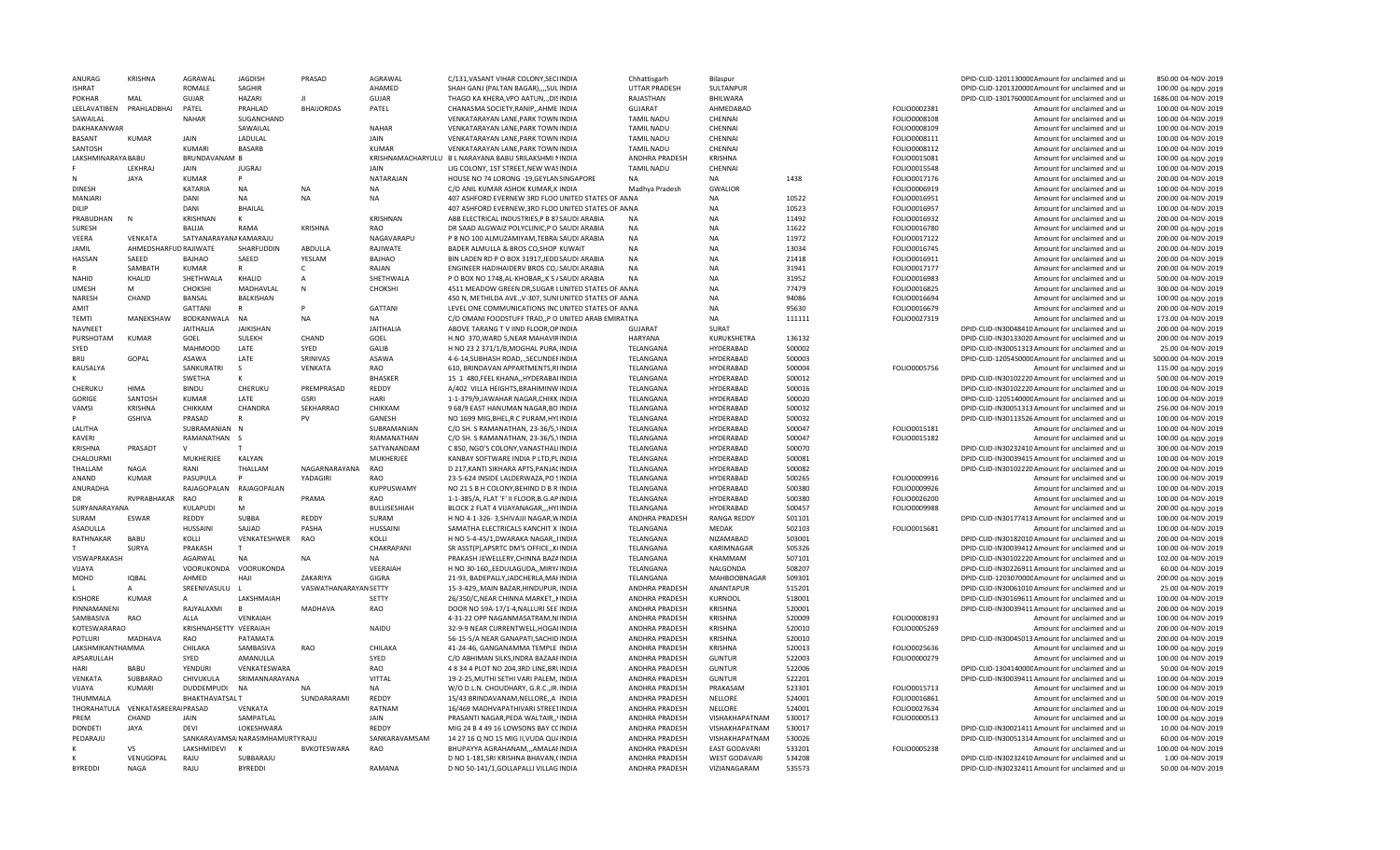| ANURAG             | <b>KRISHNA</b>              | AGRAWAI                | <b>JAGDISH</b>                    | PRASAD                | AGRAWAL           | C/131, VASANT VIHAR COLONY, SECUNDIA                   | Chhattisgarh          | Bilaspur                 |        |              | DPID-CLID-120113000CAmount for unclaimed and u   | 850.00 04-NOV-2019  |
|--------------------|-----------------------------|------------------------|-----------------------------------|-----------------------|-------------------|--------------------------------------------------------|-----------------------|--------------------------|--------|--------------|--------------------------------------------------|---------------------|
| <b>ISHRAT</b>      |                             | <b>ROMALE</b>          | SAGHIR                            |                       | AHAMED            | SHAH GANJ (PALTAN BAGAR),,,,SULINDIA                   | <b>UTTAR PRADESH</b>  | SULTANPUR                |        |              | DPID-CLID-120132000CAmount for unclaimed and ur  | 100.00 04-NOV-2019  |
| <b>POKHAR</b>      | MAI                         | GUJAR                  | <b>HAZARI</b>                     |                       | GUJAR             | THAGO KA KHERA, VPO AATUN,., DISINDIA                  | RAJASTHAN             | BHILWARA                 |        |              | DPID-CLID-130176000CAmount for unclaimed and ur  | 1686.00 04-NOV-2019 |
| LEELAVATIBEN       | PRAHLADBHAI                 | PATEL                  | PRAHLAD                           | <b>BHAIJORDAS</b>     | PATEL             | CHANASMA SOCIETY, RANIP, , AHMEIINDIA                  | <b>GUJARAT</b>        | AHMEDABAD                |        | FOLIO0002381 | Amount for unclaimed and ur                      | 100.00 04-NOV-2019  |
| SAWAILAL           |                             | <b>NAHAF</b>           | SUGANCHAND                        |                       |                   | VENKATARAYAN LANE, PARK TOWN INDIA                     | <b>TAMIL NADU</b>     | CHENNAI                  |        | FOLIO0008108 | Amount for unclaimed and ur                      | 100.00 04-NOV-2019  |
| DAKHAKANWAR        |                             |                        | SAWAILAL                          |                       | <b>NAHAR</b>      | VENKATARAYAN LANE, PARK TOWN INDIA                     | <b>TAMIL NADU</b>     | CHENNAI                  |        | FOLIO0008109 | Amount for unclaimed and ur                      | 100.00 04-NOV-2019  |
| <b>BASANT</b>      | <b>KUMAR</b>                | JAIN                   | LADULAL                           |                       | <b>JAIN</b>       | VENKATARAYAN LANE, PARK TOWN INDIA                     | <b>TAMIL NADU</b>     | CHENNAI                  |        | FOLIO0008111 | Amount for unclaimed and ur                      | 100.00 04-NOV-2019  |
| SANTOSH            |                             | KUMARI                 | <b>BASARB</b>                     |                       | <b>KUMAR</b>      | VENKATARAYAN LANE, PARK TOWN INDIA                     | <b>TAMIL NADU</b>     | CHENNAI                  |        | FOLIO0008112 | Amount for unclaimed and ur                      | 100.00 04-NOV-2019  |
| LAKSHMINARAYA BABU |                             | <b>BRUNDAVANAM B</b>   |                                   |                       | KRISHNAMACHARYULU | B L NARAYANA BABU SRILAKSHMI NINDIA                    | ANDHRA PRADESH        | KRISHNA                  |        | FOLIO0015081 | Amount for unclaimed and ur                      | 100.00 04-NOV-2019  |
|                    | <b>LFKHRA</b>               | <b>JAIN</b>            | <b>JUGRAI</b>                     |                       | <b>JAIN</b>       | LIG COLONY, 1ST STREET, NEW WASINDIA                   | <b>TAMIL NADU</b>     | CHENNAI                  |        | FOLIO0015548 | Amount for unclaimed and ur                      | 100.00 04-NOV-2019  |
|                    | <b>JAYA</b>                 | <b>KUMAR</b>           | P                                 |                       | NATARAJAN         | HOUSE NO 74 LORONG -19, GEYLANSING APORE               | <b>NA</b>             | <b>NA</b>                | 1438   | FOLIO0017176 | Amount for unclaimed and ur                      | 200.00 04-NOV-2019  |
| <b>DINESH</b>      |                             | <b>KATARIA</b>         | <b>NA</b>                         | <b>NA</b>             | <b>NA</b>         | C/O ANIL KUMAR ASHOK KUMAR, KIINDIA                    | Madhya Pradesh        | GWALIOR                  |        | FOLIO0006919 | Amount for unclaimed and ur                      | 100.00 04-NOV-2019  |
| MANJARI            |                             | DANI                   | <b>NA</b>                         | <b>NA</b>             | <b>NA</b>         | 407 ASHFORD EVERNEW 3RD FLOO UNITED STATES OF ANNA     |                       | <b>NA</b>                | 10522  | FOLIO0016951 | Amount for unclaimed and ur                      | 200.00 04-NOV-2019  |
|                    |                             |                        |                                   |                       |                   |                                                        |                       |                          |        |              |                                                  |                     |
| <b>DILIP</b>       |                             | DANI                   | <b>BHAILAL</b>                    |                       |                   | 407 ASHEORD EVERNEW 3RD FLOO UNITED STATES OF ANNA     |                       | NA                       | 10523  | FOLIO0016957 | Amount for unclaimed and u                       | 100.00 04-NOV-2019  |
| PRABUDHAN          | N                           | KRISHNAN               | к                                 |                       | <b>KRISHNAN</b>   | ABB ELECTRICAL INDUSTRIES, P B 87SAUDI ARABIA          | <b>NA</b>             | <b>NA</b>                | 11492  | FOLIO0016932 | Amount for unclaimed and ur                      | 200.00 04-NOV-2019  |
| <b>SURFSE</b>      |                             | BALLIA                 | RAMA                              | <b>KRISHNA</b>        | <b>RAO</b>        | DR SAAD ALGWAIZ POLYCLINIC, P O SAUDI ARABIA           | <b>NA</b>             | <b>NA</b>                | 11622  | FOLIO0016780 | Amount for unclaimed and ur                      | 200.00 04-NOV-2019  |
| VEERA              | <b>VENKATA</b>              | SATYANARAYANA KAMARAJU |                                   |                       | NAGAVARAPU        | P B NO 100 ALMUZAMIYAM, TEBRAISAUDI ARABIA             | <b>NA</b>             | NΔ                       | 11972  | FOLIO0017122 | Amount for unclaimed and ur                      | 200.00 04-NOV-2019  |
| JAMIL              | AHMEDSHARFUD RAJIWATE       |                        | SHARFUDDIN                        | ABDULLA               | RAJIWATE          | BADER ALMULLA & BROS CO, SHOP KUWAIT                   | <b>NA</b>             | <b>NA</b>                | 13034  | FOLIO0016745 | Amount for unclaimed and ur                      | 200.00 04-NOV-2019  |
| HASSAN             | SAEED                       | BAJHAO                 | SAEED                             | YESLAM                | <b>BAJHAO</b>     | BIN LADEN RD P O BOX 31917, JEDDSAUDI ARABIA           | <b>NA</b>             | <b>NA</b>                | 21418  | FOLIO0016911 | Amount for unclaimed and ur                      | 200.00 04-NOV-2019  |
|                    | SAMBATH                     | KUMAR                  |                                   | C                     | RAJAN             | ENGINEER HADIHAIDERV BROS CO, ISAUDI ARABIA            | <b>NA</b>             | NA                       | 31941  | FOLIO0017177 | Amount for unclaimed and ur                      | 200.00 04-NOV-2019  |
| <b>NAHID</b>       | KHALID                      | SHETHWALA              | KHALID                            | A                     | SHETHWALA         | P O BOX NO 1748, AL-KHOBAR, , K S / SAUDI ARABIA       | <b>NA</b>             | NA                       | 31952  | FOLIO0016983 | Amount for unclaimed and ur                      | 500.00 04-NOV-2019  |
| <b>UMESH</b>       | M                           | CHOKSHI                | MADHAVLAL                         | N                     | CHOKSHI           | 4511 MEADOW GREEN DR, SUGAR LUNITED STATES OF ANNA     |                       | NA                       | 77479  | FOLIO0016825 | Amount for unclaimed and ur                      | 300.00 04-NOV-2019  |
| NARFSH             | CHAND                       | <b>BANSAL</b>          | BALKISHAN                         |                       |                   | 450 N, METHILDA AVE., V-307, SUNIUNITED STATES OF ANNA |                       | <b>NA</b>                | 94086  | FOLIO0016694 | Amount for unclaimed and ur                      | 100.00 04-NOV-2019  |
| AMIT               |                             | GATTANI                |                                   | P                     | GATTANI           | LEVEL ONE COMMUNICATIONS INC UNITED STATES OF ANNA     |                       | <b>NA</b>                | 95630  | FOLIO0016679 | Amount for unclaimed and ur                      | 200.00 04-NOV-2019  |
| <b>TEMTI</b>       | MANEKSHAW                   | BODKANWALA             | <b>NA</b>                         | <b>NA</b>             | <b>NA</b>         | C/O OMANI FOODSTUFF TRAD, P O UNITED ARAB EMIRAT NA    |                       | NΔ                       | 111111 | FOLIO0027319 | Amount for unclaimed and ur                      | 173.00 04-NOV-2019  |
| NAVNEET            |                             | <b>JAITHALIA</b>       | JAIKISHAN                         |                       | JAITHALIA         | ABOVE TARANG TV IIND FLOOR, OP INDIA                   | <b>GUJARAT</b>        | SURAT                    |        |              | DPID-CLID-IN30048410 Amount for unclaimed and ur | 200.00 04-NOV-2019  |
|                    |                             |                        |                                   |                       |                   |                                                        |                       |                          |        |              |                                                  |                     |
| PURSHOTAM          | <b>KUMAR</b>                | GOEL                   | SULEKH                            | CHAND                 | GOEL              | H.NO 370, WARD 5, NEAR MAHAVIRINDIA                    | <b>HARYANA</b>        | KURUKSHETRA<br>HYDERARAD | 136132 |              | DPID-CLID-IN30133020 Amount for unclaimed and ur | 200.00 04-NOV-2019  |
| SYED               |                             | <b>MAHMOOD</b>         | LATE                              | SYED                  | GALIB             | H NO 23 2 371/1/B, MOGHAL PURA, INDIA                  | TELANGANA             |                          | 500002 |              | DPID-CLID-IN30051313 Amount for unclaimed and ur | 25.00 04-NOV-2019   |
| BRIJ               | GOPAL                       | ASAWA                  | LATE                              | SRINIVAS              | <b>ASAWA</b>      | 4-6-14, SUBHASH ROAD, , SECUNDEFINDIA                  | TELANGANA             | HYDERABAD                | 500003 |              | DPID-CLID-120545000CAmount for unclaimed and ur  | 5000.00 04-NOV-2019 |
| KAUSALYA           |                             | SANKURATRI             | S.                                | VENKATA               | RAO               | 610, BRINDAVAN APPARTMENTS, REINDIA                    | TELANGANA             | HYDERABAD                | 500004 | FOLIO0005756 | Amount for unclaimed and ur                      | 115.00 04-NOV-2019  |
|                    |                             | SWETHA                 | к                                 |                       | <b>BHASKER</b>    | 15 1 480, FEEL KHANA,, HYDERABAIINDIA                  | TELANGANA             | HYDERABAD                | 500012 |              | DPID-CLID-IN30102220 Amount for unclaimed and ur | 500.00 04-NOV-2019  |
| CHERUKU            | HIMA                        | <b>BINDU</b>           | CHERUKU                           | PREMPRASAD            | REDDY             | A/402 VILLA HEIGHTS, BRAHIMINW INDIA                   | TELANGANA             | HYDERABAD                | 500016 |              | DPID-CLID-IN30102220 Amount for unclaimed and ur | 100.00 04-NOV-2019  |
| GORIGE             | SANTOSH                     | <b>KUMAR</b>           | LATE                              | GSRI                  | HARI              | 1-1-379/9, JAWAHAR NAGAR, CHIKK INDIA                  | TELANGANA             | HYDERABAD                | 500020 |              | DPID-CLID-120514000CAmount for unclaimed and ur  | 100.00 04-NOV-2019  |
| VAMSI              | <b>KRISHNA</b>              | CHIKKAM                | CHANDRA                           | SEKHARRAO             | CHIKKAM           | 9 68/9 EAST HANUMAN NAGAR, BO INDIA                    | TELANGANA             | HYDERABAD                | 500032 |              | DPID-CLID-IN30051313 Amount for unclaimed and ur | 256.00 04-NOV-2019  |
|                    | <b>GSHIVA</b>               | PRASAD                 |                                   | PV                    | GANESH            | NO 1699 MIG.BHEL.R C PURAM.HYLINDIA                    | TELANGANA             | HYDERABAD                | 500032 |              | DPID-CLID-IN30113526 Amount for unclaimed and ur | 100.00 04-NOV-2019  |
| LALITHA            |                             | SUBRAMANIAN            | <b>N</b>                          |                       | SUBRAMANIAN       | C/O SH. S RAMANATHAN, 23-36/5, INDIA                   | TELANGANA             | HYDERABAD                | 500047 | FOLIO0015181 | Amount for unclaimed and ur                      | 100.00 04-NOV-2019  |
| <b>KAVFRI</b>      |                             | RAMANATHAN S           |                                   |                       | RIAMANATHAN       | C/O SH. S RAMANATHAN, 23-36/5, INDIA                   | TELANGANA             | HYDERABAD                | 500047 | FOLIO0015182 | Amount for unclaimed and ur                      | 100.00 04-NOV-2019  |
| <b>KRISHNA</b>     | PRASADT                     |                        |                                   |                       | SATYANANDAM       | C 850, NGO'S COLONY, VANASTHALIINDIA                   | TELANGANA             | HYDERABAD                | 500070 |              | DPID-CLID-IN30232410 Amount for unclaimed and ur | 300.00 04-NOV-2019  |
| CHALOURMI          |                             | MUKHERIFF              | KALYAN                            |                       | MUKHERJEE         | KANBAY SOFTWARE INDIA P LTD, PLINDIA                   | TELANGANA             | HYDERABAD                | 500081 |              | DPID-CLID-IN30039415 Amount for unclaimed and ur | 100.00 04-NOV-2019  |
| THALLAM            | NAGA                        | RANI                   | THALLAM                           | NAGARNARAYANA         | RAO               | D 217, KANTI SIKHARA APTS, PANJACINDIA                 | TELANGANA             | HYDERABAD                | 500082 |              | DPID-CLID-IN30102220 Amount for unclaimed and ur | 200.00 04-NOV-2019  |
| ANAND              | <b>KUMAR</b>                | PASUPULA               | P                                 | YADAGIRI              | <b>RAO</b>        | 23-5-624 INSIDE LALDERWAZA, PO SINDIA                  | TELANGANA             | HYDERABAD                | 500265 | FOLIO0009916 | Amount for unclaimed and ur                      | 100.00 04-NOV-2019  |
| ANURADHA           |                             | RAJAGOPALAN            | RAJAGOPALAN                       |                       | KUPPUSWAMY        | NO 21 S B H COLONY. BEHIND D B R INDIA                 |                       | HYDERABAD                | 500380 |              | Amount for unclaimed and u                       | 100.00 04-NOV-2019  |
|                    |                             |                        |                                   |                       |                   |                                                        | TELANGANA             |                          |        | FOLIO0009926 |                                                  |                     |
| <b>DR</b>          | RVPRABHAKAR                 | <b>RAO</b>             | $\mathsf{R}$                      | PRAMA                 | RAO               | 1-1-385/A, FLAT 'F' II FLOOR, B.G. AP INDIA            | TELANGANA             | HYDERABAD                | 500380 | FOLIO0026200 | Amount for unclaimed and ur                      | 100.00 04-NOV-2019  |
| SURYANARAYANA      |                             | KULAPUDI               | M                                 |                       | BULLISESHIAH      | BLOCK 2 FLAT 4 VIJAYANAGAR, HYIINDIA                   | TELANGANA             | HYDFRABAD                | 500457 | FOLIO0009988 | Amount for unclaimed and ur                      | 200.00 04-NOV-2019  |
| SURAM              | <b>ESWAR</b>                | RFDDY                  | <b>SUBBA</b>                      | <b>RFDDY</b>          | SURAM             | H NO 4-1-326-3, SHIVAJJI NAGAR, WINDIA                 | ANDHRA PRADESH        | <b>RANGA REDDY</b>       | 501101 |              | DPID-CLID-IN30177413 Amount for unclaimed and ur | 100.00 04-NOV-2019  |
| <b>ASADULLA</b>    |                             | <b>HUSSAINI</b>        | SAJJAD                            | PASHA                 | <b>HUSSAINI</b>   | SAMATHA ELECTRICALS KANCHIT X INDIA                    | TELANGANA             | MEDAK                    | 502103 | FOLIO0015681 | Amount for unclaimed and u                       | 100.00 04-NOV-2019  |
| RATHNAKAR          | BABU                        | KOLLI                  | VENKATESHWER                      | <b>RAO</b>            | KOLLI             | H NO 5-4-45/1, DWARAKA NAGAR,, IINDIA                  | TELANGANA             | NIZAMABAD                | 503001 |              | DPID-CLID-IN30182010 Amount for unclaimed and ur | 200.00 04-NOV-2019  |
|                    | SURYA                       | PRAKASH                | T                                 |                       | CHAKRAPANI        | SR ASST(P), APSRTC DM'S OFFICE,, KIINDIA               | TELANGANA             | KARIMNAGAR               | 505326 |              | DPID-CLID-IN30039412 Amount for unclaimed and ur | 100.00 04-NOV-2019  |
| VISWAPRAKASH       |                             | AGARWAL                | <b>NA</b>                         | <b>NA</b>             | <b>NA</b>         | PRAKASH JEWELLERY, CHINNA BAZAINDIA                    | TELANGANA             | KHAMMAM                  | 507101 |              | DPID-CLID-IN30102220 Amount for unclaimed and ur | 102.00 04-NOV-2019  |
| VIJAYA             |                             | VOORUKONDA             | VOORUKONDA                        |                       | VEERAIAH          | H NO 30-160, EEDULAGUDA, MIRY/INDIA                    | TELANGANA             | NALGONDA                 | 508207 |              | DPID-CLID-IN30226911 Amount for unclaimed and ur | 60.00 04-NOV-2019   |
| MOHD               | <b>IQBAL</b>                | AHMED                  | HAJI                              | <b>ZAKARIYA</b>       | GIGRA             | 21-93, BADEPALLY, JADCHERLA, MAHNDIA                   | TELANGANA             | MAHBOOBNAGAR             | 509301 |              | DPID-CLID-120307000CAmount for unclaimed and ur  | 200.00 04-NOV-2019  |
|                    |                             | SREENIVASULU           |                                   | VASWATHANARAYAN SETTY |                   | 15-3-429, MAIN BAZAR, HINDUPUR, INDIA                  | ANDHRA PRADESH        | ANANTAPUR                | 515201 |              | DPID-CLID-IN30061010 Amount for unclaimed and ur | 25.00 04-NOV-2019   |
| <b>KISHORF</b>     | <b>KUMAR</b>                |                        | LAKSHMAIAH                        |                       | <b>SETTY</b>      | 26/350/C, NEAR CHINNA MARKET,, KINDIA                  | <b>ANDHRA PRADESH</b> | <b>KURNOOL</b>           | 518001 |              | DPID-CLID-IN30169611 Amount for unclaimed and ur | 100.00 04-NOV-2019  |
| PINNAMANEN         |                             | RAJYALAXMI             |                                   | MADHAVA               | RAO               | DOOR NO 59A-17/1-4, NALLURI SEE INDIA                  | ANDHRA PRADESH        | KRISHNA                  | 520001 |              | DPID-CLID-IN30039411 Amount for unclaimed and ur | 200.00 04-NOV-2019  |
| SAMBASIVA          | RAO                         | ALLA                   | VENKAIAH                          |                       |                   | 4-31-22 OPP NAGANMASATRAM, NIINDIA                     | ANDHRA PRADESH        | KRISHNA                  | 520009 | FOLIO0008193 | Amount for unclaimed and ur                      | 100.00 04-NOV-2019  |
| KOTESWARARAO       |                             | KRISHNAHSETTY VEERAIAH |                                   |                       | NAIDU             | 32-9-9 NEAR CURRENTWELL, HOGAIINDIA                    | ANDHRA PRADESH        | KRISHNA                  | 520010 | FOLIO0005269 | Amount for unclaimed and ur                      | 200.00 04-NOV-2019  |
| POTLURI            | <b>MADHAVA</b>              | RAO                    | PATAMATA                          |                       |                   | 56-15-5/A NEAR GANAPATI.SACHID INDIA                   | <b>ANDHRA PRADESH</b> | <b>KRISHNA</b>           | 520010 |              | DPID-CLID-IN30045013 Amount for unclaimed and ur | 200.00 04-NOV-2019  |
|                    |                             |                        |                                   |                       |                   |                                                        |                       |                          |        |              |                                                  |                     |
| LAKSHMIKANTHAMMA   |                             | CHILAKA                | SAMBASIVA                         | RAO                   | CHILAKA           | 41-24-46, GANGANAMMA TEMPLE INDIA                      | ANDHRA PRADESH        | <b>KRISHNA</b>           | 520013 | FOLIO0025636 | Amount for unclaimed and ur                      | 100.00 04-NOV-2019  |
| APSARULLAH         |                             | SYED                   | AMANULLA                          |                       | SYED              | C/O ABHIMAN SILKS, INDRA BAZAAFINDIA                   | ANDHRA PRADESH        | <b>GUNTUR</b>            | 522003 | FOLIO0000279 | Amount for unclaimed and ur                      | 100.00 04-NOV-2019  |
| HARI               | RARII                       | YENDURI                | VENKATESWARA                      |                       | RAO               | 4 8 34 4 PLOT NO 204,3RD LINE, BRUNDIA                 | ANDHRA PRADESH        | <b>GUNTUR</b>            | 522006 |              | DPID-CLID-130414000CAmount for unclaimed and ur  | 50.00 04-NOV-2019   |
| VENKATA            | SUBBARAO                    | CHIVUKULA              | SRIMANNARAYANA                    |                       | VITTAL            | 19-2-25, MUTHI SETHI VARI PALEM, INDIA                 | <b>ANDHRA PRADESH</b> | <b>GUNTUR</b>            | 522201 |              | DPID-CLID-IN30039411 Amount for unclaimed and ur | 100.00 04-NOV-2019  |
| <b>VIJAYA</b>      | KUMARI                      | DUDDEMPUDI             | NA                                |                       | <b>NA</b>         | W/O D.L.N. CHOUDHARY, G.R.C., JR. INDIA                | ANDHRA PRADESH        | PRAKASAM                 | 523301 | FOLIO0015713 | Amount for unclaimed and ur                      | 100.00 04-NOV-2019  |
| THUMMALA           |                             | <b>BHAKTHAVATSALT</b>  |                                   | SUNDARARAMI           | REDDY             | 15/43 BRINDAVANAM, NELLORE, A IINDIA                   | ANDHRA PRADESH        | NELLORE                  | 524001 | FOLIO0016861 | Amount for unclaimed and ur                      | 500.00 04-NOV-2019  |
| <b>THORAHATULA</b> | <b>VENKATASREERA PRASAD</b> |                        | VENKATA                           |                       | RATNAM            | 16/469 MADHVAPATHIVARI STREETINDIA                     | ANDHRA PRADESH        | NELLORE                  | 524001 | FOLIO0027634 | Amount for unclaimed and ur                      | 100.00 04-NOV-2019  |
| PRFM               | CHAND                       | <b>JAIN</b>            | SAMPATLAL                         |                       | JAIN              | PRASANTI NAGAR, PEDA WALTAIR,, INDIA                   | ANDHRA PRADESH        | VISHAKHAPATNAM           | 530017 | FOLIO0000513 | Amount for unclaimed and ur                      | 100.00 04-NOV-2019  |
| <b>DONDETI</b>     | JAYA                        | DFVI                   | LOKESHWARA                        |                       | REDDY             | MIG 24 B 4 49 16 LOWSONS BAY CCINDIA                   | ANDHRA PRADESH        | VISHAKHAPATNAM           | 530017 |              | DPID-CLID-IN30021411 Amount for unclaimed and ur | 10.00 04-NOV-2019   |
| PEDARAJU           |                             |                        | SANKARAVAMSAI NARASIMHAMURTY RAJL |                       | SANKARAVAMSAM     | 14 27 16 Q NO 15 MIG II.VUDA QU/INDIA                  | <b>ANDHRA PRADESH</b> | VISHAKHAPATNAM           | 530026 |              | DPID-CLID-IN30051314 Amount for unclaimed and ur | 60.00 04-NOV-2019   |
|                    | <b>VS</b>                   | LAKSHMIDEVI            | K                                 | <b>BVKOTESWARA</b>    | <b>RAO</b>        | BHUPAYYA AGRAHANAM,,,AMALAFINDIA                       | <b>ANDHRA PRADESH</b> | <b>EAST GODAVARI</b>     | 533201 | FOLIO0005238 | Amount for unclaimed and u                       | 100.00 04-NOV-2019  |
|                    | VFNUGOPAL                   | RAIU                   | SUBBARAIU                         |                       |                   | D NO 1-181, SRI KRISHNA BHAVAN, (INDIA                 | ANDHRA PRADESH        | <b>WEST GODAVARI</b>     | 534208 |              | DPID-CLID-IN30232410 Amount for unclaimed and ur | 1.00 04-NOV-2019    |
| <b>BYREDDI</b>     | <b>NAGA</b>                 | RAJU                   | <b>BYREDDI</b>                    |                       | RAMANA            | D NO 50-141/1, GOLLAPALLI VILLAG INDIA                 | ANDHRA PRADESH        | VIZIANAGARAM             | 535573 |              | DPID-CLID-IN30232411 Amount for unclaimed and ur | 50.00 04-NOV-2019   |
|                    |                             |                        |                                   |                       |                   |                                                        |                       |                          |        |              |                                                  |                     |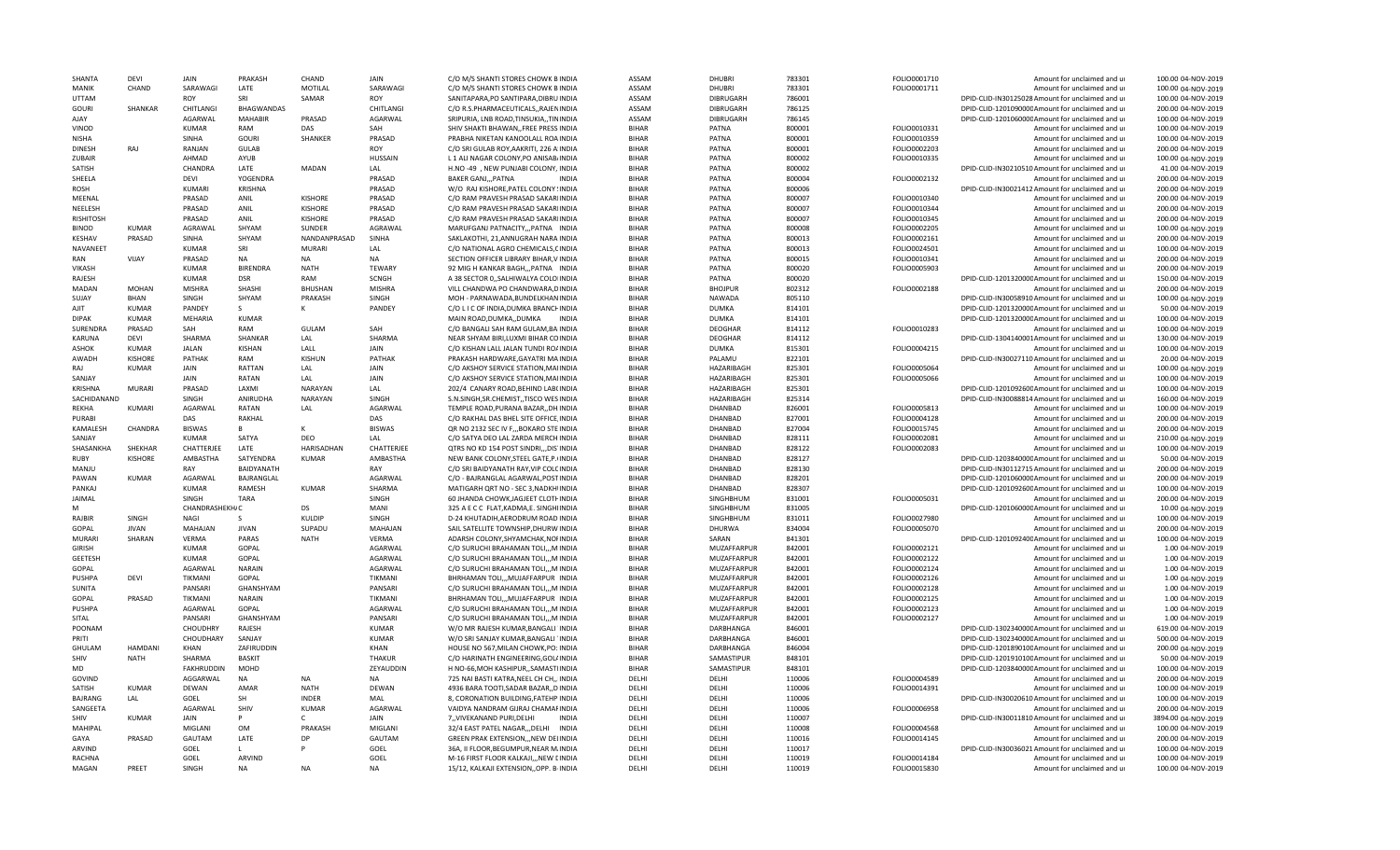| SHANTA           | <b>DFVI</b>    | <b>JAIN</b>       | PRAKASH           | CHAND             | JAIN           | C/O M/S SHANTI STORES CHOWK BINDIA         | <b>ASSAM</b> | DHUBRI           | 783301 | FOLIO0001710 | Amount for unclaimed and ur                      | 100.00 04-NOV-2019  |
|------------------|----------------|-------------------|-------------------|-------------------|----------------|--------------------------------------------|--------------|------------------|--------|--------------|--------------------------------------------------|---------------------|
| MANIK            | CHAND          | SARAWAGI          | LATE              | MOTILAL           | SARAWAGI       | C/O M/S SHANTI STORES CHOWK BINDIA         | ASSAM        | DHUBRI           | 783301 | FOLIO0001711 | Amount for unclaimed and ur                      | 100.00 04-NOV-2019  |
| <b>UTTAM</b>     |                | ROY               | SRI               | SAMAR             | ROY            | SANITAPARA, PO SANTIPARA, DIBRU INDIA      | ASSAM        | DIBRUGARH        | 786001 |              | DPID-CLID-IN30125028 Amount for unclaimed and ur | 100.00 04-NOV-2019  |
| <b>GOURI</b>     | SHANKAR        | CHITLANGI         | <b>BHAGWANDAS</b> |                   | CHITLANGI      | C/O R.S.PHARMACEUTICALS, RAJENINDIA        | ASSAM        | DIBRUGARH        | 786125 |              | DPID-CLID-120109000CAmount for unclaimed and ur  | 200.00 04-NOV-2019  |
| AJAY             |                | AGARWAL           | <b>MAHABIR</b>    | PRASAD            | <b>AGARWAI</b> | SRIPURIA, LNB ROAD, TINSUKIA, , TININDIA   | ASSAM        | <b>DIBRUGARH</b> | 786145 |              | DPID-CLID-120106000C Amount for unclaimed and ur | 100.00 04-NOV-2019  |
| VINOD            |                | <b>KUMAR</b>      | RAM               | DAS               | SAH            | SHIV SHAKTI BHAWAN,, FREE PRESS INDIA      | <b>BIHAR</b> | PATNA            | 800001 | FOLIO0010331 | Amount for unclaimed and ur                      | 100.00 04-NOV-2019  |
| <b>NISHA</b>     |                | <b>SINHA</b>      | <b>GOURI</b>      | SHANKER           | PRASAD         | PRABHA NIKETAN KANOOLALL ROA INDIA         | <b>BIHAR</b> | PATNA            | 800001 | FOLIO0010359 | Amount for unclaimed and ur                      | 100.00 04-NOV-2019  |
|                  |                |                   |                   |                   |                |                                            |              |                  |        |              |                                                  |                     |
| <b>DINESH</b>    | RAI            | RANJAN            | <b>GULAB</b>      |                   | <b>ROY</b>     | C/O SRI GULAB ROY, AAKRITI, 226 A'INDIA    | <b>BIHAR</b> | PATNA            | 800001 | FOLIO0002203 | Amount for unclaimed and ur                      | 200.00 04-NOV-2019  |
| ZUBAIR           |                | AHMAD             | AYUB              |                   | <b>HUSSAIN</b> | L 1 ALI NAGAR COLONY, PO ANISAB/INDIA      | <b>BIHAR</b> | PATNA            | 800002 | FOLIO0010335 | Amount for unclaimed and ur                      | 100.00 04-NOV-2019  |
| SATISH           |                | CHANDRA           | LATE              | MADAN             | LAL            | H.NO-49, NEW PUNJABI COLONY, INDIA         | <b>BIHAR</b> | PATNA            | 800002 |              | DPID-CLID-IN30210510 Amount for unclaimed and ur | 41.00 04-NOV-2019   |
| SHEELA           |                | DEVI              | YOGENDRA          |                   | PRASAD         | <b>BAKER GANJ,,, PATNA</b><br><b>INDIA</b> | <b>BIHAR</b> | PATNA            | 800004 | FOLIO0002132 | Amount for unclaimed and ur                      | 200.00 04-NOV-2019  |
| ROSH             |                | KUMARI            | <b>KRISHNA</b>    |                   | PRASAD         | W/O RAJ KISHORE, PATEL COLONY ! INDIA      | <b>BIHAR</b> | <b>PATNA</b>     | 800006 |              | DPID-CLID-IN30021412 Amount for unclaimed and ur | 200.00 04-NOV-2019  |
| MEENAL           |                | PRASAD            | ANIL              | <b>KISHORE</b>    | PRASAD         | C/O RAM PRAVESH PRASAD SAKARIINDIA         | <b>BIHAR</b> | PATNA            | 800007 | FOLIO0010340 | Amount for unclaimed and ur                      | 200.00 04-NOV-2019  |
| NEELESH          |                | PRASAD            | ANIL              | <b>KISHORE</b>    | PRASAD         | C/O RAM PRAVESH PRASAD SAKARIINDIA         | <b>BIHAR</b> | PATNA            | 800007 | FOLIO0010344 | Amount for unclaimed and ur                      | 200.00 04-NOV-2019  |
| <b>RISHITOSH</b> |                | PRASAD            | ANIL              | <b>KISHORE</b>    | PRASAD         | C/O RAM PRAVESH PRASAD SAKARIINDIA         | <b>BIHAR</b> | PATNA            | 800007 | FOLIO0010345 | Amount for unclaimed and ur                      | 200.00 04-NOV-2019  |
| <b>BINOD</b>     | <b>KUMAR</b>   | AGRAWAL           | SHYAM             | <b>SUNDER</b>     | AGRAWAL        | MARUFGANJ PATNACITY,,,PATNA INDIA          | <b>BIHAR</b> | <b>PATNA</b>     | 800008 | FOLIO0002205 | Amount for unclaimed and ur                      | 100.00 04-NOV-2019  |
| KESHAV           | PRASAD         | SINHA             | SHYAM             | NANDANPRASAD      | SINHA          | SAKLAKOTHI, 21, ANNUGRAH NARAINDIA         | <b>BIHAR</b> | PATNA            | 800013 | FOLIO0002161 | Amount for unclaimed and ur                      | 200.00 04-NOV-2019  |
| NAVANEET         |                | KUMAR             | SRI               | <b>MURAR</b>      | LAL            | C/O NATIONAL AGRO CHEMICALS, CINDIA        | <b>BIHAR</b> | PATNA            | 800013 | FOLIO0024501 | Amount for unclaimed and ur                      | 100.00 04-NOV-2019  |
| RAN              | VIJAY          | PRASAD            | <b>NA</b>         | <b>NA</b>         | <b>NA</b>      | SECTION OFFICER LIBRARY BIHAR.V INDIA      | <b>BIHAR</b> | PATNA            | 800015 | FOLIO0010341 | Amount for unclaimed and ur                      | 200.00 04-NOV-2019  |
|                  |                | <b>KUMAR</b>      | <b>BIRFNDRA</b>   | <b>NATH</b>       | <b>TEWARY</b>  |                                            |              | PATNA            |        |              |                                                  | 200.00 04-NOV-2019  |
| VIKASH           |                |                   |                   |                   |                | 92 MIG H KANKAR BAGH,,,PATNA INDIA         | <b>BIHAR</b> |                  | 800020 | FOLIO0005903 | Amount for unclaimed and ur                      |                     |
| RAJESH           |                | KUMAR             | <b>DSR</b>        | <b>RAM</b>        | SCNGH          | A 38 SECTOR 0, SALHIWALYA COLOIINDIA       | <b>BIHAR</b> | PATNA            | 800020 |              | DPID-CLID-120132000CAmount for unclaimed and ur  | 150.00 04-NOV-2019  |
| MADAN            | <b>MOHAN</b>   | <b>MISHRA</b>     | SHASHI            | <b>BHUSHAN</b>    | <b>MISHRA</b>  | VILL CHANDWA PO CHANDWARA, DINDIA          | <b>BIHAR</b> | <b>BHOJPUR</b>   | 802312 | FOLIO0002188 | Amount for unclaimed and ur                      | 200.00 04-NOV-2019  |
| SUJAY            | RHAN           | SINGH             | SHYAM             | PRAKASH           | SINGH          | MOH - PARNAWADA, BUNDELKHAN INDIA          | RIHAR        | <b>NAWADA</b>    | 805110 |              | DPID-CLID-IN30058910 Amount for unclaimed and ur | 100.00 04-NOV-2019  |
| AJIT             | <b>KUMAR</b>   | PANDEY            | S                 | ĸ                 | PANDEY         | C/O L I C OF INDIA, DUMKA BRANCHINDIA      | <b>BIHAR</b> | <b>DUMKA</b>     | 814101 |              | DPID-CLID-120132000CAmount for unclaimed and ur  | 50.00 04-NOV-2019   |
| <b>DIPAK</b>     | <b>KUMAR</b>   | MEHARIA           | <b>KUMAR</b>      |                   |                | MAIN ROAD, DUMKA,, DUMKA INDIA             | <b>BIHAR</b> | <b>DUMKA</b>     | 814101 |              | DPID-CLID-120132000CAmount for unclaimed and ur  | 100.00 04-NOV-2019  |
| SURENDRA         | PRASAD         | SAH               | RAM               | GULAM             | SAH            | C/O BANGALI SAH RAM GULAM, BAIINDIA        | <b>BIHAR</b> | <b>DEOGHAR</b>   | 814112 | FOLIO0010283 | Amount for unclaimed and ur                      | 100.00 04-NOV-2019  |
| KARUNA           | <b>DFVI</b>    | SHARMA            | <b>SHANKAR</b>    | LAL               | SHARMA         | NEAR SHYAM BIRI, LUXMI BIHAR COINDIA       | <b>BIHAR</b> | <b>DEOGHAR</b>   | 814112 |              | DPID-CLID-1304140001Amount for unclaimed and ur  | 130.00 04-NOV-2019  |
| ASHOK            | KUMAR          | <b>JALAN</b>      | KISHAN            | LALL              | JAIN           | C/O KISHAN LALL JALAN TUNDI ROAINDIA       | <b>BIHAR</b> | <b>DUMKA</b>     | 815301 | FOLIO0004215 | Amount for unclaimed and ur                      | 100.00 04-NOV-2019  |
| AWADH            | <b>KISHORE</b> | PATHAK            | RAM               | KISHUN            | PATHAK         | PRAKASH HARDWARE, GAYATRI MAINDIA          | <b>BIHAR</b> | PALAMU           | 822101 |              | DPID-CLID-IN30027110 Amount for unclaimed and ur | 20.00 04-NOV-2019   |
| RAI              | <b>KUMAR</b>   | JAIN              | RATTAN            | LAL               | JAIN           | C/O AKSHOY SERVICE STATION.MAIINDIA        | <b>BIHAR</b> | HAZARIBAGH       | 825301 | FOLIO0005064 | Amount for unclaimed and u                       | 100.00 04-NOV-2019  |
|                  |                | <b>JAIN</b>       | RATAN             | LAL               | <b>JAIN</b>    |                                            | RIHAR        | HAZARIBAGH       |        |              |                                                  |                     |
| SANJAY           |                |                   |                   |                   |                | C/O AKSHOY SERVICE STATION, MAIINDIA       |              |                  | 825301 | FOLIO0005066 | Amount for unclaimed and ur                      | 100.00 04-NOV-2019  |
| <b>KRISHNA</b>   | <b>MURARI</b>  | PRASAD            | LAXMI             | NARAYAN           | LAL            | 202/4 CANARY ROAD, BEHIND LAB(INDIA        | <b>BIHAR</b> | HAZARIBAGH       | 825301 |              | DPID-CLID-120109260CAmount for unclaimed and ur  | 100.00 04-NOV-2019  |
| SACHIDANAND      |                | SINGH             | ANIRUDHA          | NARAYAN           | SINGH          | S.N.SINGH, SR. CHEMIST, TISCO WES INDIA    | <b>BIHAR</b> | HAZARIBAGH       | 825314 |              | DPID-CLID-IN30088814 Amount for unclaimed and ur | 160.00 04-NOV-2019  |
| <b>RFKHA</b>     | <b>KUMARI</b>  | AGARWAL           | RATAN             | LAL               | AGARWAL        | TEMPLE ROAD, PURANA BAZAR, , DH. INDIA     | <b>BIHAR</b> | DHANBAD          | 826001 | FOLIO0005813 | Amount for unclaimed and ur                      | 100.00 04-NOV-2019  |
| PURABI           |                | DAS               | RAKHAL            |                   | DAS            | C/O RAKHAL DAS BHEL SITE OFFICE, INDIA     | <b>BIHAR</b> | DHANBAD          | 827001 | FOLIO0004128 | Amount for unclaimed and ur                      | 200.00 04-NOV-2019  |
| KAMALESH         | CHANDRA        | <b>BISWAS</b>     | B                 | K                 | <b>BISWAS</b>  | QR NO 2132 SEC IV F,,, BOKARO STE INDIA    | <b>BIHAR</b> | DHANBAD          | 827004 | FOLIO0015745 | Amount for unclaimed and ur                      | 200.00 04-NOV-2019  |
| SANJAY           |                | <b>KUMAR</b>      | SATYA             | <b>DEO</b>        | LAL            | C/O SATYA DEO LAL ZARDA MERCH INDIA        | <b>BIHAR</b> | <b>DHANBAD</b>   | 828111 | FOLIO0002081 | Amount for unclaimed and ur                      | 210.00 04-NOV-2019  |
| SHASANKHA        | SHFKHAR        | CHATTERJEE        | LATF              | <b>HARISADHAN</b> | CHATTERJEE     | QTRS NO KD 154 POST SINDRI,,,DIS INDIA     | <b>BIHAR</b> | DHANBAD          | 828122 | FOLIO0002083 | Amount for unclaimed and ur                      | 100.00 04-NOV-2019  |
| RUBY             | <b>KISHORF</b> | AMBASTHA          | SATYENDRA         | <b>KUMAR</b>      | AMBASTHA       | NEW BANK COLONY, STEEL GATE, P. (INDIA     | <b>BIHAR</b> | DHANBAD          | 828127 |              | DPID-CLID-120384000CAmount for unclaimed and ur  | 50.00 04-NOV-2019   |
| MANJU            |                | RAY               | <b>BAIDYANATH</b> |                   | RAY            | C/O SRI BAIDYANATH RAY, VIP COLCINDIA      | <b>BIHAR</b> | DHANBAD          | 828130 |              | DPID-CLID-IN30112715 Amount for unclaimed and ur | 200.00 04-NOV-2019  |
| PAWAN            | <b>KUMAR</b>   | AGARWAL           | BAJRANGLAL        |                   | AGARWAL        | C/O - BAJRANGLAL AGARWAL, POST INDIA       | <b>BIHAR</b> | DHANBAD          | 828201 |              | DPID-CLID-120106000CAmount for unclaimed and ur  | 200.00 04-NOV-2019  |
| PANKAJ           |                | <b>KUMAR</b>      | <b>RAMESH</b>     | <b>KUMAR</b>      | SHARMA         |                                            | <b>BIHAR</b> | DHANBAD          | 828307 |              | DPID-CLID-120109260CAmount for unclaimed and ur  | 100.00 04-NOV-2019  |
|                  |                |                   |                   |                   |                | MATIGARH QRT NO - SEC 3, NADKHIINDIA       |              |                  |        |              |                                                  |                     |
| JAIMAL           |                | SINGH             | <b>TARA</b>       |                   | SINGH          | 60 JHANDA CHOWK, JAGJEET CLOTI INDIA       | <b>BIHAR</b> | SINGHBHUM        | 831001 | FOLIO0005031 | Amount for unclaimed and ur                      | 200.00 04-NOV-2019  |
| M                |                | CHANDRASHEKH/C    |                   | DS                | MANI           | 325 A E C C FLAT, KADMA, E. SINGHIINDIA    | <b>BIHAR</b> | SINGHBHUM        | 831005 |              | DPID-CLID-120106000CAmount for unclaimed and ur  | 10.00 04-NOV-2019   |
| RAIBIR           | SINGH          | NAGI              | S.                | KULDIP            | SINGH          | D-24 KHUTADIH, AERODRUM ROAD INDIA         | <b>BIHAR</b> | SINGHBHUM        | 831011 | FOLIO0027980 | Amount for unclaimed and ur                      | 100.00 04-NOV-2019  |
| GOPAL            | <b>JIVAN</b>   | MAHAJAN           | <b>JIVAN</b>      | SUPADU            | MAHAJAN        | SAIL SATELLITE TOWNSHIP, DHURW INDIA       | <b>BIHAR</b> | <b>DHURWA</b>    | 834004 | FOLIO0005070 | Amount for unclaimed and ur                      | 200.00 04-NOV-2019  |
| <b>MURARI</b>    | SHARAN         | <b>VFRMA</b>      | PARAS             | <b>NATH</b>       | <b>VFRMA</b>   | ADARSH COLONY, SHYAMCHAK, NOTINDIA         | <b>BIHAR</b> | SARAN            | 841301 |              | DPID-CLID-120109240CAmount for unclaimed and ur  | 100.00 04-NOV-2019  |
| <b>GIRISH</b>    |                | <b>KUMAR</b>      | GOPAL             |                   | AGARWAL        | C/O SURUCHI BRAHAMAN TOLIM INDIA           | <b>BIHAR</b> | MUZAFFARPUR      | 842001 | FOLIO0002121 | Amount for unclaimed and ur                      | 1.00 04-NOV-2019    |
| <b>GEETESH</b>   |                | KUMAR             | GOPAL             |                   | AGARWAL        | C/O SURUCHI BRAHAMAN TOLLM INDIA           | RIHAR        | MUZAFFARPUR      | 842001 | FOLIO0002122 | Amount for unclaimed and u                       | 1.00 04-NOV-2019    |
| GOPAL            |                | AGARWAL           | <b>NARAIN</b>     |                   | AGARWAL        | C/O SURUCHI BRAHAMAN TOLI,,, M INDIA       | <b>BIHAR</b> | MUZAFFARPUR      | 842001 | FOLIO0002124 | Amount for unclaimed and ur                      | 1.00 04-NOV-2019    |
| <b>PUSHPA</b>    | <b>DEVI</b>    | TIKMANI           | GOPAL             |                   | <b>TIKMANI</b> | BHRHAMAN TOLI,,,MUJAFFARPUR INDIA          | <b>BIHAR</b> | MUZAFFARPUR      | 842001 | FOLIO0002126 | Amount for unclaimed and ur                      | 1.00 04-NOV-2019    |
| <b>SUNITA</b>    |                | PANSARI           | GHANSHYAM         |                   | PANSARI        | C/O SURUCHI BRAHAMAN TOLI,,,M INDIA        | <b>BIHAR</b> | MUZAFFARPUR      | 842001 | FOLIO0002128 | Amount for unclaimed and ur                      | 1.00 04-NOV-2019    |
| GOPAL            | PRASAD         | TIKMANI           | <b>NARAIN</b>     |                   | TIKMANI        | BHRHAMAN TOLI,,,MUJAFFARPUR INDIA          | <b>BIHAR</b> | MUZAFFARPUR      | 842001 | FOLIO0002125 | Amount for unclaimed and ur                      | 1.00 04-NOV-2019    |
| <b>PUSHPA</b>    |                | AGARWAL           | GOPAL             |                   | AGARWAL        | C/O SURUCHI BRAHAMAN TOLI,,,M INDIA        | <b>BIHAR</b> | MUZAFFARPUR      | 842001 | FOLIO0002123 | Amount for unclaimed and ur                      | 1.00 04-NOV-2019    |
|                  |                |                   |                   |                   |                |                                            | <b>BIHAR</b> |                  |        |              |                                                  |                     |
| SITAL            |                | PANSARI           | GHANSHYAM         |                   | PANSARI        | C/O SURUCHI BRAHAMAN TOLI,,,M INDIA        |              | MUZAFFARPUR      | 842001 | FOLIO0002127 | Amount for unclaimed and ur                      | 1.00 04-NOV-2019    |
| POONAM           |                | CHOUDHRY          | RAJESH            |                   | <b>KUMAR</b>   | W/O MR RAJESH KUMAR, BANGALI INDIA         | <b>BIHAR</b> | DARBHANGA        | 846001 |              | DPID-CLID-130234000CAmount for unclaimed and ur  | 619.00 04-NOV-2019  |
| PRITI            |                | CHOUDHARY         | SANJAY            |                   | <b>KUMAR</b>   | W/O SRI SANJAY KUMAR, BANGALI 'INDIA       | <b>BIHAR</b> | <b>DARBHANGA</b> | 846001 |              | DPID-CLID-130234000CAmount for unclaimed and ur  | 500.00 04-NOV-2019  |
| GHULAN           | <b>HAMDANI</b> | <b>KHAN</b>       | ZAFIRUDDIN        |                   | <b>KHAN</b>    | HOUSE NO 567, MILAN CHOWK, PO: INDIA       | <b>BIHAR</b> | <b>DARBHANGA</b> | 846004 |              | DPID-CLID-120189010CAmount for unclaimed and ur  | 200.00 04-NOV-2019  |
| SHIV             | <b>NATH</b>    | SHARMA            | <b>BASKIT</b>     |                   | <b>THAKUR</b>  | C/O HARINATH ENGINEERING, GOL/INDIA        | <b>BIHAR</b> | SAMASTIPUR       | 848101 |              | DPID-CLID-120191010CAmount for unclaimed and ur  | 50.00 04-NOV-2019   |
| MD               |                | <b>FAKHRUDDIN</b> | MOHD              |                   | ZEYAUDDIN      | H NO-66, MOH KASHIPUR,, SAMASTI INDIA      | RIHAR        | SAMASTIPUR       | 848101 |              | DPID-CLID-120384000CAmount for unclaimed and ur  | 100.00 04-NOV-2019  |
| GOVIND           |                | AGGARWAL          | NA                | <b>NA</b>         | NA             | 725 NAI BASTI KATRA, NEEL CH CH,, IINDIA   | DELHI        | DELHI            | 110006 | FOLIO0004589 | Amount for unclaimed and ur                      | 200.00 04-NOV-2019  |
| SATISH           | <b>KUMAR</b>   | DEWAN             | AMAR              | <b>NATH</b>       | DEWAN          | 4936 BARA TOOTI, SADAR BAZAR, ,D INDIA     | DELHI        | DELHI            | 110006 | FOLIO0014391 | Amount for unclaimed and ur                      | 100.00 04-NOV-2019  |
| <b>BAIRANG</b>   | LAL            | GOEL              | SH                | <b>INDER</b>      | MAL            | 8. CORONATION BUILDING FATEHP INDIA        | DELHI        | DELHI            | 110006 |              | DPID-CLID-IN30020610 Amount for unclaimed and ur | 100.00 04-NOV-2019  |
| SANGEETA         |                | AGARWAL           | SHIV              | <b>KUMAR</b>      | AGARWAL        | VAIDYA NANDRAM GIJRAJ CHAMAFINDIA          | DELHI        | DELHI            | 110006 | FOLIO0006958 | Amount for unclaimed and ur                      | 200.00 04-NOV-2019  |
| SHIV             | <b>KUMAR</b>   | <b>JAIN</b>       | p                 |                   | JAIN           | 7, VIVEKANAND PURI, DELHI<br><b>INDIA</b>  | DELHI        | DELHI            | 110007 |              | DPID-CLID-IN30011810 Amount for unclaimed and ur | 3894.00 04-NOV-2019 |
| <b>MAHIPAL</b>   |                | MIGLANI           | <b>OM</b>         | PRAKASH           | MIGLANI        | 32/4 EAST PATEL NAGAR,,,DELHI INDIA        | DFLHI        | DFLHI            | 110008 | FOLIO0004568 | Amount for unclaimed and ur                      | 100.00 04-NOV-2019  |
| GAYA             | PRASAD         | GAUTAM            | LATE              | DP                | GAUTAM         |                                            | DFLHI        | DFLHI            |        |              | Amount for unclaimed and u                       | 200.00 04-NOV-2019  |
|                  |                |                   |                   | D                 |                | GREEN PRAK EXTENSION,,, NEW DELINDIA       |              |                  | 110016 | FOLIO0014145 |                                                  |                     |
| <b>ARVINE</b>    |                | GOFL              | L                 |                   | GOEL           | 36A, II FLOOR, BEGUMPUR, NEAR M. INDIA     | DFLHI        | DELHI            | 110017 |              | DPID-CLID-IN30036021 Amount for unclaimed and ur | 100.00 04-NOV-2019  |
| <b>RACHNA</b>    |                | GOEL              | ARVIND            |                   | GOEL           | M-16 FIRST FLOOR KALKAJI,,, NEW CINDIA     | DELHI        | DELHI            | 110019 | FOLIO0014184 | Amount for unclaimed and ur                      | 100.00 04-NOV-2019  |
| MAGAN            | PRFFT          | SINGH             | <b>NA</b>         | <b>NA</b>         | <b>NA</b>      | 15/12, KALKAJI EXTENSION, OPP. B-INDIA     | DELHI        | DELHI            | 110019 | FOLIO0015830 | Amount for unclaimed and ur                      | 100.00 04-NOV-2019  |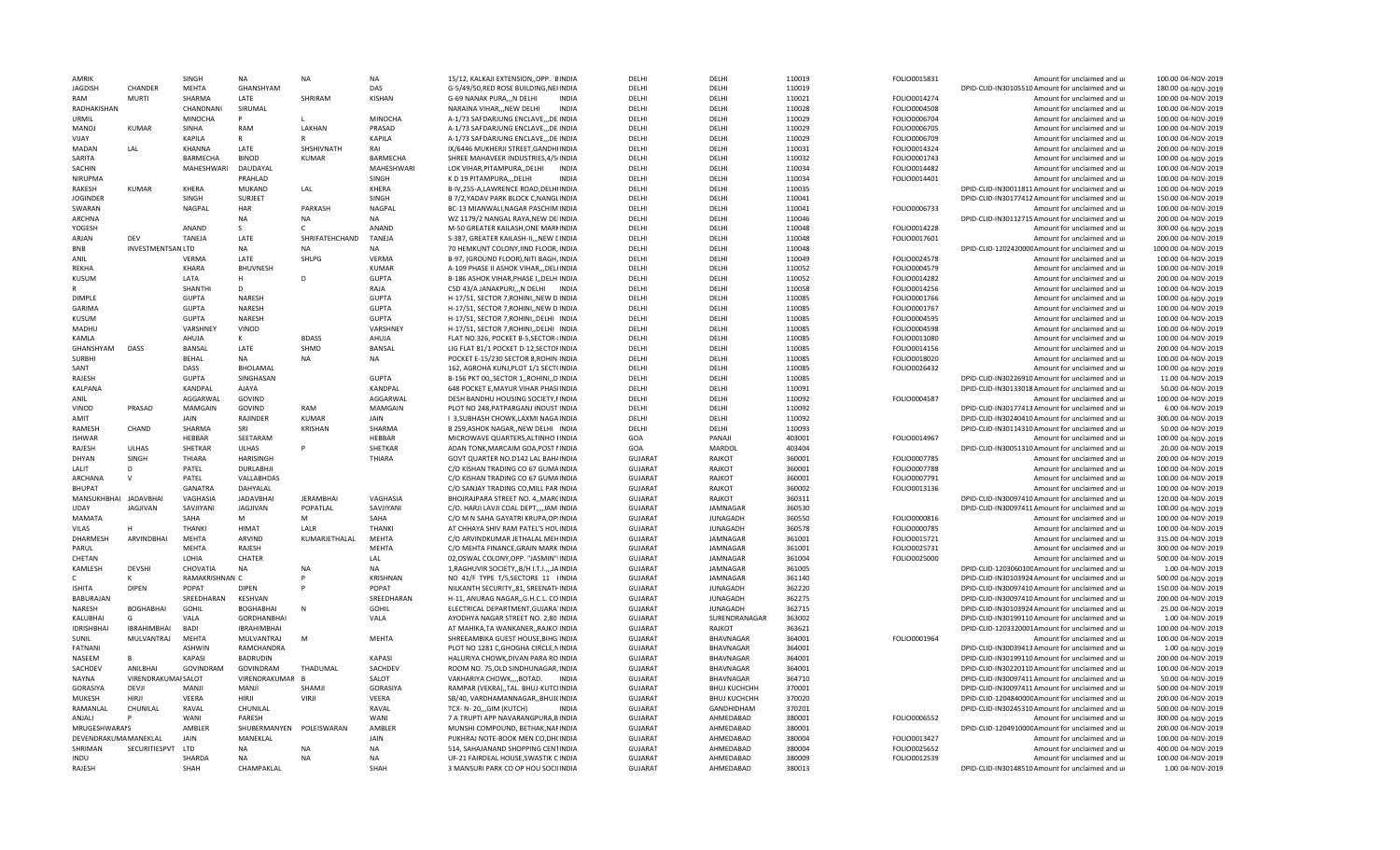| AMRIK                 |                     | SINGH          | NA                       | <b>NA</b>        | <b>NA</b>         | 15/12, KALKAJI EXTENSION, OPP. `BINDIA                                      | DELHI                            | DELHI                  | 110019           | FOLIO0015831 | Amount for unclaimed and ur                                                    | 100.00 04-NOV-2019                     |
|-----------------------|---------------------|----------------|--------------------------|------------------|-------------------|-----------------------------------------------------------------------------|----------------------------------|------------------------|------------------|--------------|--------------------------------------------------------------------------------|----------------------------------------|
| <b>JAGDISH</b>        | CHANDER             | <b>MFHTA</b>   | GHANSHYAM                |                  | DAS               | G-5/49/50,RED ROSE BUILDING,NEHNDIA                                         | DFLHI                            | DFLH                   | 110019           |              | DPID-CLID-IN30105510 Amount for unclaimed and ur                               | 180.00 04-NOV-2019                     |
| RAM                   | MURTI               | SHARMA         | LATE                     | SHRIRAM          | KISHAN            | G-69 NANAK PURA,,,N DELHI<br><b>INDIA</b>                                   | DELHI                            | DELHI                  | 110021           | FOLIO0014274 | Amount for unclaimed and ur                                                    | 100.00 04-NOV-2019                     |
| RADHAKISHAN           |                     | CHANDNANI      | SIRUMAL                  |                  |                   | NARAINA VIHAR,,,NEW DELHI<br><b>INDIA</b>                                   | DFLHI                            | DFLHI                  | 110028           | FOLIO0004508 | Amount for unclaimed and ur                                                    | 100.00 04-NOV-2019                     |
| URMIL                 |                     | <b>MINOCHA</b> | p                        |                  | <b>MINOCHA</b>    | A-1/73 SAFDARJUNG ENCLAVE DE INDIA                                          | DELHI                            | DELHI                  | 110029           | FOLIO0006704 | Amount for unclaimed and ur                                                    | 100.00 04-NOV-2019                     |
| MANOJ                 | KIIMAR              | SINHA          | RAM                      | LAKHAN           | PRASAD            | A-1/73 SAFDARJUNG ENCLAVE,,,DE INDIA                                        | DELHI                            | DELHI                  | 110029           | FOLIO0006705 | Amount for unclaimed and ur                                                    | 100.00 04-NOV-2019                     |
| VIJAY                 |                     | KAPILA         |                          |                  | KAPILA            | A-1/73 SAFDARJUNG ENCLAVE,,,DE INDIA                                        | DELHI                            | DELHI                  | 110029           | FOLIO0006709 | Amount for unclaimed and ur                                                    | 100.00 04-NOV-2019                     |
| MADAN                 | LAL                 | KHANNA         | LATE                     | SHSHIVNATH       | RAI               | IX/6446 MUKHERJI STREET, GANDHIINDIA                                        | DELHI                            | DELHI                  | 110031           | FOLIO0014324 | Amount for unclaimed and ur                                                    | 200.00 04-NOV-2019                     |
| SARITA                |                     | BARMECHA       | <b>BINOD</b>             | KUMAR            | BARMECHA          | SHREE MAHAVEER INDUSTRIES, 4/5/INDIA                                        | DELHI                            | DELHI                  | 110032           | FOLIO0001743 | Amount for unclaimed and ur                                                    | 100.00 04-NOV-2019                     |
| SACHIN                |                     | MAHESHWARI     | DAUDAYAL                 |                  | MAHESHWARI        | LOK VIHAR, PITAMPURA, , DELHI<br>INDIA                                      | DELHI                            | DELHI                  | 110034           | FOLIO0014482 | Amount for unclaimed and ur                                                    | 100.00 04-NOV-2019                     |
| NIRUPMA               |                     |                | PRAHLAD                  |                  | SINGH             | K D 19 PITAMPURA,, DELHI<br><b>INDIA</b>                                    | DELHI                            | DELHI                  | 110034           | FOLIO0014401 | Amount for unclaimed and ur                                                    | 100.00 04-NOV-2019                     |
| <b>RAKESH</b>         | <b>KUMAR</b>        | <b>KHERA</b>   | <b>MUKAND</b>            | LAL              | <b>KHERA</b>      | B-IV.255-A.LAWRENCE ROAD.DELHIINDIA                                         | DELHI                            | DELHI                  |                  |              | DPID-CLID-IN30011811 Amount for unclaimed and ur                               | 100.00 04-NOV-2019                     |
|                       |                     |                |                          |                  |                   |                                                                             |                                  |                        | 110035           |              |                                                                                |                                        |
| <b>JOGINDER</b>       |                     | <b>SINGH</b>   | SURJEET                  |                  | SINGH             | B 7/2, YADAV PARK BLOCK C, NANGLINDIA                                       | DELHI                            | DELHI                  | 110041           |              | DPID-CLID-IN30177412 Amount for unclaimed and ur                               | 150.00 04-NOV-2019                     |
| SWARAN                |                     | <b>NAGPAL</b>  | HAR                      | PARKASH          | NAGPAL            | BC-13 MIANWALI, NAGAR PASCHIM INDIA                                         | DELHI                            | DELHI                  | 110041           | FOLIO0006733 | Amount for unclaimed and ur                                                    | 100.00 04-NOV-2019                     |
| ARCHNA                |                     |                | <b>NA</b>                | <b>NA</b>        | <b>NA</b>         | WZ 1179/2 NANGAL RAYA, NEW DEIINDIA                                         | DFLHI                            | DFLH                   | 110046           |              | DPID-CLID-IN30112715 Amount for unclaimed and ur                               | 200.00 04-NOV-2019                     |
| YOGESH                |                     | ANAND          | $\varsigma$              | $\mathsf{C}$     | ANAND             | M-50 GREATER KAILASH, ONE MARINDIA                                          | DELHI                            | DELHI                  | 110048           | FOLIO0014228 | Amount for unclaimed and ur                                                    | 300.00 04-NOV-2019                     |
| ARJAN                 | DFV                 | TANEJA         | LATE                     | SHRIFATEHCHAND   | TANEJA            | S-387, GREATER KAILASH-II,,, NEW LINDIA                                     | DELHI                            | DELHI                  | 110048           | FOLIO0017601 | Amount for unclaimed and ur                                                    | 200.00 04-NOV-2019                     |
| <b>BNB</b>            | INVESTMENTSAN LTD   |                | <b>NA</b>                | <b>NA</b>        | <b>NA</b>         | 70 HEMKUNT COLONY, IIND FLOOR, INDIA                                        | DELHI                            | DELHI                  | 110048           |              | DPID-CLID-120242000CAmount for unclaimed and ur                                | 1000.00 04-NOV-2019                    |
| ANIL                  |                     | VERMA          | LATE                     | SHLPG            | <b>VERMA</b>      | B-97, (GROUND FLOOR), NITI BAGH, INDIA                                      | DELHI                            | DELHI                  | 110049           | FOLIO0024578 | Amount for unclaimed and ur                                                    | 100.00 04-NOV-2019                     |
| <b>RFKHA</b>          |                     | KHARA          | <b>BHUVNESH</b>          |                  | <b>KUMAR</b>      | A-109 PHASE II ASHOK VIHARDELHNDIA                                          | DELHI                            | DELHI                  | 110052           | FOLIO0004579 | Amount for unclaimed and ur                                                    | 100.00 04-NOV-2019                     |
| KUSUM                 |                     | LATA           | н                        | D                | <b>GUPTA</b>      | B-186 ASHOK VIHAR, PHASE I,, DELHIINDIA                                     | DELHI                            | DELHI                  | 110052           | FOLIO0014282 | Amount for unclaimed and ur                                                    | 200.00 04-NOV-2019                     |
|                       |                     | SHANTHI        | D                        |                  | RAJA              | C5D 43/A JANAKPURI,,,N DELHI INDIA                                          | DELHI                            | DELHI                  | 110058           | FOLIO0014256 | Amount for unclaimed and ur                                                    | 100.00 04-NOV-2019                     |
| <b>DIMPLF</b>         |                     | <b>GUPTA</b>   | <b>NARESH</b>            |                  | <b>GUPTA</b>      | H-17/51, SECTOR 7, ROHINI, NEW D INDIA                                      | DFLHI                            | DFLH                   | 110085           | FOLIO0001766 | Amount for unclaimed and ur                                                    | 100.00 04-NOV-2019                     |
| <b>GARIMA</b>         |                     | <b>GUPTA</b>   | NARESH                   |                  | <b>GUPTA</b>      | H-17/51, SECTOR 7, ROHINI, NEW D INDIA                                      | DELHI                            | DELHI                  | 110085           | FOLIO0001767 | Amount for unclaimed and ur                                                    | 100.00 04-NOV-2019                     |
| KUSUM                 |                     | <b>GUPTA</b>   | NARESH                   |                  | <b>GUPTA</b>      | H-17/51, SECTOR 7, ROHINI, DELHI INDIA                                      | DELHI                            | DELHI                  | 110085           | FOLIO0004595 | Amount for unclaimed and ur                                                    | 100.00 04-NOV-2019                     |
|                       |                     |                |                          |                  |                   |                                                                             |                                  |                        |                  |              |                                                                                |                                        |
| MADHU                 |                     | VARSHNEY       | VINOD                    |                  | VARSHNEY          | H-17/51, SECTOR 7, ROHINI, DELHI INDIA                                      | DELHI                            | DELHI                  | 110085           | FOLIO0004598 | Amount for unclaimed and ur                                                    | 100.00 04-NOV-2019                     |
| KAMLA                 |                     | AHUJA          | ĸ                        | <b>BDASS</b>     | AHUJA             | FLAT NO.326, POCKET B-5, SECTOR-INDIA                                       | DELHI                            | DELHI                  | 110085           | FOLIO0011080 | Amount for unclaimed and ur                                                    | 100.00 04-NOV-2019                     |
| GHANSHYAM             | <b>DASS</b>         | BANSAL         | LATE                     | SHMD             | BANSAL            | LIG FLAT 81/1 POCKET D-12, SECTOFINDIA                                      | DELHI                            | DELHI                  | 110085           | FOLIO0014156 | Amount for unclaimed and ur                                                    | 200.00 04-NOV-2019                     |
| <b>SURBH</b>          |                     | <b>BEHAL</b>   | <b>NA</b>                | <b>NA</b>        | NA                | POCKET E-15/230 SECTOR 8, ROHINIINDIA                                       | DFLHI                            | DFLH                   | 110085           | FOLIO0018020 | Amount for unclaimed and ur                                                    | 100.00 04-NOV-2019                     |
| SANT                  |                     | DASS           | BHOLAMAL                 |                  |                   | 162, AGROHA KUNJ, PLOT 1/1 SECT(INDIA                                       | DELHI                            | DELHI                  | 110085           | FOLIO0026432 | Amount for unclaimed and ur                                                    | 100.00 04-NOV-2019                     |
| <b>RAJFSH</b>         |                     | <b>GUPTA</b>   | SINGHASAN                |                  | <b>GUPTA</b>      | B-156 PKT 00,, SECTOR 1,, ROHINI, DINDIA                                    | DFLHI                            | DELHI                  | 110085           |              | DPID-CLID-IN30226910 Amount for unclaimed and ur                               | 11.00 04-NOV-2019                      |
| KALPANA               |                     | KANDPAL        | AJAYA                    |                  | KANDPAL           | 648 POCKET E, MAYUR VIHAR PHASIINDIA                                        | DELHI                            | DELHI                  | 110091           |              | DPID-CLID-IN30133018 Amount for unclaimed and ur                               | 50.00 04-NOV-2019                      |
| ANIL                  |                     | AGGARWAL       | GOVIND                   |                  | AGGARWAL          | DESH BANDHU HOUSING SOCIETY, FINDIA                                         | DELHI                            | DELHI                  | 110092           | FOLIO0004587 | Amount for unclaimed and ur                                                    | 100.00 04-NOV-2019                     |
| VINOD                 | PRASAD              | <b>MAMGAIN</b> | GOVIND                   | RAM              | MAMGAIN           | PLOT NO 248, PATPARGANJ INDUST INDIA                                        | DELHI                            | DFLH                   | 110092           |              | DPID-CLID-IN30177413 Amount for unclaimed and ur                               | 6.00 04-NOV-2019                       |
| AMIT                  |                     | <b>JAIN</b>    | RAJINDER                 | KUMAR            | JAIN              | I 3, SUBHASH CHOWK, LAXMI NAGA INDIA                                        | DELHI                            | DELHI                  | 110092           |              | DPID-CLID-IN30240410 Amount for unclaimed and ur                               | 300.00 04-NOV-2019                     |
| RAMESH                | CHAND               | SHARMA         | SRI                      | KRISHAN          | SHARMA            | B 259, ASHOK NAGAR, , NEW DELHI INDIA                                       | DELHI                            | DELHI                  | 110093           |              | DPID-CLID-IN30114310 Amount for unclaimed and ur                               | 50.00 04-NOV-2019                      |
| <b>ISHWAR</b>         |                     | <b>HEBBAR</b>  | SEETARAM                 |                  | <b>HFBBAR</b>     | MICROWAVE QUARTERS.ALTINHO IINDIA                                           | GOA                              | PANAJI                 | 403001           | FOLIO0014967 | Amount for unclaimed and u                                                     | 100.00 04-NOV-2019                     |
|                       | ULHAS               | <b>SHFTKAR</b> |                          |                  |                   | ADAN TONK, MARCAIM GOA, POST I INDIA                                        |                                  | MARDOL                 |                  |              |                                                                                |                                        |
| RAJESH                |                     |                | ULHAS                    |                  | SHETKAR           |                                                                             | GOA                              |                        | 403404           |              | DPID-CLID-IN30051310 Amount for unclaimed and ur                               | 20.00 04-NOV-2019                      |
| DHYAN                 | SINGH               | THIARA         | <b>HARISINGH</b>         |                  | THIARA            | GOVT QUARTER NO.D142 LAL BAH/INDIA                                          | <b>GUJARAT</b>                   | RAJKOT                 | 360001           | FOLIO0007785 | Amount for unclaimed and ur                                                    | 200.00 04-NOV-2019                     |
| LALIT                 | D                   | PATEL          | DURLABHJI                |                  |                   | C/O KISHAN TRADING CO 67 GUMAINDIA                                          | <b>GUJARAT</b>                   | RAJKO <sub>1</sub>     | 360001           | FOLIO0007788 | Amount for unclaimed and ur                                                    | 100.00 04-NOV-2019                     |
| <b>ARCHANA</b>        | $\mathbf{v}$        | PATEL          | VALLABHDAS               |                  |                   | C/O KISHAN TRADING CO 67 GUMAINDIA                                          | <b>GUJARAT</b>                   | RAJKOT                 | 360001           | FOLIO0007791 | Amount for unclaimed and ur                                                    | 100.00 04-NOV-2019                     |
| <b>BHUPAT</b>         |                     | <b>GANATRA</b> | DAHYALAL                 |                  |                   | C/O SANJAY TRADING CO, MILL PAR INDIA                                       | <b>GUJARAT</b>                   | RAJKOT                 | 360002           | FOLIO0013136 | Amount for unclaimed and ur                                                    | 100.00 04-NOV-2019                     |
| MANSUKHBHAI           | <b>JADAVBHAI</b>    | VAGHASIA       | <b>JADAVBHAI</b>         | <b>JERAMBHAI</b> | VAGHASIA          | BHOJRAJPARA STREET NO. 4,, MARCINDIA                                        | <b>GUJARAT</b>                   | RAJKOT                 | 360311           |              | DPID-CLID-IN30097410 Amount for unclaimed and ur                               | 120.00 04-NOV-2019                     |
| UDAY                  | JAGJIVAN            | SAVJIYANI      | JAGJIVAN                 | POPATLAL         | SAVJIYANI         | C/O. HARJI LAVJI COAL DEPT,,,,JAM-INDIA                                     | <b>GUJARAT</b>                   | <b>JAMNAGAR</b>        | 360530           |              | DPID-CLID-IN30097411 Amount for unclaimed and ur                               | 100.00 04-NOV-2019                     |
| MAMATA                |                     | SAHA           | M                        | M                | SAHA              | C/O M N SAHA GAYATRI KRUPA, OPIINDIA                                        | <b>GUJARAT</b>                   | <b>JUNAGADH</b>        | 360550           | FOLIO0000816 | Amount for unclaimed and ur                                                    | 100.00 04-NOV-2019                     |
| VILAS                 |                     | THANKI         | <b>HIMAT</b>             | LALR             | <b>THANKI</b>     | AT CHHAYA SHIV RAM PATEL'S HOLINDIA                                         | GUJARAT                          | <b>JUNAGADH</b>        | 360578           | FOLIO0000785 | Amount for unclaimed and ur                                                    | 100.00 04-NOV-2019                     |
| DHARMESH              | ARVINDBHAI          | MEHTA          | <b>ARVIND</b>            | KUMARJETHALAL    | MEHTA             | C/O ARVINDKUMAR JETHALAL MEHINDIA                                           | <b>GUJARAT</b>                   | <b>JAMNAGAR</b>        | 361001           | FOLIO0015721 | Amount for unclaimed and ur                                                    | 315.00 04-NOV-2019                     |
| <b>PARUL</b>          |                     | <b>MEHTA</b>   | RAJESH                   |                  | <b>MEHTA</b>      | C/O MEHTA FINANCE.GRAIN MARK INDIA                                          | <b>GUJARAT</b>                   | <b>JAMNAGAR</b>        | 361001           | FOLIO0025731 | Amount for unclaimed and u                                                     | 300.00 04-NOV-2019                     |
| CHFTAN                |                     | LOHIA          | <b>CHATER</b>            |                  | LAL               | 02, OSWAL COLONY, OPP. "JASMIN" IINDIA                                      | <b>GUJARAT</b>                   | <b>JAMNAGAR</b>        | 361004           | FOLIO0025000 | Amount for unclaimed and ur                                                    | 500.00 04-NOV-2019                     |
| KAMLESH               | <b>DEVSHI</b>       | CHOVATIA       | <b>NA</b>                | <b>NA</b>        | NA                | 1, RAGHUVIR SOCIETY, B/H I.T.I., JAINDIA                                    | <b>GUJARAT</b>                   | <b>JAMNAGAR</b>        | 361005           |              | DPID-CLID-120306010CAmount for unclaimed and ur                                | 1.00 04-NOV-2019                       |
|                       |                     | RAMAKRISHNAN C |                          |                  | <b>KRISHNAN</b>   | NO 41/F TYPE T/5, SECTORE 11 HNDIA                                          | <b>GUJARAT</b>                   | <b>JAMNAGAR</b>        | 361140           |              | DPID-CLID-IN30103924 Amount for unclaimed and ur                               | 500.00 04-NOV-2019                     |
| <b>ISHITA</b>         | DIPEN               | POPAT          | <b>DIPFN</b>             |                  | POPAT             | NILKANTH SECURITY,,81, SREENATHINDIA                                        | GUJARAT                          | <b>JUNAGADH</b>        | 362220           |              | DPID-CLID-IN30097410 Amount for unclaimed and ur                               | 150.00 04-NOV-2019                     |
|                       |                     |                |                          |                  |                   |                                                                             |                                  |                        |                  |              |                                                                                |                                        |
| BABURAJAN             |                     | SREEDHARAN     | KESHVAN                  |                  | SREEDHARAN        | H-11, ANURAG NAGAR, G.H.C.L. CO INDIA                                       | <b>GUJARAT</b>                   | <b>JUNAGADH</b>        | 362275           |              | DPID-CLID-IN30097410 Amount for unclaimed and ur                               | 200.00 04-NOV-2019                     |
| NARFSH                | BOGHABHAI           | GOHIL          | BOGHABHAI                | N                | <b>GOHIL</b>      | ELECTRICAL DEPARTMENT, GUJARA INDIA                                         | GUJARAT                          | <b>JUNAGADH</b>        | 362715           |              | DPID-CLID-IN30103924 Amount for unclaimed and ur                               | 25.00 04-NOV-2019                      |
| KALUBHAI              | G                   | VALA           | <b>GORDHANBHAI</b>       |                  | VALA              | AYODHYA NAGAR STREET NO. 2,80 INDIA                                         | <b>GUJARAT</b>                   | SURENDRANAGAR          | 363002           |              | DPID-CLID-IN30199110 Amount for unclaimed and ur                               | 1.00 04-NOV-2019                       |
| <b>IDRISHBHAI</b>     | <b>IBRAHIMBHAI</b>  | <b>BADI</b>    | <b>IBRAHIMBHAI</b>       |                  |                   | AT MAHIKA, TA WANKANER, , RAJKO INDIA                                       | <b>GUJARAT</b>                   | RAJKOT                 | 363621           |              | DPID-CLID-1203320001Amount for unclaimed and ur                                | 100.00 04-NOV-2019                     |
| SUNIL                 | MULVANTRAJ          | MEHTA          | MULVANTRAJ               | M                | <b>MEHTA</b>      | SHREEAMBIKA GUEST HOUSE, BIHGIINDIA                                         | <b>GUJARAT</b>                   | BHAVNAGAR              | 364001           | FOLIO0001964 | Amount for unclaimed and ur                                                    | 100.00 04-NOV-2019                     |
| FATNANI               |                     | <b>ASHWIN</b>  | RAMCHANDRA               |                  |                   | PLOT NO 1281 C, GHOGHA CIRCLE, NINDIA                                       | <b>GUJARAT</b>                   | BHAVNAGAR              | 364001           |              | DPID-CLID-IN30039413 Amount for unclaimed and ur                               | 1.00 04-NOV-2019                       |
| NASFFM                |                     | <b>KAPASI</b>  | <b>BADRUDIN</b>          |                  | <b>KAPASI</b>     | HALURIYA CHOWK, DIVAN PARA ROINDIA                                          | <b>GUJARAT</b>                   | BHAVNAGAR              | 364001           |              | DPID-CLID-IN30199110 Amount for unclaimed and ur                               | 200.00 04-NOV-2019                     |
| SACHDEV               | ANILBHAI            | GOVINDRAM      | GOVINDRAM                | THADUMAL         | SACHDEV           | ROOM NO. 75, OLD SINDHUNAGAR, INDIA                                         | GUJARAT                          | BHAVNAGAR              | 364001           |              | DPID-CLID-IN30220110 Amount for unclaimed and ur                               | 100.00 04-NOV-2019                     |
| NAYNA                 | VIRENDRAKUMAI SALOT |                | VIRENDRAKUMAR B          |                  | SALOT             | VAKHARIYA CHOWK,,,,BOTAD.<br>INDIA                                          | <b>GUJARAT</b>                   | BHAVNAGAR              | 364710           |              | DPID-CLID-IN30097411 Amount for unclaimed and ur                               | 50.00 04-NOV-2019                      |
| <b>GORASIYA</b>       | DEVJI               | MANJI          | <b>MANJI</b>             | <b>SHAMJI</b>    | <b>GORASIYA</b>   | RAMPAR (VEKRA), TAL. BHUJ-KUTCIINDIA                                        | <b>GUJARAT</b>                   | ВНИЈ КИСНСНН           | 370001           |              | DPID-CLID-IN30097411 Amount for unclaimed and ur                               | 500.00 04-NOV-2019                     |
| MUKFSH                | HIRII               | <b>VEERA</b>   | <b>HIRIL</b>             | VIRII            | VEERA             | SB/40, VARDHAMANNAGAR, BHUJ(INDIA                                           | <b>GUJARAT</b>                   | <b>ВНИЈ КИСНСНН</b>    | 370020           |              | DPID-CLID-120484000CAmount for unclaimed and ur                                | 200.00 04-NOV-2019                     |
| RAMANLAL              | CHUNILAL            | RAVAL          | CHUNILAL                 |                  | RAVAL             | TCX- N-20, GIM (KUTCH)<br><b>INDIA</b>                                      | <b>GUJARAT</b>                   | GANDHIDHAM             | 370201           |              | DPID-CLID-IN30245310 Amount for unclaimed and ur                               | 500.00 04-NOV-2019                     |
| ANJALI                |                     | WANI           | PARFSH                   |                  | <b>WANI</b>       |                                                                             |                                  | AHMFDABAD              | 380001           | FOLIO0006552 | Amount for unclaimed and u                                                     |                                        |
| <b>MRUGESHWARAIS</b>  |                     | AMBLER         | SHUBERMANYEN POLEISWARAN |                  | AMBLER            | 7 A TRUPTI APP NAVARANGPURA, BINDIA<br>MUNSHI COMPOUND, BETHAK, NAFINDIA    | <b>GUJARAT</b><br><b>GUJARAT</b> | AHMEDABAD              | 380001           |              | DPID-CLID-120491000CAmount for unclaimed and ur                                | 300.00 04-NOV-2019                     |
|                       |                     |                |                          |                  |                   |                                                                             |                                  |                        |                  |              |                                                                                | 200.00 04-NOV-2019                     |
| DEVENDRAKUMA MANEKLAL |                     | JAIN           | MANEKLAL                 |                  | JAIN              | PUKHRAJ NOTE-BOOK MEN CO, DH(INDIA                                          | <b>GUJARAT</b>                   | AHMEDABAD              | 380004           | FOLIO0013427 | Amount for unclaimed and ur                                                    | 100.00 04-NOV-2019                     |
| SHRIMAN               | SECURITIESPVT       | LTD            | <b>NA</b>                | <b>NA</b>        | <b>NA</b>         | 514, SAHAJANAND SHOPPING CENTINDIA                                          | <b>GUJARAT</b>                   | AHMEDABAD              | 380004           | FOLIO0025652 | Amount for unclaimed and ur                                                    | 400.00 04-NOV-2019                     |
|                       |                     |                |                          |                  |                   |                                                                             |                                  |                        |                  |              |                                                                                |                                        |
| INDU<br>RAJESH        |                     | SHARDA<br>SHAH | <b>NA</b><br>CHAMPAKLAL  | <b>NA</b>        | <b>NA</b><br>SHAH | UF-21 FAIRDEAL HOUSE, SWASTIK CINDIA<br>3 MANSURI PARK CO OP HOU SOCIIINDIA | <b>GUJARAT</b><br><b>GUJARAT</b> | AHMEDABAD<br>AHMEDABAD | 380009<br>380013 | FOLIO0012539 | Amount for unclaimed and ur<br>DPID-CLID-IN30148510 Amount for unclaimed and u | 100.00 04-NOV-2019<br>1.00 04-NOV-2019 |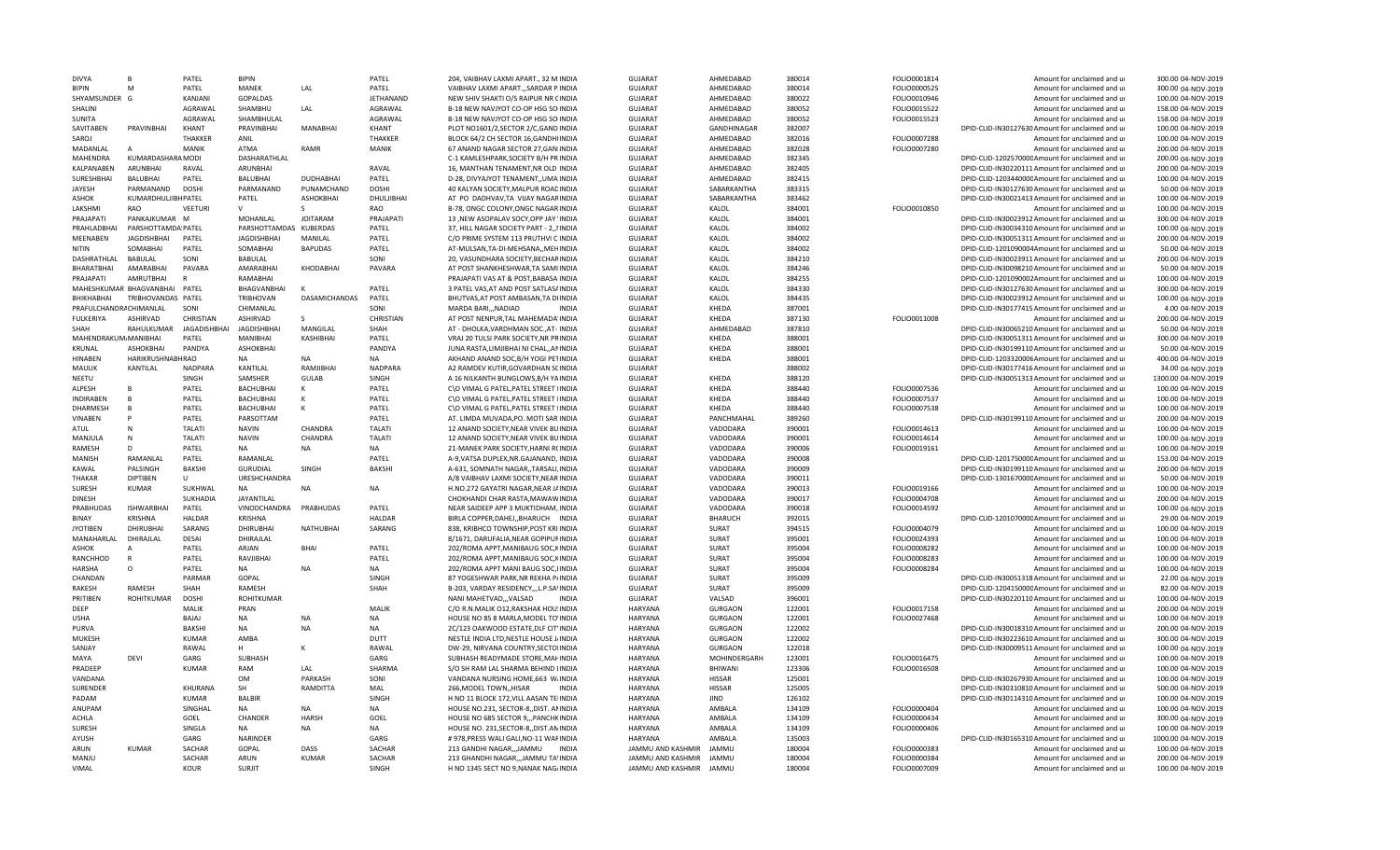| <b>DIVYA</b>           | B                             | PATEL                 | <b>BIPIN</b>           |                  | PATEL            | 204. VAIBHAV LAXMI APART., 32 M.INDI/                                      | <b>GUJARAT</b>                               | AHMEDABAD      | 380014           | FOLIO0001814                 | Amount for unclaimed and u                                 | 300.00 04-NOV-2019                       |
|------------------------|-------------------------------|-----------------------|------------------------|------------------|------------------|----------------------------------------------------------------------------|----------------------------------------------|----------------|------------------|------------------------------|------------------------------------------------------------|------------------------------------------|
| <b>BIPIN</b>           | M                             | PATEL                 | <b>MANEK</b>           | LAL              | PATEL            | VAIBHAV LAXMI APARTSARDAR P.INDIA                                          | <b>GUJARAT</b>                               | AHMEDABAD      | 380014           | FOLIO0000525                 | Amount for unclaimed and ur                                | 300.00 04-NOV-2019                       |
| SHYAMSUNDER G          |                               | KANJANI               | GOPALDAS               |                  | <b>JETHANAND</b> | NEW SHIV SHAKTI O/S RAIPUR NR CINDIA                                       | <b>GUJARAT</b>                               | AHMFDABAD      | 380022           | FOLIO0010946                 | Amount for unclaimed and ur                                | 100.00 04-NOV-2019                       |
| SHALINI                |                               | AGRAWAL               | SHAMBHU                | LAL              | AGRAWAL          | B-18 NEW NAVJYOT CO-OP HSG SO INDIA                                        | <b>GUJARAT</b>                               | AHMEDABAD      | 380052           | FOLIO0015522                 | Amount for unclaimed and ur                                | 158.00 04-NOV-2019                       |
| SUNITA                 |                               | AGRAWAL               | SHAMBHULAL             |                  | AGRAWAL          | B-18 NEW NAVJYOT CO-OP HSG SO INDIA                                        | <b>GUJARAT</b>                               | AHMEDABAD      | 380052           | FOLIO0015523                 | Amount for unclaimed and ur                                | 158.00 04-NOV-2019                       |
| SAVITABEN              | PRAVINBHAI                    | KHANT                 | PRAVINBHAI             | <b>MANABHAI</b>  | KHANT            | PLOT NO1601/2.SECTOR 2/C.GAND INDIA                                        | <b>GUJARAT</b>                               | GANDHINAGAR    | 382007           |                              | DPID-CLID-IN30127630 Amount for unclaimed and ur           | 100.00 04-NOV-2019                       |
| <b>SAROJ</b>           |                               | <b>THAKKER</b>        | <b>ANIL</b>            |                  | <b>THAKKFR</b>   | BLOCK 64/2 CH SECTOR 16, GANDHIINDIA                                       | GUJARAT                                      | AHMFDABAD      | 382016           | FOLIO0007288                 | Amount for unclaimed and ur                                | 100.00 04-NOV-2019                       |
| MADANLAL               | $\overline{A}$                | MANIK                 | ATMA                   | RAMR             | MANIK            | 67 ANAND NAGAR SECTOR 27, GANIINDIA                                        | <b>GUJARAT</b>                               | AHMEDABAD      | 382028           | FOLIO0007280                 | Amount for unclaimed and ur                                | 200.00 04-NOV-2019                       |
| MAHENDRA               | KUMARDASHARA MODI             |                       | DASHARATHLAL           |                  |                  | C-1 KAMLESHPARK, SOCIETY B/H PRINDIA                                       | <b>GUJARAT</b>                               | AHMEDABAD      | 382345           |                              | DPID-CLID-120257000CAmount for unclaimed and ur            | 200.00 04-NOV-2019                       |
| KALPANABEN             | ARUNBHAI                      | RAVAL                 | <b>ARUNBHAI</b>        |                  | RAVAL            | 16, MANTHAN TENAMENT, NR OLD INDIA                                         | <b>GUJARAT</b>                               | AHMEDABAD      | 382405           |                              | DPID-CLID-IN30220111Amount for unclaimed and ur            | 200.00 04-NOV-2019                       |
| <b>SURESHBHAI</b>      | BALUBHAI                      | PATEL                 | BALUBHAI               | <b>DUDHABHAI</b> | PATEL            | D-28, DIVYAJYOT TENAMENT,, UMA INDIA                                       | <b>GUJARAT</b>                               | AHMEDABAD      | 382415           |                              | DPID-CLID-120344000CAmount for unclaimed and ur            | 100.00 04-NOV-2019                       |
| JAYESH                 | PARMANAND                     | <b>DOSHI</b>          | PARMANAND              | PUNAMCHAND       | <b>DOSHI</b>     | 40 KALYAN SOCIETY, MALPUR ROADINDIA                                        | <b>GUJARAT</b>                               | SABARKANTHA    | 383315           |                              | DPID-CLID-IN30127630 Amount for unclaimed and ur           | 50.00 04-NOV-2019                        |
|                        |                               |                       |                        |                  |                  |                                                                            |                                              |                |                  |                              |                                                            |                                          |
| <b>ASHOK</b>           | KUMARDHULJIBH PATEL           |                       | PATEL                  | ASHOKBHAI        | DHULJIBHAI       | AT PO DADHVAV.TA VIJAY NAGARINDIA                                          | <b>GUJARAT</b>                               | SABARKANTHA    | 383462           |                              | DPID-CLID-IN30021413 Amount for unclaimed and ur           | 100.00 04-NOV-2019                       |
| LAKSHMI                | <b>RAO</b>                    | VFFTURI               | $\mathsf{V}$           | ς                | RAO              | B-78, ONGC COLONY, ONGC NAGAR INDIA                                        | <b>GUJARAT</b>                               | KALOL          | 384001           | FOLIO0010850                 | Amount for unclaimed and ur                                | 100.00 04-NOV-2019                       |
| PRAJAPATI              | PANKAJKUMAR M                 |                       | MOHANLAL               | <b>JOITARAM</b>  | PRAJAPATI        | 13 ,NEW ASOPALAV SOCY,OPP JAY 'INDIA                                       | <b>GUJARAT</b>                               | KALOL          | 384001           |                              | DPID-CLID-IN30023912 Amount for unclaimed and ur           | 300.00 04-NOV-2019                       |
| PRAHLADBHAI            | PARSHOTTAMDA PATEL            |                       | PARSHOTTAMDAS KUBERDAS |                  | PATEL            | 37, HILL NAGAR SOCIETY PART - 2,, IINDIA                                   | <b>GUJARAT</b>                               | KALOL          | 384002           |                              | DPID-CLID-IN30034310 Amount for unclaimed and ur           | 100.00 04-NOV-2019                       |
| MEENABEN               | <b>JAGDISHBHAI</b>            | PATEL                 | <b>JAGDISHBHAI</b>     | MANILAL          | PATEL            | C/O PRIME SYSTEM 113 PRUTHVI CINDIA                                        | <b>GUJARAT</b>                               | KALOL          | 384002           |                              | DPID-CLID-IN30051311 Amount for unclaimed and ur           | 200.00 04-NOV-2019                       |
| NITIN                  | SOMABHAI                      | PATEL                 | SOMABHAI               | BAPUDAS          | PATEL            | AT-MULSAN, TA-DI-MEHSANA,, MEHINDIA                                        | <b>GUJARAT</b>                               | KALOL          | 384002           |                              | DPID-CLID-1201090004Amount for unclaimed and ur            | 50.00 04-NOV-2019                        |
| DASHRATHLAL            | <b>BABULAL</b>                | SONI                  | <b>BABULAL</b>         |                  | SONI             | 20, VASUNDHARA SOCIETY, BECHARINDIA                                        | GUJARAT                                      | KALOL          | 384210           |                              | DPID-CLID-IN30023911 Amount for unclaimed and ur           | 200.00 04-NOV-2019                       |
| BHARATBHAI             | AMARABHAI                     | PAVARA                | AMARABHAI              | KHODABHAI        | PAVARA           | AT POST SHANKHESHWAR, TA SAMI INDIA                                        | <b>GUJARAT</b>                               | KALOL          | 384246           |                              | DPID-CLID-IN30098210 Amount for unclaimed and ur           | 50.00 04-NOV-2019                        |
| <b>PRAIAPATI</b>       | AMRUTBHAI                     | R                     | RAMABHAI               |                  |                  | PRAJAPATI VAS AT & POST, BABASA INDIA                                      | <b>GUJARAT</b>                               | KALOL          | 384255           |                              | DPID-CLID-1201090002Amount for unclaimed and ur            | 100.00 04-NOV-2019                       |
|                        | MAHESHKUMAR BHAGVANBHAI PATEL |                       | BHAGVANBHAI            | К                | PATEL            | 3 PATEL VAS, AT AND POST SATLAS AINDIA                                     | <b>GUJARAT</b>                               | KALOL          | 384330           |                              | DPID-CLID-IN30127630 Amount for unclaimed and ur           | 300.00 04-NOV-2019                       |
| BHIKHABHAI             | TRIBHOVANDAS PATEL            |                       | TRIBHOVAN              | DASAMICHANDAS    | PATEL            | BHUTVAS, AT POST AMBASAN, TA DIINDIA                                       | <b>GUJARAT</b>                               | KALOL          | 384435           |                              | DPID-CLID-IN30023912 Amount for unclaimed and ur           | 100.00 04-NOV-2019                       |
| PRAFULCHANDRACHIMANLAL |                               | SON                   | CHIMANLAL              |                  | SONI             | MARDA BARI NADIAD<br><b>INDIA</b>                                          | <b>GUJARAT</b>                               | KHEDA          | 387001           |                              | DPID-CLID-IN30177415 Amount for unclaimed and ur           | 4.00 04-NOV-2019                         |
| <b>FULKERIYA</b>       | <b>ASHIRVAD</b>               | CHRISTIAN             | ASHIRVAD               |                  | CHRISTIAN        | AT POST NENPUR, TAL MAHEMADA'INDIA                                         |                                              | KHEDA          | 387130           |                              | Amount for unclaimed and ur                                | 200.00 04-NOV-2019                       |
|                        |                               |                       |                        |                  |                  |                                                                            | <b>GUJARAT</b>                               |                |                  | FOLIO0011008                 |                                                            |                                          |
| SHAH                   | RAHULKUMAR                    | <b>JAGADISHBHAI</b>   | <b>JAGDISHBHAI</b>     | MANGILAL         | SHAH             | AT - DHOLKA, VARDHMAN SOC., AT - INDIA                                     | <b>GUJARAT</b>                               | AHMEDABAD      | 387810           |                              | DPID-CLID-IN30065210 Amount for unclaimed and ur           | 50.00 04-NOV-2019                        |
| MAHENDRAKUM MANIBHAI   |                               | PATEL                 | <b>MANIBHAI</b>        | KASHIBHAI        | PATEL            | VRAJ 20 TULSI PARK SOCIETY.NR PRINDIA                                      | <b>GUJARAT</b>                               | KHEDA          | 388001           |                              | DPID-CLID-IN30051311 Amount for unclaimed and ur           | 300.00 04-NOV-2019                       |
| KRUNAL                 | <b>ASHOKBHAI</b>              | PANDYA                | <b>ASHOKBHAI</b>       |                  | PANDYA           | JUNA RASTA, LIMJIBHAI NI CHAL, ANINDIA                                     | GUJARAT                                      | KHEDA          | 388001           |                              | DPID-CLID-IN30199110 Amount for unclaimed and ur           | 50.00 04-NOV-2019                        |
| <b>HINABEN</b>         | <b>HARIKRUSHNABHRAO</b>       |                       | NA                     | NA               | <b>NA</b>        | AKHAND ANAND SOC, B/H YOGI PETINDIA                                        | <b>GUJARAT</b>                               | KHEDA          | 388001           |                              | DPID-CLID-1203320006 Amount for unclaimed and ur           | 400.00 04-NOV-2019                       |
| MAULIK                 | <b>KANTILAL</b>               | <b>NADPARA</b>        | KANTILAL               | RAMJIBHAI        | <b>NADPARA</b>   | A2 RAMDEV KUTIR, GOVARDHAN SCINDIA                                         | <b>GUJARAT</b>                               |                | 388002           |                              | DPID-CLID-IN30177416 Amount for unclaimed and ur           | 34.00 04-NOV-2019                        |
| NEETU                  |                               | SINGH                 | SAMSHER                | <b>GULAB</b>     | SINGH            | A 16 NILKANTH BUNGLOWS.B/H YAINDIA                                         | GUJARAT                                      | KHEDA          | 388120           |                              | DPID-CLID-IN30051313 Amount for unclaimed and ur           | 1300.00 04-NOV-2019                      |
| ALPESH                 |                               | PATEL                 | <b>BACHUBHAI</b>       | K                | PATEL            | C\O VIMAL G PATEL, PATEL STREET IINDIA                                     | <b>GUJARAT</b>                               | KHEDA          | 388440           | FOLIO0007536                 | Amount for unclaimed and ur                                | 100.00 04-NOV-2019                       |
| <b>INDIRABEN</b>       | B                             | PATEL                 | <b>BACHUBHAI</b>       | Κ                | PATEL            | C\O VIMAL G PATEL, PATEL STREET IINDIA                                     | <b>GUJARAT</b>                               | KHEDA          | 388440           | FOLIO0007537                 | Amount for unclaimed and ur                                | 100.00 04-NOV-2019                       |
| DHARMESH               | B                             | PATEL                 | <b>BACHUBHAI</b>       | K                | PATEL            | C\O VIMAL G PATEL, PATEL STREET IINDIA                                     | <b>GUJARAT</b>                               | KHEDA          | 388440           | FOLIO0007538                 | Amount for unclaimed and ur                                | 100.00 04-NOV-2019                       |
| VINABEN                | P                             | PATEL                 | PARSOTTAM              |                  | PATEL            | AT. LIMDA MUVADA, PO. MOTI SARINDIA                                        | GUJARAT                                      | PANCHMAHAL     | 389260           |                              | DPID-CLID-IN30199110 Amount for unclaimed and ur           | 200.00 04-NOV-2019                       |
| ATUL                   | N                             | TALATI                | <b>NAVIN</b>           | CHANDRA          | TALATI           | 12 ANAND SOCIETY, NEAR VIVEK BUINDIA                                       | <b>GUJARAT</b>                               | VADODARA       | 390001           | FOLIO0014613                 | Amount for unclaimed and ur                                | 100.00 04-NOV-2019                       |
| MANJULA                | $\mathsf{N}$                  | <b>TALATI</b>         | <b>NAVIN</b>           | <b>CHANDRA</b>   | TALATI           | 12 ANAND SOCIETY, NEAR VIVEK BUINDIA                                       | <b>GUJARAT</b>                               | VADODARA       | 390001           | FOLIO0014614                 | Amount for unclaimed and ur                                | 100.00 04-NOV-2019                       |
| <b>RAMESH</b>          | D.                            | PATEL                 | <b>NA</b>              | <b>NA</b>        | <b>NA</b>        | 21-MANEK PARK SOCIETY.HARNI RCINDIA                                        | <b>GUJARAT</b>                               | VADODARA       | 390006           | FOLIO0019161                 | Amount for unclaimed and u                                 | 100.00 04-NOV-2019                       |
| MANISH                 | RAMANLAL                      | PATEL                 | RAMANLAL               |                  | PATEL            |                                                                            | <b>GUJARAT</b>                               | VADODARA       | 390008           |                              |                                                            | 153.00 04-NOV-2019                       |
|                        |                               |                       |                        |                  |                  | A-9, VATSA DUPLEX, NR. GAJANAND, INDIA                                     |                                              |                |                  |                              | DPID-CLID-120175000CAmount for unclaimed and ur            |                                          |
| KAWAL                  | PALSINGH                      | <b>BAKSHI</b>         | <b>GURUDIAL</b>        | <b>SINGH</b>     | <b>BAKSHI</b>    | A-631, SOMNATH NAGAR, TARSALI, INDIA                                       | <b>GUJARAT</b>                               | VADODARA       | 390009           |                              | DPID-CLID-IN30199110 Amount for unclaimed and ur           | 200.00 04-NOV-2019                       |
| <b>THAKAR</b>          | <b>DIPTIBEN</b>               | $\mathbf{U}$          | <b>URESHCHANDRA</b>    |                  |                  | A/8 VAIBHAV LAXMI SOCIETY, NEAR INDIA                                      | <b>GUJARAT</b>                               | VADODARA       | 390011           |                              | DPID-CLID-130167000CAmount for unclaimed and ur            | 50.00 04-NOV-2019                        |
| <b>SURESH</b>          | <b>KUMAR</b>                  | SUKHWAL               | <b>NA</b>              | NA               | NA               | H.NO.272 GAYATRI NAGAR, NEAR JAINDIA                                       | <b>GUJARAT</b>                               | VADODARA       | 390013           | FOLIO0019166                 | Amount for unclaimed and ur                                | 100.00 04-NOV-2019                       |
| <b>DINESH</b>          |                               | SUKHADIA              | JAYANTILAL             |                  |                  | CHOKHANDI CHAR RASTA, MAWAWINDIA                                           | <b>GUJARAT</b>                               | VADODARA       | 390017           | FOLIO0004708                 | Amount for unclaimed and ur                                | 200.00 04-NOV-2019                       |
| PRABHUDAS              | <b>ISHWARBHAI</b>             | PATEL                 | VINODCHANDRA           | PRABHUDAS        | PATEL            | NEAR SAIDEEP APP 3 MUKTIDHAM, INDIA                                        | GUJARAT                                      | VADODARA       | 390018           | FOLIO0014592                 | Amount for unclaimed and ur                                | 100.00 04-NOV-2019                       |
| <b>BINAY</b>           | <b>KRISHNA</b>                | <b>HALDAR</b>         | <b>KRISHNA</b>         |                  | <b>HALDAR</b>    | BIRLA COPPER, DAHEJ, , BHARUCH INDIA                                       | <b>GUJARAT</b>                               | <b>BHARUCH</b> | 392015           |                              | DPID-CLID-120107000CAmount for unclaimed and ur            | 29.00 04-NOV-2019                        |
| <b>JYOTIBEN</b>        | DHIRUBHAI                     | SARANG                | <b>DHIRUBHAI</b>       | NATHUBHAI        | SARANG           | 838, KRIBHCO TOWNSHIP, POST KRI INDIA                                      | GUJARAT                                      | SURAT          | 394515           | FOLIO0004079                 | Amount for unclaimed and ur                                | 100.00 04-NOV-2019                       |
| MANAHARLAL             | DHIRAJLAL                     | DESAI                 | DHIRAJLAL              |                  |                  | 8/1671, DARUFALIA, NEAR GOPIPUFINDIA                                       | <b>GUJARAT</b>                               | SURAT          | 395001           | FOLIO0024393                 | Amount for unclaimed and ur                                | 100.00 04-NOV-2019                       |
| ASHOK                  | A                             | PATEL                 | ARJAN                  | <b>BHAI</b>      | PATEL            | 202/ROMA APPT, MANIBAUG SOC, KINDIA                                        | <b>GUJARAT</b>                               | SURAT          | 395004           | FOLIO0008282                 | Amount for unclaimed and ur                                | 100.00 04-NOV-2019                       |
| RANCHHOD               | $\mathsf{R}$                  | PATEL                 | RAVJIBHAI              |                  | PATEL            | 202/ROMA APPT, MANIBAUG SOC, KINDIA                                        | <b>GUJARAT</b>                               | SURAT          | 395004           | FOLIO0008283                 | Amount for unclaimed and u                                 | 100.00 04-NOV-2019                       |
| <b>HARSHA</b>          | $\circ$                       | PATEL                 | NA                     | <b>NA</b>        | <b>NA</b>        | 202/ROMA APPT MANI BAUG SOC, IINDIA                                        | <b>GUJARAT</b>                               | SURAT          | 395004           | FOLIO0008284                 | Amount for unclaimed and ur                                | 100.00 04-NOV-2019                       |
| CHANDAN                |                               | PARMAR                | GOPAL                  |                  | SINGH            | 87 YOGESHWAR PARK, NR REKHA P/INDIA                                        | <b>GUJARAT</b>                               | SURAT          | 395009           |                              | DPID-CLID-IN30051318 Amount for unclaimed and ur           | 22.00 04-NOV-2019                        |
| <b>RAKESH</b>          | <b>RAMESH</b>                 | SHAH                  | <b>RAMESH</b>          |                  | SHAH             | B-203. VARDAY RESIDENCYL.P.SA\INDIA                                        | <b>GUJARAT</b>                               | <b>SURAT</b>   | 395009           |                              | DPID-CLID-120415000CAmount for unclaimed and ur            | 82.00 04-NOV-2019                        |
| PRITIBEN               | ROHITKUMAR                    | <b>DOSHI</b>          | ROHITKUMAR             |                  |                  | NANI MAHETVAD,,,VALSAD<br><b>INDIA</b>                                     | <b>GUJARAT</b>                               | VALSAD         | 396001           |                              | DPID-CLID-IN30220110 Amount for unclaimed and ur           | 100.00 04-NOV-2019                       |
|                        |                               |                       |                        |                  | MALIK            |                                                                            |                                              |                |                  |                              |                                                            |                                          |
| DEEP                   |                               | MALIK                 | PRAN                   |                  |                  | C/O R.N.MALIK 012, RAKSHAK HOU: INDIA                                      | <b>HARYANA</b>                               | <b>GURGAON</b> | 122001           | FOLIO0017158                 | Amount for unclaimed and ur                                | 200.00 04-NOV-2019                       |
| <b>USHA</b>            |                               | BAJAJ                 | NA                     | <b>NA</b>        | NA               | HOUSE NO 85 8 MARLA, MODEL TO'INDIA                                        | <b>HARYANA</b>                               | <b>GURGAON</b> | 122001           | FOLIO0027468                 | Amount for unclaimed and ur                                | 100.00 04-NOV-2019                       |
| PURVA                  |                               | <b>BAKSHI</b>         | NA                     | <b>NA</b>        | <b>NA</b>        | 2C/123 OAKWOOD ESTATE, DLF CIT'INDIA                                       | <b>HARYANA</b>                               | <b>GURGAON</b> | 122002           |                              | DPID-CLID-IN30018310 Amount for unclaimed and ur           | 200.00 04-NOV-2019                       |
| <b>MUKESH</b>          |                               | <b>KUMAR</b>          | AMBA                   |                  | DUTT             | NESTLE INDIA LTD, NESTLE HOUSE J/INDIA                                     | <b>HARYANA</b>                               | <b>GURGAON</b> | 122002           |                              | DPID-CLID-IN30223610 Amount for unclaimed and ur           | 300.00 04-NOV-2019                       |
| SANJAY                 |                               | RAWAL                 | н                      |                  | RAWAL            | DW-29, NIRVANA COUNTRY, SECTOIINDIA                                        | <b>HARYANA</b>                               | <b>GURGAON</b> | 122018           |                              | DPID-CLID-IN30009511 Amount for unclaimed and ur           | 100.00 04-NOV-2019                       |
| MAYA                   | DEVI                          | GARG                  | SUBHASH                |                  | GARG             | SUBHASH READYMADE STORE, MAI-INDIA                                         | <b>HARYANA</b>                               | MOHINDERGARH   | 123001           | FOLIO0016475                 | Amount for unclaimed and ur                                | 100.00 04-NOV-2019                       |
| PRADEEP                |                               | <b>KUMAR</b>          | RAM                    | LAI              | <b>SHARMA</b>    | S/O SH RAM LAL SHARMA BEHIND LINDIA                                        | <b>HARYANA</b>                               | <b>BHIWAN</b>  | 123306           | FOLIO0016508                 | Amount for unclaimed and ur                                | 100.00 04-NOV-2019                       |
| VANDANA                |                               |                       | <b>OM</b>              | PARKASH          | SONI             | VANDANA NURSING HOME, 663 W/INDIA                                          | <b>HARYANA</b>                               | HISSAR         | 125001           |                              | DPID-CLID-IN30267930 Amount for unclaimed and ur           | 100.00 04-NOV-2019                       |
| SURENDER               |                               | KHURANA               | SH                     | RAMDITTA         | MAL              | 266, MODEL TOWN, HISAR<br><b>INDIA</b>                                     | <b>HARYANA</b>                               | <b>HISSAR</b>  | 125005           |                              | DPID-CLID-IN30310810 Amount for unclaimed and ur           | 500.00 04-NOV-2019                       |
| PADAM                  |                               | <b>KUMAR</b>          | <b>BALBIR</b>          |                  | SINGH            | H NO 11 BLOCK 172. VILL AASAN TEIINDIA                                     | <b>HARYANA</b>                               | <b>JIND</b>    | 126102           |                              | DPID-CLID-IN30114310 Amount for unclaimed and ur           | 100.00 04-NOV-2019                       |
| ANUPAM                 |                               | SINGHAL               | <b>NA</b>              | <b>NA</b>        | <b>NA</b>        | HOUSE NO.231, SECTOR-8, DIST. ANINDIA                                      | <b>HARYANA</b>                               | <b>AMBALA</b>  | 134109           | FOLIO0000404                 | Amount for unclaimed and ur                                | 100.00 04-NOV-2019                       |
| <b>ACHLA</b>           |                               | GOEL                  | CHANDER                | <b>HARSH</b>     | GOEL             | HOUSE NO 685 SECTOR 9, , PANCHKINDIA                                       | <b>HARYANA</b>                               | AMBALA         | 134109           | FOLIO0000434                 | Amount for unclaimed and ur                                | 300.00 04-NOV-2019                       |
| <b>SURFSE</b>          |                               | SINGLA                | <b>NA</b>              | NA               | <b>NA</b>        | HOUSE NO. 231, SECTOR-8, , DIST. AN INDIA                                  | <b>HARYANA</b>                               | AMBALA         | 134109           | FOLIO0000406                 | Amount for unclaimed and ur                                | 100.00 04-NOV-2019                       |
| AYUSH                  |                               |                       |                        |                  | GARG             |                                                                            | <b>HARYANA</b>                               | AMRAI A        | 135003           |                              | DPID-CLID-IN30165310 Amount for unclaimed and ur           | 1000.00 04-NOV-2019                      |
|                        |                               |                       |                        |                  |                  |                                                                            |                                              |                |                  |                              |                                                            |                                          |
|                        |                               | GARG                  | NARINDER               |                  |                  | # 978, PRESS WALI GALI, NO-11 WAFINDIA                                     |                                              |                |                  |                              |                                                            |                                          |
| ARUN                   | KUMAR                         | <b>SACHAR</b>         | GOPAL                  | DASS             | SACHAF           | 213 GANDHI NAGAR,,,JAMMU<br><b>INDIA</b>                                   | JAMMU AND KASHMIR                            | <b>JAMMU</b>   | 180004           | FOLIO0000383                 | Amount for unclaimed and ur                                | 100.00 04-NOV-2019                       |
| MANJU<br>VIMAL         |                               | SACHAR<br><b>KOUR</b> | ARUN<br><b>SURJIT</b>  | <b>KUMAR</b>     | SACHAR<br>SINGH  | 213 GHANDHI NAGAR,,,JAMMU TA'INDIA<br>H NO 1345 SECT NO 9, NANAK NAG/INDIA | JAMMU AND KASHMIR<br>JAMMU AND KASHMIR JAMMU | JAMMU          | 180004<br>180004 | FOLIO0000384<br>FOLIO0007009 | Amount for unclaimed and ur<br>Amount for unclaimed and ur | 200.00 04-NOV-2019<br>100.00 04-NOV-2019 |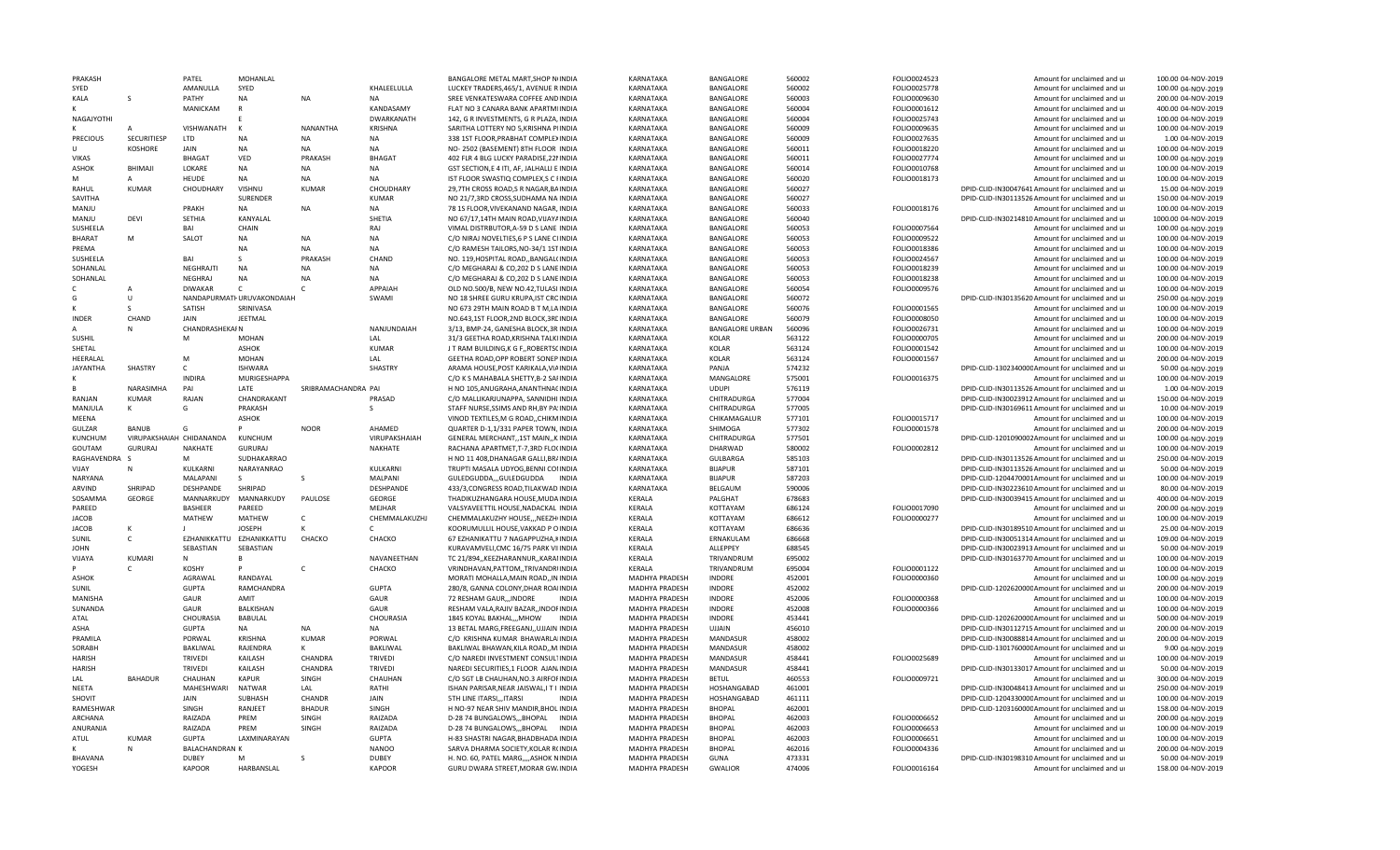| PRAKASH           |                          | PATEL                         | MOHANLAL                   |                     |                               | BANGALORE METAL MART SHOP NUNDIA                                              | KARNATAKA                        | <b>BANGALORE</b>              | 560002           | FOLIO0024523 | Amount for unclaimed and ur                                                     | 100.00 04-NOV-2019                      |
|-------------------|--------------------------|-------------------------------|----------------------------|---------------------|-------------------------------|-------------------------------------------------------------------------------|----------------------------------|-------------------------------|------------------|--------------|---------------------------------------------------------------------------------|-----------------------------------------|
| SYED              |                          | AMANULLA                      | SYED                       |                     | KHALEELULLA                   | LUCKEY TRADERS, 465/1, AVENUE R INDIA                                         | KARNATAKA                        | BANGALORE                     | 560002           | FOLIO0025778 | Amount for unclaimed and ur                                                     | 100.00 04-NOV-2019                      |
| KALA              |                          | PATHY                         | NA                         | <b>NA</b>           | <b>NA</b>                     | SREE VENKATESWARA COFFEE AND INDIA                                            | KARNATAKA                        | BANGALORE                     | 560003           | FOLIO0009630 | Amount for unclaimed and ur                                                     | 200.00 04-NOV-2019                      |
|                   |                          | MANICKAM                      | $\mathsf{R}$               |                     | KANDASAMY                     | FLAT NO 3 CANARA BANK APARTMIINDIA                                            | KARNATAKA                        | <b>BANGALORE</b>              | 560004           | FOLIO0001612 | Amount for unclaimed and ur                                                     | 400.00 04-NOV-2019                      |
| NAGAJYOTHI        |                          |                               |                            |                     | <b>DWARKANATH</b>             | 142, G R INVESTMENTS, G R PLAZA, INDIA                                        | KARNATAKA                        | BANGALORE                     | 560004           | FOLIO0025743 | Amount for unclaimed and ur                                                     | 100.00 04-NOV-2019                      |
|                   |                          | VISHWANATH                    | K                          | NANANTHA            | <b>KRISHNA</b>                | SARITHA LOTTERY NO 5, KRISHNA PIINDIA                                         | KARNATAKA                        | <b>BANGALORE</b>              | 560009           | FOLIO0009635 | Amount for unclaimed and ur                                                     | 100.00 04-NOV-2019                      |
| <b>PRECIOUS</b>   | <b>SECURITIESP</b>       | LTD                           | <b>NA</b>                  | <b>NA</b>           | <b>NA</b>                     | 338 1ST FLOOR, PRABHAT COMPLEXINDIA                                           | KARNATAKA                        | BANGALORE                     | 560009           | FOLIO0027635 | Amount for unclaimed and ur                                                     | 1.00 04-NOV-2019                        |
|                   | <b>KOSHORE</b>           | JAIN                          | <b>NA</b>                  | <b>NA</b>           | <b>NA</b>                     | NO- 2502 (BASEMENT) 8TH FLOOR INDIA                                           | KARNATAKA                        | BANGALORE                     | 560011           | FOLIO0018220 | Amount for unclaimed and ur                                                     | 100.00 04-NOV-2019                      |
| <b>VIKAS</b>      |                          | <b>BHAGA1</b>                 | VED                        | PRAKASH             | <b>BHAGAT</b>                 | 402 FLR 4 BLG LUCKY PARADISE, 22 NINDIA                                       | KARNATAKA                        | BANGALORE                     | 560011           | FOLIO0027774 | Amount for unclaimed and ur                                                     | 100.00 04-NOV-2019                      |
| <b>ASHOK</b>      | BHIMAJI                  | LOKARF                        | NA                         | <b>NA</b>           | NA                            | GST SECTION,E 4 ITI, AF, JALHALLI E INDIA                                     | KARNATAKA                        | BANGALORE                     | 560014           | FOLIO0010768 | Amount for unclaimed and ur                                                     | 100.00 04-NOV-2019                      |
| м                 | $\mathsf{A}$             | HEUDE                         | <b>NA</b>                  | <b>NA</b>           | <b>NA</b>                     | IST FLOOR SWASTIQ COMPLEX,S C FINDIA                                          | KARNATAKA                        | BANGALORE                     | 560020           | FOLIO0018173 | Amount for unclaimed and ur                                                     | 100.00 04-NOV-2019                      |
| RAHUL             | <b>KUMAR</b>             | CHOUDHARY                     | VISHNU                     | KUMAR               | CHOUDHARY                     | 29,7TH CROSS ROAD, SR NAGAR, BAINDIA                                          | KARNATAKA                        | <b>BANGALORE</b>              | 560027           |              | DPID-CLID-IN30047641 Amount for unclaimed and ur                                | 15.00 04-NOV-2019                       |
| <b>SAVITHA</b>    |                          |                               | SURENDER                   |                     | <b>KUMAR</b>                  | NO 21/7,3RD CROSS, SUDHAMA NA INDIA                                           | KARNATAKA                        | <b>BANGALORE</b>              | 560027           |              | DPID-CLID-IN30113526 Amount for unclaimed and ur                                | 150.00 04-NOV-2019                      |
| MANJU             |                          | PRAKH                         | <b>NA</b>                  | <b>NA</b>           | <b>NA</b>                     | 78 1S FLOOR, VIVEKANAND NAGAR, INDIA                                          | KARNATAKA                        | <b>BANGALORE</b>              | 560033           | FOLIO0018176 | Amount for unclaimed and ur                                                     | 100.00 04-NOV-2019                      |
| MANJU             | DEVI                     | <b>SETHIA</b>                 | KANYALAL                   |                     | SHETIA                        | NO 67/17,14TH MAIN ROAD, VIJAYAINDIA                                          | KARNATAKA                        | <b>BANGALORE</b>              | 560040           |              | DPID-CLID-IN30214810 Amount for unclaimed and ur                                | 1000.00 04-NOV-2019                     |
| SUSHEELA          |                          | BAI                           | CHAIN                      |                     | RAI                           | VIMAL DISTRBUTOR, A-59 D S LANE INDIA                                         | KARNATAKA                        | BANGALORE                     | 560053           | FOLIO0007564 | Amount for unclaimed and ur                                                     | 100.00 04-NOV-2019                      |
| <b>BHARAT</b>     | M                        | SALOT                         | <b>NA</b>                  | <b>NA</b>           | NA                            | C/O NIRAJ NOVELTIES, 6 P S LANE CHNDIA                                        | KARNATAKA                        | BANGALORE                     | 560053           | FOLIO0009522 | Amount for unclaimed and ur                                                     | 100.00 04-NOV-2019                      |
| PREMA             |                          |                               | <b>NA</b>                  | <b>NA</b>           | <b>NA</b>                     | C/O RAMESH TAILORS, NO-34/1 1STINDIA                                          | KARNATAKA                        | BANGALORE                     | 560053           | FOLIO0018386 | Amount for unclaimed and ur                                                     | 100.00 04-NOV-2019                      |
| SUSHEELA          |                          | BAI                           | $\mathcal{S}$              | PRAKASH             | CHAND                         | NO. 119.HOSPITAL ROADBANGAL(INDIA                                             | KARNATAKA                        | <b>BANGALORE</b>              | 560053           | FOLIO0024567 | Amount for unclaimed and ur                                                     | 100.00 04-NOV-2019                      |
| SOHANLAL          |                          | <b>NEGHRAJTI</b>              | <b>NA</b>                  | <b>NA</b>           | <b>NA</b>                     | C/O MEGHARAJ & CO, 202 D S LANE INDIA                                         | KARNATAKA                        | BANGALORE                     | 560053           | FOLIO0018239 | Amount for unclaimed and ur                                                     | 100.00 04-NOV-2019                      |
| SOHANLAL          |                          | <b>NEGHRAJ</b>                | <b>NA</b>                  | <b>NA</b>           | <b>NA</b>                     | C/O MEGHARAJ & CO, 202 D S LANE INDIA                                         | KARNATAKA                        | BANGALORE                     | 560053           | FOLIO0018238 | Amount for unclaimed and ur                                                     | 100.00 04-NOV-2019                      |
|                   |                          | <b>DIWAKAR</b>                | $\mathsf{C}$               | $\mathcal{C}$       | APPAIAH                       | OLD NO.500/B, NEW NO.42, TULASI INDIA                                         | KARNATAKA                        | <b>BANGALORE</b>              | 560054           | FOLIO0009576 | Amount for unclaimed and ur                                                     | 100.00 04-NOV-2019                      |
| G                 | $\mathbf{H}$             |                               | NANDAPURMATI URUVAKONDAIAH |                     | SWAMI                         | NO 18 SHREE GURU KRUPA, IST CROINDIA                                          | KARNATAKA                        | BANGALORE                     | 560072           |              | DPID-CLID-IN30135620 Amount for unclaimed and ur                                | 250.00 04-NOV-2019                      |
|                   | -S                       | SATISH                        | SRINIVASA                  |                     |                               | NO 673 29TH MAIN ROAD B T M, LAINDIA                                          | KARNATAKA                        | BANGALORE                     | 560076           | FOLIO0001565 | Amount for unclaimed and ur                                                     | 100.00 04-NOV-2019                      |
| INDEF             | CHAND                    | JAIN                          | <b>JEETMAL</b>             |                     |                               | NO.643,1ST FLOOR,2ND BLOCK,3REINDIA                                           | KARNATAKA                        | BANGALORE                     | 560079           | FOLIO0008050 | Amount for unclaimed and ur                                                     | 100.00 04-NOV-2019                      |
|                   | N                        | CHANDRASHEKAI N               |                            |                     | NANJUNDAIAH                   | 3/13, BMP-24, GANESHA BLOCK, 3R: INDIA                                        | KARNATAKA                        | <b>BANGALORE URBAN</b>        | 560096           | FOLIO0026731 | Amount for unclaimed and ur                                                     | 100.00 04-NOV-2019                      |
| SUSHIL            |                          | M                             | <b>MOHAN</b>               |                     | LAL                           | 31/3 GEETHA ROAD, KRISHNA TALKIINDIA                                          | KARNATAKA                        | <b>KOLAR</b>                  | 563122           | FOLIO0000705 | Amount for unclaimed and ur                                                     | 200.00 04-NOV-2019                      |
| SHETAL            |                          |                               | ASHOK                      |                     | <b>KUMAR</b>                  | J T RAM BUILDING, K G F,, ROBERTSCINDIA                                       | KARNATAKA                        | <b>KOLAR</b>                  | 563124           | FOLIO0001542 | Amount for unclaimed and ur                                                     | 100.00 04-NOV-2019                      |
| HEERALAL          |                          | M                             | <b>MOHAN</b>               |                     | LAL                           | GEETHA ROAD, OPP ROBERT SONEP INDIA                                           | KARNATAKA                        | KOLAR                         | 563124           | FOLIO0001567 | Amount for unclaimed and ur                                                     | 200.00 04-NOV-2019                      |
| <b>JAYANTHA</b>   | SHASTRY                  | $\mathsf{C}$                  | <b>ISHWARA</b>             |                     | SHASTRY                       | ARAMA HOUSE, POST KARIKALA, VIAINDIA                                          | KARNATAKA                        | PANJA                         | 574232           |              | DPID-CLID-130234000CAmount for unclaimed and ur                                 | 50.00 04-NOV-2019                       |
|                   |                          | <b>INDIRA</b>                 | MURIGESHAPPA               |                     |                               | C/O K S MAHABALA SHETTY, B-2 SAFINDIA                                         | KARNATAKA                        | MANGALORE                     | 575001           | FOLIO0016375 | Amount for unclaimed and ur                                                     | 100.00 04-NOV-2019                      |
|                   | NARASIMHA                | PAI                           | LATE                       | SRIBRAMACHANDRA PAI |                               | H NO 105, ANUGRAHA, ANANTHNACINDIA                                            | KARNATAKA                        | <b>UDUPI</b>                  | 576119           |              | DPID-CLID-IN30113526 Amount for unclaimed and ur                                | 1.00 04-NOV-2019                        |
| RANJAN            | <b>KUMAR</b>             | RAJAN                         | CHANDRAKANT                |                     | PRASAD                        | C/O MALLIKARJUNAPPA, SANNIDHI INDIA                                           | KARNATAKA                        | CHITRADURGA                   | 577004           |              | DPID-CLID-IN30023912 Amount for unclaimed and ur                                | 150.00 04-NOV-2019                      |
| MANJULA           | Κ                        | G                             | PRAKASH                    |                     | S.                            | STAFF NURSE, SSIMS AND RH, BY PA! INDIA                                       | KARNATAKA                        | CHITRADURGA                   | 577005           |              | DPID-CLID-IN30169611 Amount for unclaimed and ur                                | 10.00 04-NOV-2019                       |
| MEENA             |                          |                               | ASHOK                      |                     |                               | VINOD TEXTILES, M G ROAD, , CHIKMINDIA                                        | KARNATAKA                        | CHIKAMAGALUR                  | 577101           | FOLIO0015717 | Amount for unclaimed and ur                                                     | 100.00 04-NOV-2019                      |
|                   |                          |                               |                            |                     |                               |                                                                               |                                  |                               |                  |              |                                                                                 |                                         |
| GULZAR            | <b>BANUB</b>             | G                             |                            | <b>NOOR</b>         | AHAMED                        | QUARTER D-1,1/331 PAPER TOWN, INDIA                                           | KARNATAKA                        | SHIMOGA                       | 577302           | FOLIO0001578 | Amount for unclaimed and ur                                                     | 200.00 04-NOV-2019                      |
| KUNCHUM           | VIRUPAKSHAIAH CHIDANANDA |                               | KUNCHUM                    |                     | VIRUPAKSHAIAH                 | <b>GENERAL MERCHANT1ST MAINK.INDIA</b>                                        | KARNATAKA                        | CHITRADURGA                   | 577501           |              | DPID-CLID-1201090002Amount for unclaimed and ur                                 | 100.00 04-NOV-2019                      |
| GOUTAM            | <b>GURURAJ</b>           | NAKHATE                       | <b>GURURAJ</b>             |                     | NAKHATE                       | RACHANA APARTMET, T-7, 3RD FLO(INDIA                                          | KARNATAKA                        | DHARWAD                       | 580002           | FOLIO0002812 | Amount for unclaimed and ur                                                     | 100.00 04-NOV-2019                      |
| RAGHAVENDRA       |                          | M                             | SUDHAKARRAO                |                     |                               | H NO 11 408, DHANAGAR GALLI, BRAINDIA                                         | KARNATAKA                        | GULBARGA                      | 585103           |              | DPID-CLID-IN30113526 Amount for unclaimed and ur                                | 250.00 04-NOV-2019                      |
| VIJAY             | N                        | KULKARNI                      | NARAYANRAO                 |                     | KULKARNI                      | TRUPTI MASALA UDYOG, BENNI CONNDIA                                            | KARNATAKA                        | <b>BIJAPUR</b>                | 587101           |              | DPID-CLID-IN30113526 Amount for unclaimed and ur                                | 50.00 04-NOV-2019                       |
| NARYANA           |                          | MALAPANI                      | S                          | $\mathcal{S}$       | MALPANI                       | GULEDGUDDA,,,GULEDGUDDA INDIA                                                 | KARNATAKA                        | <b>BIJAPUR</b>                | 587203           |              | DPID-CLID-1204470001Amount for unclaimed and ur                                 | 100.00 04-NOV-2019                      |
| ARVIND            | SHRIPAD                  | DESHPANDE                     | SHRIPAD                    |                     | DESHPANDE                     | 433/3, CONGRESS ROAD, TILAKWAD INDIA                                          | KARNATAKA                        | BELGAUM                       | 590006           |              | DPID-CLID-IN30223610 Amount for unclaimed and ur                                | 80.00 04-NOV-2019                       |
| SOSAMMA           | <b>GEORGE</b>            | MANNARKUDY                    | MANNARKUDY                 | PAULOSE             | GEORGE                        | THADIKUZHANGARA HOUSE, MUDA INDIA                                             | KERALA                           | PALGHAT                       | 678683           |              | DPID-CLID-IN30039415 Amount for unclaimed and ur                                | 400.00 04-NOV-2019                      |
| PAREED            |                          | <b>BASHFFR</b>                | PAREED                     |                     | MEJHAR                        | VALSYAVEETTIL HOUSE, NADACKAL INDIA                                           | KERALA                           | KOTTAYAM                      | 686124           | FOLIO0017090 | Amount for unclaimed and ur                                                     | 200.00 04-NOV-2019                      |
| <b>JACOB</b>      |                          | <b>MATHFW</b>                 | <b>MATHEW</b>              | $\mathsf{C}$        | CHEMMALAKUZHJ                 | CHEMMALAKUZHY HOUSE,,,NEEZHIINDIA                                             | KFRALA                           | KOTTAYAM                      | 686612           | FOLIO0000277 | Amount for unclaimed and ur                                                     | 100.00 04-NOV-2019                      |
| JACOB             |                          |                               | <b>JOSEPH</b>              | к                   | $\mathsf{C}$                  | KOORUMULLIL HOUSE, VAKKAD POINDIA                                             | KERALA                           | KOTTAYAM                      | 686636           |              | DPID-CLID-IN30189510 Amount for unclaimed and ur                                | 25.00 04-NOV-2019                       |
| SUNIL             | C                        | EZHANIKKATTU                  | EZHANIKKATTU               | CHACKO              | CHACKO                        | 67 EZHANIKATTU 7 NAGAPPUZHA, KINDIA                                           | KERALA                           | ERNAKULAM                     | 686668           |              | DPID-CLID-IN30051314 Amount for unclaimed and ur                                | 109.00 04-NOV-2019                      |
| <b>IOHN</b>       |                          | SEBASTIAN                     | SEBASTIAN                  |                     |                               | KURAVAMVELI.CMC 16/75 PARK VIIINDIA                                           | KERALA                           | ALLEPPEY                      | 688545           |              | DPID-CLID-IN30023913 Amount for unclaimed and ur                                | 50.00 04-NOV-2019                       |
| VIJAYA            | <b>KUMARI</b>            | N                             | В                          |                     | NAVANEETHAN                   | TC 21/894KFFZHARANNURKARANNDIA                                                | KERALA                           | TRIVANDRUM                    | 695002           |              | DPID-CLID-IN30163770 Amount for unclaimed and ur                                | 100.00 04-NOV-2019                      |
|                   | C.                       | <b>KOSHY</b>                  | P                          | $\mathsf{C}$        | CHACKO                        | VRINDHAVAN, PATTOM, , TRIVANDRIINDIA                                          | KERALA                           | TRIVANDRUM                    | 695004           | FOLIO0001122 | Amount for unclaimed and ur                                                     | 100.00 04-NOV-2019                      |
| ASHOK             |                          | AGRAWAL                       | RANDAYAL                   |                     |                               | MORATI MOHALLA, MAIN ROAD,, IN INDIA                                          | MADHYA PRADESH                   | <b>INDORE</b>                 | 452001           | FOLIO0000360 | Amount for unclaimed and ur                                                     | 100.00 04-NOV-2019                      |
| <b>SUNIL</b>      |                          | <b>GUPTA</b>                  | RAMCHANDRA                 |                     | <b>GUPTA</b>                  | 280/8, GANNA COLONY, DHAR ROAIINDIA                                           | MADHYA PRADESH                   | <b>INDORF</b>                 | 452002           |              | DPID-CLID-120262000CAmount for unclaimed and ur                                 | 200.00 04-NOV-2019                      |
| <b>MANISHA</b>    |                          | GAUR                          | AMIT                       |                     | GAUR                          | 72 RESHAM GAUR,,, INDORE<br>INDIA                                             | MADHYA PRADESH                   | <b>INDORE</b>                 | 452006           | FOLIO0000368 | Amount for unclaimed and ur                                                     | 100.00 04-NOV-2019                      |
| SUNANDA           |                          | GAUR                          | BALKISHAN                  |                     | GAUR                          | RESHAM VALA, RAJIV BAZAR, , INDOFINDIA                                        | MADHYA PRADESH                   | <b>INDORE</b>                 | 452008           | FOLIO0000366 | Amount for unclaimed and ur                                                     | 100.00 04-NOV-2019                      |
| ATAL              |                          | CHOURASIA                     | <b>BABULAL</b>             |                     | CHOURASIA                     | 1845 KOYAL BAKHAL,,,MHOW<br><b>INDIA</b>                                      | MADHYA PRADESH                   | <b>INDORE</b>                 | 453441           |              | DPID-CLID-120262000CAmount for unclaimed and ur                                 | 500.00 04-NOV-2019                      |
| <b>ASHA</b>       |                          | <b>GUPTA</b>                  | <b>NA</b>                  | <b>NA</b>           | <b>NA</b>                     | 13 BETAL MARG, FREEGANJ,, UJJAIN INDIA                                        | MADHYA PRADESH                   | UJJAIN                        | 456010           |              | DPID-CLID-IN30112715 Amount for unclaimed and ur                                | 200.00 04-NOV-2019                      |
| PRAMILA           |                          | PORWAL                        | <b>KRISHNA</b>             | KUMAR               | PORWAL                        | C/O KRISHNA KUMAR BHAWARLAIINDIA                                              | MADHYA PRADESH                   | MANDASUR                      | 458002           |              | DPID-CLID-IN30088814 Amount for unclaimed and ur                                | 200.00 04-NOV-2019                      |
| SORABH            |                          | BAKLIWAL                      | RAJENDRA                   | к                   | BAKLIWAL                      | BAKLIWAL BHAWAN, KILA ROAD,, M. INDIA                                         | MADHYA PRADESH                   | <b>MANDASUR</b>               | 458002           |              | DPID-CLID-130176000CAmount for unclaimed and ur                                 | 9.00 04-NOV-2019                        |
| HARISH            |                          | <b>TRIVEDI</b>                | KAILASH                    | CHANDRA             | TRIVEDI                       | C/O NAREDI INVESTMENT CONSULTINDIA                                            | MADHYA PRADESH                   | MANDASUR                      | 458441           | FOLIO0025689 | Amount for unclaimed and ur                                                     | 100.00 04-NOV-2019                      |
| HARISH            |                          | <b>TRIVEDI</b>                | KAILASH                    | CHANDRA             | <b>TRIVEDI</b>                | NAREDI SECURITIES,1 FLOOR AJAN INDIA                                          | MADHYA PRADESH                   | MANDASUR                      | 458441           |              | DPID-CLID-IN30133017 Amount for unclaimed and ur                                | 50.00 04-NOV-2019                       |
| LAL               | <b>BAHADUR</b>           | CHAUHAN                       | <b>KAPUR</b>               | SINGH               | CHAUHAN                       | C/O SGT LB CHAUHAN, NO.3 AIRFOFINDIA                                          | MADHYA PRADESH                   | <b>BETUL</b>                  | 460553           | FOLIO0009721 | Amount for unclaimed and ur                                                     | 300.00 04-NOV-2019                      |
| NEETA             |                          | MAHESHWARI                    | <b>NATWAR</b>              | LAL                 | RATHI                         | ISHAN PARISAR, NEAR JAISWAL, I T I INDIA                                      | MADHYA PRADESH                   | HOSHANGABAD                   | 461001           |              | DPID-CLID-IN30048413 Amount for unclaimed and ur                                | 250.00 04-NOV-2019                      |
| SHOVIT            |                          | JAIN                          | SUBHASH                    | CHANDR              | JAIN                          | 5TH LINE ITARSI ITARSI<br><b>INDIA</b>                                        | MADHYA PRADESH                   | HOSHANGABAD                   | 461111           |              | DPID-CLID-120433000CAmount for unclaimed and ur                                 | 100.00 04-NOV-2019                      |
| RAMESHWAR         |                          | SINGH                         | RANJEET                    | <b>BHADUR</b>       | SINGH                         | H NO-97 NEAR SHIV MANDIR, BHOL INDIA                                          | MADHYA PRADESH                   | <b>BHOPAL</b>                 | 462001           |              | DPID-CLID-120316000CAmount for unclaimed and ur                                 | 158.00 04-NOV-2019                      |
| ARCHANA           |                          | RAIZADA                       | PRFM                       | SINGH               | RAIZADA                       | D-28 74 BUNGALOWS,,,BHOPAL<br><b>INDIA</b>                                    | MADHYA PRADESH                   | <b>BHOPAL</b>                 | 462003           | FOLIO0006652 | Amount for unclaimed and ur                                                     | 200.00 04-NOV-2019                      |
| ANURANJA          |                          | RAIZADA                       | PREM                       | SINGH               | RAIZADA                       | D-28 74 BUNGALOWS,,,BHOPAL<br><b>INDIA</b>                                    | MADHYA PRADESH                   | <b>BHOPAL</b>                 | 462003           | FOLIO0006653 | Amount for unclaimed and ur                                                     | 100.00 04-NOV-2019                      |
| ATUL              | <b>KUMAR</b>             | <b>GUPTA</b>                  | LAXMINARAYAN               |                     | <b>GUPTA</b>                  | H-83 SHASTRI NAGAR.BHADBHADA INDIA                                            | MADHYA PRADESH                   | <b>BHOPAL</b>                 | 462003           | FOLIO0006651 | Amount for unclaimed and ur                                                     | 100.00 04-NOV-2019                      |
|                   | Ν                        | BALACHANDRAN K                |                            |                     | <b>NANOO</b>                  | SARVA DHARMA SOCIETY, KOLAR R(INDIA                                           | MADHYA PRADESH                   | <b>BHOPAL</b>                 | 462016           | FOLIO0004336 | Amount for unclaimed and ur                                                     | 200.00 04-NOV-2019                      |
| BHAVANA<br>YOGESH |                          | <b>DUBEY</b><br><b>KAPOOR</b> | M<br>HARBANSLAL            | <sub>S</sub>        | <b>DUBEY</b><br><b>KAPOOR</b> | H. NO. 60, PATEL MARG, , , ASHOK NINDIA<br>GURU DWARA STREET, MORAR GW. INDIA | MADHYA PRADESH<br>MADHYA PRADESH | <b>GUNA</b><br><b>GWALIOR</b> | 473331<br>474006 | FOLIO0016164 | DPID-CLID-IN30198310 Amount for unclaimed and ur<br>Amount for unclaimed and ur | 50.00 04-NOV-2019<br>158.00 04-NOV-2019 |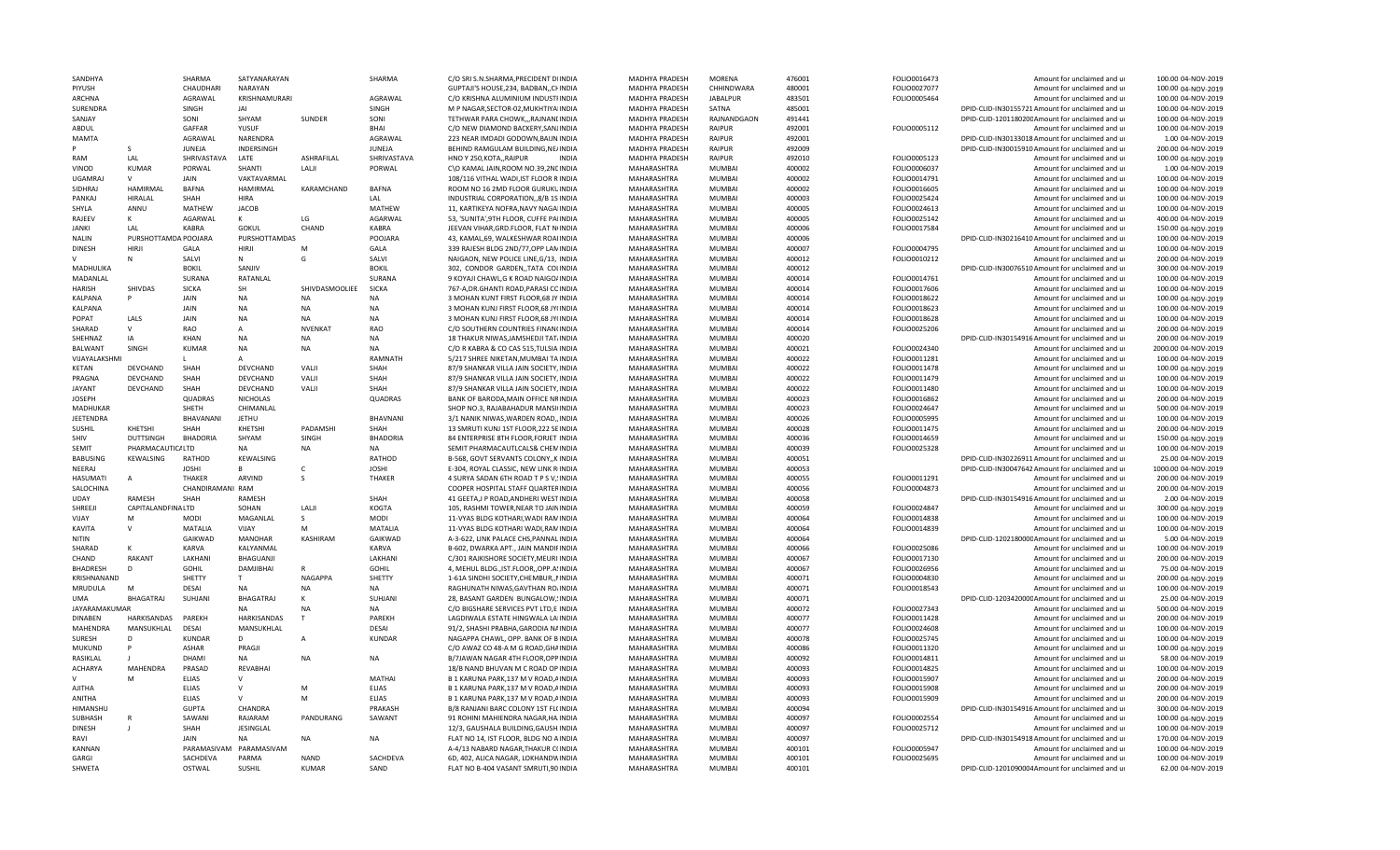| SANDHYA                 |                      | SHARMA                       | SATYANARAYAN           |                   | SHARMA          | C/O SRI S.N.SHARMA, PRECIDENT DIINDIA                                        | MADHYA PRADESH             | <b>MORFNA</b>                  | 476001           | FOLIO0016473 | Amount for unclaimed and ur                               | 100.00 04-NOV-2019                       |
|-------------------------|----------------------|------------------------------|------------------------|-------------------|-----------------|------------------------------------------------------------------------------|----------------------------|--------------------------------|------------------|--------------|-----------------------------------------------------------|------------------------------------------|
| PIYUSH                  |                      | CHAUDHARI                    | NARAYAN                |                   |                 | GUPTAJI'S HOUSE, 234, BADBAN, , CHINDIA                                      | MADHYA PRADESH             | CHHINDWARA                     | 480001           | FOLIO0027077 | Amount for unclaimed and ur                               | 100.00 04-NOV-2019                       |
| ARCHNA                  |                      | AGRAWAL                      | KRISHNAMURARI          |                   | AGRAWAL         | C/O KRISHNA ALUMINIUM INDUSTIINDIA                                           | MADHYA PRADESH             | <b>JABALPUR</b>                | 483501           | FOLIO0005464 | Amount for unclaimed and ur                               | 100.00 04-NOV-2019                       |
| SURENDRA                |                      | SINGH                        | IAI                    |                   | SINGH           | M P NAGAR, SECTOR-02, MUKHTIYAIINDIA                                         | MADHYA PRADESH             | SATNA                          | 485001           |              | DPID-CLID-IN30155721 Amount for unclaimed and ur          | 100.00 04-NOV-2019                       |
| SANJAY                  |                      | SONI                         | SHYAM                  | SUNDER            | SONI            | TETHWAR PARA CHOWK,,,RAJNANLINDIA                                            | MADHYA PRADESH             | RAJNANDGAON                    | 491441           |              | DPID-CLID-120118020CAmount for unclaimed and ur           | 100.00 04-NOV-2019                       |
| ABDUL                   |                      | GAFFAR                       | YUSUF                  |                   | <b>BHAI</b>     | C/O NEW DIAMOND BACKERY, SANJINDIA                                           | MADHYA PRADESH             | RAIPUR                         | 492001           | FOLIO0005112 | Amount for unclaimed and ur                               | 100.00 04-NOV-2019                       |
| MAMTA                   |                      | AGRAWAL                      | NARENDRA               |                   | AGRAWAL         | 223 NEAR IMDADI GODOWN, BAIJN INDIA                                          | MADHYA PRADESH             | RAIPUR                         | 492001           |              | DPID-CLID-IN30133018 Amount for unclaimed and ur          | 1.00 04-NOV-2019                         |
|                         | <sub>S</sub>         | JUNEJA                       | <b>INDERSINGH</b>      |                   | <b>JUNEIA</b>   | BEHIND RAMGULAM BUILDING.NE/INDIA                                            | MADHYA PRADESH             | <b>RAIPUR</b>                  | 492009           |              | DPID-CLID-IN30015910 Amount for unclaimed and ur          | 200.00 04-NOV-2019                       |
| RAM                     | LAL                  | SHRIVASTAVA                  | LATE                   | <b>ASHRAFILAL</b> | SHRIVASTAVA     | HNO Y 250, KOTA,, RAIPUR<br><b>INDIA</b>                                     | MADHYA PRADESH             | RAIPUR                         | 492010           | FOLIO0005123 | Amount for unclaimed and ur                               | 100.00 04-NOV-2019                       |
| VINOD                   | <b>KUMAR</b>         | PORWAL                       | SHANTI                 | LALJI             | PORWAL          | C\O KAMAL JAIN, ROOM NO.39, 2NEINDIA                                         | MAHARASHTRA                | <b>MUMBAI</b>                  | 400002           | FOLIO0006037 | Amount for unclaimed and ur                               | 1.00 04-NOV-2019                         |
| <b>UGAMRAI</b>          | $\mathsf{v}$         | <b>JAIN</b>                  | VAKTAVARMAL            |                   |                 | 108/116 VITHAL WADI, IST FLOOR R INDIA                                       | MAHARASHTRA                | MUMBAI                         | 400002           | FOLIO0014791 | Amount for unclaimed and ur                               | 100.00 04-NOV-2019                       |
| SIDHRAJ                 | HAMIRMAL             | <b>BAFNA</b>                 | <b>HAMIRMAL</b>        | KARAMCHAND        | <b>BAFNA</b>    | ROOM NO 16 2MD FLOOR GURUKUINDIA                                             | MAHARASHTRA                | <b>MUMBAI</b>                  | 400002           | FOLIO0016605 | Amount for unclaimed and u                                | 100.00 04-NOV-2019                       |
| PANKAJ                  | HIRALAL              | <b>SHAH</b>                  | <b>HIRA</b>            |                   | LAL             | INDUSTRIAL CORPORATION, 8/B 1S INDIA                                         | MAHARASHTRA                | <b>MUMBAI</b>                  | 400003           | FOLIO0025424 | Amount for unclaimed and ur                               | 100.00 04-NOV-2019                       |
| SHYLA                   | ANNU                 | MATHEW                       | <b>JACOB</b>           |                   | MATHEW          | 11, KARTIKEYA NOFRA, NAVY NAGAIINDIA                                         | MAHARASHTRA                | <b>MUMBAI</b>                  | 400005           | FOLIO0024613 | Amount for unclaimed and ur                               | 100.00 04-NOV-2019                       |
| RAJEEV                  | K                    | AGARWAL                      | K                      | LG                | AGARWAL         | 53, 'SUNITA', 9TH FLOOR, CUFFE PAIINDIA                                      | MAHARASHTRA                | <b>MUMBAI</b>                  | 400005           | FOLIO0025142 | Amount for unclaimed and ur                               | 400.00 04-NOV-2019                       |
| <b>JANKI</b>            | LAL                  | <b>KABRA</b>                 | GOKUL                  | CHAND             | KABRA           | JEEVAN VIHAR, GRD. FLOOR, FLAT N(INDIA                                       | MAHARASHTRA                | <b>MUMBAI</b>                  | 400006           | FOLIO0017584 | Amount for unclaimed and ur                               | 150.00 04-NOV-2019                       |
| <b>NALIN</b>            | PURSHOTTAMDA POOJARA |                              | <b>PURSHOTTAMDAS</b>   |                   | POOJARA         | 43, KAMAL, 69, WALKESHWAR ROAIINDIA                                          | MAHARASHTRA                | <b>MUMBAI</b>                  | 400006           |              | DPID-CLID-IN30216410 Amount for unclaimed and ur          | 100.00 04-NOV-2019                       |
| <b>DINESH</b>           | <b>HIRJI</b>         | GALA                         | HIRJI                  |                   | GALA            | 339 RAJESH BLDG 2ND/77,OPP LANINDIA                                          | MAHARASHTRA                | MUMBAI                         | 400007           | FOLIO0004795 | Amount for unclaimed and ur                               | 100.00 04-NOV-2019                       |
|                         |                      | SALVI                        | $\mathbf{N}$           | G                 | SALVI           | NAIGAON. NEW POLICE LINE.G/13. INDIA                                         | MAHARASHTRA                | <b>MUMBAI</b>                  | 400012           | FOLIO0010212 | Amount for unclaimed and u                                | 200.00 04-NOV-2019                       |
| MADHULIKA               |                      | <b>BOKIL</b>                 | SANJIV                 |                   | <b>BOKIL</b>    | 302, CONDOR GARDEN, TATA COLINDIA                                            | MAHARASHTRA                | <b>MUMBAI</b>                  | 400012           |              | DPID-CLID-IN30076510 Amount for unclaimed and ur          | 300.00 04-NOV-2019                       |
| MADANLAL                |                      | SURANA                       | RATANLAL               |                   | SURANA          | 9 KOYAJI CHAWL, G K ROAD NAIGO/INDIA                                         | MAHARASHTRA                | MUMBAI                         | 400014           | FOLIO0014761 | Amount for unclaimed and ur                               | 100.00 04-NOV-2019                       |
| <b>HARISH</b>           | SHIVDAS              | <b>SICKA</b>                 | SH                     | SHIVDASMOOLIEE    | <b>SICKA</b>    | 767-A, DR. GHANTI ROAD, PARASI COINDIA                                       | MAHARASHTRA                | <b>MUMBAI</b>                  | 400014           | FOLIO0017606 | Amount for unclaimed and ur                               | 100.00 04-NOV-2019                       |
| <b>KALPANA</b>          | P                    | <b>JAIN</b>                  | <b>NA</b>              | <b>NA</b>         | <b>NA</b>       | 3 MOHAN KUNT FIRST FLOOR, 68 JY INDIA                                        | MAHARASHTRA                | <b>MUMBAI</b>                  | 400014           | FOLIO0018622 | Amount for unclaimed and ur                               | 100.00 04-NOV-2019                       |
| KALPANA                 |                      | <b>JAIN</b>                  | <b>NA</b>              | <b>NA</b>         | <b>NA</b>       | 3 MOHAN KUNJ FIRST FLOOR, 68 JY(INDIA                                        | MAHARASHTRA                | <b>MUMBAI</b>                  | 400014           | FOLIO0018623 | Amount for unclaimed and ur                               | 100.00 04-NOV-2019                       |
| POPAT                   | LALS                 | JAIN                         | <b>NA</b>              | <b>NA</b>         | <b>NA</b>       | 3 MOHAN KUNJ FIRST FLOOR, 68 JY(INDIA                                        | MAHARASHTRA                | <b>MUMBAI</b>                  | 400014           | FOLIO0018628 | Amount for unclaimed and ur                               | 100.00 04-NOV-2019                       |
| SHARAD                  | $\mathsf{V}$         | <b>RAO</b>                   | A                      | NVENKAT           | <b>RAO</b>      | C/O SOUTHERN COUNTRIES FINAN(INDIA                                           | MAHARASHTRA                | <b>MUMBAI</b>                  | 400014           | FOLIO0025206 | Amount for unclaimed and ur                               | 200.00 04-NOV-2019                       |
| SHEHNAZ                 | IA                   | <b>KHAN</b>                  | <b>NA</b>              | <b>NA</b>         | NA              | 18 THAKUR NIWAS, JAMSHEDJI TAT/INDIA                                         | MAHARASHTRA                | MUMBAI                         | 400020           |              | DPID-CLID-IN30154916 Amount for unclaimed and ur          | 200.00 04-NOV-2019                       |
| <b>BALWANT</b>          | SINGH                | <b>KUMAR</b>                 | <b>NA</b>              | <b>NA</b>         | <b>NA</b>       | C/O R KABRA & CO CAS 515, TULSIA INDIA                                       | MAHARASHTRA                | MUMBAI                         | 400021           | FOLIO0024340 | Amount for unclaimed and ur                               | 2000.00 04-NOV-2019                      |
| VIJAYALAKSHM            |                      | L                            |                        |                   | RAMNATH         | 5/217 SHREE NIKETAN, MUMBAI TA INDIA                                         | MAHARASHTRA                | MUMBAI                         | 400022           | FOLIO0011281 | Amount for unclaimed and ur                               | 100.00 04-NOV-2019                       |
| <b>KETAN</b>            | <b>DEVCHAND</b>      | SHAH                         | <b>DEVCHAND</b>        | VALI              | SHAH            | 87/9 SHANKAR VILLA JAIN SOCIETY, INDIA                                       | <b>MAHARASHTRA</b>         | <b>MUMBAI</b>                  | 400022           | FOLIO0011478 | Amount for unclaimed and ur                               | 100.00 04-NOV-2019                       |
| PRAGNA                  | DEVCHAND             | SHAH                         | DEVCHAND               | <b>VALI</b>       | SHAH            | 87/9 SHANKAR VILLA JAIN SOCIETY, INDIA                                       | MAHARASHTRA                | MUMBAI                         | 400022           | FOLIO0011479 | Amount for unclaimed and ur                               | 100.00 04-NOV-2019                       |
| <b>JAYANT</b>           | DEVCHAND             | SHAH                         | DEVCHAND               | VALJI             | SHAH            | 87/9 SHANKAR VILLA JAIN SOCIETY, INDIA                                       | MAHARASHTRA                | <b>MUMBAI</b>                  | 400022           | FOLIO0011480 | Amount for unclaimed and ur                               | 100.00 04-NOV-2019                       |
| <b>JOSEPH</b>           |                      | QUADRAS                      | <b>NICHOLAS</b>        |                   | QUADRAS         | BANK OF BARODA, MAIN OFFICE NRINDIA                                          | MAHARASHTRA                | <b>MUMBAI</b>                  | 400023           | FOLIO0016862 | Amount for unclaimed and ur                               | 200.00 04-NOV-2019                       |
| MADHUKAR                |                      | SHFTH                        | CHIMANLAL              |                   |                 | SHOP NO.3, RAJABAHADUR MANSI(INDIA                                           | MAHARASHTRA                | MUMBAI                         | 400023           | FOLIO0024647 | Amount for unclaimed and ur                               | 500.00 04-NOV-2019                       |
| JEETENDRA               |                      | BHAVANANI                    | <b>JETHU</b>           |                   | BHAVNANI        | 3/1 NANIK NIWAS, WARDEN ROAD,, INDIA                                         | MAHARASHTRA                | MUMBAI                         | 400026           | FOLIO0005995 | Amount for unclaimed and ur                               | 100.00 04-NOV-2019                       |
| SUSHIL                  | KHETSHI              | SHAH                         | KHETSHI                | PADAMSHI          | SHAH            | 13 SMRUTI KUNJ 1ST FLOOR, 222 SEINDIA                                        | MAHARASHTRA                | MUMBAI                         | 400028           | FOLIO0011475 | Amount for unclaimed and ur                               | 200.00 04-NOV-2019                       |
| SHIV                    | <b>DUTTSINGH</b>     | <b>BHADORIA</b>              | SHYAM                  | SINGH             | <b>BHADORIA</b> | 84 ENTERPRISE 8TH FLOOR, FORJET INDIA                                        | <b>MAHARASHTRA</b>         | MUMBAI                         | 400036           | FOLIO0014659 | Amount for unclaimed and ur                               | 150.00 04-NOV-2019                       |
| <b>SEMIT</b>            | PHARMACAUTIC/ LTD    |                              | NΔ                     | NA                | <b>NA</b>       | SEMIT PHARMACAUTLCALS& CHEMINDIA                                             | MAHARASHTRA                | MUMBAI                         | 400039           | FOLIO0025328 | Amount for unclaimed and ur                               | 100.00 04-NOV-2019                       |
| <b>BABUSING</b>         | KEWALSING            | RATHOD                       | KEWALSING              |                   | RATHOD          | B-568, GOVT SERVANTS COLONY,, K INDIA                                        | MAHARASHTRA                | <b>MUMBAI</b>                  | 400051           |              | DPID-CLID-IN30226911 Amount for unclaimed and ur          | 25.00 04-NOV-2019                        |
| NEERAJ                  |                      | <b>JOSHI</b>                 | B                      | $\mathsf{C}$      | <b>JOSHI</b>    | E-304, ROYAL CLASSIC, NEW LINK RINDIA                                        | MAHARASHTRA                | MUMBAI                         | 400053           |              | DPID-CLID-IN30047642 Amount for unclaimed and ur          | 1000.00 04-NOV-2019                      |
| HASUMATI                | A                    | THAKER                       | ARVIND                 |                   | THAKER          | 4 SURYA SADAN 6TH ROAD T P S V, INDIA                                        | MAHARASHTRA                | <b>MUMBAI</b>                  | 400055           | FOLIO0011291 | Amount for unclaimed and ur                               | 200.00 04-NOV-2019                       |
| SALOCHINA               |                      | CHANDIRAMANI RAM             |                        |                   |                 | COOPER HOSPITAL STAFF QUARTERINDIA                                           | MAHARASHTRA                | <b>MUMBAI</b>                  | 400056           | FOLIO0004873 | Amount for unclaimed and ur                               | 200.00 04-NOV-2019                       |
| UDAY                    | <b>RAMESH</b>        | SHAH                         | RAMESH                 |                   | SHAH            | 41 GEETA, J P ROAD, ANDHERI WEST INDIA                                       | MAHARASHTRA                | <b>MUMBAI</b>                  | 400058           |              | DPID-CLID-IN30154916 Amount for unclaimed and ur          | 2.00 04-NOV-2019                         |
| SHREEJI                 | CAPITALANDFINALTD    |                              | SOHAN                  | LALI              | <b>KOGTA</b>    | 105, RASHMI TOWER, NEAR TO JAININDIA                                         | MAHARASHTRA                | MUMBAI                         | 400059           | FOLIO0024847 | Amount for unclaimed and ur                               | 300.00 04-NOV-2019                       |
| VIJAY                   | M                    | <b>MODI</b>                  | MAGANLAL               | -S                | <b>MODI</b>     | 11-VYAS BLDG KOTHARI, WADI RAMINDIA                                          | MAHARASHTRA                | MUMBAI                         | 400064           | FOLIO0014838 | Amount for unclaimed and ur                               | 100.00 04-NOV-2019                       |
| <b>KAVITA</b>           | $\mathsf{V}$         | MATALIA                      | VIJAY                  | M                 | MATALIA         | 11-VYAS BLDG KOTHARI WADI, RAMINDIA                                          | MAHARASHTRA                | <b>MUMBAI</b>                  | 400064           | FOLIO0014839 | Amount for unclaimed and ur                               | 100.00 04-NOV-2019                       |
| <b>NITIN</b>            |                      | GAIKWAD                      | <b>MANOHAR</b>         | <b>KASHIRAM</b>   | GAIKWAD         | A-3-622, LINK PALACE CHS, PANNAL INDIA                                       | MAHARASHTRA                | MUMBAI                         | 400064           |              | DPID-CLID-120218000CAmount for unclaimed and ur           | 5.00 04-NOV-2019                         |
| SHARAD                  |                      | KARVA                        | KALYANMAL              |                   | <b>KARVA</b>    | B-602. DWARKA APT., JAIN MANDIFINDIA                                         | MAHARASHTRA                | <b>MUMBAI</b>                  | 400066           | FOLIO0025086 | Amount for unclaimed and u                                | 100.00 04-NOV-2019                       |
| CHAND                   | RAKANT               | LAKHANI                      | BHAGUANJI              |                   | LAKHANI         | C/301 RAJKISHORE SOCIETY, MEURIHNDIA                                         | MAHARASHTRA                | <b>MUMBAI</b>                  | 400067           | FOLIO0017130 | Amount for unclaimed and ur                               | 200.00 04-NOV-2019                       |
| <b>BHADRESH</b>         | D                    | <b>GOHIL</b>                 | DAMJIBHAI              | R                 | <b>GOHIL</b>    | 4, MEHUL BLDG., IST.FLOOR,, OPP.A. INDIA                                     | MAHARASHTRA                | MUMBAI                         | 400067           | FOLIO0026956 | Amount for unclaimed and ur                               | 75.00 04-NOV-2019                        |
| KRISHNANAND             |                      | SHETTY                       | T                      | NAGAPPA           | SHETTY          | 1-61A SINDHI SOCIETY, CHEMBUR, , NINDIA                                      | MAHARASHTRA                | <b>MUMBAI</b>                  | 400071           | FOLIO0004830 | Amount for unclaimed and ur                               | 200.00 04-NOV-2019                       |
| MRUDULA                 | M                    | <b>DESAI</b>                 | <b>NA</b>              | <b>NA</b>         | <b>NA</b>       | RAGHUNATH NIWAS, GAVTHAN RO/INDIA                                            | MAHARASHTRA                | MUMBAI                         | 400071           | FOLIO0018543 | Amount for unclaimed and ur                               | 100.00 04-NOV-2019                       |
| <b>UMA</b>              | BHAGATRAJ            | SUHJANI                      | BHAGATRAJ              | К                 | SUHJANI         | 28, BASANT GARDEN BUNGALOW, INDIA                                            |                            | <b>MUMBAI</b>                  | 400071           |              | DPID-CLID-120342000CAmount for unclaimed and ur           | 25.00 04-NOV-2019                        |
| JAYARAMAKUMAR           |                      |                              | <b>NA</b>              | <b>NA</b>         | <b>NA</b>       | C/O BIGSHARE SERVICES PVT LTD,E INDIA                                        | MAHARASHTRA<br>MAHARASHTRA | <b>MUMBAI</b>                  | 400072           | FOLIO0027343 | Amount for unclaimed and ur                               | 500.00 04-NOV-2019                       |
| <b>DINABEN</b>          | HARKISANDAS          | PAREKH                       | HARKISANDAS            | T                 | PARFKH          | LAGDIWALA ESTATE HINGWALA LAIINDIA                                           | MAHARASHTRA                | <b>MUMBAI</b>                  | 400077           | FOLIO0011428 | Amount for unclaimed and ur                               | 200.00 04-NOV-2019                       |
| <b>MAHENDRA</b>         | MANSUKHLAL           | <b>DESAI</b>                 | MANSUKHLAL             |                   | <b>DESAI</b>    | 91/2, SHASHI PRABHA, GARODIA NAINDIA                                         | MAHARASHTRA                | <b>MUMBAI</b>                  | 400077           | FOLIO0024608 | Amount for unclaimed and u                                | 100.00 04-NOV-2019                       |
|                         | D                    | KUNDAF                       | D                      | A                 |                 |                                                                              |                            | MUMBAI                         |                  | FOLIO0025745 |                                                           |                                          |
| <b>SURESH</b><br>MUKUND |                      | <b>ASHAR</b>                 | PRAGJI                 |                   | <b>KUNDAR</b>   | NAGAPPA CHAWL, OPP. BANK OF BINDIA                                           | MAHARASHTRA                | MUMBAI                         | 400078<br>400086 | FOLIO0011320 | Amount for unclaimed and ur                               | 100.00 04-NOV-2019<br>100.00 04-NOV-2019 |
| RASIKLAL                |                      | DHAMI                        | <b>NA</b>              | <b>NA</b>         | <b>NA</b>       | C/O AWAZ CO 48-A M G ROAD, GHAINDIA<br>B/7JAWAN NAGAR 4TH FLOOR, OPP INDIA   | MAHARASHTRA<br>MAHARASHTRA | <b>MUMBAI</b>                  | 400092           | FOLIO0014811 | Amount for unclaimed and ur<br>Amount for unclaimed and u | 58.00 04-NOV-2019                        |
| <b>ACHARYA</b>          | MAHENDRA             | PRASAD                       | REVABHAI               |                   |                 | 18/B NAND BHUVAN M C ROAD OP INDIA                                           |                            | <b>MUMBAI</b>                  | 400093           |              |                                                           |                                          |
| v                       | M                    |                              |                        |                   | MATHAI          |                                                                              | MAHARASHTRA                |                                |                  | FOLIO0014825 | Amount for unclaimed and ur                               | 100.00 04-NOV-2019                       |
|                         |                      | <b>ELIAS</b>                 | V                      |                   |                 | B 1 KARUNA PARK, 137 M V ROAD, AINDIA                                        | MAHARASHTRA                | <b>MUMBAI</b>                  | 400093           | FOLIO0015907 | Amount for unclaimed and ur                               | 200.00 04-NOV-2019                       |
| AJITHA<br>ANITHA        |                      | <b>ELIAS</b><br><b>ELIAS</b> | $\vee$<br>$\mathsf{V}$ | M<br>M            | <b>ELIAS</b>    | B 1 KARUNA PARK, 137 M V ROAD, AINDIA<br>B 1 KARUNA PARK.137 M V ROAD.AINDIA | MAHARASHTRA                | <b>MUMBAI</b><br><b>MUMBAI</b> | 400093           | FOLIO0015908 | Amount for unclaimed and ur                               | 200.00 04-NOV-2019<br>200.00 04-NOV-2019 |
|                         |                      |                              |                        |                   | <b>ELIAS</b>    |                                                                              | MAHARASHTRA                |                                | 400093           | FOLIO0015909 | Amount for unclaimed and ur                               |                                          |
| HIMANSHU                |                      | <b>GUPTA</b>                 | CHANDRA                |                   | PRAKASH         | B/8 RANJANI BARC COLONY 1ST FL(INDIA                                         | MAHARASHTRA                | MUMBAI                         | 400094           |              | DPID-CLID-IN30154916 Amount for unclaimed and ur          | 300.00 04-NOV-2019                       |
| <b>SUBHASH</b>          | R                    | SAWANI                       | RAJARAM                | PANDURANG         | SAWANT          | 91 ROHINI MAHIENDRA NAGAR, HA INDIA                                          | MAHARASHTRA                | MUMBAI                         | 400097           | FOLIO0002554 | Amount for unclaimed and ur                               | 100.00 04-NOV-2019                       |
| <b>DINESH</b>           |                      | <b>SHAH</b>                  | JESINGLAL              |                   |                 | 12/3, GAUSHALA BUILDING, GAUSH INDIA                                         | MAHARASHTRA                | MUMBAI                         | 400097           | FOLIO0025712 | Amount for unclaimed and ur                               | 100.00 04-NOV-2019                       |
| RAVI                    |                      | <b>JAIN</b>                  | <b>NA</b>              | <b>NA</b>         | <b>NA</b>       | FLAT NO 14, IST FLOOR, BLDG NO AINDIA                                        | MAHARASHTRA                | MUMBAI                         | 400097           |              | DPID-CLID-IN30154918 Amount for unclaimed and ur          | 170.00 04-NOV-2019                       |
| <b>KANNAN</b>           |                      | PARAMASIVAM                  | PARAMASIVAM            |                   |                 | A-4/13 NABARD NAGAR, THAKUR C(INDIA                                          | MAHARASHTRA                | MUMBAI                         | 400101           | FOLIO0005947 | Amount for unclaimed and ur                               | 100.00 04-NOV-2019                       |
| GARGI                   |                      | SACHDEVA                     | PARMA                  | <b>NAND</b>       | SACHDEVA        | 6D, 402, ALICA NAGAR, LOKHANDVINDIA                                          | MAHARASHTRA                | <b>MUMBAI</b>                  | 400101           | FOLIO0025695 | Amount for unclaimed and ur                               | 100.00 04-NOV-2019                       |
| SHWETA                  |                      | <b>OSTWAL</b>                | SUSHIL                 | KUMAR             | SAND            | FLAT NO B-404 VASANT SMRUTI,90 INDIA                                         | MAHARASHTRA                | <b>MUMBAI</b>                  | 400101           |              | DPID-CLID-1201090004Amount for unclaimed and ur           | 62.00 04-NOV-2019                        |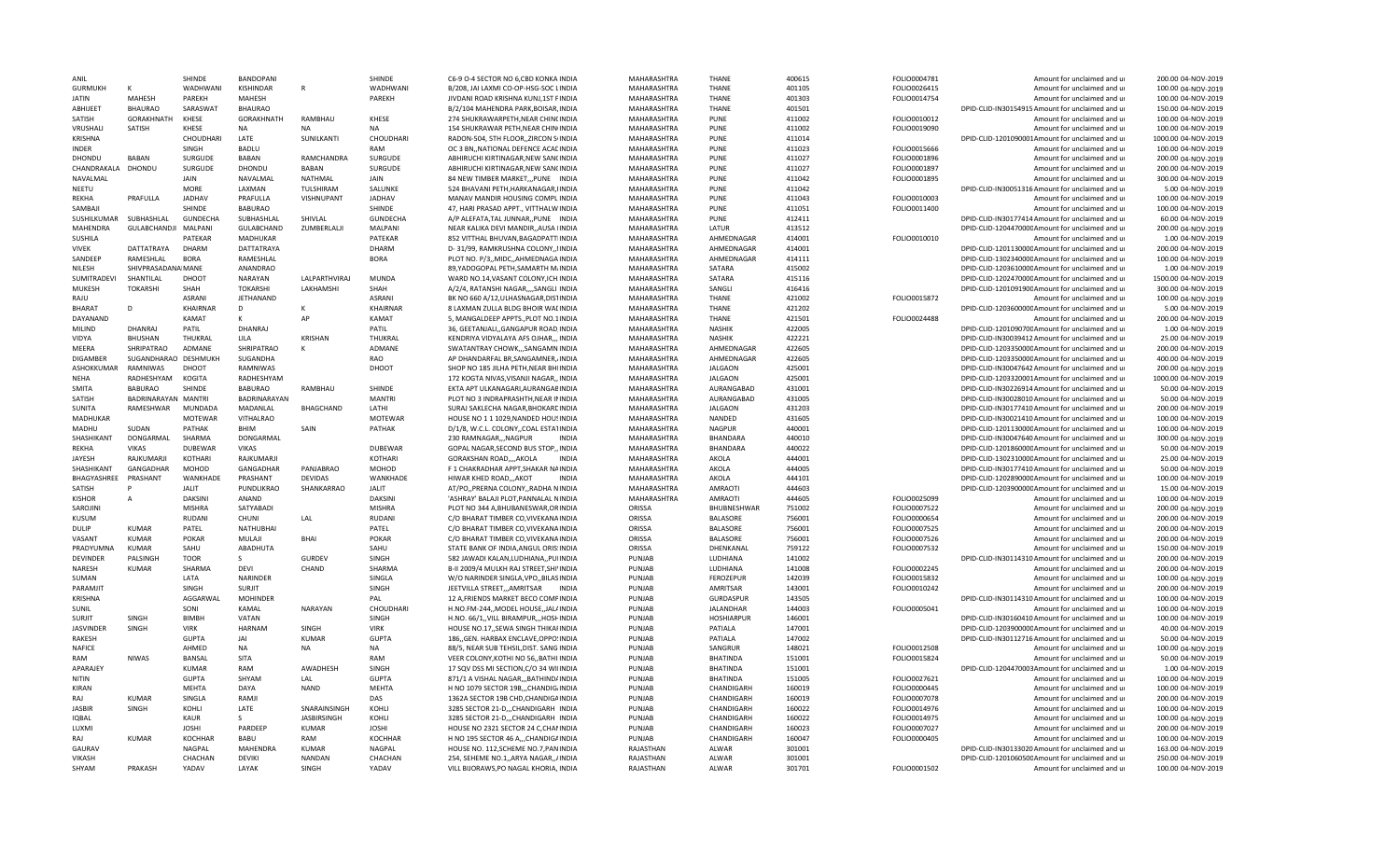| ANIL               |                      | <b>SHINDF</b>    | BANDOPANI              |                        | SHINDE           | C6-9 O-4 SECTOR NO 6,CBD KONKA INDIA                                             | MAHARASHTRA            | THANE              | 400615           | FOLIO0004781 | Amount for unclaimed and ur                                                    | 200.00 04-NOV-2019                       |
|--------------------|----------------------|------------------|------------------------|------------------------|------------------|----------------------------------------------------------------------------------|------------------------|--------------------|------------------|--------------|--------------------------------------------------------------------------------|------------------------------------------|
| <b>GURMUKH</b>     | К                    | <b>WADHWANI</b>  | KISHINDAR              | $\mathsf{R}$           | WADHWANI         | B/208. JAI LAXMI CO-OP-HSG-SOC LINDIA                                            | MAHARASHTRA            | <b>THANE</b>       | 401105           | FOLIO0026415 | Amount for unclaimed and ur                                                    | 100.00 04-NOV-2019                       |
| <b>JATIN</b>       | <b>MAHFSH</b>        | PAREKH           | MAHESH                 |                        | PAREKH           | JIVDANI ROAD KRISHNA KUNJ,1ST FINDIA                                             | MAHARASHTRA            | <b>THANE</b>       | 401303           | FOLIO0014754 | Amount for unclaimed and ur                                                    | 100.00 04-NOV-2019                       |
| ABHIJFFT           | <b>BHAURAO</b>       | SARASWAT         | <b>BHAURAO</b>         |                        |                  | B/2/104 MAHENDRA PARK, BOISAR, INDIA                                             | MAHARASHTRA            | <b>THANE</b>       | 401501           |              | DPID-CLID-IN30154915 Amount for unclaimed and ur                               | 150.00 04-NOV-2019                       |
| SATISH             | GORAKHNATH           | KHESE            | GORAKHNATH             | RAMBHAU                | KHESE            | 274 SHUKRAWARPETH, NEAR CHINCINDIA                                               | MAHARASHTRA            | PUNE               | 411002           | FOLIO0010012 | Amount for unclaimed and ur                                                    | 100.00 04-NOV-2019                       |
| VRUSHALI           | SATISH               | <b>KHESE</b>     | NΔ                     | N <sub>A</sub>         | <b>NA</b>        | 154 SHUKRAWAR PETH, NEAR CHIN INDIA                                              | MAHARASHTRA            | PUNE               | 411002           | FOLIO0019090 | Amount for unclaimed and ur                                                    | 100.00 04-NOV-2019                       |
| <b>KRISHNA</b>     |                      | CHOUDHARI        | LATE                   | SUNILKANTI             | CHOUDHARI        | RADON-504, 5TH FLOOR, ZIRCON SIINDIA                                             | MAHARASHTRA            | PUNE               | 411014           |              | DPID-CLID-1201090001Amount for unclaimed and ur                                | 1000.00 04-NOV-2019                      |
| <b>INDER</b>       |                      | SINGH            | <b>BADLU</b>           |                        | RAM              | OC 3 BN, NATIONAL DEFENCE ACALINDIA                                              | MAHARASHTRA            | PUNE               | 411023           | FOLIO0015666 | Amount for unclaimed and ur                                                    | 100.00 04-NOV-2019                       |
| DHONDU             | <b>BABAN</b>         | <b>SURGUDE</b>   | <b>BABAN</b>           | RAMCHANDRA             | SURGUDE          | ABHIRUCHI KIRTINAGAR, NEW SANCINDIA                                              | MAHARASHTRA            | PUNF               | 411027           | FOLIO0001896 | Amount for unclaimed and ur                                                    | 200.00 04-NOV-2019                       |
| CHANDRAKALA        | DHONDU               | <b>SURGUDE</b>   | DHONDU                 | <b>BABAN</b>           | <b>SURGUDE</b>   | ABHIRUCHI KIRTINAGAR, NEW SANCINDIA                                              | MAHARASHTRA            | PUNE               | 411027           | FOLIO0001897 | Amount for unclaimed and ur                                                    | 200.00 04-NOV-2019                       |
| NAVALMAL           |                      | JAIN             | NAVALMAI               | NATHMAL                | JAIN             | 84 NEW TIMBER MARKET, ,, PUNE INDIA                                              | MAHARASHTRA            | <b>PUNE</b>        | 411042           | FOLIO0001895 | Amount for unclaimed and ur                                                    | 300.00 04-NOV-2019                       |
| NEETU              |                      | <b>MORE</b>      | LAXMAN                 | TULSHIRAM              | SALUNKE          | 524 BHAVANI PETH.HARKANAGAR.IINDIA                                               | <b>MAHARASHTRA</b>     | PUNE               | 411042           |              | DPID-CLID-IN30051316 Amount for unclaimed and ur                               | 5.00 04-NOV-2019                         |
|                    |                      |                  |                        |                        |                  |                                                                                  |                        |                    |                  |              |                                                                                |                                          |
| <b>RFKHA</b>       | PRAFULLA             | <b>JADHAV</b>    | PRAFULLA               | VISHNUPANT             | <b>JADHAV</b>    | MANAV MANDIR HOUSING COMPLINDIA                                                  | <b>MAHARASHTRA</b>     | PUNF               | 411043           | FOLIO0010003 | Amount for unclaimed and u                                                     | 100.00 04-NOV-2019                       |
| SAMBAIL            |                      | <b>SHINDF</b>    | <b>BABURAO</b>         |                        | SHINDE           | 47, HARI PRASAD APPT., VITTHALW INDIA                                            | MAHARASHTRA            | PUNF               | 411051           | FOLIO0011400 | Amount for unclaimed and ur                                                    | 100.00 04-NOV-2019                       |
| SUSHILKUMAR        | SUBHASHLAL           | GUNDECHA         | SUBHASHLAL             | SHIVLAL                | GUNDECHA         | A/P ALEFATA, TAL JUNNAR, , PUNE INDIA                                            | MAHARASHTRA            | PUNF               | 412411           |              | DPID-CLID-IN30177414 Amount for unclaimed and ur                               | 60.00 04-NOV-2019                        |
| MAHENDRA           | GULABCHANDJI MALPANI |                  | <b>GULABCHAND</b>      | ZUMBERLALJI            | MALPANI          | NEAR KALIKA DEVI MANDIR, AUSA IINDIA                                             | MAHARASHTRA            | LATUR              | 413512           |              | DPID-CLID-120447000CAmount for unclaimed and ur                                | 200.00 04-NOV-2019                       |
| <b>SUSHILA</b>     |                      | PATEKAR          | MADHUKAR               |                        | PATEKAR          | 852 VITTHAL BHUVAN, BAGADPATTIINDIA                                              | MAHARASHTRA            | AHMEDNAGAR         | 414001           | FOLIO0010010 | Amount for unclaimed and ur                                                    | 1.00 04-NOV-2019                         |
| <b>VIVEK</b>       | DATTATRAYA           | DHARM            | DATTATRAYA             |                        | DHARM            | D-31/99, RAMKRUSHNA COLONY,, IINDIA                                              | MAHARASHTRA            | AHMEDNAGAR         | 414001           |              | DPID-CLID-120113000CAmount for unclaimed and ur                                | 200.00 04-NOV-2019                       |
| SANDEEP            | RAMESHLAL            | <b>BORA</b>      | RAMESHLAL              |                        | <b>BORA</b>      | PLOT NO. P/3,, MIDC,, AHMEDNAGA INDIA                                            | MAHARASHTRA            | AHMEDNAGAR         | 414111           |              | DPID-CLID-130234000CAmount for unclaimed and ur                                | 100.00 04-NOV-2019                       |
| <b>NILFSH</b>      | SHIVPRASADANA MANE   |                  | ANANDRAO               |                        |                  | 89, YADOGOPAL PETH, SAMARTH M/INDIA                                              | MAHARASHTRA            | SATARA             | 415002           |              | DPID-CLID-120361000CAmount for unclaimed and ur                                | 1.00 04-NOV-2019                         |
| <b>SUMITRADEVI</b> | SHANTILAL            | DHOOT            | NARAYAN                | <b>LALPARTHVIRA</b>    | MUNDA            | WARD NO.14, VASANT COLONY, ICH. INDIA                                            | MAHARASHTRA            | SATARA             | 415116           |              | DPID-CLID-120247000CAmount for unclaimed and ur                                | 1500.00 04-NOV-2019                      |
| <b>MUKESH</b>      | <b>TOKARSHI</b>      | SHAH             | <b>TOKARSHI</b>        | LAKHAMSHI              | SHAH             | A/2/4, RATANSHI NAGAR,,,,SANGLI INDIA                                            | MAHARASHTRA            | SANGLI             | 416416           |              | DPID-CLID-120109190CAmount for unclaimed and ur                                | 300.00 04-NOV-2019                       |
| RAIU               |                      | <b>ASRANI</b>    | JETHANAND              |                        | <b>ASRANI</b>    | BK NO 660 A/12.ULHASNAGAR.DISTINDIA                                              | MAHARASHTRA            | <b>THANE</b>       | 421002           | FOLIO0015872 | Amount for unclaimed and u                                                     | 100.00 04-NOV-2019                       |
| <b>BHARAT</b>      | D                    | <b>KHAIRNAR</b>  | D                      | ĸ                      | <b>KHAIRNAR</b>  | 8 LAXMAN ZULLA BLDG BHOIR WALINDIA                                               | MAHARASHTRA            | <b>THANE</b>       | 421202           |              | DPID-CLID-120360000C Amount for unclaimed and ur                               | 5.00 04-NOV-2019                         |
| DAYANAND           |                      | KAMAT            |                        | <b>AP</b>              | KAMAT            | 5, MANGALDEEP APPTS., PLOT NO.1INDIA                                             | MAHARASHTRA            | <b>THANE</b>       | 421501           | FOLIO0024488 | Amount for unclaimed and ur                                                    | 200.00 04-NOV-2019                       |
| MILIND             | DHANRAI              | PATIL            | <b>DHANRAJ</b>         |                        | PATIL            | 36, GEETANJALI,, GANGAPUR ROAD, INDIA                                            | MAHARASHTRA            | <b>NASHIK</b>      | 422005           |              | DPID-CLID-120109070CAmount for unclaimed and ur                                | 1.00 04-NOV-2019                         |
| <b>VIDYA</b>       | <b>RHIJSHAN</b>      | <b>THUKRAL</b>   |                        | <b>KRISHAN</b>         |                  |                                                                                  |                        | <b>NASHIK</b>      | 422221           |              | DPID-CLID-IN30039412 Amount for unclaimed and ur                               |                                          |
|                    |                      |                  | LILA                   |                        | THUKRAL          | KENDRIYA VIDYALAYA AFS OJHAR,,, INDIA                                            | MAHARASHTRA            |                    |                  |              |                                                                                | 25.00 04-NOV-2019                        |
| <b>MEERA</b>       | SHRIPATRAO           | ADMANE           | SHRIPATRAO             | к                      | ADMANE           | SWATANTRAY CHOWK,,,SANGAMN INDIA                                                 | MAHARASHTRA            | AHMEDNAGAR         | 422605           |              | DPID-CLID-120335000CAmount for unclaimed and ur                                | 200.00 04-NOV-2019                       |
| <b>DIGAMBER</b>    | SUGANDHARAO DESHMUKH |                  | SUGANDHA               |                        | RAO              | AP DHANDARFAL BR, SANGAMNER, INDIA                                               | MAHARASHTRA            | AHMEDNAGAR         | 422605           |              | DPID-CLID-120335000CAmount for unclaimed and ur                                | 400.00 04-NOV-2019                       |
| ASHOKKUMAR         | RAMNIWAS             | DHOOT            | RAMNIWAS               |                        | DHOOT            | SHOP NO 185 JILHA PETH, NEAR BHIINDIA                                            | MAHARASHTRA            | <b>JALGAON</b>     | 425001           |              | DPID-CLID-IN30047642 Amount for unclaimed and ur                               | 200.00 04-NOV-2019                       |
| <b>NFHA</b>        | RADHESHYAM           | KOGITA           | RADHESHYAM             |                        |                  | 172 KOGTA NIVAS, VISANJI NAGAR,, INDIA                                           | MAHARASHTRA            | <b>JALGAON</b>     | 425001           |              | DPID-CLID-1203320001Amount for unclaimed and ur                                | 1000.00 04-NOV-2019                      |
| <b>SMITA</b>       | <b>BABURAO</b>       | SHINDE           | <b>BABURAO</b>         | RAMBHAU                | SHINDE           | EKTA APT ULKANAGARI, AURANGABINDIA                                               | MAHARASHTRA            | AURANGABAD         | 431001           |              | DPID-CLID-IN30226914 Amount for unclaimed and ur                               | 50.00 04-NOV-2019                        |
| SATISH             | BADRINARAYAN MANTRI  |                  | BADRINARAYAN           |                        | <b>MANTRI</b>    | PLOT NO 3 INDRAPRASHTH, NEAR ININDIA                                             | MAHARASHTRA            | AURANGABAD         | 431005           |              | DPID-CLID-IN30028010 Amount for unclaimed and ur                               | 50.00 04-NOV-2019                        |
| <b>SUNITA</b>      | RAMESHWAR            | MUNDADA          | MADANLAL               | <b>BHAGCHAND</b>       | LATHI            | SURAJ SAKLECHA NAGAR.BHOKARDINDIA                                                | MAHARASHTRA            | <b>JALGAON</b>     | 431203           |              | DPID-CLID-IN30177410 Amount for unclaimed and ur                               | 200.00 04-NOV-2019                       |
| MADHUKAR           |                      | <b>MOTEWAR</b>   | VITHALRAO              |                        | MOTEWAR          | HOUSE NO 1 1 1029, NANDED HOUSINDIA                                              | MAHARASHTRA            | NANDED             | 431605           |              | DPID-CLID-IN30021410 Amount for unclaimed and ur                               | 100.00 04-NOV-2019                       |
| MADHU              | SUDAN                | PATHAK           | <b>BHIM</b>            | SAIN                   | PATHAK           | D/1/8, W.C.L. COLONY, COAL ESTATINDIA                                            | MAHARASHTRA            | NAGPUR             | 440001           |              | DPID-CLID-120113000CAmount for unclaimed and ur                                | 100.00 04-NOV-2019                       |
| SHASHIKANT         | DONGARMAL            | SHARMA           | DONGARMAL              |                        |                  | 230 RAMNAGAR, , NAGPUR<br><b>INDIA</b>                                           | MAHARASHTRA            | BHANDARA           | 440010           |              | DPID-CLID-IN30047640 Amount for unclaimed and ur                               | 300.00 04-NOV-2019                       |
| <b>RFKHA</b>       | <b>VIKAS</b>         | <b>DUBEWAR</b>   | <b>VIKAS</b>           |                        | <b>DUBEWAR</b>   | GOPAL NAGAR, SECOND BUS STOP,, INDIA                                             | MAHARASHTRA            | <b>BHANDARA</b>    | 440022           |              | DPID-CLID-120186000CAmount for unclaimed and ur                                | 50.00 04-NOV-2019                        |
| <b>JAYESH</b>      | RAJKUMARJI           | KOTHARI          | RAJKUMARJI             |                        | <b>KOTHARI</b>   | GORAKSHAN ROAD,,,,AKOLA<br><b>INDIA</b>                                          | MAHARASHTRA            | AKOLA              | 444001           |              | DPID-CLID-130231000CAmount for unclaimed and ur                                | 25.00 04-NOV-2019                        |
| SHASHIKANT         | GANGADHAR            | MOHOD            | GANGADHAR              | PANJABRAO              | MOHOD            | F 1 CHAKRADHAR APPT, SHAKAR NAINDIA                                              | MAHARASHTRA            | AKOLA              | 444005           |              | DPID-CLID-IN30177410 Amount for unclaimed and ur                               | 50.00 04-NOV-2019                        |
| BHAGYASHREE        | PRASHANT             | WANKHADE         | PRASHANT               | <b>DEVIDAS</b>         | WANKHADE         | HIWAR KHED ROAD,,,AKOT<br><b>INDIA</b>                                           | MAHARASHTRA            | AKOLA              | 444101           |              | DPID-CLID-120289000CAmount for unclaimed and ur                                | 100.00 04-NOV-2019                       |
| SATISH             | P                    | <b>JALIT</b>     | PUNDLIKRAO             | SHANKARRAO             | JALIT            | AT/PO,, PRERNA COLONY,, RADHA NINDIA                                             | MAHARASHTRA            | <b>AMRAOTI</b>     | 444603           |              | DPID-CLID-120390000C Amount for unclaimed and ur                               | 15.00 04-NOV-2019                        |
| <b>KISHOR</b>      | A                    | <b>DAKSINI</b>   | ANAND                  |                        | <b>DAKSINI</b>   | 'ASHRAY' BALAJI PLOT, PANNALAL NINDIA                                            | MAHARASHTRA            | <b>AMRAOTI</b>     | 444605           | FOLIO0025099 | Amount for unclaimed and ur                                                    | 100.00 04-NOV-2019                       |
| SAROJIN            |                      | <b>MISHRA</b>    | SATYABADI              |                        |                  |                                                                                  | ORISSA                 | <b>BHUBNESHWAR</b> |                  | FOLIO0007522 |                                                                                |                                          |
|                    |                      |                  |                        |                        | <b>MISHRA</b>    | PLOT NO 344 A, BHUBANESWAR, ORINDIA                                              |                        |                    | 751002           |              | Amount for unclaimed and ur                                                    | 200.00 04-NOV-2019                       |
| KUSUM              |                      | <b>RUDANI</b>    | CHUNI                  | LAL                    | <b>RUDANI</b>    | C/O BHARAT TIMBER CO.VIVEKANA INDIA                                              | ORISSA                 | <b>BALASORE</b>    | 756001           | FOLIO0000654 | Amount for unclaimed and u                                                     | 200.00 04-NOV-2019                       |
| DULIP              | KIIMAR               | PATEL            | NATHUBHAI              |                        | PATEL            | C/O BHARAT TIMBER CO.VIVEKANAINDIA                                               | ORISSA                 | <b>BALASORE</b>    | 756001           | FOLIO0007525 | Amount for unclaimed and ur                                                    | 200.00 04-NOV-2019                       |
| VASANT             | <b>KUMAR</b>         | POKAR            | MULAJI                 | BHAI                   | <b>POKAR</b>     | C/O BHARAT TIMBER CO, VIVEKANA INDIA                                             | ORISSA                 | <b>BALASORE</b>    | 756001           | FOLIO0007526 | Amount for unclaimed and ur                                                    | 200.00 04-NOV-2019                       |
| PRADYUMNA          | <b>KUMAR</b>         | SAHU             | ABADHUTA               |                        | SAHU             | STATE BANK OF INDIA, ANGUL ORIS: INDIA                                           | ORISSA                 | DHENKANAL          | 759122           | FOLIO0007532 | Amount for unclaimed and ur                                                    | 150.00 04-NOV-2019                       |
| <b>DEVINDER</b>    | PALSINGH             | <b>TOOR</b>      | $\mathcal{S}$          | GURDEV                 | SINGH            | 582 JAWADI KALAN, LUDHIANA, , PUIINDIA                                           | PUNJAB                 | LUDHIANA           | 141002           |              | DPID-CLID-IN30114310 Amount for unclaimed and ur                               | 200.00 04-NOV-2019                       |
| NARESH             | <b>KUMAR</b>         | SHARMA           | DEVI                   | CHAND                  | SHARMA           | B-II 2009/4 MULKH RAJ STREET, SHIVINDIA                                          | PUNJAB                 | <b>LUDHIANA</b>    | 141008           | FOLIO0002245 | Amount for unclaimed and ur                                                    | 200.00 04-NOV-2019                       |
| SUMAN              |                      | LATA             | NARINDER               |                        | SINGLA           | W/O NARINDER SINGLA, VPO,, BILASINDIA                                            | PUNJAB                 | <b>FEROZEPUR</b>   | 142039           | FOLIO0015832 | Amount for unclaimed and ur                                                    | 100.00 04-NOV-2019                       |
| PARAMIIT           |                      | SINGH            | <b>SURJIT</b>          |                        | SINGH            | JEETVILLA STREETAMRITSAR<br><b>INDIA</b>                                         | PUNJAB                 | AMRITSAR           | 143001           | FOLIO0010242 | Amount for unclaimed and u                                                     | 200.00 04-NOV-2019                       |
| <b>KRISHNA</b>     |                      | AGGARWAL         | <b>MOHINDER</b>        |                        | PAL              | 12 A, FRIENDS MARKET BECO COMPINDIA                                              | PUNJAB                 | GURDASPUR          | 143505           |              | DPID-CLID-IN30114310 Amount for unclaimed and ur                               | 100.00 04-NOV-2019                       |
| <b>SUNIL</b>       |                      | SONI             | KAMAL                  | <b>NARAYAN</b>         | CHOUDHARI        | H.NO.FM-244,, MODEL HOUSE,, JAL/INDIA                                            | PUNJAB                 | <b>JALANDHAR</b>   | 144003           | FOLIO0005041 | Amount for unclaimed and ur                                                    | 100.00 04-NOV-2019                       |
| <b>SURJIT</b>      | SINGE                | <b>BIMBH</b>     | VATAN                  |                        | SINGH            | H.NO. 66/1, VILL BIRAMPUR, HOSHINDIA                                             | PUNJAB                 | <b>HOSHIARPUR</b>  | 146001           |              | DPID-CLID-IN30160410 Amount for unclaimed and ur                               | 100.00 04-NOV-2019                       |
| <b>JASVINDER</b>   | SINGH                | <b>VIRK</b>      | <b>HARNAM</b>          | SINGH                  | <b>VIRK</b>      | HOUSE NO.17. SEWA SINGH THIKAFINDIA                                              | PUNJAB                 | PATIALA            | 147001           |              | DPID-CLID-120390000CAmount for unclaimed and ur                                | 40.00 04-NOV-2019                        |
| <b>RAKFSH</b>      |                      | <b>GUPTA</b>     | <b>JAI</b>             | <b>KUMAR</b>           | <b>GUPTA</b>     | 186, GEN. HARBAX ENCLAVE, OPPO: INDIA                                            | PUNJAB                 | PATIALA            | 147002           |              | DPID-CLID-IN30112716 Amount for unclaimed and ur                               | 50.00 04-NOV-2019                        |
| NAFICE             |                      | AHMED            | <b>NA</b>              | <b>NA</b>              | <b>NA</b>        | 88/5, NEAR SUB TEHSIL, DIST. SANG INDIA                                          | PUNJAB                 | SANGRUR            | 148021           | FOLIO0012508 | Amount for unclaimed and ur                                                    | 100.00 04-NOV-2019                       |
| RAM                |                      |                  |                        |                        | RAM              | VEER COLONY, KOTHI NO 56, BATHI INDIA                                            | PUNJAB                 | <b>BHATINDA</b>    | 151001           | FOLIO0015824 | Amount for unclaimed and ur                                                    | 50.00 04-NOV-2019                        |
|                    |                      |                  |                        |                        |                  |                                                                                  |                        | <b>BHATINDA</b>    |                  |              |                                                                                |                                          |
| <b>APARAIFY</b>    | <b>NIWAS</b>         | BANSAL           | <b>SITA</b><br>RAM     |                        |                  |                                                                                  |                        |                    |                  |              |                                                                                |                                          |
|                    |                      | <b>KUMAR</b>     |                        | AWADHESH               | SINGH            | 17 SQV DSS MI SECTION, C/O 34 WIIINDIA                                           | PUNJAB                 |                    | 151001           |              | DPID-CLID-1204470003Amount for unclaimed and ur                                | 1.00 04-NOV-2019                         |
| <b>NITIN</b>       |                      | <b>GUPTA</b>     | SHYAM                  | LAL                    | <b>GUPTA</b>     | 871/1 A VISHAL NAGAR,,, BATHIND/INDIA                                            | PUNJAB                 | <b>BHATINDA</b>    | 151005           | FOLIO0027621 | Amount for unclaimed and ur                                                    | 100.00 04-NOV-2019                       |
| KIRAN              |                      | MEHTA            | DAYA                   | <b>NAND</b>            | MEHTA            | H NO 1079 SECTOR 19B,,,CHANDIG/INDIA                                             | PUNJAB                 | CHANDIGARH         | 160019           | FOLIO0000445 | Amount for unclaimed and ur                                                    | 100.00 04-NOV-2019                       |
| RAI                | <b>KUMAR</b>         | SINGLA           | RAMJI                  |                        | DAS              | 1362A SECTOR 19B CHD.CHANDIGAINDIA                                               | PUNJAB                 | CHANDIGARH         | 160019           | FOLIO0007078 | Amount for unclaimed and u                                                     | 200.00 04-NOV-2019                       |
| <b>JASBIR</b>      | SINGH                | KOHLI            | LATE                   | SNARAINSINGH           | KOHLI            | 3285 SECTOR 21-DCHANDIGARH INDIA                                                 | PUNJAB                 | CHANDIGARH         | 160022           | FOLIO0014976 | Amount for unclaimed and ur                                                    | 100.00 04-NOV-2019                       |
| <b>IQBAL</b>       |                      | KAUR             | <sup>S</sup>           | <b>JASBIRSINGH</b>     | KOHLI            | 3285 SECTOR 21-D.,,CHANDIGARH INDIA                                              | PUNJAB                 | CHANDIGARH         | 160022           | FOLIO0014975 | Amount for unclaimed and ur                                                    | 100.00 04-NOV-2019                       |
| LUXMI              |                      | <b>JOSHI</b>     | PARDEEP                | KUMAR                  | <b>JOSHI</b>     | HOUSE NO 2321 SECTOR 24 C, CHAMNDIA                                              | PUNJAB                 | CHANDIGARH         | 160023           | FOLIO0007027 | Amount for unclaimed and ur                                                    | 200.00 04-NOV-2019                       |
| RAI                | KUMAR                | <b>KOCHHAR</b>   | RARII                  | RAM                    | KOCHHAR          | H NO 195 SECTOR 46 A,,,CHANDIGAINDIA                                             | PUNJAB                 | CHANDIGARH         | 160047           | FOLIO0000405 | Amount for unclaimed and u                                                     | 100.00 04-NOV-2019                       |
| GAURAV             |                      | NAGPAL           | MAHFNDRA               | KUMAR                  | NAGPAL           | HOUSE NO. 112, SCHEME NO.7, PAN INDIA                                            | RAJASTHAN              | ALWAR              | 301001           |              | DPID-CLID-IN30133020 Amount for unclaimed and ur                               | 163.00 04-NOV-2019                       |
| VIKASH<br>SHYAM    | PRAKASH              | CHACHAN<br>YADAV | <b>DEVIKI</b><br>LAYAK | <b>NANDAN</b><br>SINGH | CHACHAN<br>YADAV | 254, SEHEME NO.1,, ARYA NAGAR,, / INDIA<br>VILL BIJORAWS, PO NAGAL KHORIA, INDIA | RAJASTHAN<br>RAJASTHAN | ALWAR<br>ALWAR     | 301001<br>301701 | FOLIO0001502 | DPID-CLID-120106050CAmount for unclaimed and ur<br>Amount for unclaimed and ur | 250.00 04-NOV-2019<br>100.00 04-NOV-2019 |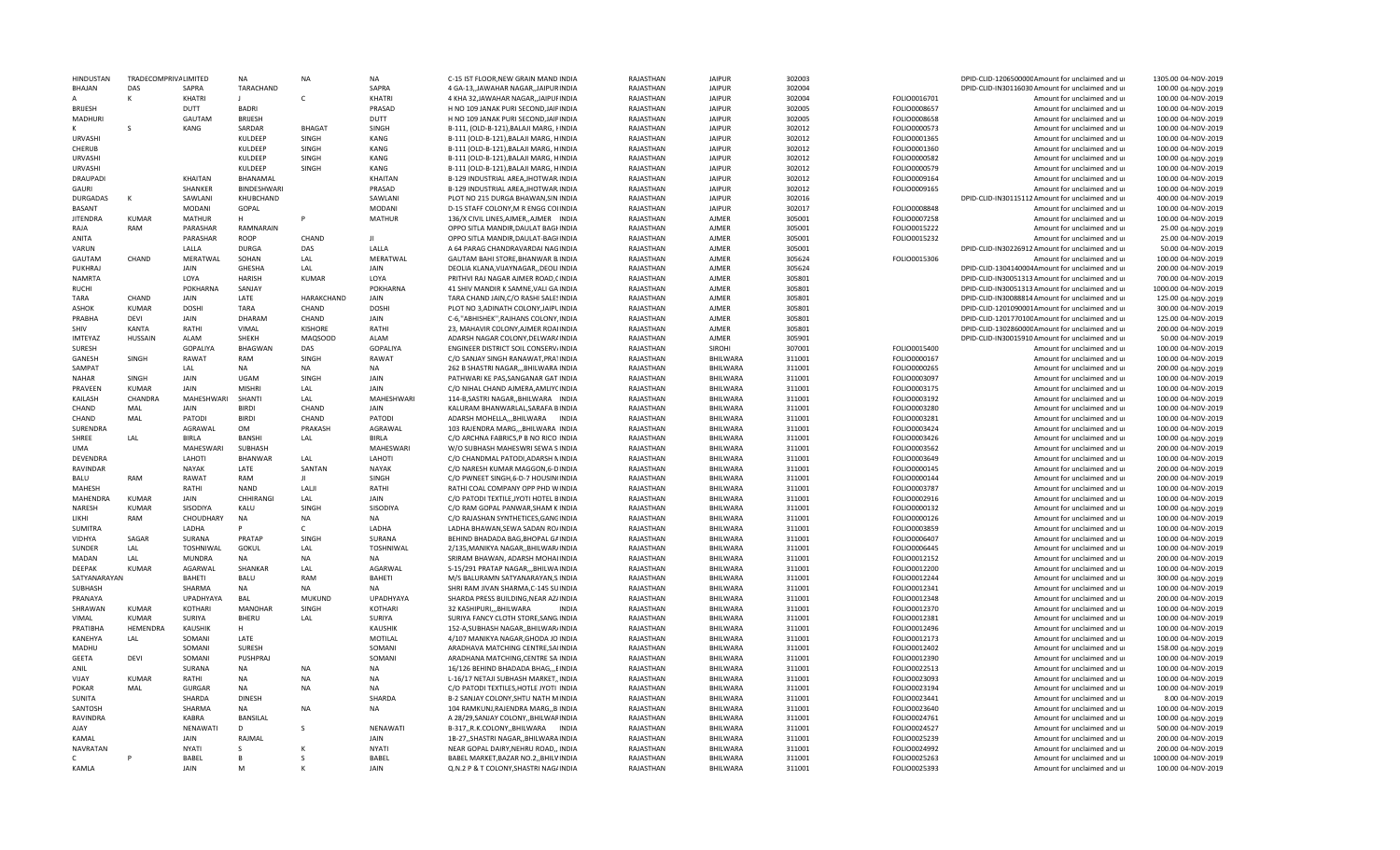| <b>HINDUSTAN</b> | <b>TRADECOMPRIVALIMITED</b> |                  | <b>NA</b>      | <b>NA</b>      | <b>NA</b>        | C-15 IST FLOOR, NEW GRAIN MAND INDIA    | RAIASTHAN | <b>JAIPUR</b>   | 302003 |              | DPID-CLID-120650000CAmount for unclaimed and ur  | 1305.00 04-NOV-2019 |
|------------------|-----------------------------|------------------|----------------|----------------|------------------|-----------------------------------------|-----------|-----------------|--------|--------------|--------------------------------------------------|---------------------|
| BHAJAN           | DAS                         | SAPRA            | TARACHAND      |                | SAPRA            | 4 GA-13, JAWAHAR NAGAR, JAIPURINDIA     | RAJASTHAN | <b>JAIPUR</b>   | 302004 |              | DPID-CLID-IN30116030 Amount for unclaimed and ur | 100.00 04-NOV-2019  |
|                  |                             | KHATRI           |                | $\mathsf{C}$   | KHATRI           | 4 KHA 32, JAWAHAR NAGAR, JAIPUFINDIA    | RAJASTHAN | <b>JAIPUR</b>   | 302004 | FOLIO0016701 | Amount for unclaimed and ur                      | 100.00 04-NOV-2019  |
| <b>BRIJESH</b>   |                             | <b>DUTT</b>      | <b>BADRI</b>   |                | PRASAD           | H NO 109 JANAK PURI SECOND, JAIPINDIA   | RAJASTHAN | <b>JAIPUR</b>   | 302005 | FOLIO0008657 | Amount for unclaimed and ur                      | 100.00 04-NOV-2019  |
| MADHURI          |                             | GAUTAM           | <b>BRIJESH</b> |                | DUTT             | H NO 109 JANAK PURI SECOND, JAIPINDIA   | RAJASTHAN | <b>JAIPUR</b>   | 302005 | FOLIO0008658 | Amount for unclaimed and ur                      | 100.00 04-NOV-2019  |
|                  | S                           | KANG             | SARDAR         | <b>BHAGAT</b>  | SINGH            | B-111, (OLD-B-121), BALAJI MARG, FINDIA | RAJASTHAN | <b>JAIPUR</b>   | 302012 | FOLIO0000573 | Amount for unclaimed and ur                      | 100.00 04-NOV-2019  |
| <b>URVASHI</b>   |                             |                  | KULDEEP        | <b>SINGH</b>   | KANG             | B-111 (OLD-B-121), BALAJI MARG, HINDIA  | RAJASTHAN | <b>JAIPUR</b>   | 302012 | FOLIO0001365 | Amount for unclaimed and ur                      | 100.00 04-NOV-2019  |
| CHERUB           |                             |                  | KULDFFP        | SINGH          | KANG             | B-111 (OLD-B-121), BALAJI MARG, HINDIA  | RAJASTHAN | <b>JAIPUR</b>   | 302012 | FOLIO0001360 | Amount for unclaimed and ur                      | 100.00 04-NOV-2019  |
| <b>URVASHI</b>   |                             |                  | KULDEEP        | SINGH          | KANG             | B-111 (OLD-B-121), BALAJI MARG, HINDIA  | RAJASTHAN | <b>JAIPUF</b>   | 302012 | FOLIO0000582 | Amount for unclaimed and ur                      | 100.00 04-NOV-2019  |
| <b>URVASHI</b>   |                             |                  | KULDEEP        | SINGH          | KANG             | B-111 (OLD-B-121), BALAJI MARG, HINDIA  | RAJASTHAN | <b>JAIPUR</b>   | 302012 | FOLIO0000579 | Amount for unclaimed and ur                      | 100.00 04-NOV-2019  |
| DRAUPADI         |                             | <b>KHAITAN</b>   | BHANAMAL       |                | KHAITAN          | B-129 INDUSTRIAL AREA, JHOTWAR, INDIA   | RAJASTHAN | <b>JAIPUR</b>   | 302012 | FOLIO0009164 | Amount for unclaimed and ur                      | 100.00 04-NOV-2019  |
| GAURI            |                             | SHANKER          | BINDESHWARI    |                | PRASAD           |                                         | RAJASTHAN | <b>JAIPUR</b>   |        |              |                                                  | 100.00 04-NOV-2019  |
|                  |                             |                  |                |                |                  | B-129 INDUSTRIAL AREA, JHOTWAR INDIA    |           |                 | 302012 | FOLIO0009165 | Amount for unclaimed and ur                      |                     |
| DURGADAS         | $\mathsf{K}$                | SAWLANI          | KHUBCHAND      |                | SAWLANI          | PLOT NO 215 DURGA BHAWAN, SIN INDIA     | RAJASTHAN | <b>JAIPUR</b>   | 302016 |              | DPID-CLID-IN30115112 Amount for unclaimed and ur | 400.00 04-NOV-2019  |
| <b>BASANT</b>    |                             | <b>MODANI</b>    | GOPAL          |                | <b>MODANI</b>    | D-15 STAFF COLONY, M R ENGG COLINDIA    | RAJASTHAN | <b>JAIPUR</b>   | 302017 | FOLIO0008848 | Amount for unclaimed and ur                      | 100.00 04-NOV-2019  |
| <b>JITENDRA</b>  | <b>KUMAR</b>                | <b>MATHUR</b>    | H              | Þ              | <b>MATHUR</b>    | 136/X CIVIL LINES, AJMER, , AJMER INDIA | RAJASTHAN | AJMER           | 305001 | FOLIO0007258 | Amount for unclaimed and ur                      | 100.00 04-NOV-2019  |
| RAJA             | RAM                         | PARASHAR         | RAMNARAIN      |                |                  | OPPO SITLA MANDIR, DAULAT BAGHNDIA      | RAJASTHAN | AJMER           | 305001 | FOLIO0015222 | Amount for unclaimed and ur                      | 25.00 04-NOV-2019   |
| ANITA            |                             | PARASHAR         | ROOP           | CHAND          | JI               | OPPO SITLA MANDIR, DAULAT-BAGHNDIA      | RAJASTHAN | AJMER           | 305001 | FOLIO0015232 | Amount for unclaimed and ur                      | 25.00 04-NOV-2019   |
| VARUN            |                             | LALLA            | <b>DURGA</b>   | DAS            | LALLA            | A 64 PARAG CHANDRAVARDAI NAGINDIA       | RAJASTHAN | AJMER           | 305001 |              | DPID-CLID-IN30226912 Amount for unclaimed and ur | 50.00 04-NOV-2019   |
| GAUTAM           | CHAND                       | <b>MERATWAL</b>  | SOHAN          | LAL            | MERATWAL         | GAUTAM BAHI STORE.BHANWAR B.INDIA       | RAJASTHAN | <b>AJMER</b>    | 305624 | FOLIO0015306 | Amount for unclaimed and u                       | 100.00 04-NOV-2019  |
| PUKHRAJ          |                             | <b>JAIN</b>      | GHESHA         | LAL            | <b>JAIN</b>      | DEOLIA KLANA, VIJAYNAGAR, , DEOLI INDIA | RAJASTHAN | AJMER           | 305624 |              | DPID-CLID-1304140004Amount for unclaimed and ur  | 200.00 04-NOV-2019  |
| <b>NAMRTA</b>    |                             | LOYA             | <b>HARISH</b>  | KUMAR          | LOYA             | PRITHVI RAJ NAGAR AJMER ROAD, CINDIA    | RAJASTHAN | AJMER           | 305801 |              | DPID-CLID-IN30051313 Amount for unclaimed and ur | 700.00 04-NOV-2019  |
| <b>RUCHI</b>     |                             | POKHARNA         | SANJAY         |                | POKHARNA         | 41 SHIV MANDIR K SAMNE, VALI GA INDIA   | RAJASTHAN | AJMER           | 305801 |              | DPID-CLID-IN30051313 Amount for unclaimed and ur | 1000.00 04-NOV-2019 |
| TARA             | CHAND                       | <b>JAIN</b>      | LATE           | HARAKCHAND     | JAIN             | TARA CHAND JAIN, C/O RASHI SALESINDIA   | RAJASTHAN | AJMER           | 305801 |              | DPID-CLID-IN30088814 Amount for unclaimed and ur | 125.00 04-NOV-2019  |
|                  | <b>KUMAR</b>                | <b>DOSHI</b>     |                |                | <b>DOSHI</b>     |                                         |           |                 | 305801 |              |                                                  |                     |
| ASHOK            |                             |                  | TARA           | CHAND          |                  | PLOT NO 3, ADINATH COLONY, JAIPLINDIA   | RAJASTHAN | AJMER           |        |              | DPID-CLID-1201090001Amount for unclaimed and ur  | 300.00 04-NOV-2019  |
| PRABHA           | DEVI                        | JAIN             | DHARAM         | CHAND          | JAIN             | C-6, "ABHISHEK", RAJHANS COLONY, INDIA  | RAJASTHAN | AJMER           | 305801 |              | DPID-CLID-120177010CAmount for unclaimed and ur  | 125.00 04-NOV-2019  |
| SHIV             | KANTA                       | RATHI            | VIMAL          | <b>KISHORE</b> | RATHI            | 23, MAHAVIR COLONY, AJMER ROAIINDIA     | RAJASTHAN | AJMER           | 305801 |              | DPID-CLID-130286000CAmount for unclaimed and ur  | 200.00 04-NOV-2019  |
| <b>IMTEYAZ</b>   | <b>HUSSAIN</b>              | ALAM             | SHEKH          | MAQSOOD        | ALAM             | ADARSH NAGAR COLONY, DELWARAINDIA       | RAJASTHAN | AJMER           | 305901 |              | DPID-CLID-IN30015910 Amount for unclaimed and ur | 50.00 04-NOV-2019   |
| <b>SURESH</b>    |                             | <b>GOPALIYA</b>  | <b>BHAGWAN</b> | DAS            | <b>GOPALIYA</b>  | ENGINEER DISTRICT SOIL CONSERV/INDIA    | RAJASTHAN | <b>SIROHI</b>   | 307001 | FOLIO0015400 | Amount for unclaimed and ur                      | 100.00 04-NOV-2019  |
| GANESH           | SINGH                       | RAWAT            | RAM            | SINGH          | <b>RAWAT</b>     | C/O SANJAY SINGH RANAWAT, PRATINDIA     | RAJASTHAN | BHILWARA        | 311001 | FOLIO0000167 | Amount for unclaimed and ur                      | 100.00 04-NOV-2019  |
| SAMPAT           |                             | LAL              | <b>NA</b>      | <b>NA</b>      | <b>NA</b>        | 262 B SHASTRI NAGAR,,,BHILWARA INDIA    | RAJASTHAN | <b>BHILWARA</b> | 311001 | FOLIO0000265 | Amount for unclaimed and ur                      | 200.00 04-NOV-2019  |
| NAHAR            | SINGH                       | JAIN             | UGAM           | SINGH          | JAIN             | PATHWARI KE PAS, SANGANAR GAT INDIA     | RAJASTHAN | BHILWARA        | 311001 | FOLIO0003097 | Amount for unclaimed and ur                      | 100.00 04-NOV-2019  |
| PRAVEEN          | <b>KUMAR</b>                | JAIN             | MISHRI         | LAL            | JAIN             | C/O NIHAL CHAND AJMERA, AMLIYCINDIA     | RAJASTHAN | BHILWARA        | 311001 | FOLIO0003175 | Amount for unclaimed and ur                      | 100.00 04-NOV-2019  |
| KAILASH          | CHANDRA                     | MAHESHWARI       | SHANTI         | LAL            | MAHESHWARI       | 114-B, SASTRI NAGAR, BHILWARA INDIA     | RAJASTHAN | BHILWARA        | 311001 | FOLIO0003192 | Amount for unclaimed and ur                      | 100.00 04-NOV-2019  |
| CHAND            | MAL                         | <b>JAIN</b>      | <b>BIRDI</b>   | CHAND          | <b>JAIN</b>      | KALURAM BHANWARLAL, SARAFA BINDIA       | RAJASTHAN | BHILWARA        | 311001 | FOLIO0003280 | Amount for unclaimed and ur                      | 100.00 04-NOV-2019  |
| CHAND            | MAL                         | PATODI           | <b>BIRDI</b>   | CHAND          | PATODI           | ADARSH MOHELLABHILWARA INDIA            | RAJASTHAN | BHILWARA        | 311001 | FOLIO0003281 | Amount for unclaimed and ur                      | 100.00 04-NOV-2019  |
| SURENDRA         |                             | AGRAWAL          | OM             | PRAKASH        | AGRAWAL          | 103 RAJENDRA MARG,,,BHILWARA INDIA      | RAJASTHAN | BHILWARA        | 311001 | FOLIO0003424 | Amount for unclaimed and ur                      | 100.00 04-NOV-2019  |
| SHREE            | LAL                         | <b>BIRLA</b>     | <b>BANSHI</b>  |                | <b>BIRLA</b>     | C/O ARCHNA FABRICS.P B NO RICO INDIA    |           | BHILWARA        | 311001 | FOLIO0003426 |                                                  | 100.00 04-NOV-2019  |
|                  |                             |                  |                | LAL            |                  |                                         | RAJASTHAN |                 |        |              | Amount for unclaimed and ur                      |                     |
| <b>UMA</b>       |                             | MAHESWARI        | SUBHASH        |                | MAHESWARI        | W/O SUBHASH MAHESWRI SEWA SINDIA        | RAJASTHAN | BHILWARA        | 311001 | FOLIO0003562 | Amount for unclaimed and ur                      | 200.00 04-NOV-2019  |
| DEVENDRA         |                             | LAHOTI           | BHANWAR        | LAL            | LAHOTI           | C/O CHANDMAL PATODI, ADARSH NINDIA      | RAJASTHAN | BHILWARA        | 311001 | FOLIO0003649 | Amount for unclaimed and ur                      | 100.00 04-NOV-2019  |
| RAVINDAR         |                             | NAYAK            | LATE           | SANTAN         | <b>NAYAK</b>     | C/O NARESH KUMAR MAGGON, 6-DINDIA       | RAJASTHAN | BHILWARA        | 311001 | FOLIO0000145 | Amount for unclaimed and ur                      | 200.00 04-NOV-2019  |
| BALU             | RAM                         | RAWAT            | RAM            | л              | SINGH            | C/O PWNEET SINGH, 6-D-7 HOUSIN(INDIA    | RAJASTHAN | BHILWARA        | 311001 | FOLIO0000144 | Amount for unclaimed and ur                      | 200.00 04-NOV-2019  |
| <b>MAHESH</b>    |                             | RATHI            | <b>NAND</b>    | LALJI          | RATHI            | RATHI COAL COMPANY OPP PHD WINDIA       | RAJASTHAN | BHILWARA        | 311001 | FOLIO0003787 | Amount for unclaimed and ur                      | 100.00 04-NOV-2019  |
| MAHENDRA         | <b>KUMAR</b>                | JAIN             | CHHIRANGI      | LAL            | JAIN             | C/O PATODI TEXTILE, JYOTI HOTEL BINDIA  | RAJASTHAN | BHILWARA        | 311001 | FOLIO0002916 | Amount for unclaimed and ur                      | 100.00 04-NOV-2019  |
| NARESH           | <b>KUMAR</b>                | SISODIYA         | KALU           | SINGH          | SISODIYA         | C/O RAM GOPAL PANWAR, SHAM K INDIA      | RAJASTHAN | BHILWARA        | 311001 | FOLIO0000132 | Amount for unclaimed and ur                      | 100.00 04-NOV-2019  |
| LIKHI            | RAM                         | CHOUDHARY        | <b>NA</b>      | <b>NA</b>      | <b>NA</b>        | C/O RAJASHAN SYNTHETICES, GANGINDIA     | RAJASTHAN | BHILWARA        | 311001 | FOLIO0000126 | Amount for unclaimed and ur                      | 100.00 04-NOV-2019  |
| <b>SUMITRA</b>   |                             | LADHA            | Þ              | C              | LADHA            | LADHA BHAWAN, SEWA SADAN RO/INDIA       | RAJASTHAN | BHILWARA        | 311001 | FOLIO0003859 | Amount for unclaimed and ur                      | 100.00 04-NOV-2019  |
| VIDHYA           | SAGAR                       | SURANA           | PRATAP         | SINGH          | SURANA           | BEHIND BHADADA BAG, BHOPAL GAINDIA      | RAJASTHAN | BHILWARA        | 311001 | FOLIO0006407 | Amount for unclaimed and ur                      | 100.00 04-NOV-2019  |
| SUNDER           | LAL                         | <b>TOSHNIWAL</b> | GOKUL          | LAL            | <b>TOSHNIWAL</b> | 2/135. MANIKYA NAGAR BHILWAR/INDIA      | RAJASTHAN | <b>BHILWARA</b> | 311001 | FOLIO0006445 | Amount for unclaimed and ur                      | 100.00 04-NOV-2019  |
| MADAN            | LAL                         | <b>MUNDRA</b>    | <b>NA</b>      | <b>NA</b>      | <b>NA</b>        | SRIRAM BHAWAN, ADARSH MOHALINDIA        | RAJASTHAN | <b>BHILWARA</b> | 311001 | FOLIO0012152 | Amount for unclaimed and ur                      | 200.00 04-NOV-2019  |
| DEEPAK           | KUMAR                       | AGARWAL          | SHANKAR        | LAL            | AGARWAL          | S-15/291 PRATAP NAGAR,,,BHILWAINDIA     | RAJASTHAN | BHILWARA        | 311001 | FOLIO0012200 | Amount for unclaimed and ur                      | 100.00 04-NOV-2019  |
| SATYANARAYAN     |                             |                  | <b>BALU</b>    | RAM            | <b>BAHETI</b>    |                                         | RAJASTHAN |                 |        |              |                                                  |                     |
|                  |                             | BAHETI           |                |                |                  | M/S BALURAMN SATYANARAYAN, S. INDIA     |           | BHILWARA        | 311001 | FOLIO0012244 | Amount for unclaimed and ur                      | 300.00 04-NOV-2019  |
| SUBHASH          |                             | SHARMA           | <b>NA</b>      | <b>NA</b>      | <b>NA</b>        | SHRI RAM JIVAN SHARMA, C-145 SUINDIA    | RAJASTHAN | BHILWARA        | 311001 | FOLIO0012341 | Amount for unclaimed and ur                      | 100.00 04-NOV-2019  |
| PRANAYA          |                             | UPADHYAYA        | BAL            | <b>MUKUND</b>  | UPADHYAYA        | SHARDA PRESS BUILDING, NEAR AZ/INDIA    | RAJASTHAN | BHILWARA        | 311001 | FOLIO0012348 | Amount for unclaimed and ur                      | 200.00 04-NOV-2019  |
| SHRAWAN          | <b>KUMAR</b>                | <b>KOTHARI</b>   | <b>MANOHAR</b> | SINGH          | <b>KOTHARI</b>   | 32 KASHIPURI,,,BHILWARA<br><b>INDIA</b> | RAJASTHAN | BHILWARA        | 311001 | FOLIO0012370 | Amount for unclaimed and ur                      | 100.00 04-NOV-2019  |
| VIMAL            | KUMAR                       | SURIYA           | BHERU          | LAL            | SURIYA           | SURIYA FANCY CLOTH STORE, SANG. INDIA   | RAJASTHAN | BHILWARA        | 311001 | FOLIO0012381 | Amount for unclaimed and ur                      | 100.00 04-NOV-2019  |
| PRATIBHA         | <b>HEMENDRA</b>             | KAUSHIK          | н              |                | <b>KAUSHIK</b>   | 152-A, SUBHASH NAGAR, , BHILWAR/INDIA   | RAJASTHAN | <b>BHILWARA</b> | 311001 | FOLIO0012496 | Amount for unclaimed and ur                      | 100.00 04-NOV-2019  |
| KANEHYA          | LAL                         | SOMANI           | LATE           |                | MOTILAL          | 4/107 MANIKYA NAGAR, GHODA JO INDIA     | RAJASTHAN | BHILWARA        | 311001 | FOLIO0012173 | Amount for unclaimed and ur                      | 100.00 04-NOV-2019  |
| <b>MADHU</b>     |                             | SOMANI           | <b>SURESH</b>  |                | SOMANI           | ARADHAVA MATCHING CENTRE, SAIINDIA      | RAJASTHAN | <b>BHILWARA</b> | 311001 | FOLIO0012402 | Amount for unclaimed and ur                      | 158.00 04-NOV-2019  |
| <b>GEETA</b>     | DEVI                        | SOMANI           | PUSHPRAJ       |                | SOMANI           | ARADHANA MATCHING, CENTRE SAIINDIA      | RAJASTHAN | BHILWARA        | 311001 | FOLIO0012390 | Amount for unclaimed and ur                      | 100.00 04-NOV-2019  |
| ANIL             |                             | SURANA           | <b>NA</b>      | <b>NA</b>      | <b>NA</b>        | 16/126 BEHIND BHADADA BHAG,,,EINDIA     | RAJASTHAN | BHILWARA        | 311001 | FOLIO0022513 | Amount for unclaimed and ur                      | 100.00 04-NOV-2019  |
| VIJAY            | <b>KUMAR</b>                | RATHI            | <b>NA</b>      | <b>NA</b>      | NA               | L-16/17 NETAJI SUBHASH MARKET,, INDIA   | RAJASTHAN | BHILWARA        | 311001 | FOLIO0023093 | Amount for unclaimed and ur                      | 100.00 04-NOV-2019  |
| <b>POKAR</b>     | MAL                         | <b>GURGAR</b>    | NA             | <b>NA</b>      | <b>NA</b>        | C/O PATODI TEXTILES, HOTLE JYOTI INDIA  | RAJASTHAN | BHILWARA        | 311001 | FOLIO0023194 | Amount for unclaimed and ur                      | 100.00 04-NOV-2019  |
| <b>SUNITA</b>    |                             | SHARDA           | <b>DINESH</b>  |                | SHARDA           | B-2 SANJAY COLONY, SHTU NATH MINDIA     | RAJASTHAN | BHILWARA        | 311001 | FOLIO0023441 | Amount for unclaimed and ur                      | 8.00 04-NOV-2019    |
|                  |                             | SHARMA           |                |                |                  |                                         |           |                 |        |              |                                                  |                     |
| SANTOSH          |                             |                  | NA             | <b>NA</b>      | <b>NA</b>        | 104 RAMKUNJ, RAJENDRA MARG, BIINDIA     | RAJASTHAN | BHILWARA        | 311001 | FOLIO0023640 | Amount for unclaimed and ur                      | 100.00 04-NOV-2019  |
| RAVINDRA         |                             | KABRA            | BANSILAL       |                |                  | A 28/29, SANJAY COLONY, BHILWARINDIA    | RAJASTHAN | BHILWARA        | 311001 | FOLIO0024761 | Amount for unclaimed and ur                      | 100.00 04-NOV-2019  |
| AJAY             |                             | <b>NFNAWATI</b>  | D              |                | NENAWATI         | B-317,,R.K.COLONY,,BHILWARA INDIA       | RAJASTHAN | BHILWARA        | 311001 | FOLIO0024527 | Amount for unclaimed and ur                      | 500.00 04-NOV-2019  |
| ΚΑΜΑΙ            |                             | <b>JAIN</b>      | RAIMAL         |                | <b>JAIN</b>      | 1B-27,, SHASTRI NAGAR,, BHILWARA INDIA  | RAJASTHAN | BHILWARA        | 311001 | FOLIO0025239 | Amount for unclaimed and ur                      | 200.00 04-NOV-2019  |
| <b>NAVRATAN</b>  |                             | <b>NYAT</b>      | S.             |                | <b>NYAT</b>      | NEAR GOPAL DAIRY, NEHRU ROAD,, INDIA    | RAJASTHAN | BHILWARA        | 311001 | FOLIO0024992 | Amount for unclaimed and ur                      | 200.00 04-NOV-2019  |
|                  |                             | BABEL            |                |                | <b>BABEL</b>     | BABEL MARKET, BAZAR NO.2,, BHILVINDIA   | RAJASTHAN | BHILWARA        | 311001 | FOLIO0025263 | Amount for unclaimed and ur                      | 1000.00 04-NOV-2019 |
| KAMLA            |                             | JAIN             | M              |                | JAIN             | Q.N.2 P & T COLONY, SHASTRI NAG/INDIA   | RAJASTHAN | BHILWARA        | 311001 | FOLIO0025393 | Amount for unclaimed and ur                      | 100.00 04-NOV-2019  |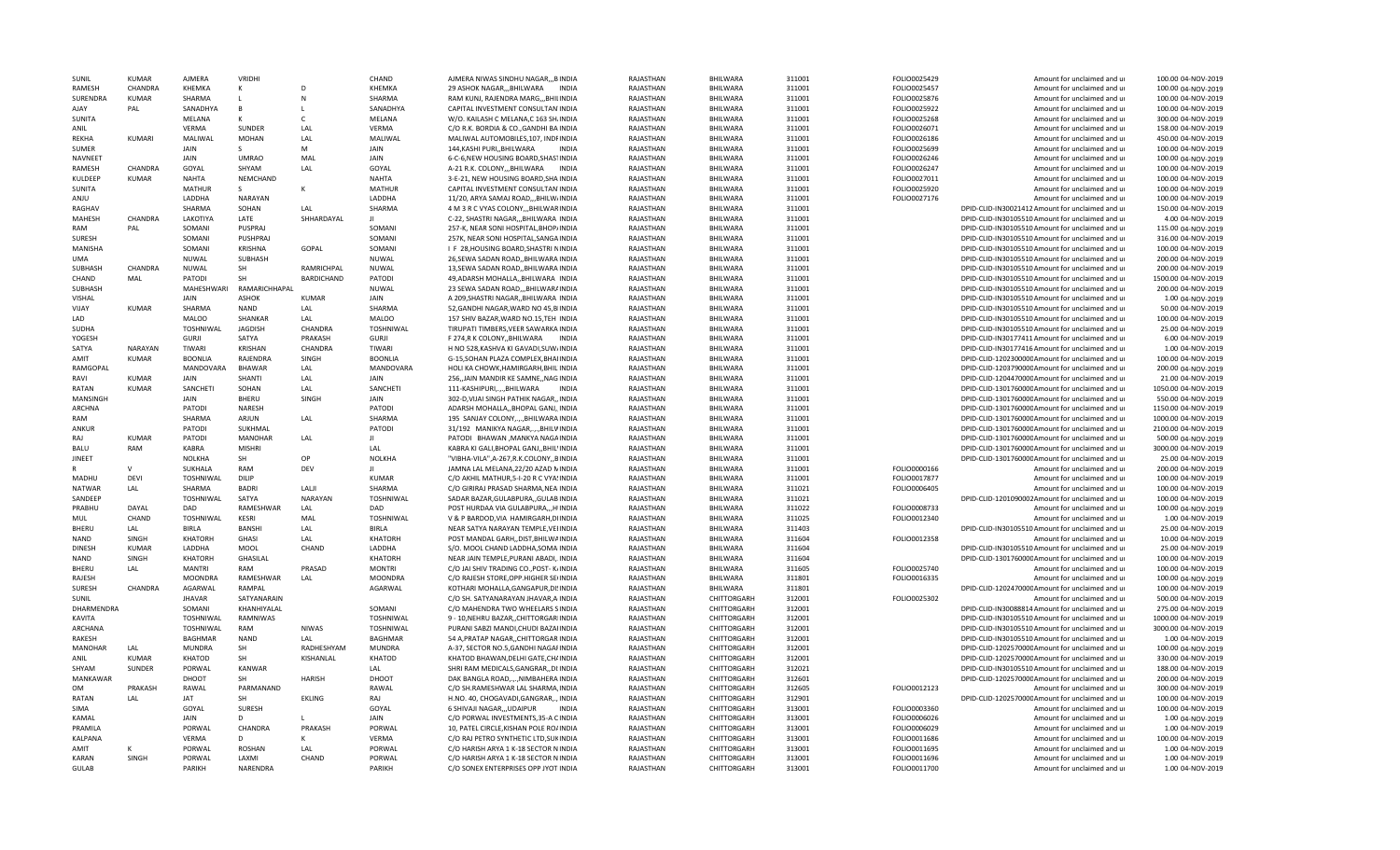| <b>SUNIL</b>          | KUMAR          | <b>AJMERA</b>           | VRIDHI            |                   | CHAND                            | AIMERA NIWAS SINDHU NAGARB INDIA                                              | RAJASTHAN              | <b>BHILWARA</b>            | 311001           | FOLIO0025429                 | Amount for unclaimed and ur                                | 100.00 04-NOV-2019                   |
|-----------------------|----------------|-------------------------|-------------------|-------------------|----------------------------------|-------------------------------------------------------------------------------|------------------------|----------------------------|------------------|------------------------------|------------------------------------------------------------|--------------------------------------|
| RAMESH                | CHANDRA        | KHEMKA                  | К                 | D                 | KHEMKA                           | 29 ASHOK NAGAR, BHILWARA INDIA                                                | RAJASTHAN              | BHILWARA                   | 311001           | FOLIO0025457                 | Amount for unclaimed and ur                                | 100.00 04-NOV-2019                   |
| SURENDRA              | <b>KUMAR</b>   | SHARMA                  |                   | $\mathsf{N}$      | SHARMA                           | RAM KUNJ, RAJENDRA MARG,,,BHILINDIA                                           | RAJASTHAN              | BHILWARA                   | 311001           | FOLIO0025876                 | Amount for unclaimed and ur                                | 100.00 04-NOV-2019                   |
| AIAY                  | PAL            | SANADHYA                | B                 |                   | SANADHYA                         | CAPITAL INVESTMENT CONSULTAN INDIA                                            | RAJASTHAN              | BHILWARA                   | 311001           | FOLIO0025922                 | Amount for unclaimed and ur                                | 100.00 04-NOV-2019                   |
| <b>SUNITA</b>         |                | MELANA                  | к                 | $\mathsf{C}$      | MELANA                           | W/O. KAILASH C MELANA,C 163 SH.INDIA                                          | RAJASTHAN              | BHILWARA                   | 311001           | FOLIO0025268                 | Amount for unclaimed and ur                                | 300.00 04-NOV-2019                   |
| ANIL                  |                | <b>VFRMA</b>            | SUNDER            | LAL               | VERMA                            | C/O R.K. BORDIA & CO., GANDHI BA INDIA                                        | RAJASTHAN              | BHILWARA                   | 311001           | FOLIO0026071                 | Amount for unclaimed and ur                                | 158.00 04-NOV-2019                   |
| REKHA                 | KUMARI         | MALIWAL                 | <b>MOHAN</b>      | LAL               | MALIWAL                          | MALIWAL AUTOMOBILES, 107, INDFINDIA                                           | RAJASTHAN              | BHILWARA                   | 311001           | FOLIO0026186                 | Amount for unclaimed and ur                                | 450.00 04-NOV-2019                   |
| <b>SUMFR</b>          |                | <b>JAIN</b>             | S.                | M                 | <b>JAIN</b>                      | 144, KASHI PURI, , BHILWARA<br><b>INDIA</b>                                   | RAJASTHAN              | BHILWARA                   | 311001           | FOLIO0025699                 | Amount for unclaimed and ur                                | 100.00 04-NOV-2019                   |
| NAVNEET               |                | <b>JAIN</b>             | <b>UMRAO</b>      | MAL               | JAIN                             | 6-C-6, NEW HOUSING BOARD, SHASTINDIA                                          | RAJASTHAN              | <b>BHILWARA</b>            | 311001           | FOLIO0026246                 | Amount for unclaimed and ur                                | 100.00 04-NOV-2019                   |
| RAMESH                | CHANDRA        | GOYAL                   | SHYAM             | LAL               | GOYAL                            | A-21 R.K. COLONY,,,BHILWARA INDIA                                             | RAJASTHAN              | BHILWARA                   | 311001           | FOLIO0026247                 | Amount for unclaimed and ur                                | 100.00 04-NOV-2019                   |
| KULDEEP               | <b>KUMAR</b>   | <b>NAHTA</b>            | NEMCHAND          |                   | <b>NAHTA</b>                     | 3-E-21, NEW HOUSING BOARD, SHA INDIA                                          | RAJASTHAN              | BHILWARA                   | 311001           | FOLIO0027011                 | Amount for unclaimed and ur                                | 100.00 04-NOV-2019                   |
| SUNITA                |                | <b>MATHUR</b>           | S                 | к                 | <b>MATHUR</b>                    | CAPITAL INVESTMENT CONSULTAN INDIA                                            | RAJASTHAN              | <b>BHILWARA</b>            | 311001           | FOLIO0025920                 | Amount for unclaimed and ur                                | 100.00 04-NOV-2019                   |
| ANJU                  |                | LADDHA                  | NARAYAN           |                   | LADDHA                           | 11/20, ARYA SAMAJ ROAD,,,BHILW/INDIA                                          | RAJASTHAN              | BHILWARA                   | 311001           | FOLIO0027176                 | Amount for unclaimed and ur                                | 100.00 04-NOV-2019                   |
|                       |                | SHARMA                  |                   |                   |                                  |                                                                               |                        |                            |                  |                              |                                                            |                                      |
| RAGHAV                |                |                         | SOHAN             | LAL               | SHARMA<br>$\mathbf{H}$           | 4 M 3 R C VYAS COLONY, BHILWARINDIA                                           | RAJASTHAN              | BHILWARA                   | 311001           |                              | DPID-CLID-IN30021412 Amount for unclaimed and ur           | 150.00 04-NOV-2019                   |
| MAHESH                | CHANDRA        | LAKOTIYA                | LATF              | SHHARDAYAL        |                                  | C-22, SHASTRI NAGAR,,, BHILWARA INDIA                                         | RAJASTHAN              | BHILWARA                   | 311001           |                              | DPID-CLID-IN30105510 Amount for unclaimed and ur           | 4.00 04-NOV-2019                     |
| RAM                   | PAL            | SOMANI                  | PUSPRAJ           |                   | SOMANI                           | 257-K, NEAR SONI HOSPITAL, BHOP/INDIA                                         | RAJASTHAN              | BHILWARA                   | 311001           |                              | DPID-CLID-IN30105510 Amount for unclaimed and ur           | 115.00 04-NOV-2019                   |
| SURESH                |                | SOMANI                  | PUSHPRAJ          |                   | SOMANI                           | 257K, NEAR SONI HOSPITAL, SANGA INDIA                                         | RAJASTHAN              | BHILWARA                   | 311001           |                              | DPID-CLID-IN30105510 Amount for unclaimed and ur           | 316.00 04-NOV-2019                   |
| MANISHA               |                | SOMANI                  | KRISHNA           | GOPAL             | SOMANI                           | I F 28.HOUSING BOARD.SHASTRI NINDIA                                           | RAJASTHAN              | BHILWARA                   | 311001           |                              | DPID-CLID-IN30105510 Amount for unclaimed and ur           | 100.00 04-NOV-2019                   |
| <b>UMA</b>            |                | NUWAL                   | <b>SUBHASH</b>    |                   | <b>NUWAL</b>                     | 26, SEWA SADAN ROAD, BHILWARA INDIA                                           | RAJASTHAN              | <b>BHILWARA</b>            | 311001           |                              | DPID-CLID-IN30105510 Amount for unclaimed and up           | 200.00 04-NOV-2019                   |
| SUBHASH               | <b>CHANDRA</b> | NUWAL                   | SH                | <b>RAMRICHPAL</b> | <b>NUWAL</b>                     | 13, SEWA SADAN ROAD, BHILWARA INDIA                                           | RAJASTHAN              | <b>BHILWARA</b>            | 311001           |                              | DPID-CLID-IN30105510 Amount for unclaimed and ur           | 200.00 04-NOV-2019                   |
| CHAND                 | MAL            | PATODI                  | SH                | <b>BARDICHAND</b> | PATODI                           | 49, ADARSH MOHALLA,, BHILWARA INDIA                                           | RAJASTHAN              | BHILWARA                   | 311001           |                              | DPID-CLID-IN30105510 Amount for unclaimed and ur           | 1500.00 04-NOV-2019                  |
| SUBHASH               |                | MAHESHWARI              | RAMARICHHAPAL     |                   | NUWAL                            | 23 SEWA SADAN ROAD,,,BHILWARAINDIA                                            | RAJASTHAN              | BHILWARA                   | 311001           |                              | DPID-CLID-IN30105510 Amount for unclaimed and ur           | 200.00 04-NOV-2019                   |
| VISHAL                |                | <b>JAIN</b>             | <b>ASHOK</b>      | <b>KUMAR</b>      | <b>JAIN</b>                      | A 209, SHASTRI NAGAR, , BHILWARA INDIA                                        | RAJASTHAN              | <b>BHILWARA</b>            | 311001           |                              | DPID-CLID-IN30105510 Amount for unclaimed and ur           | 1.00 04-NOV-2019                     |
| VIJAY                 | KUMAR          | SHARMA                  | <b>NAND</b>       | LAL               | SHARMA                           | 52, GANDHI NAGAR, WARD NO 45, BIINDIA                                         | RAJASTHAN              | BHILWARA                   | 311001           |                              | DPID-CLID-IN30105510 Amount for unclaimed and ur           | 50.00 04-NOV-2019                    |
| LAD                   |                | <b>MALOO</b>            | SHANKAR           | LAL               | <b>MALOO</b>                     | 157 SHIV BAZAR, WARD NO.15, TEH INDIA                                         | RAJASTHAN              | BHILWARA                   | 311001           |                              | DPID-CLID-IN30105510 Amount for unclaimed and ur           | 100.00 04-NOV-2019                   |
| SUDHA                 |                | TOSHNIWAL               | <b>JAGDISH</b>    | CHANDRA           | <b>TOSHNIWAL</b>                 | TIRUPATI TIMBERS, VEER SAWARKA INDIA                                          | RAJASTHAN              | BHILWARA                   | 311001           |                              | DPID-CLID-IN30105510 Amount for unclaimed and ur           | 25.00 04-NOV-2019                    |
| YOGESH                |                | <b>GURJI</b>            | SATYA             | PRAKASH           | <b>GURJI</b>                     | F 274,R K COLONY,, BHILWARA<br>INDIA                                          | RAJASTHAN              | BHILWARA                   | 311001           |                              | DPID-CLID-IN30177411 Amount for unclaimed and ur           | 6.00 04-NOV-2019                     |
| SATYA                 | NARAYAN        | TIWARI                  | KRISHAN           | CHANDRA           | TIWARI                           | H NO 528, KASHVA KI GAVADI, SUW/INDIA                                         | RAJASTHAN              | BHILWARA                   | 311001           |                              | DPID-CLID-IN30177416 Amount for unclaimed and ur           | 1.00 04-NOV-2019                     |
| AMIT                  | KUMAR          | <b>BOONLIA</b>          |                   | <b>SINGH</b>      | <b>BOONLIA</b>                   |                                                                               |                        | <b>BHILWARA</b>            |                  |                              |                                                            | 100.00 04-NOV-2019                   |
|                       |                |                         | RAJENDRA          |                   |                                  | G-15, SOHAN PLAZA COMPLEX, BHAIINDIA                                          | RAJASTHAN              |                            | 311001           |                              | DPID-CLID-120230000CAmount for unclaimed and ur            |                                      |
| RAMGOPAL              |                | MANDOVARA               | BHAWAR            | LAL               | MANDOVARA                        | HOLI KA CHOWK, HAMIRGARH, BHIL'INDIA                                          | RAJASTHAN              | BHILWARA                   | 311001           |                              | DPID-CLID-120379000CAmount for unclaimed and ur            | 200.00 04-NOV-2019                   |
| RAVI                  | KUMAR          | JAIN                    | SHANTI            | LAL               | JAIN                             | 256, JAIN MANDIR KE SAMNE, NAG INDIA                                          | RAJASTHAN              | BHILWARA                   | 311001           |                              | DPID-CLID-120447000CAmount for unclaimed and ur            | 21.00 04-NOV-2019                    |
| RATAN                 | <b>KUMAR</b>   | SANCHETI                | SOHAN             | LAL               | SANCHETI                         | 111-KASHIPURIBHILWARA<br><b>INDIA</b>                                         | RAJASTHAN              | BHILWARA                   | 311001           |                              | DPID-CLID-130176000CAmount for unclaimed and ur            | 1050.00 04-NOV-2019                  |
| MANSINGH              |                | <b>JAIN</b>             | BHERU             | SINGH             | JAIN                             | 302-D.VIJAI SINGH PATHIK NAGAR. INDIA                                         | RAJASTHAN              | BHILWARA                   | 311001           |                              | DPID-CLID-130176000CAmount for unclaimed and ur            | 550.00 04-NOV-2019                   |
| ARCHNA                |                | PATODI                  | NARESH            |                   | PATODI                           | ADARSH MOHALLA,, BHOPAL GANJ,, INDIA                                          | RAJASTHAN              | <b>BHILWARA</b>            | 311001           |                              | DPID-CLID-130176000CAmount for unclaimed and ur            | 1150.00 04-NOV-2019                  |
| <b>RAM</b>            |                | SHARMA                  | ARJUN             | LAL               | SHARMA                           | 195 SANJAY COLONY,.,.,BHILWARA INDIA                                          | RAJASTHAN              | BHILWARA                   | 311001           |                              | DPID-CLID-130176000CAmount for unclaimed and ur            | 1000.00 04-NOV-2019                  |
| ANKUR                 |                | PATODI                  | SUKHMAL           |                   | PATODI                           | 31/192 MANIKYA NAGAR,.,.,BHILWINDIA                                           | RAJASTHAN              | BHILWARA                   | 311001           |                              | DPID-CLID-130176000CAmount for unclaimed and ur            | 2100.00 04-NOV-2019                  |
| RAJ                   | <b>KUMAR</b>   | PATODI                  | <b>MANOHAR</b>    | LAL               | JI.                              | PATODI BHAWAN , MANKYA NAGAINDIA                                              | RAJASTHAN              | <b>BHILWARA</b>            | 311001           |                              | DPID-CLID-130176000CAmount for unclaimed and ur            | 500.00 04-NOV-2019                   |
| BALU                  | RAM            | KABRA                   | <b>MISHRI</b>     |                   | LAL                              | KABRA KI GALI, BHOPAL GANJ,, BHIL'INDIA                                       | RAJASTHAN              | BHILWARA                   | 311001           |                              | DPID-CLID-130176000CAmount for unclaimed and ur            | 3000.00 04-NOV-2019                  |
| JINEET                |                | <b>NOLKHA</b>           | SH                | OP                | <b>NOLKHA</b>                    | "VIBHA-VILA", A-267, R.K.COLONY, , BINDIA                                     | RAJASTHAN              | BHILWARA                   | 311001           |                              | DPID-CLID-130176000CAmount for unclaimed and ur            | 25.00 04-NOV-2019                    |
|                       | $\mathsf{V}$   | SUKHALA                 | RAM               | DEV               | - 11                             | JAMNA LAL MELANA, 22/20 AZAD NINDIA                                           | RAJASTHAN              | BHILWARA                   | 311001           | FOLIO0000166                 | Amount for unclaimed and ur                                | 200.00 04-NOV-2019                   |
| MADHU                 | <b>DEVI</b>    | TOSHNIWAL               | DILIP             |                   | <b>KUMAR</b>                     | C/O AKHIL MATHUR, 5-I-20 R C VYASINDIA                                        | RAJASTHAN              | <b>BHILWARA</b>            | 311001           | FOLIO0017877                 | Amount for unclaimed and ur                                | 100.00 04-NOV-2019                   |
| <b>NATWAR</b>         | LAL            | SHARMA                  | <b>BADR</b>       | LALI              | SHARMA                           | C/O GIRIRAJ PRASAD SHARMA, NEAIINDIA                                          | RAJASTHAN              | <b>BHILWARA</b>            | 311021           | FOLIO0006405                 | Amount for unclaimed and ur                                | 100.00 04-NOV-2019                   |
| SANDEEP               |                | <b>TOSHNIWAL</b>        | SATYA             | <b>NARAYAN</b>    | <b>TOSHNIWAL</b>                 | SADAR BAZAR, GULABPURA,, GULAB INDIA                                          | RAJASTHAN              | BHILWARA                   | 311021           |                              | DPID-CLID-1201090002Amount for unclaimed and ur            | 100.00 04-NOV-2019                   |
| PRABHU                | DAYAI          | DAD                     | RAMESHWAR         | LAL               | DAD                              | POST HURDAA VIA GULABPURA,,,HIINDIA                                           | RAJASTHAN              | BHILWARA                   | 311022           | FOLIO0008733                 |                                                            | 100.00 04-NOV-2019                   |
|                       |                |                         |                   |                   |                                  |                                                                               |                        |                            |                  |                              | Amount for unclaimed and ur                                |                                      |
| MUL<br>BHFRU          | CHAND<br>LAL   | TOSHNIWAL<br>BIRLA      | KESRI             | MAL<br>LAL        | <b>TOSHNIWAL</b><br><b>BIRLA</b> | V & P BARDOD, VIA HAMIRGARH, DIINDIA                                          | RAJASTHAN              | BHILWARA                   | 311025           | FOLIO0012340                 | Amount for unclaimed and ur                                | 1.00 04-NOV-2019                     |
|                       |                |                         | <b>BANSHI</b>     |                   |                                  | NEAR SATYA NARAYAN TEMPLE, VEIINDIA                                           | RAJASTHAN              | BHILWARA                   | 311403           |                              | DPID-CLID-IN30105510 Amount for unclaimed and ur           | 25.00 04-NOV-2019                    |
| <b>NAND</b>           | SINGH          | <b>KHATORH</b>          | GHASI             | LAL               | <b>KHATORH</b>                   | POST MANDAL GARH,, DIST, BHILWAINDIA                                          | RAJASTHAN              | BHILWARA                   | 311604           | FOLIO0012358                 | Amount for unclaimed and u                                 | 10.00 04-NOV-2019                    |
| <b>DINESE</b>         | KUMAF          | LADDHA                  | <b>MOOL</b>       | CHAND             | LADDHA                           | S/O. MOOL CHAND LADDHA, SOMAINDIA                                             | RAJASTHAN              | <b>BHILWARA</b>            | 311604           |                              | DPID-CLID-IN30105510 Amount for unclaimed and ur           | 25.00.04-NOV-2019                    |
| <b>NAND</b>           | SINGH          | <b>KHATORH</b>          | GHASILAL          |                   | KHATORH                          | NEAR JAIN TEMPLE, PURANI ABADI, INDIA                                         | RAJASTHAN              | BHILWARA                   | 311604           |                              | DPID-CLID-130176000C Amount for unclaimed and ur           | 100.00 04-NOV-2019                   |
| BHERU                 | LAL            | <b>MANTRI</b>           | RAM               | PRASAD            | <b>MONTRI</b>                    | C/O JAI SHIV TRADING CO., POST- K/INDIA                                       | RAJASTHAN              | BHILWARA                   | 311605           | FOLIO0025740                 | Amount for unclaimed and ur                                | 100.00 04-NOV-2019                   |
| RAJESH                |                | <b>MOONDRA</b>          | RAMESHWAR         | LAL               | <b>MOONDRA</b>                   | C/O RAJESH STORE, OPP. HIGHER SEIINDIA                                        | RAJASTHAN              | BHILWARA                   | 311801           | FOLIO0016335                 | Amount for unclaimed and ur                                | 100.00 04-NOV-2019                   |
| SURESH                | CHANDRA        | AGARWAL                 | RAMPAL            |                   | AGARWAL                          | KOTHARI MOHALLA, GANGAPUR, DISINDIA                                           | RAJASTHAN              | BHILWARA                   | 311801           |                              | DPID-CLID-120247000CAmount for unclaimed and ur            | 100.00 04-NOV-2019                   |
| SUNIL                 |                | <b>JHAVAR</b>           | SATYANARAIN       |                   |                                  | C/O SH. SATYANARAYAN JHAVAR, A INDIA                                          | RAJASTHAN              | CHITTORGARH                | 312001           | FOLIO0025302                 | Amount for unclaimed and ur                                | 500.00 04-NOV-2019                   |
| DHARMENDRA            |                | SOMANI                  | KHANHIYALAL       |                   | SOMANI                           | C/O MAHENDRA TWO WHEELARS SINDIA                                              | RAJASTHAN              | CHITTORGARH                | 312001           |                              | DPID-CLID-IN30088814 Amount for unclaimed and ur           | 275.00 04-NOV-2019                   |
| KAVITA                |                | TOSHNIWAL               | RAMNIWAS          |                   | <b>TOSHNIWAL</b>                 | 9 - 10, NEHRU BAZAR,, CHITTORGARIINDIA                                        | RAJASTHAN              | CHITTORGARH                | 312001           |                              | DPID-CLID-IN30105510 Amount for unclaimed and ur           | 1000.00 04-NOV-2019                  |
| ARCHANA               |                | TOSHNIWAL               | RAM               | <b>NIWAS</b>      | <b>TOSHNIWAL</b>                 | PURANI SABZI MANDI, CHUDI BAZAHNDIA                                           | RAJASTHAN              | CHITTORGARH                | 312001           |                              | DPID-CLID-IN30105510 Amount for unclaimed and ur           | 3000.00 04-NOV-2019                  |
| RAKESH                |                | <b>BAGHMAR</b>          | <b>NAND</b>       | LAL               | <b>BAGHMAR</b>                   | 54 A, PRATAP NAGAR, , CHITTORGAR INDIA                                        | RAJASTHAN              | CHITTORGARH                | 312001           |                              | DPID-CLID-IN30105510 Amount for unclaimed and ur           | 1.00 04-NOV-2019                     |
| MANOHAR               | LAL            | <b>MUNDRA</b>           | SH                | RADHESHYAM        | <b>MUNDRA</b>                    | A-37, SECTOR NO.5, GANDHI NAGAFINDIA                                          | RAJASTHAN              | CHITTORGARH                | 312001           |                              | DPID-CLID-120257000CAmount for unclaimed and ur            | 100.00 04-NOV-2019                   |
| ANIL                  | <b>KUMAR</b>   | <b>KHATOD</b>           | SH                | KISHANLAL         | <b>KHATOD</b>                    | KHATOD BHAWAN, DELHI GATE, CH/INDIA                                           | RAJASTHAN              | CHITTORGARH                | 312001           |                              | DPID-CLID-120257000CAmount for unclaimed and ur            | 330.00 04-NOV-2019                   |
| SHYAM                 | SUNDER         | PORWAL                  | KANWAR            |                   | LAL                              | SHRI RAM MEDICALS, GANGRAR, , DI: INDIA                                       | RAJASTHAN              | CHITTORGARH                | 312021           |                              | DPID-CLID-IN30105510 Amount for unclaimed and ur           | 188.00 04-NOV-2019                   |
| <b>MANKAWAR</b>       |                | DHOOT                   | <b>SH</b>         | <b>HARISH</b>     | DHOOT                            | DAK BANGLA ROAD,.,,NIMBAHERA INDIA                                            | RAJASTHAN              | CHITTORGARH                | 312601           |                              | DPID-CLID-120257000CAmount for unclaimed and ur            | 200.00 04-NOV-2019                   |
|                       |                |                         |                   |                   |                                  |                                                                               |                        |                            |                  |                              |                                                            |                                      |
| <b>OM</b>             | PRAKASH        | RAWAL                   | PARMANAND         |                   | RAWAL                            | C/O SH.RAMESHWAR LAL SHARMA, INDIA                                            | RAJASTHAN              | CHITTORGARH                | 312605           | FOLIO0012123                 | Amount for unclaimed and u                                 | 300.00 04-NOV-2019                   |
| <b>RATAN</b>          | LAL            | JAT                     | SH                | <b>EKLING</b>     | RAJ                              | H.NO. 40, CHOGAVADI, GANGRAR,., INDIA                                         | RAJASTHAN              | CHITTORGARH                | 312901           |                              | DPID-CLID-120257000CAmount for unclaimed and ur            | 100.00 04-NOV-2019                   |
| <b>SIMA</b>           |                | GOYAL                   | SURESH            |                   | GOYAL                            | 6 SHIVAJI NAGAR,,,UDAIPUR<br><b>INDIA</b>                                     | RAJASTHAN              | CHITTORGARH                | 313001           | FOLIO0003360                 | Amount for unclaimed and ur                                | 100.00 04-NOV-2019                   |
| KAMAL                 |                | <b>JAIN</b>             | D                 |                   | JAIN                             | C/O PORWAL INVESTMENTS, 35-A CINDIA                                           | RAJASTHAN              | CHITTORGARH                | 313001           | FOLIO0006026                 | Amount for unclaimed and ur                                | 1.00 04-NOV-2019                     |
| PRAMILA               |                | PORWAL                  | CHANDRA           | PRAKASH           | PORWAL                           | 10, PATEL CIRCLE, KISHAN POLE RO/INDIA                                        | RAJASTHAN              | CHITTORGARH                | 313001           | FOLIO0006029                 | Amount for unclaimed and ur                                | 1.00 04-NOV-2019                     |
| KALPANA               |                | VERMA                   | D                 | к                 | VERMA                            | C/O RAJ PETRO SYNTHETIC LTD, SUKINDIA                                         | RAJASTHAN              | CHITTORGARH                | 313001           | FOLIO0011686                 | Amount for unclaimed and ur                                | 100.00 04-NOV-2019                   |
|                       |                |                         |                   |                   |                                  |                                                                               |                        |                            |                  |                              |                                                            |                                      |
| AMIT                  | к              | PORWAL                  | <b>ROSHAN</b>     | LAL               | PORWAL                           | C/O HARISH ARYA 1 K-18 SECTOR N INDIA                                         | RAJASTHAN              | CHITTORGARH                | 313001           | FOLIO0011695                 | Amount for unclaimed and ur                                | 1.00 04-NOV-2019                     |
| <b>KARAN</b><br>GULAB | SINGH          | PORWAL<br><b>PARIKH</b> | LAXMI<br>NARFNDRA | CHAND             | PORWAL<br><b>PARIKH</b>          | C/O HARISH ARYA 1 K-18 SECTOR N INDIA<br>C/O SONEX ENTERPRISES OPP JYOT INDIA | RAJASTHAN<br>RAJASTHAN | CHITTORGARH<br>CHITTORGARH | 313001<br>313001 | FOLIO0011696<br>FOLIO0011700 | Amount for unclaimed and ur<br>Amount for unclaimed and ur | 1.00 04-NOV-2019<br>1.00 04-NOV-2019 |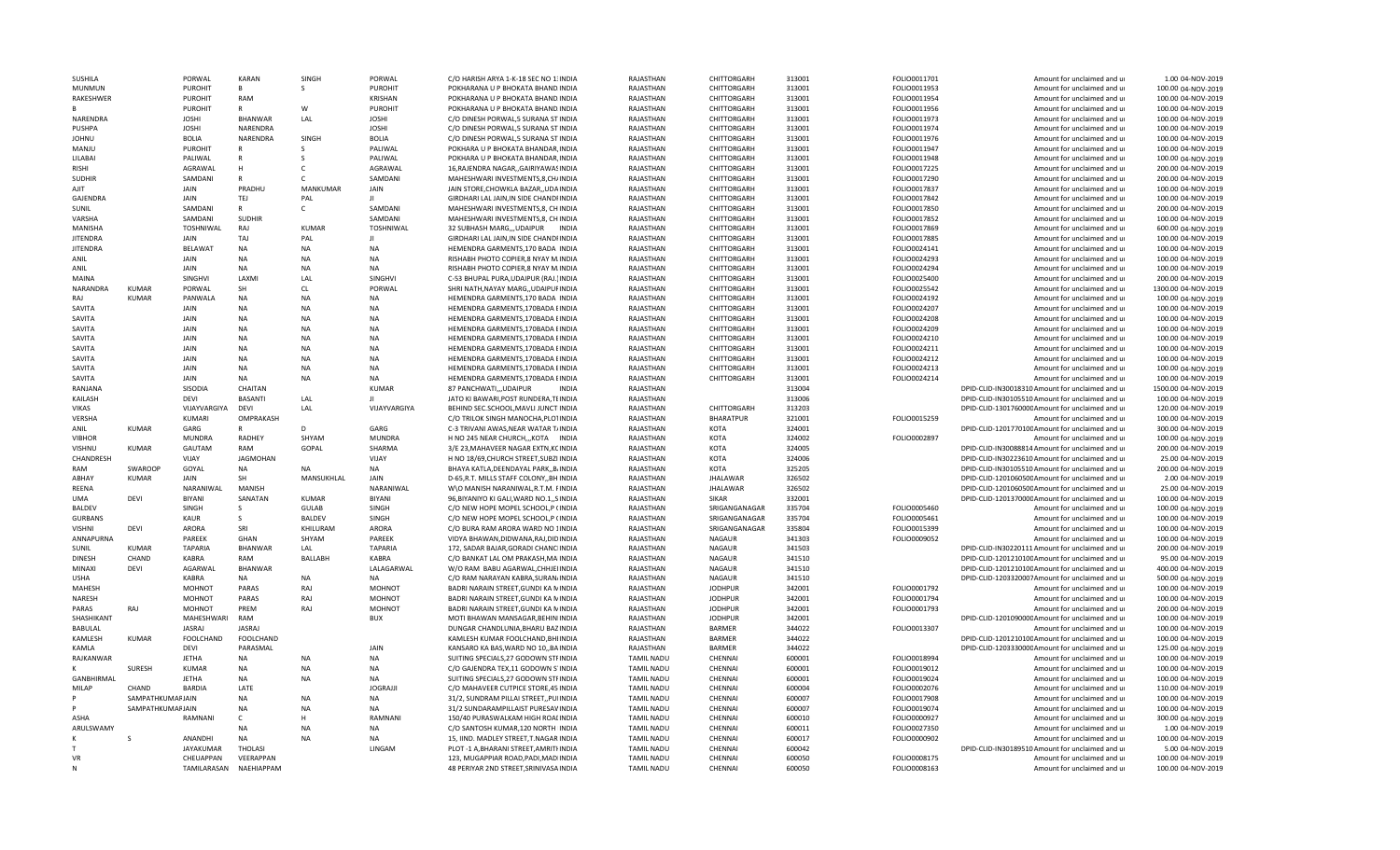| SUSHILA         |                         | PORWAL                   | KARAN                   | SINGH           | PORWAL           | C/O HARISH ARYA 1-K-18 SEC NO 1: INDIA                                         | RAJASTHAN                              | CHITTORGARH        | 313001           | FOLIO0011701                 | Amount for unclaimed and ur                                | 1.00 04-NOV-2019                         |
|-----------------|-------------------------|--------------------------|-------------------------|-----------------|------------------|--------------------------------------------------------------------------------|----------------------------------------|--------------------|------------------|------------------------------|------------------------------------------------------------|------------------------------------------|
| <b>MUNMUN</b>   |                         | <b>PUROHIT</b>           | $\mathsf{B}$            | S.              | <b>PUROHIT</b>   | POKHARANA U P BHOKATA BHAND INDIA                                              | RAJASTHAN                              | CHITTORGARH        | 313001           | FOLIO0011953                 | Amount for unclaimed and ur                                | 100.00 04-NOV-2019                       |
| RAKESHWER       |                         | <b>PUROHIT</b>           | RAM                     |                 | <b>KRISHAN</b>   | POKHARANA U P BHOKATA BHAND INDIA                                              | RAJASTHAN                              | CHITTORGARH        | 313001           | FOLIO0011954                 | Amount for unclaimed and ur                                | 100.00 04-NOV-2019                       |
| B.              |                         | PUROHIT                  | $\mathsf{R}$            | w               | <b>PUROHIT</b>   | POKHARANA U P BHOKATA BHAND.INDIA                                              | RAJASTHAN                              | CHITTORGARH        | 313001           | FOLIO0011956                 | Amount for unclaimed and ur                                | 100.00 04-NOV-2019                       |
| <b>NARENDRA</b> |                         | <b>JOSHI</b>             | <b>BHANWAR</b>          | LAL             | <b>JOSHI</b>     | C/O DINESH PORWAL 5 SURANA ST INDIA                                            | RAJASTHAN                              | CHITTORGARH        | 313001           | FOLIO0011973                 | Amount for unclaimed and ur                                | 100.00 04-NOV-2019                       |
| PUSHPA          |                         | <b>JOSHI</b>             | NARENDRA                |                 | <b>JOSHI</b>     | C/O DINESH PORWAL,5 SURANA ST INDIA                                            | RAJASTHAN                              | CHITTORGARH        | 313001           | FOLIO0011974                 | Amount for unclaimed and ur                                | 100.00 04-NOV-2019                       |
| <b>JOHNU</b>    |                         | <b>BOLIA</b>             | NARENDRA                | SINGH           | <b>BOLIA</b>     | C/O DINESH PORWAL,5 SURANA ST INDIA                                            | RAJASTHAN                              | CHITTORGARH        | 313001           | FOLIO0011976                 | Amount for unclaimed and ur                                | 100.00 04-NOV-2019                       |
| MANJU           |                         | <b>PUROHIT</b>           | $\overline{R}$          |                 | PALIWAL          | POKHARA U P BHOKATA BHANDAR, INDIA                                             | RAJASTHAN                              | CHITTORGARH        | 313001           | FOLIO0011947                 | Amount for unclaimed and ur                                | 100.00 04-NOV-2019                       |
| LILABAI         |                         | PALIWAL                  | $\mathsf{R}$            |                 | PALIWAL          | POKHARA U P BHOKATA BHANDAR, INDIA                                             | RAJASTHAN                              | CHITTORGARH        | 313001           | FOLIO0011948                 | Amount for unclaimed and ur                                | 100.00 04-NOV-2019                       |
| <b>RISHI</b>    |                         | AGRAWAL                  | H                       |                 | AGRAWAL          | 16, RAJENDRA NAGAR, , GAIRIYAWASINDIA                                          | RAJASTHAN                              | CHITTORGARH        | 313001           | FOLIO0017225                 | Amount for unclaimed and ur                                | 200.00 04-NOV-2019                       |
| <b>SUDHIR</b>   |                         | SAMDANI                  | $\mathsf{R}$            |                 | SAMDANI          | MAHESHWARI INVESTMENTS, 8, CH/INDIA                                            | RAJASTHAN                              | CHITTORGARH        | 313001           | FOLIO0017290                 | Amount for unclaimed and ur                                | 200.00 04-NOV-2019                       |
| AIIT            |                         | JAIN                     | PRADHU                  | <b>MANKUMAR</b> |                  | JAIN STORE.CHOWKLA BAZAR., UDAINDIA                                            |                                        | CHITTORGARH        | 313001           | FOLIO0017837                 | Amount for unclaimed and u                                 | 100.00 04-NOV-2019                       |
|                 |                         |                          |                         |                 | JAIN             |                                                                                | RAJASTHAN                              |                    |                  |                              |                                                            |                                          |
| <b>GAJENDRA</b> |                         | <b>JAIN</b>              | TEJ                     | PAL             | $\mathbf{H}$     | GIRDHARI LAL JAIN, IN SIDE CHANDFINDIA                                         | RAJASTHAN                              | CHITTORGARH        | 313001           | FOLIO0017842                 | Amount for unclaimed and ur                                | 100.00 04-NOV-2019                       |
| SUNIL           |                         | SAMDANI                  | R                       | C.              | SAMDANI          | MAHESHWARI INVESTMENTS, 8, CHINDIA                                             | RAJASTHAN                              | CHITTORGARH        | 313001           | FOLIO0017850                 | Amount for unclaimed and ur                                | 200.00 04-NOV-2019                       |
| VARSHA          |                         | SAMDANI                  | <b>SUDHIR</b>           |                 | SAMDANI          | MAHESHWARI INVESTMENTS, 8, CHINDIA                                             | RAIASTHAN                              | CHITTORGARH        | 313001           | FOLIO0017852                 | Amount for unclaimed and ur                                | 100.00 04-NOV-2019                       |
| MANISHA         |                         | TOSHNIWAL                | RAJ                     | <b>KUMAR</b>    | <b>TOSHNIWAL</b> | 32 SUBHASH MARG,,,UDAIPUR INDIA                                                | RAIASTHAN                              | CHITTORGARH        | 313001           | FOLIO0017869                 | Amount for unclaimed and ur                                | 600.00 04-NOV-2019                       |
| <b>JITENDRA</b> |                         | <b>JAIN</b>              | TAJ                     | PAL             | $\mathbf{H}$     | GIRDHARI LAL JAIN, IN SIDE CHANDFINDIA                                         | RAJASTHAN                              | CHITTORGARH        | 313001           | FOLIO0017885                 | Amount for unclaimed and ur                                | 100.00 04-NOV-2019                       |
| <b>JITENDRA</b> |                         | <b>BELAWAT</b>           | <b>NA</b>               | <b>NA</b>       | <b>NA</b>        | HEMENDRA GARMENTS, 170 BADA INDIA                                              | RAJASTHAN                              | CHITTORGARH        | 313001           | FOLIO0024141                 | Amount for unclaimed and ur                                | 100.00 04-NOV-2019                       |
| ANIL            |                         | JAIN                     | <b>NA</b>               | <b>NA</b>       | <b>NA</b>        | RISHABH PHOTO COPIER,8 NYAY M.INDIA                                            | RAJASTHAN                              | CHITTORGARH        | 313001           | FOLIO0024293                 | Amount for unclaimed and ur                                | 100.00 04-NOV-2019                       |
| ANIL            |                         | JAIN                     | <b>NA</b>               | <b>NA</b>       | <b>NA</b>        | RISHABH PHOTO COPIER,8 NYAY M.INDIA                                            | RAJASTHAN                              | CHITTORGARH        | 313001           | FOLIO0024294                 | Amount for unclaimed and ur                                | 100.00 04-NOV-2019                       |
| <b>MAINA</b>    |                         | SINGHVI                  | LAXMI                   | LAL             | <b>SINGHVI</b>   | C-53 BHUPAL PURA, UDAIPUR (RAJ.) INDIA                                         | RAJASTHAN                              | CHITTORGARH        | 313001           | FOLIO0025400                 | Amount for unclaimed and ur                                | 200.00 04-NOV-2019                       |
| NARANDRA        | <b>KUMAR</b>            | PORWAL                   | SH                      | <b>CL</b>       | PORWAL           | SHRI NATH, NAYAY MARG, , UDAIPUFINDIA                                          | RAJASTHAN                              | CHITTORGARH        | 313001           | FOLIO0025542                 | Amount for unclaimed and ur                                | 1300.00 04-NOV-2019                      |
| RAI             | KUMAR                   | PANWALA                  | <b>NA</b>               | <b>NA</b>       | <b>NA</b>        | HEMENDRA GARMENTS, 170 BADA INDIA                                              | RAJASTHAN                              | CHITTORGARH        | 313001           | FOLIO0024192                 | Amount for unclaimed and ur                                | 100.00 04-NOV-2019                       |
| SAVITA          |                         | JAIN                     | NA                      | <b>NA</b>       | <b>NA</b>        | HEMENDRA GARMENTS, 170BADA EINDIA                                              |                                        | CHITTORGARH        | 313001           | FOLIO0024207                 |                                                            | 100.00 04-NOV-2019                       |
|                 |                         |                          |                         |                 |                  |                                                                                | RAJASTHAN                              |                    |                  |                              | Amount for unclaimed and ur                                |                                          |
| SAVITA          |                         | <b>JAIN</b>              | <b>NA</b>               | <b>NA</b>       | <b>NA</b>        | HEMENDRA GARMENTS, 170BADA EINDIA                                              | RAJASTHAN                              | CHITTORGARH        | 313001           | FOLIO0024208                 | Amount for unclaimed and ur                                | 100.00 04-NOV-2019                       |
| SAVITA          |                         | <b>JAIN</b>              | <b>NA</b>               | <b>NA</b>       | <b>NA</b>        | HEMENDRA GARMENTS, 170BADA EINDIA                                              | RAJASTHAN                              | CHITTORGARH        | 313001           | FOLIO0024209                 | Amount for unclaimed and ur                                | 100.00 04-NOV-2019                       |
| SAVITA          |                         | JAIN                     | <b>NA</b>               | <b>NA</b>       | <b>NA</b>        | HEMENDRA GARMENTS, 170BADA EINDIA                                              | RAJASTHAN                              | CHITTORGARH        | 313001           | FOLIO0024210                 | Amount for unclaimed and ur                                | 100.00 04-NOV-2019                       |
| SAVITA          |                         | <b>JAIN</b>              | <b>NA</b>               | NA              | <b>NA</b>        | HEMENDRA GARMENTS, 170BADA EINDIA                                              | RAJASTHAN                              | CHITTORGARH        | 313001           | FOLIO0024211                 | Amount for unclaimed and ur                                | 100.00 04-NOV-2019                       |
| SAVITA          |                         | <b>JAIN</b>              | <b>NA</b>               | <b>NA</b>       | <b>NA</b>        | HEMENDRA GARMENTS, 170BADA EINDIA                                              | RAIASTHAN                              | CHITTORGARH        | 313001           | FOLIO0024212                 | Amount for unclaimed and ur                                | 100.00 04-NOV-2019                       |
| SAVITA          |                         | JAIN                     | <b>NA</b>               | <b>NA</b>       | <b>NA</b>        | HEMENDRA GARMENTS, 170BADA EINDIA                                              | RAJASTHAN                              | CHITTORGARH        | 313001           | FOLIO0024213                 | Amount for unclaimed and ur                                | 100.00 04-NOV-2019                       |
| SAVITA          |                         | JAIN                     | <b>NA</b>               | <b>NA</b>       | <b>NA</b>        | HEMENDRA GARMENTS, 170BADA EINDIA                                              | RAJASTHAN                              | CHITTORGARH        | 313001           | FOLIO0024214                 | Amount for unclaimed and ur                                | 100.00 04-NOV-2019                       |
| RANJANA         |                         | SISODIA                  | CHAITAN                 |                 | <b>KUMAR</b>     | 87 PANCHWATI,,,UDAIPUR<br><b>INDIA</b>                                         | RAJASTHAN                              |                    | 313004           |                              | DPID-CLID-IN30018310 Amount for unclaimed and ur           | 1500.00 04-NOV-2019                      |
| KAILASH         |                         | DEVI                     | <b>BASANTI</b>          | LAL             |                  | JATO KI BAWARI, POST RUNDERA, TEINDIA                                          | RAJASTHAN                              |                    | 313006           |                              | DPID-CLID-IN30105510 Amount for unclaimed and ur           | 100.00 04-NOV-2019                       |
| <b>VIKAS</b>    |                         | VIJAYVARGIYA             | DEVI                    | LAL             | VIJAYVARGIYA     | BEHIND SEC.SCHOOL, MAVLI JUNCTINDIA                                            | RAJASTHAN                              | CHITTORGARH        | 313203           |                              | DPID-CLID-130176000C Amount for unclaimed and ur           | 120.00 04-NOV-2019                       |
| VERSHA          |                         | KUMARI                   | OMPRAKASH               |                 |                  | C/O TRILOK SINGH MANOCHA, PLOTINDIA                                            | RAJASTHAN                              | <b>BHARATPUR</b>   | 321001           | FOLIO0015259                 | Amount for unclaimed and ur                                | 100.00 04-NOV-2019                       |
|                 |                         |                          |                         |                 |                  |                                                                                |                                        |                    |                  |                              |                                                            |                                          |
|                 |                         |                          |                         |                 |                  |                                                                                |                                        |                    |                  |                              |                                                            |                                          |
| ANIL            | <b>KUMAR</b>            | GARG                     | $\mathsf{R}$            | D               | GARG             | C-3 TRIVANI AWAS, NEAR WATAR T/INDIA                                           | RAJASTHAN                              | <b>KOTA</b>        | 324001           |                              | DPID-CLID-120177010CAmount for unclaimed and ur            | 300.00 04-NOV-2019                       |
| <b>VIBHOR</b>   |                         | <b>MUNDRA</b>            | <b>RADHEY</b>           | SHYAM           | <b>MUNDRA</b>    | H NO 245 NEAR CHURCHKOTA INDIA                                                 | RAJASTHAN                              | KOTA               | 324002           | FOLIO0002897                 | Amount for unclaimed and ur                                | 100.00 04-NOV-2019                       |
| VISHNU          | KUMAR                   | GAUTAM                   | RAM                     | GOPAL           | SHARMA           | 3/E 23, MAHAVEER NAGAR EXTN, KCINDIA                                           | RAJASTHAN                              | KOTA               | 324005           |                              | DPID-CLID-IN30088814 Amount for unclaimed and ur           | 200.00 04-NOV-2019                       |
| CHANDRESH       |                         | VIJAY                    | <b>JAGMOHAN</b>         |                 | VIJAY            | H NO 18/69, CHURCH STREET, SUBZI INDIA                                         | RAJASTHAN                              | KOTA               | 324006           |                              | DPID-CLID-IN30223610 Amount for unclaimed and ur           | 25.00 04-NOV-2019                        |
| RAM             | SWAROOP                 | GOYAL                    | <b>NA</b>               | <b>NA</b>       | NA               | BHAYA KATLA, DEENDAYAL PARK,, BJINDIA                                          | RAJASTHAN                              | KOTA               | 325205           |                              | DPID-CLID-IN30105510 Amount for unclaimed and ur           | 200.00 04-NOV-2019                       |
| ABHAY           | <b>KUMAR</b>            | <b>JAIN</b>              | SH                      | MANSUKHLAL      | JAIN             | D-65.R.T. MILLS STAFF COLONYBH.INDIA                                           | RAJASTHAN                              | <b>JHALAWAR</b>    | 326502           |                              | DPID-CLID-120106050CAmount for unclaimed and ur            | 2.00 04-NOV-2019                         |
| REENA           |                         | NARANIWAL                | MANISH                  |                 | NARANIWAL        | W\O MANISH NARANIWAL, R.T.M. FINDIA                                            | RAIASTHAN                              | <b>JHALAWAR</b>    | 326502           |                              | DPID-CLID-120106050CAmount for unclaimed and ur            | 25.00 04-NOV-2019                        |
| <b>UMA</b>      | <b>DEVI</b>             | <b>BIYAN</b>             | SANATAN                 | <b>KUMAR</b>    | <b>BIYANI</b>    | 96, BIYANIYO KI GALI, WARD NO.1,, SINDIA                                       | RAJASTHAN                              | <b>SIKAR</b>       | 332001           |                              | DPID-CLID-120137000CAmount for unclaimed and ur            | 100.00 04-NOV-2019                       |
| BALDEV          |                         | SINGH                    | S                       | <b>GULAB</b>    | SINGH            | C/O NEW HOPE MOPEL SCHOOL, P (INDIA                                            | RAJASTHAN                              | SRIGANGANAGAR      | 335704           | FOLIO0005460                 | Amount for unclaimed and ur                                | 100.00 04-NOV-2019                       |
| <b>GURBANS</b>  |                         | KAUR                     | S                       | <b>BALDEV</b>   | SINGH            | C/O NEW HOPE MOPEL SCHOOL, P (INDIA                                            | RAJASTHAN                              | SRIGANGANAGAR      | 335704           | FOLIO0005461                 |                                                            |                                          |
|                 |                         |                          | SRI                     |                 |                  |                                                                                |                                        |                    |                  |                              | Amount for unclaimed and ur                                | 100.00 04-NOV-2019                       |
| <b>VISHNI</b>   | DEVI                    | ARORA                    |                         | KHILURAM        | ARORA            | C/O BURA RAM ARORA WARD NO 1INDIA                                              | RAJASTHAN                              | SRIGANGANAGAR      | 335804           | FOLIO0015399                 | Amount for unclaimed and ur                                | 100.00 04-NOV-2019                       |
| ANNAPURNA       |                         | PAREEK                   | GHAN                    | SHYAM           | PAREEK           | VIDYA BHAWAN, DIDWANA, RAJ, DIDINDIA                                           | RAJASTHAN                              | <b>NAGAUR</b>      | 341303           | FOLIO0009052                 | Amount for unclaimed and ur                                | 100.00 04-NOV-2019                       |
| SUNIL           | <b>KUMAR</b>            | <b>TAPARIA</b>           | <b>BHANWAR</b>          | LAL             | <b>TAPARIA</b>   | 172, SADAR BAJAR, GORADI CHANCIINDIA                                           | RAJASTHAN                              | <b>NAGAUR</b>      | 341503           |                              | DPID-CLID-IN30220111 Amount for unclaimed and ur           | 200.00 04-NOV-2019                       |
| <b>DINESH</b>   | CHAND                   | <b>KABRA</b>             | RAM                     | <b>BALLABH</b>  | <b>KABRA</b>     | C/O BANKAT LAL OM PRAKASH, MAINDIA                                             | RAJASTHAN                              | <b>NAGAUR</b>      | 341510           |                              | DPID-CLID-120121010CAmount for unclaimed and ur            | 95.00 04-NOV-2019                        |
| MINAXI          | DEVI                    | AGARWAL                  | <b>BHANWAR</b>          |                 | LALAGARWAL       | W/O RAM BABU AGARWAL, CHHJEIINDIA                                              | RAJASTHAN                              | <b>NAGAUR</b>      | 341510           |                              | DPID-CLID-120121010CAmount for unclaimed and ur            | 400.00 04-NOV-2019                       |
| <b>USHA</b>     |                         | <b>KABRA</b>             | <b>NA</b>               | <b>NA</b>       | <b>NA</b>        | C/O RAM NARAYAN KABRA, SURAN/INDIA                                             | RAJASTHAN                              | <b>NAGAUR</b>      | 341510           |                              | DPID-CLID-1203320007Amount for unclaimed and ur            | 500.00 04-NOV-2019                       |
| <b>MAHFSH</b>   |                         | MOHNOT                   | PARAS                   | RAJ             | MOHNOT           | BADRI NARAIN STREET, GUNDI KA NINDIA                                           | RAJASTHAN                              | <b>JODHPUR</b>     | 342001           | FOLIO0001792                 | Amount for unclaimed and ur                                | 100.00 04-NOV-2019                       |
| NARESH          |                         | MOHNOT                   | PARAS                   | RAJ             | <b>MOHNOT</b>    | BADRI NARAIN STREET, GUNDI KA NINDIA                                           | RAJASTHAN                              | <b>JODHPUR</b>     | 342001           | FOLIO0001794                 | Amount for unclaimed and ur                                | 100.00 04-NOV-2019                       |
| <b>PARAS</b>    | RAI                     | MOHNOT                   | PREM                    | RAJ             | <b>MOHNOT</b>    | BADRI NARAIN STREET, GUNDI KA MINDIA                                           | RAJASTHAN                              | <b>JODHPUR</b>     | 342001           | FOLIO0001793                 | Amount for unclaimed and ur                                | 200.00 04-NOV-2019                       |
| SHASHIKANT      |                         | MAHESHWARI               | RAM                     |                 | <b>BUX</b>       | MOTI BHAWAN MANSAGAR, BEHINIINDIA                                              | RAJASTHAN                              | <b>JODHPUR</b>     | 342001           |                              | DPID-CLID-120109000CAmount for unclaimed and ur            | 100.00 04-NOV-2019                       |
| <b>BABULAL</b>  |                         | JASRAJ                   | JASRAJ                  |                 |                  | DUNGAR CHANDLUNIA, BHARU BAZINDIA                                              | RAJASTHAN                              | <b>BARMER</b>      | 344022           | FOLIO0013307                 | Amount for unclaimed and ur                                | 100.00 04-NOV-2019                       |
| KAMLESH         | <b>KUMAR</b>            | <b>FOOLCHAND</b>         | FOOLCHAND               |                 |                  | KAMLESH KUMAR FOOLCHAND, BHI INDIA                                             | RAJASTHAN                              | <b>BARMER</b>      | 344022           |                              | DPID-CLID-120121010CAmount for unclaimed and ur            | 100.00 04-NOV-2019                       |
| KAMLA           |                         | DEVI                     | PARASMAL                |                 | JAIN             | KANSARO KA BAS, WARD NO 10,, BAINDIA                                           | RAJASTHAN                              | <b>BARMER</b>      | 344022           |                              | DPID-CLID-120333000CAmount for unclaimed and ur            | 125.00 04-NOV-2019                       |
| RAJKANWAR       |                         | <b>JETHA</b>             | NA                      | <b>NA</b>       | <b>NA</b>        | SUITING SPECIALS, 27 GODOWN STFINDIA                                           | <b>TAMIL NADU</b>                      | CHENNAI            | 600001           |                              | Amount for unclaimed and ur                                | 100.00 04-NOV-2019                       |
| к               | SURESH                  | <b>KUMAR</b>             | NA                      | <b>NA</b>       | NA               | C/O GAJENDRA TEX, 11 GODOWN S'INDIA                                            | <b>TAMIL NADU</b>                      | CHENNAI            | 600001           | FOLIO0018994<br>FOLIO0019012 | Amount for unclaimed and ur                                | 100.00 04-NOV-2019                       |
|                 |                         |                          |                         |                 |                  |                                                                                |                                        |                    |                  |                              |                                                            |                                          |
| GANBHIRMAL      |                         | <b>JETHA</b>             | NA                      | <b>NA</b>       | NA               | SUITING SPECIALS, 27 GODOWN STFINDIA                                           | <b>TAMIL NADU</b>                      | CHENNAI            | 600001           | FOLIO0019024                 | Amount for unclaimed and ur                                | 100.00 04-NOV-2019                       |
| <b>MILAP</b>    | CHAND                   | <b>BARDIA</b>            | LATE                    |                 | <b>JOGRAJJI</b>  | C/O MAHAVEER CUTPICE STORE.45 INDIA                                            | <b>TAMIL NADU</b>                      | CHENNAI            | 600004           | FOLIO0002076                 | Amount for unclaimed and ur                                | 110.00 04-NOV-2019                       |
|                 | <b>SAMPATHKUMAFJAIN</b> |                          | NA                      | <b>NA</b>       | NA               | 31/2, SUNDRAM PILLAI STREET, PUIINDIA                                          | <b>TAMIL NADU</b>                      | CHENNAI            | 600007           | FOLIO0017908                 | Amount for unclaimed and ur                                | 100.00 04-NOV-2019                       |
|                 | SAMPATHKUMAFJAIN        |                          | NA                      | <b>NA</b>       | <b>NA</b>        | 31/2 SUNDARAMPILLAIST PURESAVINDIA                                             | <b>TAMIL NADU</b>                      | CHENNAI            | 600007           | FOLIO0019074                 | Amount for unclaimed and ur                                | 100.00 04-NOV-2019                       |
| ASHA            |                         | RAMNANI                  | $\mathsf{C}$            | н               | RAMNANI          | 150/40 PURASWALKAM HIGH ROALINDIA                                              | TAMIL NADU                             | CHENNAL            | 600010           | FOLIO0000927                 | Amount for unclaimed and ur                                | 300.00 04-NOV-2019                       |
| ARULSWAMY       |                         |                          | <b>NA</b>               | <b>NA</b>       | <b>NA</b>        | C/O SANTOSH KUMAR.120 NORTH IINDIA                                             | <b>TAMIL NADU</b>                      | CHENNAI            | 600011           | FOLIO0027350                 | Amount for unclaimed and ur                                | 1.00 04-NOV-2019                         |
| K               |                         | ANANDHI                  | NA                      | NΔ              | <b>NA</b>        | 15, IIND. MADLEY STREET, T.NAGAR INDIA                                         | <b>TAMIL NADU</b>                      | CHENNAI            | 600017           | FOLIO0000902                 | Amount for unclaimed and ur                                | 100.00 04-NOV-2019                       |
| T               |                         | <b>JAYAKUMAR</b>         | <b>THOLASI</b>          |                 | LINGAM           | PLOT -1 A, BHARANI STREET, AMRITHNDIA                                          | <b>TAMIL NADU</b>                      | CHENNAI            | 600042           |                              | DPID-CLID-IN30189510 Amount for unclaimed and ur           | 5.00 04-NOV-2019                         |
| VR<br>N         |                         | CHEUAPPAN<br>TAMILARASAN | VEERAPPAN<br>NAEHIAPPAM |                 |                  | 123, MUGAPPIAR ROAD, PADI, MADIINDIA<br>48 PERIYAR 2ND STREET, SRINIVASA INDIA | <b>TAMIL NADU</b><br><b>TAMIL NADU</b> | CHENNAI<br>CHENNAI | 600050<br>600050 | FOLIO0008175<br>FOLIO0008163 | Amount for unclaimed and ur<br>Amount for unclaimed and ur | 100.00 04-NOV-2019<br>100.00 04-NOV-2019 |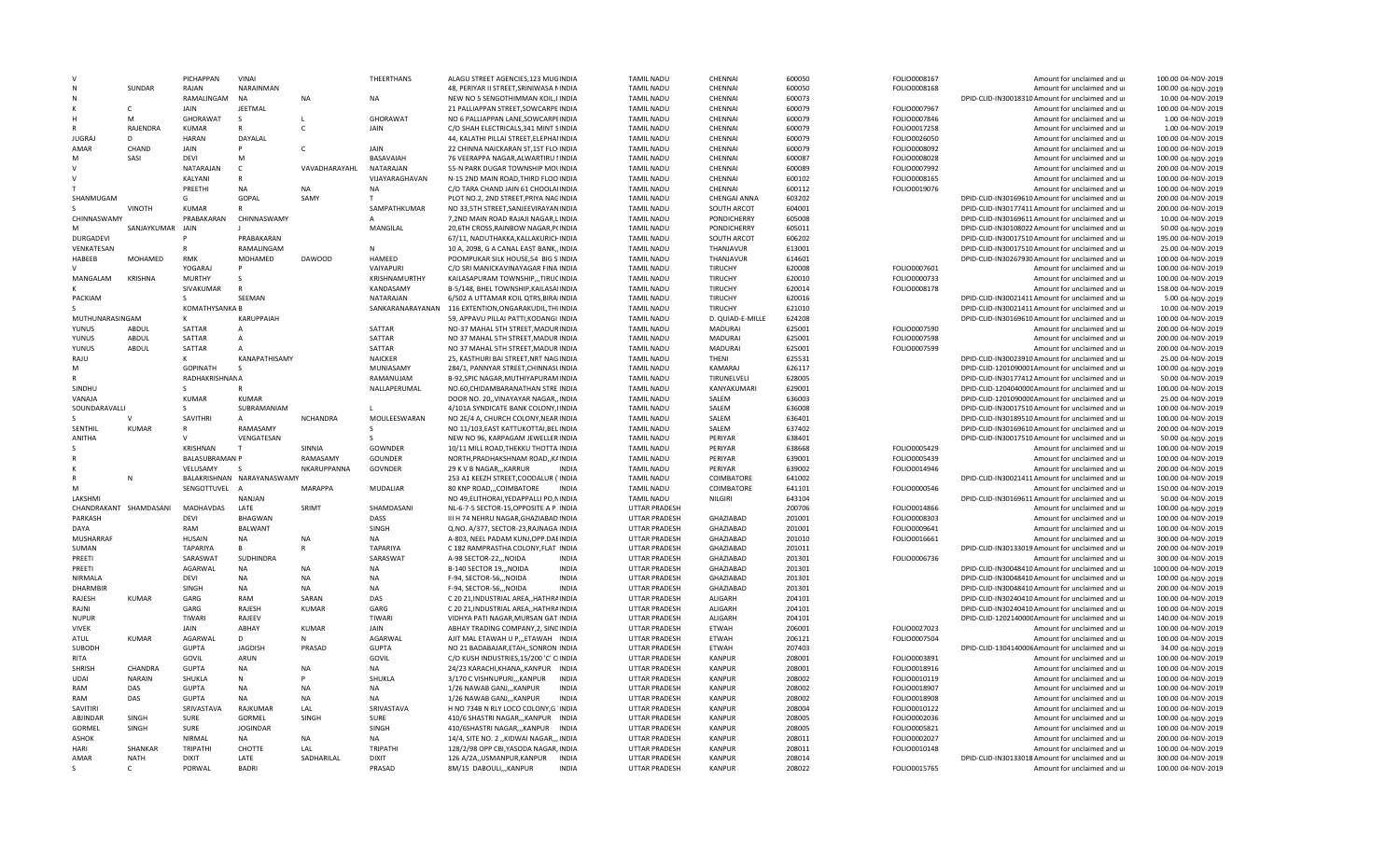|                             |                             | <b>PICHAPPAN</b>       | VINAI                      |                 | THEERTHANS               | ALAGU STREET AGENCIES 123 MUGINDIA                    |              | <b>TAMIL NADU</b>              | CHENNA                         | 600050           | FOLIO0008167 | Amount for unclaimed and ur                                                     | 100.00 04-NOV-2019                       |
|-----------------------------|-----------------------------|------------------------|----------------------------|-----------------|--------------------------|-------------------------------------------------------|--------------|--------------------------------|--------------------------------|------------------|--------------|---------------------------------------------------------------------------------|------------------------------------------|
| N                           | SUNDAR                      | RAIAN                  | NARAINMAN                  |                 |                          | 48, PERIYAR II STREET, SRINIWASA NINDIA               |              | <b>TAMIL NADU</b>              | CHENNAI                        | 600050           | FOLIO0008168 | Amount for unclaimed and ur                                                     | 100.00 04-NOV-2019                       |
|                             |                             | RAMALINGAM             | <b>NA</b>                  | <b>NA</b>       | <b>NA</b>                | NEW NO 5 SENGOTHIMMAN KOIL, IIINDIA                   |              | <b>TAMIL NADU</b>              | CHENNAI                        | 600073           |              | DPID-CLID-IN30018310 Amount for unclaimed and ur                                | 10.00 04-NOV-2019                        |
|                             | $\mathsf{C}$                | JAIN                   | JEETMAL                    |                 |                          | 21 PALLIAPPAN STREET, SOWCARPE INDIA                  |              | <b>TAMIL NADU</b>              | CHENNAI                        | 600079           | FOLIO0007967 | Amount for unclaimed and ur                                                     | 100.00 04-NOV-2019                       |
| H                           | M                           | GHORAWAT               | S.                         |                 | GHORAWAT                 | NO 6 PALLIAPPAN LANE, SOWCARPEINDIA                   |              | <b>TAMIL NADU</b>              | CHENNAI                        | 600079           | FOLIO0007846 | Amount for unclaimed and ur                                                     | 1.00 04-NOV-2019                         |
|                             | RAJENDRA                    | KUMAR                  |                            |                 | JAIN                     | C/O SHAH ELECTRICALS, 341 MINT SINDIA                 |              | <b>TAMIL NADU</b>              | CHENNAI                        | 600079           | FOLIO0017258 | Amount for unclaimed and ur                                                     | 1.00 04-NOV-2019                         |
| <b>JUGRAJ</b>               |                             | <b>HARAN</b>           | DAYALAL                    |                 |                          | 44, KALATHI PILLAI STREET, ELEPHAIINDIA               |              | <b>TAMIL NADU</b>              | CHENNAI                        | 600079           | FOLIO0026050 | Amount for unclaimed and ur                                                     | 100.00 04-NOV-2019                       |
| AMAR                        | CHAND                       | JAIN                   | P                          | $\mathsf{C}$    | JAIN                     | 22 CHINNA NAICKARAN ST,1ST FLO INDIA                  |              | <b>TAMIL NADU</b>              | CHENNAI                        | 600079           | FOLIO0008092 | Amount for unclaimed and ur                                                     | 100.00 04-NOV-2019                       |
| M                           | SASI                        | <b>DEVI</b>            | M                          |                 | BASAVAIAH                | 76 VEERAPPA NAGAR, ALWARTIRU IINDIA                   |              | <b>TAMIL NADU</b>              | CHENNAI                        | 600087           | FOLIO0008028 | Amount for unclaimed and ur                                                     | 100.00 04-NOV-2019                       |
|                             |                             | NATARAJAN              | C                          | VAVADHARAYAHL   | NATARAJAN                | 55-N PARK DUGAR TOWNSHIP MOLINDIA                     |              | <b>TAMIL NADU</b>              | CHENNAI                        | 600089           | FOLIO0007992 | Amount for unclaimed and ur                                                     | 200.00 04-NOV-2019                       |
|                             |                             | KALYANI                |                            |                 | VIJAYARAGHAVAN           | N-15 2ND MAIN ROAD, THIRD FLOO INDIA                  |              | <b>TAMIL NADU</b>              | CHENNAI                        | 600102           | FOLIO0008165 | Amount for unclaimed and ur                                                     | 100.00 04-NOV-2019                       |
|                             |                             | PREETHI                | <b>NA</b>                  | <b>NA</b>       | <b>NA</b>                | C/O TARA CHAND JAIN 61 CHOOLAIINDIA                   |              | <b>TAMIL NADU</b>              | CHENNAL                        | 600112           | FOLIO0019076 | Amount for unclaimed and u                                                      | 100.00 04-NOV-2019                       |
| SHANMUGAN                   |                             | G                      | GOPAL                      | SAMY            |                          | PLOT NO.2, 2ND STREET, PRIYA NAGINDIA                 |              | <b>TAMIL NADU</b>              | <b>CHENGALANNA</b>             | 603202           |              | DPID-CLID-IN30169610 Amount for unclaimed and ur                                | 200.00 04-NOV-2019                       |
|                             | <b>VINOTH</b>               | KUMAI                  |                            |                 | SAMPATHKUMAR             | NO 33,5TH STREET, SANJEEVIRAYANINDIA                  |              | <b>TAMIL NADU</b>              | SOUTH ARCOT                    | 604001           |              | DPID-CLID-IN30177411 Amount for unclaimed and ur                                | 200.00 04-NOV-2019                       |
| CHINNASWAM                  |                             | PRABAKARAN             | CHINNASWAMY                |                 | Δ                        | 7,2ND MAIN ROAD RAJAJI NAGAR, LINDIA                  |              | <b>TAMIL NADU</b>              | PONDICHERRY                    | 605008           |              | DPID-CLID-IN30169611 Amount for unclaimed and ur                                | 10.00 04-NOV-2019                        |
| M                           |                             | <b>JAIN</b>            | $\mathbf{L}$               |                 |                          |                                                       |              |                                |                                |                  |              |                                                                                 |                                          |
|                             | SANJAYKUMAR                 |                        |                            |                 | MANGILAL                 | 20,6TH CROSS, RAINBOW NAGAR, P(INDIA                  |              | <b>TAMIL NADU</b>              | PONDICHERRY                    | 605011           |              | DPID-CLID-IN30108022 Amount for unclaimed and ur                                | 50.00 04-NOV-2019                        |
| <b>DURGADEVI</b>            |                             |                        | PRABAKARAN                 |                 |                          | 67/11, NADUTHAKKA, KALLAKURICHINDIA                   |              | <b>TAMIL NADU</b>              | <b>SOUTH ARCOT</b>             | 606202           |              | DPID-CLID-IN30017510 Amount for unclaimed and ur                                | 195.00 04-NOV-2019                       |
| VENKATESAN                  |                             |                        | RAMALINGAM                 |                 | N                        | 10 A, 2098, G A CANAL EAST BANK, INDIA                |              | <b>TAMIL NADU</b>              | THANJAVUR                      | 613001           |              | DPID-CLID-IN30017510 Amount for unclaimed and ur                                | 25.00 04-NOV-2019                        |
| HABEEB                      | MOHAMED                     | <b>RMK</b>             | MOHAMED                    | <b>DAWOOD</b>   | HAMEED                   | POOMPUKAR SILK HOUSE,54 BIG S'INDIA                   |              | <b>TAMIL NADU</b>              | THANJAVUR                      | 614601           |              | DPID-CLID-IN30267930 Amount for unclaimed and ur                                | 100.00 04-NOV-2019                       |
|                             |                             | YOGARAI                |                            |                 | VAIYAPURI                | C/O SRI MANICKAVINAYAGAR FINA INDIA                   |              | <b>TAMIL NADU</b>              | TIRUCHY                        | 620008           | FOLIO0007601 | Amount for unclaimed and ur                                                     | 100.00 04-NOV-2019                       |
| MANGALAM                    | KRISHNA                     | MURTHY                 | $\mathcal{S}$              |                 | KRISHNAMURTHY            | KAILASAPURAM TOWNSHIP,,,TIRUCINDIA                    |              | <b>TAMIL NADU</b>              | TIRUCHY                        | 620010           | FOLIO0000733 | Amount for unclaimed and ur                                                     | 100.00 04-NOV-2019                       |
|                             |                             | SIVAKUMAR              | $\mathbb{R}$               |                 | KANDASAMY                | B-5/148. BHEL TOWNSHIP.KAILASAIINDIA                  |              | <b>TAMIL NADU</b>              | <b>TIRUCHY</b>                 | 620014           | FOLIO0008178 | Amount for unclaimed and ur                                                     | 158.00 04-NOV-2019                       |
| PACKIAM                     |                             |                        | SFFMAN                     |                 | NATARAJAN                | 6/502 A UTTAMAR KOIL QTRS, BIRAIINDIA                 |              | <b>TAMIL NADU</b>              | TIRUCHY                        | 620016           |              | DPID-CLID-IN30021411 Amount for unclaimed and ur                                | 5.00 04-NOV-2019                         |
| -S                          |                             | KOMATHYSANKA B         |                            |                 |                          | SANKARANARAYANAN 116 EXTENTION, ONGARAKUDIL, THUNDIA  |              | <b>TAMIL NADU</b>              | TIRUCHY                        | 621010           |              | DPID-CLID-IN30021411 Amount for unclaimed and ur                                | 10.00 04-NOV-2019                        |
| MUTHUNARASINGAM             |                             |                        | <b>KARUPPAIAH</b>          |                 |                          | 59, APPAVU PILLAI PATTI, KODANGI INDIA                |              | <b>TAMIL NADU</b>              | D. OUIAD-F-MILLF               | 624208           |              | DPID-CLID-IN30169610 Amount for unclaimed and ur                                | 100.00 04-NOV-2019                       |
| <b>YUNUS</b>                | ABDUL                       | SATTAR                 | $\overline{A}$             |                 | SATTAR                   | NO-37 MAHAL 5TH STREET, MADURINDIA                    |              | <b>TAMIL NADU</b>              | <b>MADURAI</b>                 | 625001           | FOLIO0007590 | Amount for unclaimed and ur                                                     | 200.00 04-NOV-2019                       |
| <b>YUNUS</b>                | ABDUL                       | SATTAR                 | $\overline{A}$             |                 | SATTAR                   | NO 37 MAHAL 5TH STREET, MADUR INDIA                   |              | <b>TAMIL NADU</b>              | MADURAI                        | 625001           | FOLIO0007598 | Amount for unclaimed and ur                                                     | 200.00 04-NOV-2019                       |
| YUNUS                       | ABDUL                       | SATTAR                 | $\overline{A}$             |                 | SATTAR                   | NO 37 MAHAL 5TH STREET, MADUR INDIA                   |              | <b>TAMIL NADU</b>              | MADURAI                        | 625001           | FOLIO0007599 | Amount for unclaimed and ur                                                     | 200.00 04-NOV-2019                       |
| RAJU                        |                             |                        | KANAPATHISAMY              |                 | <b>NAICKER</b>           | 25, KASTHURI BAI STREET, NRT NAG INDIA                |              | <b>TAMIL NADU</b>              | THENI                          | 625531           |              | DPID-CLID-IN30023910 Amount for unclaimed and ur                                | 25.00 04-NOV-2019                        |
| M                           |                             | <b>GOPINATH</b>        | $\mathcal{S}$              |                 | MUNIASAMY                | 284/1, PANNYAR STREET, CHINNASLINDIA                  |              | <b>TAMIL NADU</b>              | KAMARAJ                        | 626117           |              | DPID-CLID-1201090001Amount for unclaimed and ur                                 | 100.00 04-NOV-2019                       |
| R                           |                             | RADHAKRISHNANA         |                            |                 | RAMANUJAM                | B-92, SPIC NAGAR, MUTHIYAPURAM INDIA                  |              | <b>TAMIL NADU</b>              | TIRUNELVELI                    | 628005           |              | DPID-CLID-IN30177412 Amount for unclaimed and ur                                | 50.00 04-NOV-2019                        |
|                             |                             | -S                     |                            |                 | NALLAPERUMAL             |                                                       |              |                                | KANYAKUMARI                    | 629001           |              |                                                                                 |                                          |
| SINDHU                      |                             |                        |                            |                 |                          | NO.60, CHIDAMBARANATHAN STREINDIA                     |              | <b>TAMIL NADU</b>              |                                |                  |              | DPID-CLID-120404000C Amount for unclaimed and ur                                | 100.00 04-NOV-2019                       |
| VANAJA                      |                             | <b>KUMAR</b>           | <b>KUMAR</b>               |                 |                          | DOOR NO. 20. VINAYAYAR NAGAR., INDIA                  |              | <b>TAMIL NADU</b>              | SALEM                          | 636003           |              | DPID-CLID-120109000CAmount for unclaimed and ur                                 | 25.00 04-NOV-2019                        |
| SOUNDARAVALLI               |                             |                        | SUBRAMANIAM                |                 |                          | 4/101A SYNDICATE BANK COLONY, IINDIA                  |              | <b>TAMIL NADU</b>              | SALFM                          | 636008           |              | DPID-CLID-IN30017510 Amount for unclaimed and up                                | 100.00 04-NOV-2019                       |
|                             | $\mathbf{v}$                | SAVITHRI               | A                          | <b>NCHANDRA</b> | MOULEESWARAN             | NO 2E/4 A, CHURCH COLONY, NEAR INDIA                  |              | <b>TAMIL NADU</b>              | SALFM                          | 636401           |              | DPID-CLID-IN30189510 Amount for unclaimed and ur                                | 100.00 04-NOV-2019                       |
| <b>SFNTHIL</b>              | <b>KUMAR</b>                |                        | RAMASAMY                   |                 |                          | NO 11/103, EAST KATTUKOTTAI, BEL INDIA                |              | <b>TAMIL NADU</b>              | SALEM                          | 637402           |              | DPID-CLID-IN30169610 Amount for unclaimed and ur                                | 200.00 04-NOV-2019                       |
| <b>ANITHA</b>               |                             |                        | VENGATESAN                 |                 |                          | NEW NO 96, KARPAGAM JEWELLER INDIA                    |              | <b>TAMIL NADU</b>              | PERIYAR                        | 638401           |              | DPID-CLID-IN30017510 Amount for unclaimed and ur                                | 50.00 04-NOV-2019                        |
|                             |                             | KRISHNAN               |                            | SINNIA          | GOWNDER                  | 10/11 MILL ROAD, THEKKU THOTTA INDIA                  |              | <b>TAMIL NADU</b>              | PERIYAR                        | 638668           | FOLIO0005429 | Amount for unclaimed and ur                                                     | 100.00 04-NOV-2019                       |
|                             |                             | <b>BALASUBRAMAN P</b>  |                            | RAMASAMY        | <b>GOUNDER</b>           | NORTH, PRADHAKSHNAM ROAD, , KAINDIA                   |              | <b>TAMIL NADU</b>              | PERIYAR                        | 639001           | FOLIO0005439 | Amount for unclaimed and ur                                                     | 100.00 04-NOV-2019                       |
|                             |                             | VELUSAMY               | - S                        | NKARUPPANNA     | GOVNDER                  | 29 K V B NAGAR, , KARRUR                              | <b>INDIA</b> | <b>TAMIL NADU</b>              | PERIYAR                        | 639002           | FOLIO0014946 | Amount for unclaimed and ur                                                     | 200.00 04-NOV-2019                       |
| $\mathsf{R}$                | N                           |                        | BALAKRISHNAN NARAYANASWAMY |                 |                          | 253 A1 KEEZH STREET, COODALUR ('INDIA                 |              | <b>TAMIL NADU</b>              | COIMBATORE                     | 641002           |              | DPID-CLID-IN30021411 Amount for unclaimed and ur                                | 100.00 04-NOV-2019                       |
|                             |                             | SENGOTTUVEL A          |                            | MARAPPA         | MUDALIAR                 | 80 KNP ROAD,,,COIMBATORE                              | <b>INDIA</b> | <b>TAMIL NADU</b>              | COIMBATORE                     | 641101           | FOLIO0000546 | Amount for unclaimed and ur                                                     | 150.00 04-NOV-2019                       |
| LAKSHMI                     |                             |                        | <b>NANJAN</b>              |                 |                          | NO 49, ELITHORAI, YEDAPPALLI PO, NINDIA               |              | <b>TAMIL NADU</b>              | NILGIRI                        | 643104           |              | DPID-CLID-IN30169611 Amount for unclaimed and ur                                | 50.00 04-NOV-2019                        |
|                             | CHANDRAKANT SHAMDASANI      | <b>MADHAVDAS</b>       | LATE                       | SRIMT           | SHAMDASANI               | NL-6-7-5 SECTOR-15, OPPOSITE A P INDIA                |              | <b>UTTAR PRADESH</b>           |                                | 200706           | FOLIO0014866 | Amount for unclaimed and ur                                                     | 100.00 04-NOV-2019                       |
| PARKASH                     |                             | DFVI                   | <b>BHAGWAN</b>             |                 | DASS                     | III H 74 NEHRU NAGAR, GHAZIABAD INDIA                 |              | <b>UTTAR PRADESH</b>           | GHAZIABAD                      | 201001           | FOLIO0008303 | Amount for unclaimed and ur                                                     | 100.00 04-NOV-2019                       |
| DAYA                        |                             | RAM                    | BALWANT                    |                 | SINGH                    | Q.NO. A/377, SECTOR-23, RAJNAGA INDIA                 |              | <b>UTTAR PRADESH</b>           | GHAZIABAD                      | 201001           | FOLIO0009641 | Amount for unclaimed and ur                                                     | 100.00 04-NOV-2019                       |
| MUSHARRAF                   |                             | HUSAIN                 | <b>NA</b>                  | <b>NA</b>       | <b>NA</b>                | A-803, NEEL PADAM KUNJ, OPP. DAEINDIA                 |              | UTTAR PRADESH                  | GHAZIABAD                      | 201010           | FOLIO0016661 | Amount for unclaimed and ur                                                     | 300.00 04-NOV-2019                       |
| <b>SUMAN</b>                |                             | <b>TAPARIYA</b>        | $\overline{B}$             | $\mathsf{R}$    | <b>TAPARIYA</b>          | C 182 RAMPRASTHA COLONY, FLAT INDIA                   |              | UTTAR PRADESH                  | GHAZIABAD                      | 201011           |              | DPID-CLID-IN30133019 Amount for unclaimed and ur                                | 200.00 04-NOV-2019                       |
| PREETI                      |                             | SARASWAT               | SUDHINDRA                  |                 | SARASWAT                 | A-98 SECTOR-22,,, NOIDA                               | <b>INDIA</b> | <b>UTTAR PRADESH</b>           | GHAZIABAD                      | 201301           | FOLIO0006736 | Amount for unclaimed and ur                                                     | 300.00 04-NOV-2019                       |
| PREETI                      |                             | AGARWAL                | <b>NA</b>                  | <b>NA</b>       | <b>NA</b>                | B-140 SECTOR 19,,,NOIDA                               | <b>INDIA</b> | UTTAR PRADESH                  | GHAZIABAD                      | 201301           |              | DPID-CLID-IN30048410 Amount for unclaimed and ur                                | 1000.00 04-NOV-2019                      |
| NIRMALA                     |                             | <b>DEVI</b>            | <b>NA</b>                  | <b>NA</b>       | <b>NA</b>                | F-94, SECTOR-56,,, NOIDA                              | <b>INDIA</b> | UTTAR PRADESH                  | GHAZIABAD                      | 201301           |              | DPID-CLID-IN30048410 Amount for unclaimed and ur                                | 100.00 04-NOV-2019                       |
| <b>DHARMBIR</b>             |                             |                        | <b>NA</b>                  | <b>NA</b>       |                          |                                                       | <b>INDIA</b> |                                |                                |                  |              | DPID-CLID-IN30048410 Amount for unclaimed and ur                                |                                          |
|                             | KUMAR                       | SINGH                  | RAM                        | SARAN           | <b>NA</b>                | F-94, SECTOR-56,,, NOIDA                              |              | UTTAR PRADESH                  | GHAZIABAD                      | 201301           |              |                                                                                 | 200.00 04-NOV-2019                       |
| RAJESH                      |                             | GARG                   |                            |                 | DAS                      | C 20 21, INDUSTRIAL AREA,, HATHRAINDIA                |              | UTTAR PRADESH                  | ALIGARH                        | 204101           |              | DPID-CLID-IN30240410 Amount for unclaimed and ur                                | 100.00 04-NOV-2019                       |
| RAINI                       |                             | GARG                   | RAJESH                     | KUMAR           | GARG                     | C 20 21, INDUSTRIAL AREA, HATHRAINDIA                 |              | UTTAR PRADESH                  | ALIGARH                        | 204101           |              | DPID-CLID-IN30240410 Amount for unclaimed and ur                                | 100.00 04-NOV-2019                       |
| <b>NUPUR</b>                |                             | <b>TIWARI</b>          | RAJEEV                     |                 | TIWARI                   | VIDHYA PATI NAGAR.MURSAN GATINDIA                     |              | <b>UTTAR PRADESH</b>           | <b>ALIGARH</b>                 | 204101           |              | DPID-CLID-120214000CAmount for unclaimed and ur                                 | 140.00 04-NOV-2019                       |
| <b>VIVEK</b>                |                             | JAIN                   | ABHAY                      | <b>KUMAR</b>    | <b>JAIN</b>              | ABHAY TRADING COMPANY, 2, SINDINDIA                   |              | <b>UTTAR PRADESH</b>           | <b>ETWAH</b>                   | 206001           | FOLIO0027023 | Amount for unclaimed and ur                                                     | 100.00 04-NOV-2019                       |
| ATUL                        | KUMAR                       | AGARWAL                | D                          | N               | AGARWAL                  | AJIT MAL ETAWAH U P,,,ETAWAH INDIA                    |              | UTTAR PRADESH                  | <b>ETWAH</b>                   | 206121           | FOLIO0007504 | Amount for unclaimed and ur                                                     | 100.00 04-NOV-2019                       |
| SUBODH                      |                             | <b>GUPTA</b>           | <b>JAGDISH</b>             | PRASAD          | <b>GUPTA</b>             | NO 21 BADABAJAR, ETAH, , SONRON INDIA                 |              | UTTAR PRADESH                  | ETWAH                          | 207403           |              | DPID-CLID-1304140006 Amount for unclaimed and ur                                | 34.00 04-NOV-2019                        |
| RITA                        |                             | GOVIL                  | ARUN                       |                 | GOVIL                    | C/O KUSH INDUSTRIES, 15/200 'C' CIINDIA               |              | UTTAR PRADESH                  | KANPUR                         | 208001           | FOLIO0003891 | Amount for unclaimed and ur                                                     | 100.00 04-NOV-2019                       |
| SHRISH                      | CHANDRA                     | <b>GUPTA</b>           | <b>NA</b>                  | <b>NA</b>       | <b>NA</b>                | 24/23 KARACHI, KHANA,, KANPUR INDIA                   |              | <b>UTTAR PRADESH</b>           | <b>KANPUR</b>                  | 208001           | FOLIO0018916 | Amount for unclaimed and ur                                                     | 100.00 04-NOV-2019                       |
| UDAI                        | <b>NARAIN</b>               | SHUKLA                 | N                          |                 | SHUKLA                   | 3/170 C VISHNUPURI,,, KANPUR                          | <b>INDIA</b> | <b>UTTAR PRADESH</b>           | <b>KANPUR</b>                  | 208002           | FOLIO0010119 | Amount for unclaimed and ur                                                     | 100.00 04-NOV-2019                       |
| RAM                         | DAS                         | <b>GUPTA</b>           | <b>NA</b>                  | <b>NA</b>       | <b>NA</b>                | 1/26 NAWAB GANJ,,,KANPUR                              | <b>INDIA</b> | UTTAR PRADESH                  | <b>KANPUR</b>                  | 208002           | FOLIO0018907 | Amount for unclaimed and ur                                                     | 100.00 04-NOV-2019                       |
| RAM                         | DAS                         | <b>GUPTA</b>           | <b>NA</b>                  | <b>NA</b>       | <b>NA</b>                | 1/26 NAWAB GANJKANPUR                                 | <b>INDIA</b> | UTTAR PRADESH                  | <b>KANPUR</b>                  | 208002           | FOLIO0018908 | Amount for unclaimed and ur                                                     | 100.00 04-NOV-2019                       |
| SAVITIRI                    |                             | SRIVASTAVA             | RAIKUMAR                   | LAL             | SRIVASTAVA               | H NO 734B N RLY LOCO COLONY, G'INDIA                  |              | UTTAR PRADESH                  | KANPUR                         | 208004           | FOLIO0010122 | Amount for unclaimed and ur                                                     | 100.00 04-NOV-2019                       |
| ABJINDAR                    |                             |                        |                            |                 |                          |                                                       | <b>INDIA</b> |                                |                                |                  |              |                                                                                 |                                          |
|                             | SINGH                       | SURF                   | GORMFL                     | SINGH           | SURF                     | 410/6 SHASTRI NAGAR,,,KANPUR                          |              | UTTAR PRADESH                  | KANPUR                         | 208005           | FOLIO0002036 | Amount for unclaimed and ur                                                     | 100.00 04-NOV-2019                       |
| <b>GORMEL</b>               | SINGH                       | <b>SURE</b>            | <b>JOGINDAR</b>            |                 | SINGH                    | 410/6SHASTRI NAGAR,,,KANPUR                           | <b>INDIA</b> | <b>UTTAR PRADESH</b>           | <b>KANPUR</b>                  | 208005           | FOLIO0005821 | Amount for unclaimed and ur                                                     | 100.00 04-NOV-2019                       |
|                             |                             | <b>NIRMAL</b>          | <b>NA</b>                  | <b>NA</b>       | <b>NA</b>                |                                                       |              |                                | <b>KANPUR</b>                  |                  |              |                                                                                 |                                          |
| <b>ASHOK</b><br><b>HARI</b> |                             |                        |                            | LAL             |                          | 14/4, SITE NO. 2 ,, KIDWAI NAGAR,,, INDIA             |              | <b>UTTAR PRADESH</b>           |                                | 208011           | FOLIO0002027 | Amount for unclaimed and ur<br>Amount for unclaimed and ur                      | 200.00 04-NOV-2019                       |
|                             | SHANKAR                     | TRIPATHI               | CHOTTE                     |                 | TRIPATHI<br><b>DIXIT</b> | 128/2/98 OPP CBI, YASODA NAGAR, INDIA                 | <b>INDIA</b> | <b>UTTAR PRADESH</b>           | <b>KANPUR</b>                  | 208011           | FOLIO0010148 |                                                                                 | 100.00 04-NOV-2019                       |
| AMAR<br>$\varsigma$         | <b>NATH</b><br>$\mathsf{C}$ | <b>DIXIT</b><br>PORWAL | LATE<br><b>BADRI</b>       | SADHARILAL      | PRASAD                   | 126 A/2A,, USMANPUR, KANPUR<br>8M/15 DABOULI,,,KANPUR | <b>INDIA</b> | UTTAR PRADESH<br>UTTAR PRADESH | <b>KANPUR</b><br><b>KANPUR</b> | 208014<br>208022 | FOLIO0015765 | DPID-CLID-IN30133018 Amount for unclaimed and ur<br>Amount for unclaimed and ur | 300.00 04-NOV-2019<br>100.00 04-NOV-2019 |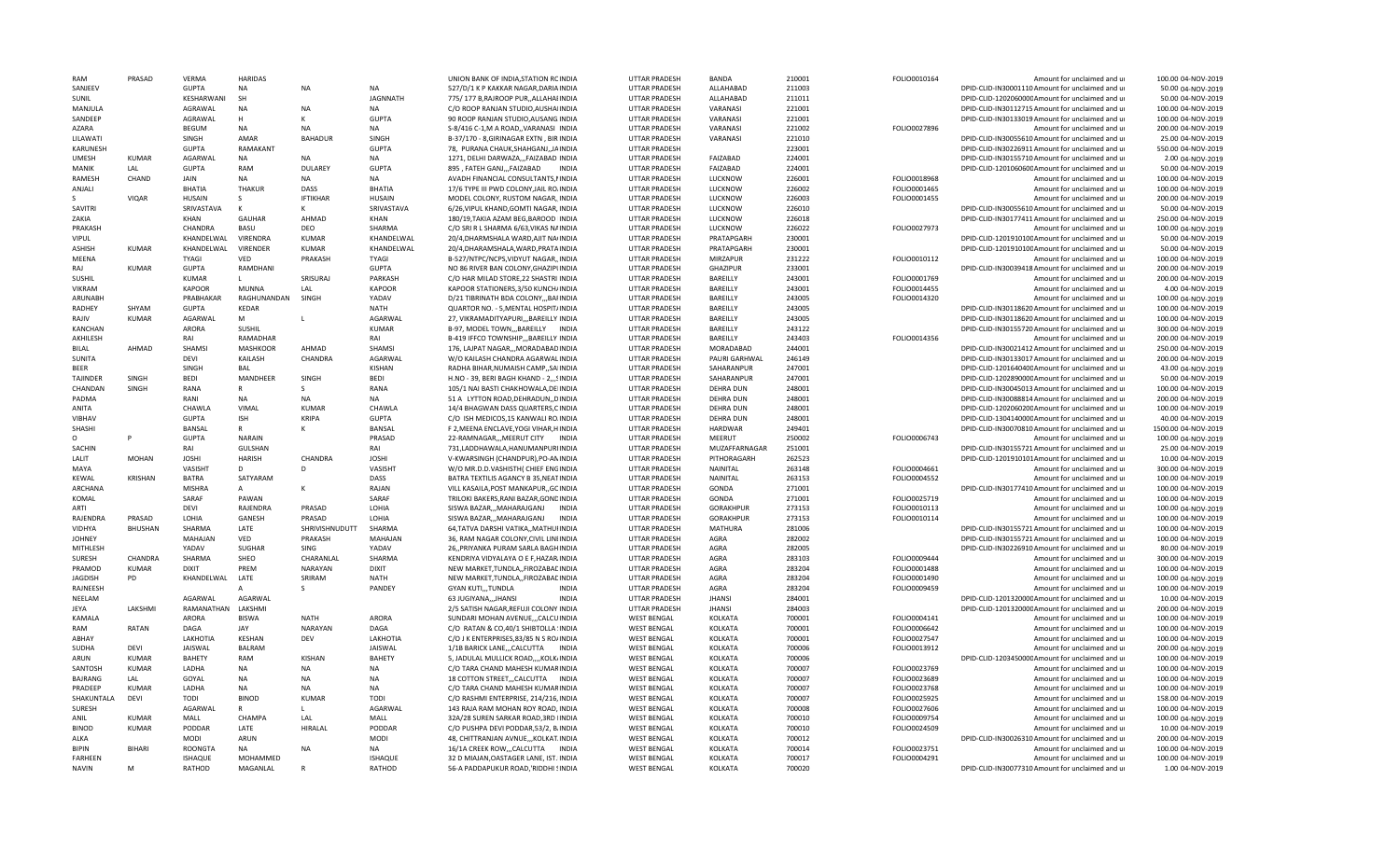| RAM             | PRASAD         | VERMA          | <b>HARIDAS</b>  |                 |                 | UNION BANK OF INDIA, STATION RCINDIA       | <b>UTTAR PRADESH</b> | BANDA            | 210001 | FOLIO0010164 | Amount for unclaimed and ur                      | 100.00 04-NOV-2019  |
|-----------------|----------------|----------------|-----------------|-----------------|-----------------|--------------------------------------------|----------------------|------------------|--------|--------------|--------------------------------------------------|---------------------|
| SANJEEV         |                | <b>GUPTA</b>   | <b>NA</b>       | <b>NA</b>       | <b>NA</b>       | 527/D/1 K P KAKKAR NAGAR, DARIA INDIA      | <b>UTTAR PRADESH</b> | ALLAHABAD        | 211003 |              | DPID-CLID-IN30001110 Amount for unclaimed and ur | 50.00 04-NOV-2019   |
| SUNIL           |                | KESHARWANI     | SH              |                 | <b>JAGNNATH</b> | 775/177 B, RAJROOP PUR, , ALLAHAI INDIA    | UTTAR PRADESH        | ALLAHABAD        | 211011 |              | DPID-CLID-120206000CAmount for unclaimed and ur  | 50.00 04-NOV-2019   |
| MANJULA         |                | AGRAWAL        | <b>NA</b>       | <b>NA</b>       | <b>NA</b>       | C/O ROOP RANJAN STUDIO, AUSHAIINDIA        | UTTAR PRADESH        | VARANASI         | 221001 |              | DPID-CLID-IN30112715 Amount for unclaimed and ur | 100.00 04-NOV-2019  |
| SANDEEP         |                | AGRAWAL        | H               | к               | <b>GUPTA</b>    | 90 ROOP RANJAN STUDIO, AUSANG INDIA        | UTTAR PRADESH        | VARANASI         | 221001 |              | DPID-CLID-IN30133019 Amount for unclaimed and ur | 100.00 04-NOV-2019  |
| AZARA           |                | BEGUM          | <b>NA</b>       | NΔ              | <b>NA</b>       | S-8/416 C-1, M A ROAD,, VARANASI INDIA     | <b>UTTAR PRADESH</b> | VARANASI         | 221002 | FOLIO0027896 | Amount for unclaimed and ur                      | 200.00 04-NOV-2019  |
| LILAWATI        |                | SINGH          | AMAR            | <b>BAHADUR</b>  | SINGH           | B-37/170 - 8, GIRINAGAR EXTN, BIR INDIA    | UTTAR PRADESH        | VARANASI         | 221010 |              | DPID-CLID-IN30055610 Amount for unclaimed and ur | 25.00 04-NOV-2019   |
|                 |                |                |                 |                 |                 |                                            |                      |                  | 223001 |              |                                                  |                     |
| KARUNESH        |                | <b>GUPTA</b>   | RAMAKANT        |                 | <b>GUPTA</b>    | 78, PURANA CHAUK, SHAHGANJ, JAINDIA        | <b>UTTAR PRADESH</b> |                  |        |              | DPID-CLID-IN30226911 Amount for unclaimed and ur | 550.00 04-NOV-2019  |
| <b>UMFSH</b>    | <b>KUMAR</b>   | <b>AGARWAL</b> | <b>NA</b>       | <b>NA</b>       | <b>NA</b>       | 1271, DELHI DARWAZA,,,FAIZABAD INDIA       | <b>UTTAR PRADESH</b> | FAIZABAD         | 224001 |              | DPID-CLID-IN30155710 Amount for unclaimed and ur | 2.00 04-NOV-2019    |
| MANIK           | LAL            | GUPTA          | <b>RAM</b>      | <b>DULAREY</b>  | <b>GUPTA</b>    | 895, FATEH GANJ,,,FAIZABAD<br>INDIA        | <b>UTTAR PRADESH</b> | FAIZABAD         | 224001 |              | DPID-CLID-120106060CAmount for unclaimed and ur  | 50.00 04-NOV-2019   |
| RAMESH          | CHAND          | JAIN           | NA              | NA              | <b>NA</b>       | AVADH FINANCIAL CONSULTANTS, NINDIA        | <b>UTTAR PRADESH</b> | LUCKNOW          | 226001 | FOLIO0018968 | Amount for unclaimed and ur                      | 100.00 04-NOV-2019  |
| ANJALI          |                | <b>BHATIA</b>  | <b>THAKUR</b>   | DASS            | <b>BHATIA</b>   | 17/6 TYPE III PWD COLONY JAIL RO/INDIA     | UTTAR PRADESH        | LUCKNOW          | 226002 | FOLIO0001465 | Amount for unclaimed and ur                      | 100.00 04-NOV-2019  |
|                 | <b>VIQAR</b>   | <b>HUSAIN</b>  | -S.             | <b>IFTIKHAR</b> | <b>HUSAIN</b>   | MODEL COLONY, RUSTOM NAGAR, INDIA          | <b>UTTAR PRADESH</b> | LUCKNOW          | 226003 | FOLIO0001455 | Amount for unclaimed and u                       | 200.00 04-NOV-2019  |
| SAVITRI         |                | SRIVASTAVA     | $\mathsf{K}$    | к               | SRIVASTAVA      | 6/26, VIPUL KHAND, GOMTI NAGAR, INDIA      | UTTAR PRADESH        | <b>LUCKNOW</b>   | 226010 |              | DPID-CLID-IN30055610 Amount for unclaimed and ur | 50.00 04-NOV-2019   |
| ZAKIA           |                | KHAN           | GAUHAR          | AHMAD           | KHAN            | 180/19, TAKIA AZAM BEG, BAROOD IINDIA      | UTTAR PRADESH        | LUCKNOW          | 226018 |              | DPID-CLID-IN30177411 Amount for unclaimed and ur | 250.00 04-NOV-2019  |
| PRAKASH         |                | CHANDRA        | BASU            | DEO             | SHARMA          | C/O SRI R L SHARMA 6/63, VIKAS NAINDIA     | UTTAR PRADESH        | LUCKNOW          | 226022 | FOLIO0027973 | Amount for unclaimed and ur                      | 100.00 04-NOV-2019  |
| <b>VIPUL</b>    |                | KHANDELWAL     | VIRENDRA        | KUMAR           | KHANDELWAL      | 20/4, DHARMSHALA WARD, AJIT NAIINDIA       | <b>UTTAR PRADESH</b> | PRATAPGARH       | 230001 |              | DPID-CLID-120191010CAmount for unclaimed and ur  | 50.00 04-NOV-2019   |
| ASHISH          | KUMAR          | KHANDELWAL     | VIRENDER        | <b>KUMAR</b>    | KHANDELWAL      | 20/4, DHARAMSHALA, WARD, PRATAINDIA        | <b>UTTAR PRADESH</b> | PRATAPGARH       | 230001 |              | DPID-CLID-120191010CAmount for unclaimed and ur  | 50.00 04-NOV-2019   |
| MEENA           |                | TYAGI          | VED             | PRAKASH         | <b>TYAGI</b>    | B-527/NTPC/NCPS, VIDYUT NAGAR, INDIA       | UTTAR PRADESH        | MIRZAPUR         | 231222 | FOLIO0010112 | Amount for unclaimed and ur                      | 100.00 04-NOV-2019  |
| RAJ             | <b>KUMAR</b>   | <b>GUPTA</b>   | RAMDHANI        |                 | <b>GUPTA</b>    | NO 86 RIVER BAN COLONY.GHAZIPUNDIA         | <b>UTTAR PRADESH</b> | <b>GHAZIPUR</b>  | 233001 |              | DPID-CLID-IN30039418 Amount for unclaimed and ur | 200.00 04-NOV-2019  |
|                 |                | <b>KUMAR</b>   |                 | SRISLIRAL       | PARKASH         |                                            |                      | BAREILLY         |        |              |                                                  |                     |
| SUSHIL          |                |                | $\mathbf{L}$    |                 |                 | C/O HAR MILAD STORE, 22 SHASTRI INDIA      | <b>UTTAR PRADESH</b> |                  | 243001 | FOLIO0001769 | Amount for unclaimed and ur                      | 200.00 04-NOV-2019  |
| VIKRAM          |                | <b>KAPOOR</b>  | <b>MUNNA</b>    | LAL             | <b>KAPOOR</b>   | KAPOOR STATIONERS, 3/50 KUNCH/INDIA        | <b>UTTAR PRADESH</b> | BAREILLY         | 243001 | FOLIO0014455 | Amount for unclaimed and ur                      | 4.00.04-NOV-2019    |
| ARUNABH         |                | PRABHAKAR      | RAGHUNANDAN     | SINGH           | YADAV           | D/21 TIBRINATH BDA COLONY,,,BAFINDIA       | <b>UTTAR PRADESH</b> | BAREILLY         | 243005 | FOLIO0014320 | Amount for unclaimed and ur                      | 100.00 04-NOV-2019  |
| RADHEY          | SHYAM          | <b>GUPTA</b>   | KEDAR           |                 | NATH            | QUARTOR NO. - 5, MENTAL HOSPIT/INDIA       | <b>UTTAR PRADESH</b> | BAREILLY         | 243005 |              | DPID-CLID-IN30118620 Amount for unclaimed and ur | 100.00 04-NOV-2019  |
| RAJIV           | <b>KUMAR</b>   | AGARWAL        | M               | L.              | AGARWAL         | 27, VIKRAMADITYAPURI,,, BAREILLY INDIA     | <b>UTTAR PRADESH</b> | BAREILLY         | 243005 |              | DPID-CLID-IN30118620 Amount for unclaimed and ur | 100.00 04-NOV-2019  |
| <b>KANCHAN</b>  |                | ARORA          | SUSHIL          |                 | <b>KUMAR</b>    | B-97, MODEL TOWN,,, BAREILLY INDIA         | <b>UTTAR PRADESH</b> | BAREILLY         | 243122 |              | DPID-CLID-IN30155720 Amount for unclaimed and ur | 300.00 04-NOV-2019  |
| AKHILESH        |                | RAI            | RAMADHAR        |                 | RAI             | <b>B-419 IFFCO TOWNSHIPBAREILLY INDIA</b>  | <b>UTTAR PRADESH</b> | BAREILLY         | 243403 | FOLIO0014356 | Amount for unclaimed and u                       | 200.00 04-NOV-2019  |
| BILAL           | AHMAD          | SHAMSI         | <b>MASHKOOR</b> | AHMAD           | <b>SHAMS</b>    | 176, LAJPAT NAGAR,,, MORADABAD INDIA       | <b>UTTAR PRADESH</b> | MORADABAD        | 244001 |              | DPID-CLID-IN30021412 Amount for unclaimed and ur | 250.00 04-NOV-2019  |
| SUNITA          |                | DEVI           | KAILASH         | CHANDRA         | AGARWAL         | W/O KAILASH CHANDRA AGARWALINDIA           | <b>UTTAR PRADESH</b> | PAURI GARHWAL    | 246149 |              | DPID-CLID-IN30133017 Amount for unclaimed and ur | 200.00 04-NOV-2019  |
| <b>BEER</b>     |                | SINGH          | <b>BAL</b>      |                 | <b>KISHAN</b>   | RADHA BIHAR, NUMAISH CAMP,, SAIINDIA       | UTTAR PRADESH        | SAHARANPUR       | 247001 |              | DPID-CLID-120164040CAmount for unclaimed and ur  | 43.00 04-NOV-2019   |
| <b>TAJINDER</b> | SINGH          | <b>BEDI</b>    | <b>MANDHEER</b> | SINGH           | <b>BEDI</b>     | H.NO - 39, BERI BAGH KHAND - 2,,,SINDIA    | <b>UTTAR PRADESH</b> | SAHARANPUR       | 247001 |              | DPID-CLID-120289000CAmount for unclaimed and u   | 50.00 04-NOV-2019   |
| CHANDAN         | SINGH          | <b>RANA</b>    | $\mathsf{R}$    | -S.             | RANA            | 105/1 NAI BASTI CHAKHOWALA, DEIINDIA       | UTTAR PRADESH        | <b>DEHRA DUN</b> | 248001 |              | DPID-CLID-IN30045013 Amount for unclaimed and ur | 100.00 04-NOV-2019  |
| PADMA           |                | RANI           | <b>NA</b>       | <b>NA</b>       | <b>NA</b>       |                                            | <b>UTTAR PRADESH</b> | <b>DEHRA DUN</b> | 248001 |              |                                                  | 200.00 04-NOV-2019  |
|                 |                |                |                 |                 |                 | 51 A LYTTON ROAD, DEHRADUN, , DINDIA       |                      |                  |        |              | DPID-CLID-IN30088814 Amount for unclaimed and ur |                     |
| ANITA           |                | CHAWLA         | VIMAL           | <b>KUMAR</b>    | CHAWLA          | 14/4 BHAGWAN DASS QUARTERS, CINDIA         | UTTAR PRADESH        | <b>DEHRA DUN</b> | 248001 |              | DPID-CLID-120206020CAmount for unclaimed and ur  | 100.00 04-NOV-2019  |
| <b>VIBHAV</b>   |                | <b>GUPTA</b>   | <b>ISH</b>      | <b>KRIPA</b>    | <b>GUPTA</b>    | C/O ISH MEDICOS 15 KANWALI ROJNDIA         | <b>UTTAR PRADESH</b> | <b>DEHRA DUN</b> | 248001 |              | DPID-CLID-130414000CAmount for unclaimed and up  | 40.00 04-NOV-2019   |
| <b>SHASHI</b>   |                | BANSAL         | $\mathsf{R}$    | к               | <b>BANSAL</b>   | F 2, MEENA ENCLAVE, YOGI VIHAR, HINDIA     | UTTAR PRADESH        | HARDWAR          | 249401 |              | DPID-CLID-IN30070810 Amount for unclaimed and ur | 1500.00 04-NOV-2019 |
|                 |                | <b>GUPTA</b>   | <b>NARAIN</b>   |                 | PRASAD          | 22-RAMNAGAR,,,MEERUT CITY<br><b>INDIA</b>  | UTTAR PRADESH        | MEERUT           | 250002 | FOLIO0006743 | Amount for unclaimed and ur                      | 100.00 04-NOV-2019  |
| <b>SACHIN</b>   |                | RAI            | <b>GULSHAN</b>  |                 | RAI             | 731.LADDHAWALA.HANUMANPURIINDIA            | <b>UTTAR PRADESH</b> | MUZAFFARNAGAR    | 251001 |              | DPID-CLID-IN30155721 Amount for unclaimed and ur | 25.00 04-NOV-2019   |
| LALIT           | <b>MOHAN</b>   | <b>JOSHI</b>   | HARISH          | CHANDRA         | <b>JOSHI</b>    | V-KWARSINGH (CHANDPUR), PO-ANINDIA         | <b>UTTAR PRADESH</b> | PITHORAGARH      | 262523 |              | DPID-CLID-1201910101Amount for unclaimed and ur  | 10.00 04-NOV-2019   |
| MAYA            |                | VASISHT        | D               | D               | VASISHT         | W/O MR.D.D.VASHISTH (CHIEF ENGINDIA        | <b>UTTAR PRADESH</b> | NAINITAL         | 263148 | FOLIO0004661 | Amount for unclaimed and ur                      | 300.00 04-NOV-2019  |
| <b>KFWAL</b>    | <b>KRISHAN</b> | <b>BATRA</b>   | SATYARAM        |                 | DASS            | BATRA TEXTILIS AGANCY B 35, NEATINDIA      | <b>UTTAR PRADESH</b> | NAINITAL         | 263153 | FOLIO0004552 | Amount for unclaimed and ur                      | 100.00 04-NOV-2019  |
| ARCHANA         |                | <b>MISHRA</b>  | $\overline{A}$  | $\mathsf{K}$    | RAJAN           | VILL KASAILA, POST MANKAPUR, GCINDIA       | UTTAR PRADESH        | GONDA            | 271001 |              | DPID-CLID-IN30177410 Amount for unclaimed and ur | 100.00 04-NOV-2019  |
| KOMAL           |                | SARAF          | PAWAN           |                 | SARAF           | TRILOKI BAKERS, RANI BAZAR, GONDINDIA      | UTTAR PRADESH        | GONDA            | 271001 | FOLIO0025719 | Amount for unclaimed and ur                      | 100.00 04-NOV-2019  |
| ARTI            |                | DEVI           | RAJENDRA        | PRASAD          | LOHIA           | SISWA BAZAR,,,MAHARAJGANJ<br>INDIA         | <b>UTTAR PRADESH</b> | <b>GORAKHPUR</b> | 273153 | FOLIO0010113 | Amount for unclaimed and ur                      | 100.00 04-NOV-2019  |
| RAJENDRA        | PRASAD         | LOHIA          | GANESH          | PRASAD          | LOHIA           | SISWA BAZAR,,,MAHARAJGANJ<br><b>INDIA</b>  | UTTAR PRADESH        | GORAKHPUR        | 273153 | FOLIO0010114 | Amount for unclaimed and ur                      | 100.00 04-NOV-2019  |
| <b>VIDHYA</b>   | <b>BHUSHAN</b> | SHARMA         | LATE            | SHRIVISHNUDUTT  | SHARMA          | 64, TATVA DARSHI VATIKA,, MATHUIINDIA      | <b>UTTAR PRADESH</b> | MATHURA          | 281006 |              | DPID-CLID-IN30155721 Amount for unclaimed and ur | 100.00 04-NOV-2019  |
|                 |                |                |                 |                 |                 |                                            |                      |                  |        |              |                                                  |                     |
| <b>JOHNEY</b>   |                | MAHAJAN        | VED             | PRAKASH         | MAHAJAN         | 36, RAM NAGAR COLONY, CIVIL LINEINDIA      | <b>UTTAR PRADESH</b> | AGRA             | 282002 |              | DPID-CLID-IN30155721 Amount for unclaimed and ur | 100.00 04-NOV-2019  |
| MITHLESH        |                | YADAV          | <b>SUGHAR</b>   | <b>SING</b>     | YADAV           | 26, PRIYANKA PURAM SARLA BAGHINDIA         | <b>UTTAR PRADESH</b> | AGRA             | 282005 |              | DPID-CLID-IN30226910 Amount for unclaimed and ur | 80.00 04-NOV-2019   |
| SURESH          | CHANDRA        | SHARMA         | SHEO            | CHARANLAL       | SHARMA          | KENDRIYA VIDYALAYA O E F.HAZAR INDIA       | UTTAR PRADESH        | <b>AGRA</b>      | 283103 | FOLIO0009444 | Amount for unclaimed and ur                      | 300.00 04-NOV-2019  |
| PRAMOD          | <b>KUMAR</b>   | DIXIT          | PREM            | <b>NARAYAN</b>  | <b>DIXIT</b>    | NEW MARKET, TUNDLA,, FIROZABAL INDIA       | UTTAR PRADESH        | <b>AGRA</b>      | 283204 | FOLIO0001488 | Amount for unclaimed and u                       | 100.00 04-NOV-2019  |
| JAGDISH         | PD             | KHANDELWAL     | LATE            | SRIRAM          | <b>NATH</b>     | NEW MARKET, TUNDLA,, FIROZABAL INDIA       | UTTAR PRADESH        | AGRA             | 283204 | FOLIO0001490 | Amount for unclaimed and ur                      | 100.00 04-NOV-2019  |
| RAJNEESH        |                |                |                 | -S.             | PANDEY          | <b>GYAN KUTI,,,TUNDLA</b><br><b>INDIA</b>  | UTTAR PRADESH        | AGRA             | 283204 | FOLIO0009459 | Amount for unclaimed and ur                      | 100.00 04-NOV-2019  |
| NEELAM          |                | AGARWAL        | AGARWAL         |                 |                 | 63 JUGIYANA,,,JHANSI<br><b>INDIA</b>       | <b>UTTAR PRADESH</b> | <b>JHANS</b>     | 284001 |              | DPID-CLID-120132000CAmount for unclaimed and ur  | 10.00 04-NOV-2019   |
| JEYA            | LAKSHMI        | RAMANATHAN     | LAKSHMI         |                 |                 | 2/5 SATISH NAGAR, REFUJI COLONY INDIA      | <b>UTTAR PRADESH</b> | <b>JHANSI</b>    | 284003 |              | DPID-CLID-120132000CAmount for unclaimed and ur  | 200.00 04-NOV-2019  |
| KAMALA          |                | ARORA          | <b>BISWA</b>    | <b>NATH</b>     | ARORA           | SUNDARI MOHAN AVENUE,,,CALCUINDIA          | <b>WEST BENGAL</b>   | KOLKATA          | 700001 | FOLIO0004141 | Amount for unclaimed and ur                      | 100.00 04-NOV-2019  |
| RAM             | <b>RATAN</b>   | DAGA           | JAY             | <b>NARAYAN</b>  | DAGA            | C/O RATAN & CO,40/1 SHIBTOLLA 'INDIA       | <b>WEST BENGAL</b>   | KOLKATA          | 700001 | FOLIO0006642 | Amount for unclaimed and ur                      | 100.00 04-NOV-2019  |
| ABHAY           |                | LAKHOTIA       | <b>KESHAN</b>   | DEV             | LAKHOTIA        | C/O J K ENTERPRISES, 83/85 N S RO/INDIA    | <b>WEST BENGAL</b>   | <b>KOLKATA</b>   | 700001 | FOLIO0027547 | Amount for unclaimed and ur                      | 100.00 04-NOV-2019  |
| SUDHA           | <b>DFVI</b>    | JAISWAL        | <b>BALRAM</b>   |                 | JAISWAL         | 1/1B BARICK LANE, ,,CALCUTTA INDIA         | <b>WEST BENGAL</b>   | KOLKATA          | 700006 | FOLIO0013912 | Amount for unclaimed and ur                      | 200.00 04-NOV-2019  |
| ARUN            | <b>KUMAR</b>   | BAHETY         | RAM             | <b>KISHAN</b>   | <b>BAHFTY</b>   | 5, JADULAL MULLICK ROAD,,,,KOLK/INDIA      | <b>WEST BENGAL</b>   | KOLKATA          | 700006 |              | DPID-CLID-120345000CAmount for unclaimed and ur  | 100.00 04-NOV-2019  |
| SANTOSH         | <b>KUMAR</b>   | LADHA          | <b>NA</b>       | <b>NA</b>       | <b>NA</b>       | C/O TARA CHAND MAHESH KUMARINDIA           | <b>WEST BENGAL</b>   | <b>KOLKATA</b>   | 700007 | FOLIO0023769 | Amount for unclaimed and ur                      | 100.00 04-NOV-2019  |
| <b>BAJRANG</b>  | LAL            | GOYAL          | <b>NA</b>       | NΔ              | NΔ              |                                            |                      |                  | 700007 |              |                                                  |                     |
|                 |                |                |                 |                 |                 | 18 COTTON STREET,,,CALCUTTA INDIA          | <b>WEST BENGAL</b>   | KOLKATA          |        | FOLIO0023689 | Amount for unclaimed and ur                      | 100.00 04-NOV-2019  |
| PRADEEP         | <b>KUMAR</b>   | LADHA          | NA              | NA              | <b>NA</b>       | C/O TARA CHAND MAHESH KUMARINDIA           | <b>WEST BENGAL</b>   | KOLKATA          | 700007 | FOLIO0023768 | Amount for unclaimed and ur                      | 100.00 04-NOV-2019  |
| SHAKUNTALA      | DEVI           | TODI           | <b>BINOD</b>    | <b>KUMAR</b>    | TODI            | C/O RASHMI ENTERPRISE, 214/216, INDIA      | <b>WEST BENGAL</b>   | KOLKATA          | 700007 | FOLIO0025925 | Amount for unclaimed and ur                      | 158.00 04-NOV-2019  |
| SURESH          |                | AGARWAL        |                 |                 | <b>AGARWAL</b>  | 143 RAJA RAM MOHAN ROY ROAD, INDIA         | <b>WEST BENGAL</b>   | <b>KOLKATA</b>   | 700008 | FOLIO0027606 | Amount for unclaimed and ur                      | 100.00 04-NOV-2019  |
| ANIL            | KUMAR          | MALL           | CHAMPA          | LAL             | MALL            | 32A/28 SUREN SARKAR ROAD, 3RD IINDIA       | <b>WEST BENGAL</b>   | KOLKATA          | 700010 | FOLIO0009754 | Amount for unclaimed and ur                      | 100.00 04-NOV-2019  |
| <b>BINOD</b>    | <b>KUMAR</b>   | PODDAR         | LATE            | HIRALAL         | PODDAR          | C/O PUSHPA DEVI PODDAR, 53/2, B/INDIA      | <b>WEST BENGAL</b>   | KOLKATA          | 700010 | FOLIO0024509 | Amount for unclaimed and ur                      | 10.00 04-NOV-2019   |
| ALKA            |                | <b>MODI</b>    | <b>ARUN</b>     |                 | <b>MODI</b>     | 48. CHITTRANJAN AVNUEKOLKAT.INDIA          | <b>WEST BENGAL</b>   | <b>KOLKATA</b>   | 700012 |              | DPID-CLID-IN30026310 Amount for unclaimed and ur | 200.00 04-NOV-2019  |
| RIPIN           | RIHARI         | ROONGTA        | <b>NA</b>       | <b>NA</b>       | <b>NA</b>       | 16/1A CREEK ROW,,,CALCUTTA<br><b>INDIA</b> | <b>WEST BENGAL</b>   | <b>KOLKATA</b>   | 700014 | FOLIO0023751 | Amount for unclaimed and ur                      | 100.00 04-NOV-2019  |
| <b>FARHEEN</b>  |                | <b>ISHAQUE</b> | MOHAMMED        |                 | <b>ISHAOUF</b>  | 32 D MIAJAN, OASTAGER LANE, IST. INDIA     | <b>WEST BENGAL</b>   | KOLKATA          | 700017 | FOLIO0004291 | Amount for unclaimed and ur                      | 100.00 04-NOV-2019  |
| <b>NAVIN</b>    | M              | RATHOD         | MAGANLAL        | $\mathbb{R}$    | RATHOD          | 56-A PADDAPUKUR ROAD, RIDDHI SINDIA        | <b>WEST BENGAL</b>   | KOLKATA          | 700020 |              | DPID-CLID-IN30077310 Amount for unclaimed and ur | 1.00 04-NOV-2019    |
|                 |                |                |                 |                 |                 |                                            |                      |                  |        |              |                                                  |                     |